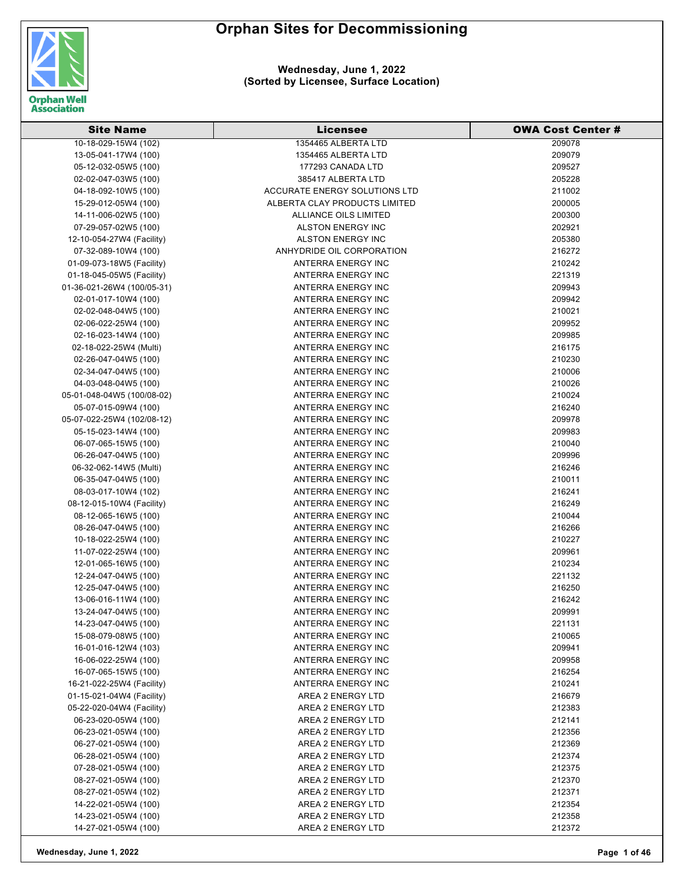

| <b>Site Name</b>           | <b>Licensee</b>               | <b>OWA Cost Center #</b> |
|----------------------------|-------------------------------|--------------------------|
| 10-18-029-15W4 (102)       | 1354465 ALBERTA LTD           | 209078                   |
| 13-05-041-17W4 (100)       | 1354465 ALBERTA LTD           | 209079                   |
| 05-12-032-05W5 (100)       | 177293 CANADA LTD             | 209527                   |
| 02-02-047-03W5 (100)       | 385417 ALBERTA LTD            | 205228                   |
| 04-18-092-10W5 (100)       | ACCURATE ENERGY SOLUTIONS LTD | 211002                   |
| 15-29-012-05W4 (100)       | ALBERTA CLAY PRODUCTS LIMITED | 200005                   |
| 14-11-006-02W5 (100)       | ALLIANCE OILS LIMITED         | 200300                   |
| 07-29-057-02W5 (100)       | ALSTON ENERGY INC             | 202921                   |
| 12-10-054-27W4 (Facility)  | ALSTON ENERGY INC             | 205380                   |
| 07-32-089-10W4 (100)       | ANHYDRIDE OIL CORPORATION     | 216272                   |
| 01-09-073-18W5 (Facility)  | <b>ANTERRA ENERGY INC</b>     | 210242                   |
| 01-18-045-05W5 (Facility)  | ANTERRA ENERGY INC            | 221319                   |
| 01-36-021-26W4 (100/05-31) | ANTERRA ENERGY INC            | 209943                   |
| 02-01-017-10W4 (100)       | ANTERRA ENERGY INC            | 209942                   |
| 02-02-048-04W5 (100)       | ANTERRA ENERGY INC            | 210021                   |
| 02-06-022-25W4 (100)       | ANTERRA ENERGY INC            | 209952                   |
| 02-16-023-14W4 (100)       | ANTERRA ENERGY INC            | 209985                   |
| 02-18-022-25W4 (Multi)     | ANTERRA ENERGY INC            | 216175                   |
| 02-26-047-04W5 (100)       | ANTERRA ENERGY INC            | 210230                   |
| 02-34-047-04W5 (100)       | ANTERRA ENERGY INC            | 210006                   |
| 04-03-048-04W5 (100)       | ANTERRA ENERGY INC            | 210026                   |
| 05-01-048-04W5 (100/08-02) | ANTERRA ENERGY INC            | 210024                   |
| 05-07-015-09W4 (100)       | ANTERRA ENERGY INC            | 216240                   |
| 05-07-022-25W4 (102/08-12) | ANTERRA ENERGY INC            | 209978                   |
| 05-15-023-14W4 (100)       | ANTERRA ENERGY INC            | 209983                   |
| 06-07-065-15W5 (100)       | ANTERRA ENERGY INC            | 210040                   |
| 06-26-047-04W5 (100)       | ANTERRA ENERGY INC            | 209996                   |
| 06-32-062-14W5 (Multi)     | ANTERRA ENERGY INC            | 216246                   |
| 06-35-047-04W5 (100)       | ANTERRA ENERGY INC            | 210011                   |
| 08-03-017-10W4 (102)       | ANTERRA ENERGY INC            | 216241                   |
| 08-12-015-10W4 (Facility)  | ANTERRA ENERGY INC            | 216249                   |
| 08-12-065-16W5 (100)       | ANTERRA ENERGY INC            | 210044                   |
| 08-26-047-04W5 (100)       | ANTERRA ENERGY INC            | 216266                   |
| 10-18-022-25W4 (100)       | ANTERRA ENERGY INC            | 210227                   |
| 11-07-022-25W4 (100)       | ANTERRA ENERGY INC            | 209961                   |
| 12-01-065-16W5 (100)       | ANTERRA ENERGY INC            | 210234                   |
| 12-24-047-04W5 (100)       | ANTERRA ENERGY INC            | 221132                   |
| 12-25-047-04W5 (100)       | ANTERRA ENERGY INC            | 216250                   |
| 13-06-016-11W4 (100)       | <b>ANTERRA ENERGY INC</b>     | 216242                   |
| 13-24-047-04W5 (100)       | ANTERRA ENERGY INC            | 209991                   |
| 14-23-047-04W5 (100)       | ANTERRA ENERGY INC            | 221131                   |
| 15-08-079-08W5 (100)       | ANTERRA ENERGY INC            | 210065                   |
| 16-01-016-12W4 (103)       | ANTERRA ENERGY INC            | 209941                   |
| 16-06-022-25W4 (100)       | ANTERRA ENERGY INC            | 209958                   |
| 16-07-065-15W5 (100)       | ANTERRA ENERGY INC            | 216254                   |
| 16-21-022-25W4 (Facility)  | ANTERRA ENERGY INC            | 210241                   |
| 01-15-021-04W4 (Facility)  | AREA 2 ENERGY LTD             | 216679                   |
| 05-22-020-04W4 (Facility)  | AREA 2 ENERGY LTD             | 212383                   |
| 06-23-020-05W4 (100)       | AREA 2 ENERGY LTD             | 212141                   |
| 06-23-021-05W4 (100)       | AREA 2 ENERGY LTD             | 212356                   |
| 06-27-021-05W4 (100)       | AREA 2 ENERGY LTD             | 212369                   |
| 06-28-021-05W4 (100)       | AREA 2 ENERGY LTD             | 212374                   |
| 07-28-021-05W4 (100)       | AREA 2 ENERGY LTD             | 212375                   |
| 08-27-021-05W4 (100)       | AREA 2 ENERGY LTD             | 212370                   |
| 08-27-021-05W4 (102)       | AREA 2 ENERGY LTD             | 212371                   |
| 14-22-021-05W4 (100)       | AREA 2 ENERGY LTD             | 212354                   |
| 14-23-021-05W4 (100)       | AREA 2 ENERGY LTD             | 212358                   |
| 14-27-021-05W4 (100)       | AREA 2 ENERGY LTD             | 212372                   |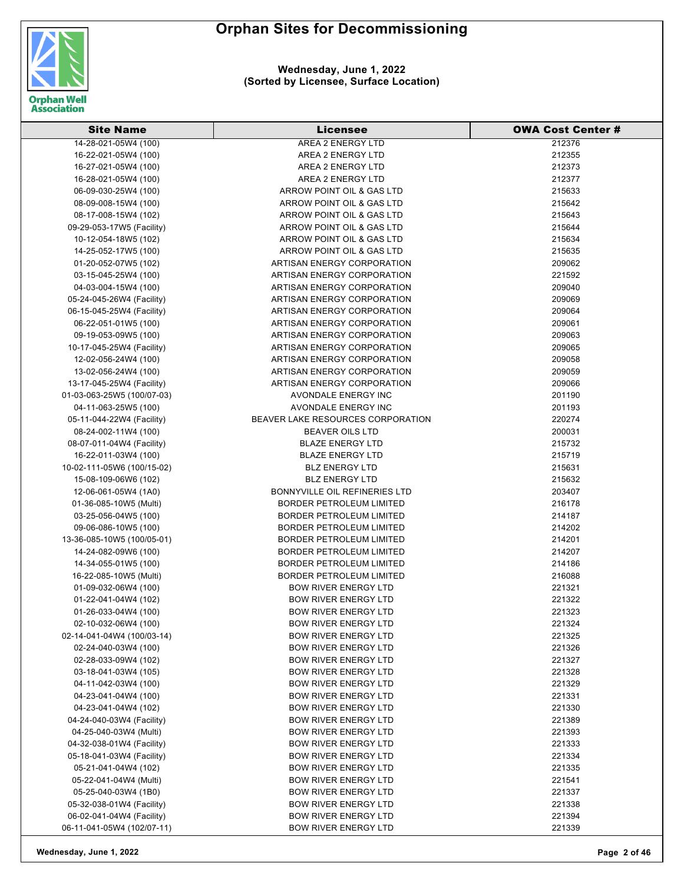

| <b>Site Name</b>           | Licensee                          | <b>OWA Cost Center #</b> |
|----------------------------|-----------------------------------|--------------------------|
| 14-28-021-05W4 (100)       | AREA 2 ENERGY LTD                 | 212376                   |
| 16-22-021-05W4 (100)       | AREA 2 ENERGY LTD                 | 212355                   |
| 16-27-021-05W4 (100)       | AREA 2 ENERGY LTD                 | 212373                   |
| 16-28-021-05W4 (100)       | AREA 2 ENERGY LTD                 | 212377                   |
| 06-09-030-25W4 (100)       | ARROW POINT OIL & GAS LTD         | 215633                   |
| 08-09-008-15W4 (100)       | ARROW POINT OIL & GAS LTD         | 215642                   |
| 08-17-008-15W4 (102)       | ARROW POINT OIL & GAS LTD         | 215643                   |
| 09-29-053-17W5 (Facility)  | ARROW POINT OIL & GAS LTD         | 215644                   |
| 10-12-054-18W5 (102)       | ARROW POINT OIL & GAS LTD         | 215634                   |
| 14-25-052-17W5 (100)       | ARROW POINT OIL & GAS LTD         | 215635                   |
| 01-20-052-07W5 (102)       | ARTISAN ENERGY CORPORATION        | 209062                   |
| 03-15-045-25W4 (100)       | ARTISAN ENERGY CORPORATION        | 221592                   |
| 04-03-004-15W4 (100)       | ARTISAN ENERGY CORPORATION        | 209040                   |
| 05-24-045-26W4 (Facility)  | ARTISAN ENERGY CORPORATION        | 209069                   |
| 06-15-045-25W4 (Facility)  | ARTISAN ENERGY CORPORATION        | 209064                   |
| 06-22-051-01W5 (100)       | ARTISAN ENERGY CORPORATION        | 209061                   |
| 09-19-053-09W5 (100)       | ARTISAN ENERGY CORPORATION        | 209063                   |
| 10-17-045-25W4 (Facility)  | ARTISAN ENERGY CORPORATION        | 209065                   |
| 12-02-056-24W4 (100)       | ARTISAN ENERGY CORPORATION        | 209058                   |
| 13-02-056-24W4 (100)       | ARTISAN ENERGY CORPORATION        | 209059                   |
| 13-17-045-25W4 (Facility)  | ARTISAN ENERGY CORPORATION        | 209066                   |
| 01-03-063-25W5 (100/07-03) | AVONDALE ENERGY INC               | 201190                   |
| 04-11-063-25W5 (100)       | <b>AVONDALE ENERGY INC</b>        | 201193                   |
| 05-11-044-22W4 (Facility)  | BEAVER LAKE RESOURCES CORPORATION | 220274                   |
| 08-24-002-11W4 (100)       | <b>BEAVER OILS LTD</b>            | 200031                   |
| 08-07-011-04W4 (Facility)  | <b>BLAZE ENERGY LTD</b>           | 215732                   |
| 16-22-011-03W4 (100)       | <b>BLAZE ENERGY LTD</b>           | 215719                   |
| 10-02-111-05W6 (100/15-02) | <b>BLZ ENERGY LTD</b>             | 215631                   |
| 15-08-109-06W6 (102)       | <b>BLZ ENERGY LTD</b>             | 215632                   |
| 12-06-061-05W4 (1A0)       | BONNYVILLE OIL REFINERIES LTD     | 203407                   |
| 01-36-085-10W5 (Multi)     | <b>BORDER PETROLEUM LIMITED</b>   | 216178                   |
| 03-25-056-04W5 (100)       | <b>BORDER PETROLEUM LIMITED</b>   | 214187                   |
| 09-06-086-10W5 (100)       | <b>BORDER PETROLEUM LIMITED</b>   | 214202                   |
| 13-36-085-10W5 (100/05-01) | <b>BORDER PETROLEUM LIMITED</b>   | 214201                   |
| 14-24-082-09W6 (100)       | <b>BORDER PETROLEUM LIMITED</b>   | 214207                   |
| 14-34-055-01W5 (100)       | <b>BORDER PETROLEUM LIMITED</b>   | 214186                   |
| 16-22-085-10W5 (Multi)     | <b>BORDER PETROLEUM LIMITED</b>   | 216088                   |
| 01-09-032-06W4 (100)       | <b>BOW RIVER ENERGY LTD</b>       | 221321                   |
| 01-22-041-04W4 (102)       | BOW RIVER ENERGY LTD              | 221322                   |
| 01-26-033-04W4 (100)       | <b>BOW RIVER ENERGY LTD</b>       | 221323                   |
| 02-10-032-06W4 (100)       | <b>BOW RIVER ENERGY LTD</b>       | 221324                   |
| 02-14-041-04W4 (100/03-14) | <b>BOW RIVER ENERGY LTD</b>       | 221325                   |
| 02-24-040-03W4 (100)       | <b>BOW RIVER ENERGY LTD</b>       | 221326                   |
| 02-28-033-09W4 (102)       | <b>BOW RIVER ENERGY LTD</b>       | 221327                   |
| 03-18-041-03W4 (105)       | <b>BOW RIVER ENERGY LTD</b>       | 221328                   |
| 04-11-042-03W4 (100)       | <b>BOW RIVER ENERGY LTD</b>       | 221329                   |
| 04-23-041-04W4 (100)       | <b>BOW RIVER ENERGY LTD</b>       | 221331                   |
| 04-23-041-04W4 (102)       | <b>BOW RIVER ENERGY LTD</b>       | 221330                   |
| 04-24-040-03W4 (Facility)  | <b>BOW RIVER ENERGY LTD</b>       | 221389                   |
| 04-25-040-03W4 (Multi)     | <b>BOW RIVER ENERGY LTD</b>       | 221393                   |
| 04-32-038-01W4 (Facility)  | <b>BOW RIVER ENERGY LTD</b>       | 221333                   |
| 05-18-041-03W4 (Facility)  | <b>BOW RIVER ENERGY LTD</b>       | 221334                   |
| 05-21-041-04W4 (102)       | <b>BOW RIVER ENERGY LTD</b>       | 221335                   |
| 05-22-041-04W4 (Multi)     | <b>BOW RIVER ENERGY LTD</b>       | 221541                   |
| 05-25-040-03W4 (1B0)       | <b>BOW RIVER ENERGY LTD</b>       | 221337                   |
| 05-32-038-01W4 (Facility)  | <b>BOW RIVER ENERGY LTD</b>       | 221338                   |
| 06-02-041-04W4 (Facility)  | <b>BOW RIVER ENERGY LTD</b>       | 221394                   |
|                            | <b>BOW RIVER ENERGY LTD</b>       | 221339                   |
| 06-11-041-05W4 (102/07-11) |                                   |                          |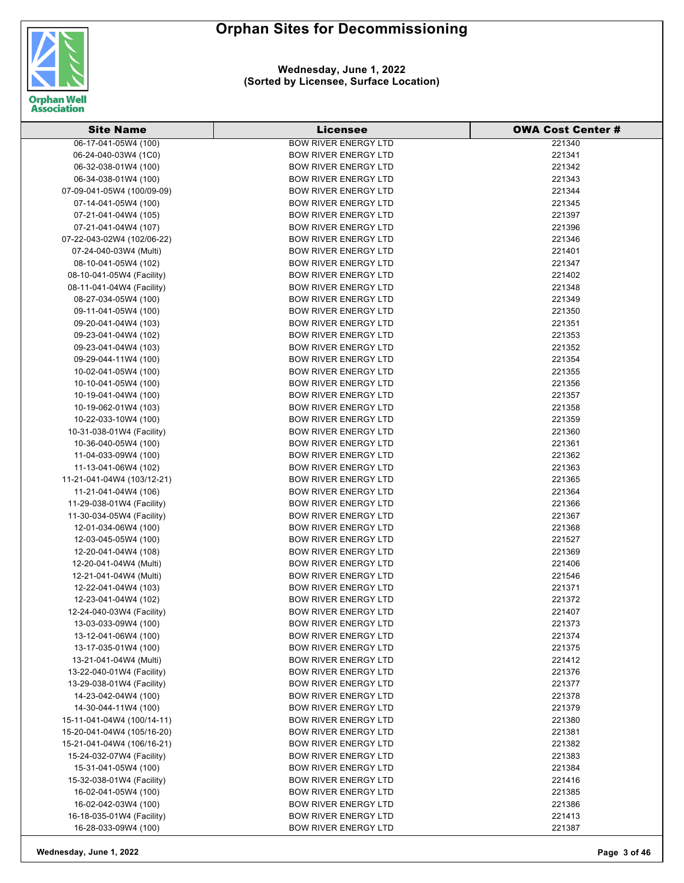

| <b>Site Name</b>           | Licensee                    | <b>OWA Cost Center#</b> |
|----------------------------|-----------------------------|-------------------------|
| 06-17-041-05W4 (100)       | <b>BOW RIVER ENERGY LTD</b> | 221340                  |
| 06-24-040-03W4 (1C0)       | <b>BOW RIVER ENERGY LTD</b> | 221341                  |
| 06-32-038-01W4 (100)       | <b>BOW RIVER ENERGY LTD</b> | 221342                  |
| 06-34-038-01W4 (100)       | <b>BOW RIVER ENERGY LTD</b> | 221343                  |
| 07-09-041-05W4 (100/09-09) | <b>BOW RIVER ENERGY LTD</b> | 221344                  |
| 07-14-041-05W4 (100)       | <b>BOW RIVER ENERGY LTD</b> | 221345                  |
| 07-21-041-04W4 (105)       | <b>BOW RIVER ENERGY LTD</b> | 221397                  |
| 07-21-041-04W4 (107)       | <b>BOW RIVER ENERGY LTD</b> | 221396                  |
| 07-22-043-02W4 (102/06-22) | <b>BOW RIVER ENERGY LTD</b> | 221346                  |
| 07-24-040-03W4 (Multi)     | <b>BOW RIVER ENERGY LTD</b> | 221401                  |
| 08-10-041-05W4 (102)       | <b>BOW RIVER ENERGY LTD</b> | 221347                  |
| 08-10-041-05W4 (Facility)  | <b>BOW RIVER ENERGY LTD</b> | 221402                  |
| 08-11-041-04W4 (Facility)  | <b>BOW RIVER ENERGY LTD</b> | 221348                  |
| 08-27-034-05W4 (100)       | <b>BOW RIVER ENERGY LTD</b> | 221349                  |
| 09-11-041-05W4 (100)       | <b>BOW RIVER ENERGY LTD</b> | 221350                  |
| 09-20-041-04W4 (103)       | <b>BOW RIVER ENERGY LTD</b> | 221351                  |
| 09-23-041-04W4 (102)       | <b>BOW RIVER ENERGY LTD</b> | 221353                  |
| 09-23-041-04W4 (103)       | <b>BOW RIVER ENERGY LTD</b> | 221352                  |
| 09-29-044-11W4 (100)       | <b>BOW RIVER ENERGY LTD</b> | 221354                  |
| 10-02-041-05W4 (100)       | <b>BOW RIVER ENERGY LTD</b> | 221355                  |
| 10-10-041-05W4 (100)       | <b>BOW RIVER ENERGY LTD</b> | 221356                  |
| 10-19-041-04W4 (100)       | <b>BOW RIVER ENERGY LTD</b> | 221357                  |
| 10-19-062-01W4 (103)       | <b>BOW RIVER ENERGY LTD</b> | 221358                  |
| 10-22-033-10W4 (100)       | <b>BOW RIVER ENERGY LTD</b> | 221359                  |
| 10-31-038-01W4 (Facility)  | <b>BOW RIVER ENERGY LTD</b> | 221360                  |
| 10-36-040-05W4 (100)       | <b>BOW RIVER ENERGY LTD</b> | 221361                  |
| 11-04-033-09W4 (100)       | <b>BOW RIVER ENERGY LTD</b> | 221362                  |
| 11-13-041-06W4 (102)       | <b>BOW RIVER ENERGY LTD</b> | 221363                  |
| 11-21-041-04W4 (103/12-21) | <b>BOW RIVER ENERGY LTD</b> | 221365                  |
| 11-21-041-04W4 (106)       | <b>BOW RIVER ENERGY LTD</b> | 221364                  |
| 11-29-038-01W4 (Facility)  | <b>BOW RIVER ENERGY LTD</b> | 221366                  |
| 11-30-034-05W4 (Facility)  | <b>BOW RIVER ENERGY LTD</b> | 221367                  |
| 12-01-034-06W4 (100)       | <b>BOW RIVER ENERGY LTD</b> | 221368                  |
| 12-03-045-05W4 (100)       | <b>BOW RIVER ENERGY LTD</b> | 221527                  |
| 12-20-041-04W4 (108)       | <b>BOW RIVER ENERGY LTD</b> | 221369                  |
| 12-20-041-04W4 (Multi)     | <b>BOW RIVER ENERGY LTD</b> | 221406                  |
| 12-21-041-04W4 (Multi)     | <b>BOW RIVER ENERGY LTD</b> | 221546                  |
| 12-22-041-04W4 (103)       | <b>BOW RIVER ENERGY LTD</b> | 221371                  |
| 12-23-041-04W4 (102)       | <b>BOW RIVER ENERGY LTD</b> | 221372                  |
| 12-24-040-03W4 (Facility)  | <b>BOW RIVER ENERGY LTD</b> | 221407                  |
| 13-03-033-09W4 (100)       | <b>BOW RIVER ENERGY LTD</b> | 221373                  |
| 13-12-041-06W4 (100)       | <b>BOW RIVER ENERGY LTD</b> | 221374                  |
| 13-17-035-01W4 (100)       | <b>BOW RIVER ENERGY LTD</b> | 221375                  |
| 13-21-041-04W4 (Multi)     | <b>BOW RIVER ENERGY LTD</b> | 221412                  |
| 13-22-040-01W4 (Facility)  | <b>BOW RIVER ENERGY LTD</b> | 221376                  |
| 13-29-038-01W4 (Facility)  | <b>BOW RIVER ENERGY LTD</b> | 221377                  |
| 14-23-042-04W4 (100)       | <b>BOW RIVER ENERGY LTD</b> | 221378                  |
| 14-30-044-11W4 (100)       | <b>BOW RIVER ENERGY LTD</b> | 221379                  |
| 15-11-041-04W4 (100/14-11) | <b>BOW RIVER ENERGY LTD</b> | 221380                  |
| 15-20-041-04W4 (105/16-20) | <b>BOW RIVER ENERGY LTD</b> | 221381                  |
| 15-21-041-04W4 (106/16-21) | <b>BOW RIVER ENERGY LTD</b> | 221382                  |
| 15-24-032-07W4 (Facility)  | <b>BOW RIVER ENERGY LTD</b> | 221383                  |
| 15-31-041-05W4 (100)       | <b>BOW RIVER ENERGY LTD</b> | 221384                  |
| 15-32-038-01W4 (Facility)  | <b>BOW RIVER ENERGY LTD</b> | 221416                  |
| 16-02-041-05W4 (100)       | <b>BOW RIVER ENERGY LTD</b> | 221385                  |
| 16-02-042-03W4 (100)       | <b>BOW RIVER ENERGY LTD</b> | 221386                  |
| 16-18-035-01W4 (Facility)  | <b>BOW RIVER ENERGY LTD</b> | 221413                  |
| 16-28-033-09W4 (100)       | <b>BOW RIVER ENERGY LTD</b> | 221387                  |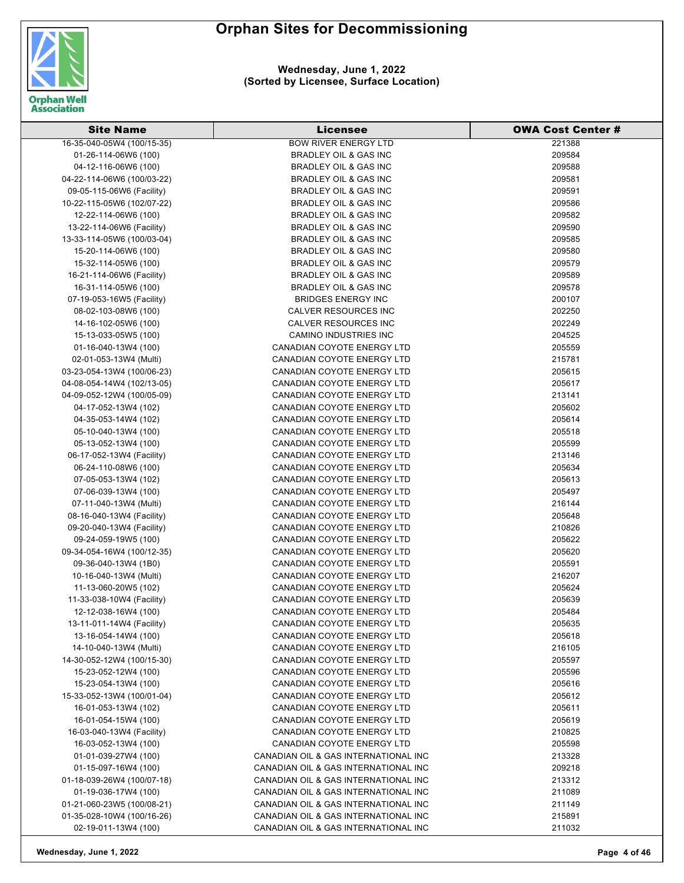

**Wednesday, June 1, 2022 (Sorted by Licensee, Surface Location)**

| <b>Site Name</b>           | Licensee                             | <b>OWA Cost Center #</b> |
|----------------------------|--------------------------------------|--------------------------|
| 16-35-040-05W4 (100/15-35) | <b>BOW RIVER ENERGY LTD</b>          | 221388                   |
| 01-26-114-06W6 (100)       | BRADLEY OIL & GAS INC                | 209584                   |
| 04-12-116-06W6 (100)       | BRADLEY OIL & GAS INC                | 209588                   |
| 04-22-114-06W6 (100/03-22) | <b>BRADLEY OIL &amp; GAS INC</b>     | 209581                   |
| 09-05-115-06W6 (Facility)  | BRADLEY OIL & GAS INC                | 209591                   |
| 10-22-115-05W6 (102/07-22) | <b>BRADLEY OIL &amp; GAS INC</b>     | 209586                   |
| 12-22-114-06W6 (100)       | <b>BRADLEY OIL &amp; GAS INC</b>     | 209582                   |
| 13-22-114-06W6 (Facility)  | <b>BRADLEY OIL &amp; GAS INC</b>     | 209590                   |
| 13-33-114-05W6 (100/03-04) | <b>BRADLEY OIL &amp; GAS INC</b>     | 209585                   |
| 15-20-114-06W6 (100)       | <b>BRADLEY OIL &amp; GAS INC</b>     | 209580                   |
| 15-32-114-05W6 (100)       | <b>BRADLEY OIL &amp; GAS INC</b>     | 209579                   |
| 16-21-114-06W6 (Facility)  | <b>BRADLEY OIL &amp; GAS INC</b>     | 209589                   |
| 16-31-114-05W6 (100)       | BRADLEY OIL & GAS INC                | 209578                   |
| 07-19-053-16W5 (Facility)  | <b>BRIDGES ENERGY INC</b>            | 200107                   |
| 08-02-103-08W6 (100)       | CALVER RESOURCES INC                 | 202250                   |
| 14-16-102-05W6 (100)       | CALVER RESOURCES INC                 | 202249                   |
| 15-13-033-05W5 (100)       | <b>CAMINO INDUSTRIES INC</b>         | 204525                   |
| 01-16-040-13W4 (100)       | CANADIAN COYOTE ENERGY LTD           | 205559                   |
| 02-01-053-13W4 (Multi)     | CANADIAN COYOTE ENERGY LTD           | 215781                   |
| 03-23-054-13W4 (100/06-23) | <b>CANADIAN COYOTE ENERGY LTD</b>    | 205615                   |
| 04-08-054-14W4 (102/13-05) | CANADIAN COYOTE ENERGY LTD           | 205617                   |
| 04-09-052-12W4 (100/05-09) | <b>CANADIAN COYOTE ENERGY LTD</b>    | 213141                   |
| 04-17-052-13W4 (102)       | <b>CANADIAN COYOTE ENERGY LTD</b>    | 205602                   |
| 04-35-053-14W4 (102)       | CANADIAN COYOTE ENERGY LTD           | 205614                   |
| 05-10-040-13W4 (100)       | CANADIAN COYOTE ENERGY LTD           | 205518                   |
| 05-13-052-13W4 (100)       | CANADIAN COYOTE ENERGY LTD           | 205599                   |
| 06-17-052-13W4 (Facility)  | CANADIAN COYOTE ENERGY LTD           | 213146                   |
| 06-24-110-08W6 (100)       | CANADIAN COYOTE ENERGY LTD           | 205634                   |
| 07-05-053-13W4 (102)       | CANADIAN COYOTE ENERGY LTD           | 205613                   |
| 07-06-039-13W4 (100)       | CANADIAN COYOTE ENERGY LTD           | 205497                   |
| 07-11-040-13W4 (Multi)     | CANADIAN COYOTE ENERGY LTD           | 216144                   |
| 08-16-040-13W4 (Facility)  | CANADIAN COYOTE ENERGY LTD           | 205648                   |
| 09-20-040-13W4 (Facility)  | CANADIAN COYOTE ENERGY LTD           | 210826                   |
| 09-24-059-19W5 (100)       | CANADIAN COYOTE ENERGY LTD           | 205622                   |
| 09-34-054-16W4 (100/12-35) | CANADIAN COYOTE ENERGY LTD           | 205620                   |
| 09-36-040-13W4 (1B0)       | CANADIAN COYOTE ENERGY LTD           | 205591                   |
| 10-16-040-13W4 (Multi)     | CANADIAN COYOTE ENERGY LTD           | 216207                   |
| 11-13-060-20W5 (102)       | CANADIAN COYOTE ENERGY LTD           | 205624                   |
| 11-33-038-10W4 (Facility)  | CANADIAN COYOTE ENERGY LTD           | 205639                   |
| 12-12-038-16W4 (100)       | <b>CANADIAN COYOTE ENERGY LTD</b>    | 205484                   |
| 13-11-011-14W4 (Facility)  | <b>CANADIAN COYOTE ENERGY LTD</b>    | 205635                   |
| 13-16-054-14W4 (100)       | <b>CANADIAN COYOTE ENERGY LTD</b>    | 205618                   |
| 14-10-040-13W4 (Multi)     | CANADIAN COYOTE ENERGY LTD           | 216105                   |
| 14-30-052-12W4 (100/15-30) | CANADIAN COYOTE ENERGY LTD           | 205597                   |
| 15-23-052-12W4 (100)       | CANADIAN COYOTE ENERGY LTD           | 205596                   |
| 15-23-054-13W4 (100)       | CANADIAN COYOTE ENERGY LTD           | 205616                   |
| 15-33-052-13W4 (100/01-04) | CANADIAN COYOTE ENERGY LTD           | 205612                   |
| 16-01-053-13W4 (102)       | CANADIAN COYOTE ENERGY LTD           | 205611                   |
| 16-01-054-15W4 (100)       | CANADIAN COYOTE ENERGY LTD           | 205619                   |
| 16-03-040-13W4 (Facility)  | CANADIAN COYOTE ENERGY LTD           | 210825                   |
| 16-03-052-13W4 (100)       | CANADIAN COYOTE ENERGY LTD           | 205598                   |
| 01-01-039-27W4 (100)       | CANADIAN OIL & GAS INTERNATIONAL INC | 213328                   |
| 01-15-097-16W4 (100)       | CANADIAN OIL & GAS INTERNATIONAL INC | 209218                   |
| 01-18-039-26W4 (100/07-18) | CANADIAN OIL & GAS INTERNATIONAL INC | 213312                   |
| 01-19-036-17W4 (100)       | CANADIAN OIL & GAS INTERNATIONAL INC | 211089                   |
| 01-21-060-23W5 (100/08-21) | CANADIAN OIL & GAS INTERNATIONAL INC | 211149                   |
| 01-35-028-10W4 (100/16-26) | CANADIAN OIL & GAS INTERNATIONAL INC | 215891                   |
| 02-19-011-13W4 (100)       | CANADIAN OIL & GAS INTERNATIONAL INC | 211032                   |

**Wednesday, June 1, 2022 Page 4 of 46**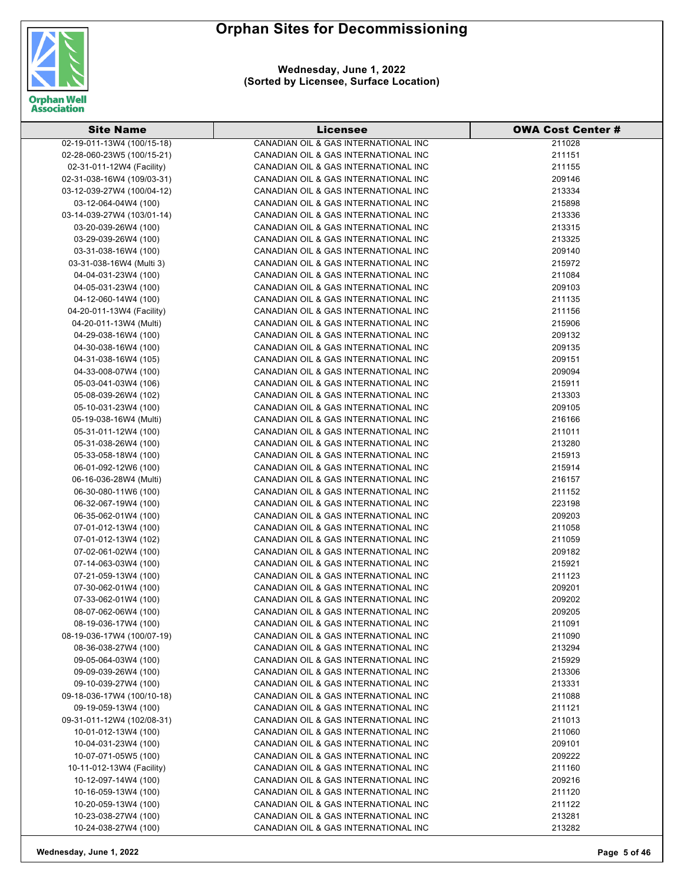

**Wednesday, June 1, 2022 (Sorted by Licensee, Surface Location)**

| <b>Site Name</b>           | <b>Licensee</b>                      | <b>OWA Cost Center #</b> |
|----------------------------|--------------------------------------|--------------------------|
| 02-19-011-13W4 (100/15-18) | CANADIAN OIL & GAS INTERNATIONAL INC | 211028                   |
| 02-28-060-23W5 (100/15-21) | CANADIAN OIL & GAS INTERNATIONAL INC | 211151                   |
| 02-31-011-12W4 (Facility)  | CANADIAN OIL & GAS INTERNATIONAL INC | 211155                   |
| 02-31-038-16W4 (109/03-31) | CANADIAN OIL & GAS INTERNATIONAL INC | 209146                   |
| 03-12-039-27W4 (100/04-12) | CANADIAN OIL & GAS INTERNATIONAL INC | 213334                   |
| 03-12-064-04W4 (100)       | CANADIAN OIL & GAS INTERNATIONAL INC | 215898                   |
| 03-14-039-27W4 (103/01-14) | CANADIAN OIL & GAS INTERNATIONAL INC | 213336                   |
| 03-20-039-26W4 (100)       | CANADIAN OIL & GAS INTERNATIONAL INC | 213315                   |
| 03-29-039-26W4 (100)       | CANADIAN OIL & GAS INTERNATIONAL INC | 213325                   |
| 03-31-038-16W4 (100)       | CANADIAN OIL & GAS INTERNATIONAL INC | 209140                   |
| 03-31-038-16W4 (Multi 3)   | CANADIAN OIL & GAS INTERNATIONAL INC | 215972                   |
| 04-04-031-23W4 (100)       | CANADIAN OIL & GAS INTERNATIONAL INC | 211084                   |
| 04-05-031-23W4 (100)       | CANADIAN OIL & GAS INTERNATIONAL INC | 209103                   |
| 04-12-060-14W4 (100)       | CANADIAN OIL & GAS INTERNATIONAL INC | 211135                   |
| 04-20-011-13W4 (Facility)  | CANADIAN OIL & GAS INTERNATIONAL INC | 211156                   |
| 04-20-011-13W4 (Multi)     | CANADIAN OIL & GAS INTERNATIONAL INC | 215906                   |
| 04-29-038-16W4 (100)       | CANADIAN OIL & GAS INTERNATIONAL INC | 209132                   |
| 04-30-038-16W4 (100)       | CANADIAN OIL & GAS INTERNATIONAL INC | 209135                   |
| 04-31-038-16W4 (105)       | CANADIAN OIL & GAS INTERNATIONAL INC | 209151                   |
| 04-33-008-07W4 (100)       | CANADIAN OIL & GAS INTERNATIONAL INC | 209094                   |
| 05-03-041-03W4 (106)       | CANADIAN OIL & GAS INTERNATIONAL INC | 215911                   |
| 05-08-039-26W4 (102)       | CANADIAN OIL & GAS INTERNATIONAL INC | 213303                   |
| 05-10-031-23W4 (100)       | CANADIAN OIL & GAS INTERNATIONAL INC | 209105                   |
| 05-19-038-16W4 (Multi)     | CANADIAN OIL & GAS INTERNATIONAL INC | 216166                   |
| 05-31-011-12W4 (100)       | CANADIAN OIL & GAS INTERNATIONAL INC | 211011                   |
| 05-31-038-26W4 (100)       | CANADIAN OIL & GAS INTERNATIONAL INC | 213280                   |
| 05-33-058-18W4 (100)       | CANADIAN OIL & GAS INTERNATIONAL INC | 215913                   |
| 06-01-092-12W6 (100)       | CANADIAN OIL & GAS INTERNATIONAL INC | 215914                   |
| 06-16-036-28W4 (Multi)     | CANADIAN OIL & GAS INTERNATIONAL INC | 216157                   |
| 06-30-080-11W6 (100)       | CANADIAN OIL & GAS INTERNATIONAL INC | 211152                   |
| 06-32-067-19W4 (100)       | CANADIAN OIL & GAS INTERNATIONAL INC | 223198                   |
| 06-35-062-01W4 (100)       | CANADIAN OIL & GAS INTERNATIONAL INC | 209203                   |
| 07-01-012-13W4 (100)       | CANADIAN OIL & GAS INTERNATIONAL INC | 211058                   |
| 07-01-012-13W4 (102)       | CANADIAN OIL & GAS INTERNATIONAL INC | 211059                   |
| 07-02-061-02W4 (100)       | CANADIAN OIL & GAS INTERNATIONAL INC | 209182                   |
| 07-14-063-03W4 (100)       | CANADIAN OIL & GAS INTERNATIONAL INC | 215921                   |
| 07-21-059-13W4 (100)       | CANADIAN OIL & GAS INTERNATIONAL INC | 211123                   |
| 07-30-062-01W4 (100)       | CANADIAN OIL & GAS INTERNATIONAL INC | 209201                   |
| 07-33-062-01W4 (100)       | CANADIAN OIL & GAS INTERNATIONAL INC | 209202                   |
| 08-07-062-06W4 (100)       | CANADIAN OIL & GAS INTERNATIONAL INC | 209205                   |
| 08-19-036-17W4 (100)       | CANADIAN OIL & GAS INTERNATIONAL INC | 211091                   |
| 08-19-036-17W4 (100/07-19) | CANADIAN OIL & GAS INTERNATIONAL INC | 211090                   |
| 08-36-038-27W4 (100)       | CANADIAN OIL & GAS INTERNATIONAL INC | 213294                   |
| 09-05-064-03W4 (100)       | CANADIAN OIL & GAS INTERNATIONAL INC | 215929                   |
| 09-09-039-26W4 (100)       | CANADIAN OIL & GAS INTERNATIONAL INC | 213306                   |
| 09-10-039-27W4 (100)       | CANADIAN OIL & GAS INTERNATIONAL INC | 213331                   |
| 09-18-036-17W4 (100/10-18) | CANADIAN OIL & GAS INTERNATIONAL INC | 211088                   |
| 09-19-059-13W4 (100)       | CANADIAN OIL & GAS INTERNATIONAL INC | 211121                   |
| 09-31-011-12W4 (102/08-31) | CANADIAN OIL & GAS INTERNATIONAL INC | 211013                   |
| 10-01-012-13W4 (100)       | CANADIAN OIL & GAS INTERNATIONAL INC | 211060                   |
| 10-04-031-23W4 (100)       | CANADIAN OIL & GAS INTERNATIONAL INC | 209101                   |
| 10-07-071-05W5 (100)       | CANADIAN OIL & GAS INTERNATIONAL INC | 209222                   |
| 10-11-012-13W4 (Facility)  | CANADIAN OIL & GAS INTERNATIONAL INC | 211160                   |
| 10-12-097-14W4 (100)       | CANADIAN OIL & GAS INTERNATIONAL INC | 209216                   |
| 10-16-059-13W4 (100)       | CANADIAN OIL & GAS INTERNATIONAL INC | 211120                   |
| 10-20-059-13W4 (100)       | CANADIAN OIL & GAS INTERNATIONAL INC | 211122                   |
| 10-23-038-27W4 (100)       | CANADIAN OIL & GAS INTERNATIONAL INC | 213281                   |
| 10-24-038-27W4 (100)       | CANADIAN OIL & GAS INTERNATIONAL INC | 213282                   |

**Wednesday, June 1, 2022 Page 5 of 46**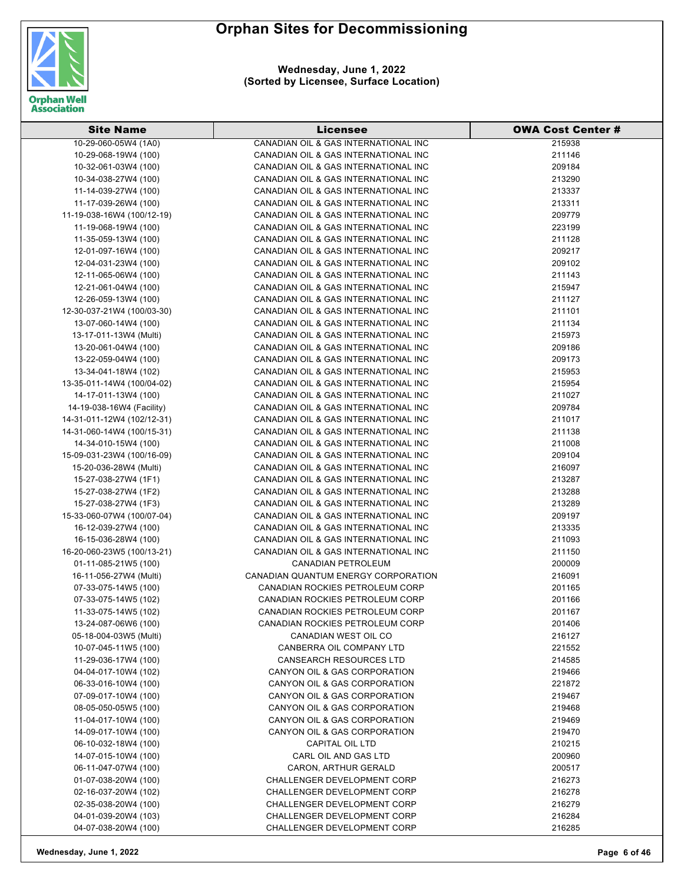

**Wednesday, June 1, 2022 (Sorted by Licensee, Surface Location)**

| <b>Site Name</b>           | Licensee                             | <b>OWA Cost Center #</b> |
|----------------------------|--------------------------------------|--------------------------|
| 10-29-060-05W4 (1A0)       | CANADIAN OIL & GAS INTERNATIONAL INC | 215938                   |
| 10-29-068-19W4 (100)       | CANADIAN OIL & GAS INTERNATIONAL INC | 211146                   |
| 10-32-061-03W4 (100)       | CANADIAN OIL & GAS INTERNATIONAL INC | 209184                   |
| 10-34-038-27W4 (100)       | CANADIAN OIL & GAS INTERNATIONAL INC | 213290                   |
| 11-14-039-27W4 (100)       | CANADIAN OIL & GAS INTERNATIONAL INC | 213337                   |
| 11-17-039-26W4 (100)       | CANADIAN OIL & GAS INTERNATIONAL INC | 213311                   |
| 11-19-038-16W4 (100/12-19) | CANADIAN OIL & GAS INTERNATIONAL INC | 209779                   |
| 11-19-068-19W4 (100)       | CANADIAN OIL & GAS INTERNATIONAL INC | 223199                   |
| 11-35-059-13W4 (100)       | CANADIAN OIL & GAS INTERNATIONAL INC | 211128                   |
| 12-01-097-16W4 (100)       | CANADIAN OIL & GAS INTERNATIONAL INC | 209217                   |
| 12-04-031-23W4 (100)       | CANADIAN OIL & GAS INTERNATIONAL INC | 209102                   |
| 12-11-065-06W4 (100)       | CANADIAN OIL & GAS INTERNATIONAL INC | 211143                   |
| 12-21-061-04W4 (100)       | CANADIAN OIL & GAS INTERNATIONAL INC | 215947                   |
| 12-26-059-13W4 (100)       | CANADIAN OIL & GAS INTERNATIONAL INC | 211127                   |
| 12-30-037-21W4 (100/03-30) | CANADIAN OIL & GAS INTERNATIONAL INC | 211101                   |
| 13-07-060-14W4 (100)       | CANADIAN OIL & GAS INTERNATIONAL INC | 211134                   |
| 13-17-011-13W4 (Multi)     | CANADIAN OIL & GAS INTERNATIONAL INC | 215973                   |
| 13-20-061-04W4 (100)       | CANADIAN OIL & GAS INTERNATIONAL INC | 209186                   |
| 13-22-059-04W4 (100)       | CANADIAN OIL & GAS INTERNATIONAL INC | 209173                   |
| 13-34-041-18W4 (102)       | CANADIAN OIL & GAS INTERNATIONAL INC | 215953                   |
| 13-35-011-14W4 (100/04-02) | CANADIAN OIL & GAS INTERNATIONAL INC | 215954                   |
| 14-17-011-13W4 (100)       | CANADIAN OIL & GAS INTERNATIONAL INC | 211027                   |
| 14-19-038-16W4 (Facility)  | CANADIAN OIL & GAS INTERNATIONAL INC | 209784                   |
| 14-31-011-12W4 (102/12-31) | CANADIAN OIL & GAS INTERNATIONAL INC | 211017                   |
| 14-31-060-14W4 (100/15-31) | CANADIAN OIL & GAS INTERNATIONAL INC | 211138                   |
| 14-34-010-15W4 (100)       | CANADIAN OIL & GAS INTERNATIONAL INC | 211008                   |
| 15-09-031-23W4 (100/16-09) | CANADIAN OIL & GAS INTERNATIONAL INC | 209104                   |
| 15-20-036-28W4 (Multi)     | CANADIAN OIL & GAS INTERNATIONAL INC | 216097                   |
| 15-27-038-27W4 (1F1)       | CANADIAN OIL & GAS INTERNATIONAL INC | 213287                   |
| 15-27-038-27W4 (1F2)       | CANADIAN OIL & GAS INTERNATIONAL INC | 213288                   |
| 15-27-038-27W4 (1F3)       | CANADIAN OIL & GAS INTERNATIONAL INC | 213289                   |
| 15-33-060-07W4 (100/07-04) | CANADIAN OIL & GAS INTERNATIONAL INC | 209197                   |
| 16-12-039-27W4 (100)       | CANADIAN OIL & GAS INTERNATIONAL INC | 213335                   |
| 16-15-036-28W4 (100)       | CANADIAN OIL & GAS INTERNATIONAL INC | 211093                   |
| 16-20-060-23W5 (100/13-21) | CANADIAN OIL & GAS INTERNATIONAL INC | 211150                   |
| 01-11-085-21W5 (100)       | CANADIAN PETROLEUM                   | 200009                   |
| 16-11-056-27W4 (Multi)     | CANADIAN QUANTUM ENERGY CORPORATION  | 216091                   |
| 07-33-075-14W5 (100)       | CANADIAN ROCKIES PETROLEUM CORP      | 201165                   |
| 07-33-075-14W5 (102)       | CANADIAN ROCKIES PETROLEUM CORP      | 201166                   |
| 11-33-075-14W5 (102)       | CANADIAN ROCKIES PETROLEUM CORP      | 201167                   |
| 13-24-087-06W6 (100)       | CANADIAN ROCKIES PETROLEUM CORP      | 201406                   |
| 05-18-004-03W5 (Multi)     | CANADIAN WEST OIL CO                 | 216127                   |
| 10-07-045-11W5 (100)       | CANBERRA OIL COMPANY LTD             | 221552                   |
| 11-29-036-17W4 (100)       | <b>CANSEARCH RESOURCES LTD</b>       | 214585                   |
| 04-04-017-10W4 (102)       | CANYON OIL & GAS CORPORATION         | 219466                   |
| 06-33-016-10W4 (100)       | CANYON OIL & GAS CORPORATION         | 221872                   |
| 07-09-017-10W4 (100)       | CANYON OIL & GAS CORPORATION         | 219467                   |
| 08-05-050-05W5 (100)       | CANYON OIL & GAS CORPORATION         | 219468                   |
| 11-04-017-10W4 (100)       | CANYON OIL & GAS CORPORATION         | 219469                   |
| 14-09-017-10W4 (100)       | CANYON OIL & GAS CORPORATION         | 219470                   |
| 06-10-032-18W4 (100)       | CAPITAL OIL LTD                      | 210215                   |
| 14-07-015-10W4 (100)       | CARL OIL AND GAS LTD                 | 200960                   |
| 06-11-047-07W4 (100)       | CARON, ARTHUR GERALD                 | 200517                   |
| 01-07-038-20W4 (100)       | <b>CHALLENGER DEVELOPMENT CORP</b>   | 216273                   |
| 02-16-037-20W4 (102)       | CHALLENGER DEVELOPMENT CORP          | 216278                   |
| 02-35-038-20W4 (100)       | <b>CHALLENGER DEVELOPMENT CORP</b>   | 216279                   |
| 04-01-039-20W4 (103)       | <b>CHALLENGER DEVELOPMENT CORP</b>   | 216284                   |
| 04-07-038-20W4 (100)       | CHALLENGER DEVELOPMENT CORP          | 216285                   |
|                            |                                      |                          |

**Wednesday, June 1, 2022 Page 6 of 46**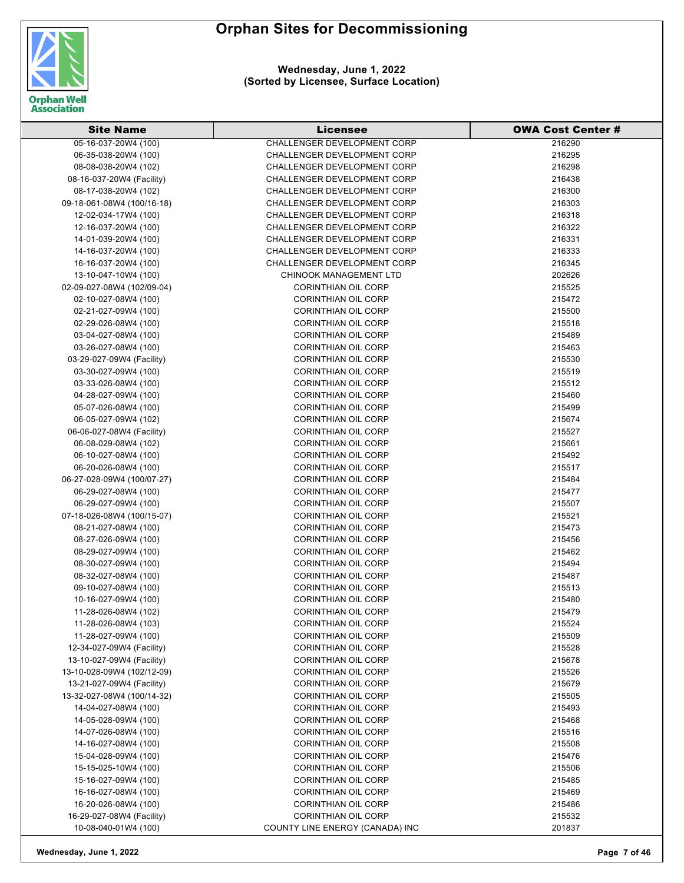

| <b>Site Name</b>           | Licensee                           | <b>OWA Cost Center #</b> |
|----------------------------|------------------------------------|--------------------------|
| 05-16-037-20W4 (100)       | <b>CHALLENGER DEVELOPMENT CORP</b> | 216290                   |
| 06-35-038-20W4 (100)       | <b>CHALLENGER DEVELOPMENT CORP</b> | 216295                   |
| 08-08-038-20W4 (102)       | <b>CHALLENGER DEVELOPMENT CORP</b> | 216298                   |
| 08-16-037-20W4 (Facility)  | <b>CHALLENGER DEVELOPMENT CORP</b> | 216438                   |
| 08-17-038-20W4 (102)       | <b>CHALLENGER DEVELOPMENT CORP</b> | 216300                   |
| 09-18-061-08W4 (100/16-18) | <b>CHALLENGER DEVELOPMENT CORP</b> | 216303                   |
| 12-02-034-17W4 (100)       | CHALLENGER DEVELOPMENT CORP        | 216318                   |
| 12-16-037-20W4 (100)       | <b>CHALLENGER DEVELOPMENT CORP</b> | 216322                   |
| 14-01-039-20W4 (100)       | CHALLENGER DEVELOPMENT CORP        | 216331                   |
| 14-16-037-20W4 (100)       | <b>CHALLENGER DEVELOPMENT CORP</b> | 216333                   |
| 16-16-037-20W4 (100)       | CHALLENGER DEVELOPMENT CORP        | 216345                   |
| 13-10-047-10W4 (100)       | <b>CHINOOK MANAGEMENT LTD</b>      | 202626                   |
| 02-09-027-08W4 (102/09-04) | <b>CORINTHIAN OIL CORP</b>         | 215525                   |
| 02-10-027-08W4 (100)       | CORINTHIAN OIL CORP                | 215472                   |
| 02-21-027-09W4 (100)       | <b>CORINTHIAN OIL CORP</b>         | 215500                   |
| 02-29-026-08W4 (100)       | <b>CORINTHIAN OIL CORP</b>         | 215518                   |
| 03-04-027-08W4 (100)       | <b>CORINTHIAN OIL CORP</b>         | 215489                   |
| 03-26-027-08W4 (100)       | <b>CORINTHIAN OIL CORP</b>         | 215463                   |
| 03-29-027-09W4 (Facility)  | <b>CORINTHIAN OIL CORP</b>         | 215530                   |
| 03-30-027-09W4 (100)       | <b>CORINTHIAN OIL CORP</b>         | 215519                   |
| 03-33-026-08W4 (100)       | <b>CORINTHIAN OIL CORP</b>         | 215512                   |
| 04-28-027-09W4 (100)       | <b>CORINTHIAN OIL CORP</b>         | 215460                   |
| 05-07-026-08W4 (100)       | <b>CORINTHIAN OIL CORP</b>         | 215499                   |
| 06-05-027-09W4 (102)       | <b>CORINTHIAN OIL CORP</b>         | 215674                   |
| 06-06-027-08W4 (Facility)  | <b>CORINTHIAN OIL CORP</b>         | 215527                   |
| 06-08-029-08W4 (102)       | <b>CORINTHIAN OIL CORP</b>         | 215661                   |
| 06-10-027-08W4 (100)       | <b>CORINTHIAN OIL CORP</b>         | 215492                   |
| 06-20-026-08W4 (100)       | <b>CORINTHIAN OIL CORP</b>         | 215517                   |
| 06-27-028-09W4 (100/07-27) | <b>CORINTHIAN OIL CORP</b>         | 215484                   |
| 06-29-027-08W4 (100)       | <b>CORINTHIAN OIL CORP</b>         | 215477                   |
| 06-29-027-09W4 (100)       | <b>CORINTHIAN OIL CORP</b>         | 215507                   |
| 07-18-026-08W4 (100/15-07) | <b>CORINTHIAN OIL CORP</b>         | 215521                   |
| 08-21-027-08W4 (100)       | <b>CORINTHIAN OIL CORP</b>         | 215473                   |
| 08-27-026-09W4 (100)       | <b>CORINTHIAN OIL CORP</b>         | 215456                   |
| 08-29-027-09W4 (100)       | <b>CORINTHIAN OIL CORP</b>         | 215462                   |
| 08-30-027-09W4 (100)       | <b>CORINTHIAN OIL CORP</b>         | 215494                   |
| 08-32-027-08W4 (100)       | <b>CORINTHIAN OIL CORP</b>         | 215487                   |
| 09-10-027-08W4 (100)       | <b>CORINTHIAN OIL CORP</b>         | 215513                   |
| 10-16-027-09W4 (100)       | <b>CORINTHIAN OIL CORP</b>         | 215480                   |
| 11-28-026-08W4 (102)       | CORINTHIAN OIL CORP                | 215479                   |
| 11-28-026-08W4 (103)       | <b>CORINTHIAN OIL CORP</b>         | 215524                   |
| 11-28-027-09W4 (100)       | <b>CORINTHIAN OIL CORP</b>         | 215509                   |
| 12-34-027-09W4 (Facility)  | <b>CORINTHIAN OIL CORP</b>         | 215528                   |
| 13-10-027-09W4 (Facility)  | <b>CORINTHIAN OIL CORP</b>         | 215678                   |
| 13-10-028-09W4 (102/12-09) | <b>CORINTHIAN OIL CORP</b>         | 215526                   |
| 13-21-027-09W4 (Facility)  | <b>CORINTHIAN OIL CORP</b>         | 215679                   |
| 13-32-027-08W4 (100/14-32) | <b>CORINTHIAN OIL CORP</b>         | 215505                   |
| 14-04-027-08W4 (100)       | <b>CORINTHIAN OIL CORP</b>         | 215493                   |
| 14-05-028-09W4 (100)       | <b>CORINTHIAN OIL CORP</b>         | 215468                   |
| 14-07-026-08W4 (100)       | <b>CORINTHIAN OIL CORP</b>         | 215516                   |
| 14-16-027-08W4 (100)       | <b>CORINTHIAN OIL CORP</b>         | 215508                   |
| 15-04-028-09W4 (100)       | <b>CORINTHIAN OIL CORP</b>         | 215476                   |
| 15-15-025-10W4 (100)       | <b>CORINTHIAN OIL CORP</b>         | 215506                   |
| 15-16-027-09W4 (100)       | <b>CORINTHIAN OIL CORP</b>         | 215485                   |
| 16-16-027-08W4 (100)       | <b>CORINTHIAN OIL CORP</b>         | 215469                   |
| 16-20-026-08W4 (100)       | <b>CORINTHIAN OIL CORP</b>         | 215486                   |
| 16-29-027-08W4 (Facility)  | <b>CORINTHIAN OIL CORP</b>         | 215532                   |
| 10-08-040-01W4 (100)       | COUNTY LINE ENERGY (CANADA) INC    | 201837                   |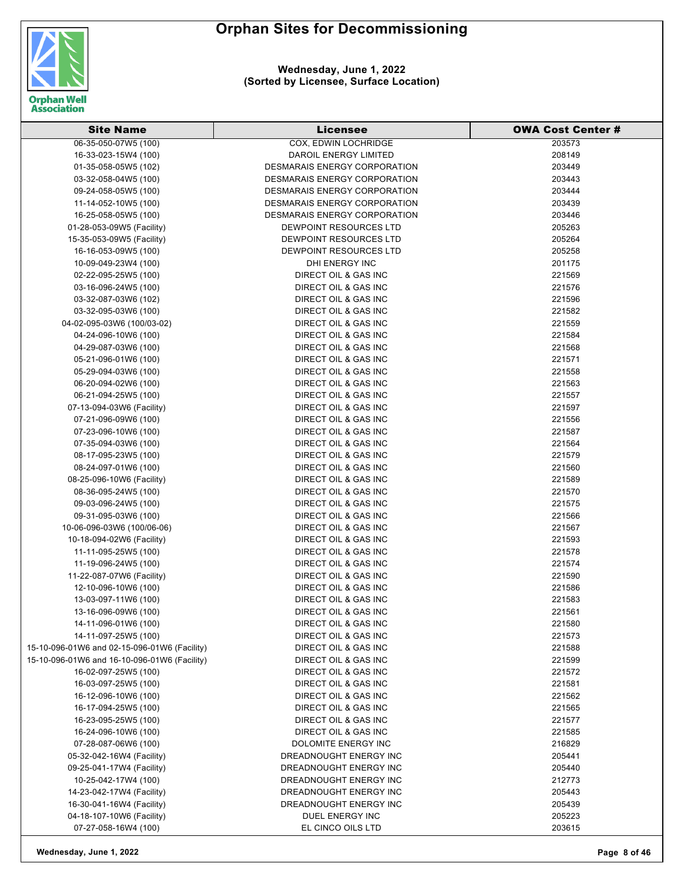

**Wednesday, June 1, 2022 (Sorted by Licensee, Surface Location)**

| <b>Site Name</b>                             | <b>Licensee</b>                     | <b>OWA Cost Center #</b> |
|----------------------------------------------|-------------------------------------|--------------------------|
| 06-35-050-07W5 (100)                         | <b>COX, EDWIN LOCHRIDGE</b>         | 203573                   |
| 16-33-023-15W4 (100)                         | DAROIL ENERGY LIMITED               | 208149                   |
| 01-35-058-05W5 (102)                         | DESMARAIS ENERGY CORPORATION        | 203449                   |
| 03-32-058-04W5 (100)                         | DESMARAIS ENERGY CORPORATION        | 203443                   |
| 09-24-058-05W5 (100)                         | <b>DESMARAIS ENERGY CORPORATION</b> | 203444                   |
| 11-14-052-10W5 (100)                         | <b>DESMARAIS ENERGY CORPORATION</b> | 203439                   |
| 16-25-058-05W5 (100)                         | DESMARAIS ENERGY CORPORATION        | 203446                   |
| 01-28-053-09W5 (Facility)                    | DEWPOINT RESOURCES LTD              | 205263                   |
| 15-35-053-09W5 (Facility)                    | DEWPOINT RESOURCES LTD              | 205264                   |
| 16-16-053-09W5 (100)                         | DEWPOINT RESOURCES LTD              | 205258                   |
| 10-09-049-23W4 (100)                         | DHI ENERGY INC                      | 201175                   |
| 02-22-095-25W5 (100)                         | <b>DIRECT OIL &amp; GAS INC</b>     | 221569                   |
| 03-16-096-24W5 (100)                         | <b>DIRECT OIL &amp; GAS INC</b>     | 221576                   |
| 03-32-087-03W6 (102)                         | DIRECT OIL & GAS INC                | 221596                   |
| 03-32-095-03W6 (100)                         | DIRECT OIL & GAS INC                | 221582                   |
| 04-02-095-03W6 (100/03-02)                   | <b>DIRECT OIL &amp; GAS INC</b>     | 221559                   |
| 04-24-096-10W6 (100)                         | <b>DIRECT OIL &amp; GAS INC</b>     | 221584                   |
| 04-29-087-03W6 (100)                         | <b>DIRECT OIL &amp; GAS INC</b>     | 221568                   |
| 05-21-096-01W6 (100)                         | DIRECT OIL & GAS INC                | 221571                   |
| 05-29-094-03W6 (100)                         | <b>DIRECT OIL &amp; GAS INC</b>     | 221558                   |
| 06-20-094-02W6 (100)                         | DIRECT OIL & GAS INC                | 221563                   |
| 06-21-094-25W5 (100)                         | <b>DIRECT OIL &amp; GAS INC</b>     | 221557                   |
| 07-13-094-03W6 (Facility)                    | DIRECT OIL & GAS INC                | 221597                   |
| 07-21-096-09W6 (100)                         | <b>DIRECT OIL &amp; GAS INC</b>     | 221556                   |
| 07-23-096-10W6 (100)                         | <b>DIRECT OIL &amp; GAS INC</b>     | 221587                   |
| 07-35-094-03W6 (100)                         | <b>DIRECT OIL &amp; GAS INC</b>     | 221564                   |
| 08-17-095-23W5 (100)                         | DIRECT OIL & GAS INC                | 221579                   |
| 08-24-097-01W6 (100)                         | DIRECT OIL & GAS INC                | 221560                   |
| 08-25-096-10W6 (Facility)                    | DIRECT OIL & GAS INC                | 221589                   |
| 08-36-095-24W5 (100)                         | <b>DIRECT OIL &amp; GAS INC</b>     | 221570                   |
| 09-03-096-24W5 (100)                         | DIRECT OIL & GAS INC                | 221575                   |
| 09-31-095-03W6 (100)                         | <b>DIRECT OIL &amp; GAS INC</b>     | 221566                   |
| 10-06-096-03W6 (100/06-06)                   | DIRECT OIL & GAS INC                | 221567                   |
| 10-18-094-02W6 (Facility)                    | DIRECT OIL & GAS INC                | 221593                   |
| 11-11-095-25W5 (100)                         | DIRECT OIL & GAS INC                | 221578                   |
| 11-19-096-24W5 (100)                         | DIRECT OIL & GAS INC                | 221574                   |
| 11-22-087-07W6 (Facility)                    | DIRECT OIL & GAS INC                | 221590                   |
| 12-10-096-10W6 (100)                         | <b>DIRECT OIL &amp; GAS INC</b>     | 221586                   |
| 13-03-097-11W6 (100)                         | DIRECT OIL & GAS INC                | 221583                   |
| 13-16-096-09W6 (100)                         | DIRECT OIL & GAS INC                | 221561                   |
| 14-11-096-01W6 (100)                         | DIRECT OIL & GAS INC                | 221580                   |
| 14-11-097-25W5 (100)                         | DIRECT OIL & GAS INC                | 221573                   |
| 15-10-096-01W6 and 02-15-096-01W6 (Facility) | DIRECT OIL & GAS INC                | 221588                   |
| 15-10-096-01W6 and 16-10-096-01W6 (Facility) | DIRECT OIL & GAS INC                | 221599                   |
| 16-02-097-25W5 (100)                         | <b>DIRECT OIL &amp; GAS INC</b>     | 221572                   |
| 16-03-097-25W5 (100)                         | DIRECT OIL & GAS INC                | 221581                   |
| 16-12-096-10W6 (100)                         | <b>DIRECT OIL &amp; GAS INC</b>     | 221562                   |
| 16-17-094-25W5 (100)                         | DIRECT OIL & GAS INC                | 221565                   |
| 16-23-095-25W5 (100)                         | DIRECT OIL & GAS INC                | 221577                   |
| 16-24-096-10W6 (100)                         | DIRECT OIL & GAS INC                | 221585                   |
| 07-28-087-06W6 (100)                         | DOLOMITE ENERGY INC                 | 216829                   |
| 05-32-042-16W4 (Facility)                    | DREADNOUGHT ENERGY INC              | 205441                   |
| 09-25-041-17W4 (Facility)                    | DREADNOUGHT ENERGY INC              | 205440                   |
| 10-25-042-17W4 (100)                         | DREADNOUGHT ENERGY INC              | 212773                   |
| 14-23-042-17W4 (Facility)                    | DREADNOUGHT ENERGY INC              | 205443                   |
| 16-30-041-16W4 (Facility)                    | DREADNOUGHT ENERGY INC              | 205439                   |
| 04-18-107-10W6 (Facility)                    | DUEL ENERGY INC                     | 205223                   |
| 07-27-058-16W4 (100)                         | EL CINCO OILS LTD                   | 203615                   |

**Wednesday, June 1, 2022 Page 8 of 46**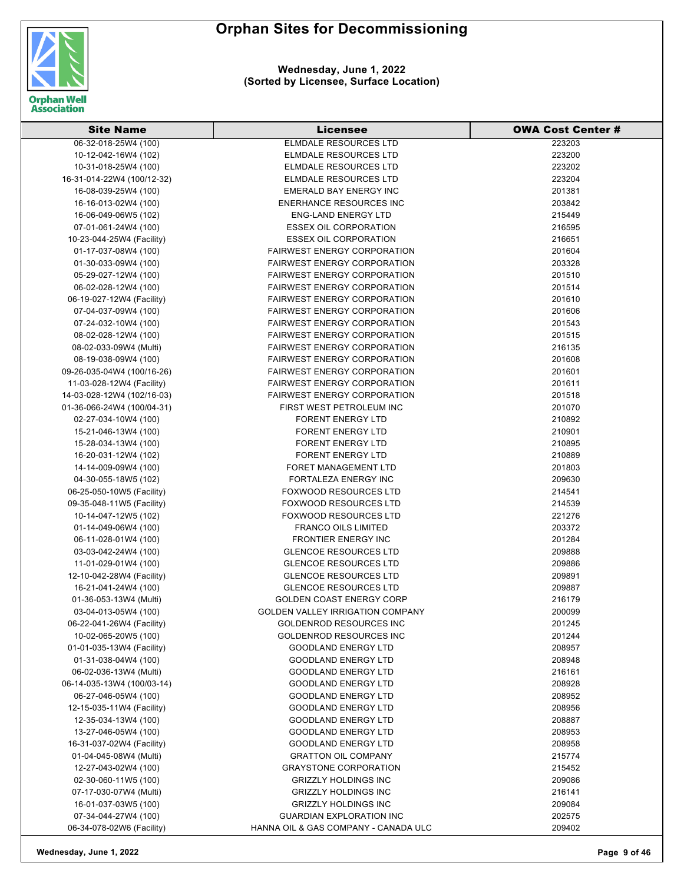

| <b>Site Name</b>           | Licensee                                | <b>OWA Cost Center #</b> |
|----------------------------|-----------------------------------------|--------------------------|
| 06-32-018-25W4 (100)       | <b>ELMDALE RESOURCES LTD</b>            | 223203                   |
| 10-12-042-16W4 (102)       | ELMDALE RESOURCES LTD                   | 223200                   |
| 10-31-018-25W4 (100)       | ELMDALE RESOURCES LTD                   | 223202                   |
| 16-31-014-22W4 (100/12-32) | ELMDALE RESOURCES LTD                   | 223204                   |
| 16-08-039-25W4 (100)       | <b>EMERALD BAY ENERGY INC</b>           | 201381                   |
| 16-16-013-02W4 (100)       | <b>ENERHANCE RESOURCES INC</b>          | 203842                   |
| 16-06-049-06W5 (102)       | <b>ENG-LAND ENERGY LTD</b>              | 215449                   |
| 07-01-061-24W4 (100)       | <b>ESSEX OIL CORPORATION</b>            | 216595                   |
| 10-23-044-25W4 (Facility)  | <b>ESSEX OIL CORPORATION</b>            | 216651                   |
| 01-17-037-08W4 (100)       | <b>FAIRWEST ENERGY CORPORATION</b>      | 201604                   |
| 01-30-033-09W4 (100)       | <b>FAIRWEST ENERGY CORPORATION</b>      | 203328                   |
| 05-29-027-12W4 (100)       | <b>FAIRWEST ENERGY CORPORATION</b>      | 201510                   |
| 06-02-028-12W4 (100)       | <b>FAIRWEST ENERGY CORPORATION</b>      | 201514                   |
| 06-19-027-12W4 (Facility)  | <b>FAIRWEST ENERGY CORPORATION</b>      | 201610                   |
| 07-04-037-09W4 (100)       | <b>FAIRWEST ENERGY CORPORATION</b>      | 201606                   |
| 07-24-032-10W4 (100)       | <b>FAIRWEST ENERGY CORPORATION</b>      | 201543                   |
| 08-02-028-12W4 (100)       | <b>FAIRWEST ENERGY CORPORATION</b>      | 201515                   |
| 08-02-033-09W4 (Multi)     | <b>FAIRWEST ENERGY CORPORATION</b>      | 216135                   |
| 08-19-038-09W4 (100)       | <b>FAIRWEST ENERGY CORPORATION</b>      | 201608                   |
| 09-26-035-04W4 (100/16-26) | <b>FAIRWEST ENERGY CORPORATION</b>      | 201601                   |
| 11-03-028-12W4 (Facility)  | <b>FAIRWEST ENERGY CORPORATION</b>      | 201611                   |
| 14-03-028-12W4 (102/16-03) | <b>FAIRWEST ENERGY CORPORATION</b>      | 201518                   |
| 01-36-066-24W4 (100/04-31) | FIRST WEST PETROLEUM INC                | 201070                   |
| 02-27-034-10W4 (100)       | <b>FORENT ENERGY LTD</b>                | 210892                   |
| 15-21-046-13W4 (100)       | <b>FORENT ENERGY LTD</b>                | 210901                   |
| 15-28-034-13W4 (100)       | <b>FORENT ENERGY LTD</b>                | 210895                   |
| 16-20-031-12W4 (102)       | <b>FORENT ENERGY LTD</b>                | 210889                   |
| 14-14-009-09W4 (100)       | FORET MANAGEMENT LTD                    | 201803                   |
| 04-30-055-18W5 (102)       | FORTALEZA ENERGY INC                    | 209630                   |
| 06-25-050-10W5 (Facility)  | <b>FOXWOOD RESOURCES LTD</b>            | 214541                   |
| 09-35-048-11W5 (Facility)  | <b>FOXWOOD RESOURCES LTD</b>            | 214539                   |
| 10-14-047-12W5 (102)       | <b>FOXWOOD RESOURCES LTD</b>            | 221276                   |
| 01-14-049-06W4 (100)       | <b>FRANCO OILS LIMITED</b>              | 203372                   |
| 06-11-028-01W4 (100)       | <b>FRONTIER ENERGY INC</b>              | 201284                   |
| 03-03-042-24W4 (100)       | <b>GLENCOE RESOURCES LTD</b>            | 209888                   |
| 11-01-029-01W4 (100)       | <b>GLENCOE RESOURCES LTD</b>            | 209886                   |
| 12-10-042-28W4 (Facility)  | <b>GLENCOE RESOURCES LTD</b>            | 209891                   |
| 16-21-041-24W4 (100)       | <b>GLENCOE RESOURCES LTD</b>            | 209887                   |
| 01-36-053-13W4 (Multi)     | GOLDEN COAST ENERGY CORP                | 216179                   |
| 03-04-013-05W4 (100)       | <b>GOLDEN VALLEY IRRIGATION COMPANY</b> | 200099                   |
| 06-22-041-26W4 (Facility)  | <b>GOLDENROD RESOURCES INC</b>          | 201245                   |
| 10-02-065-20W5 (100)       | <b>GOLDENROD RESOURCES INC</b>          | 201244                   |
| 01-01-035-13W4 (Facility)  | <b>GOODLAND ENERGY LTD</b>              | 208957                   |
| 01-31-038-04W4 (100)       | <b>GOODLAND ENERGY LTD</b>              | 208948                   |
| 06-02-036-13W4 (Multi)     | <b>GOODLAND ENERGY LTD</b>              | 216161                   |
| 06-14-035-13W4 (100/03-14) | <b>GOODLAND ENERGY LTD</b>              | 208928                   |
| 06-27-046-05W4 (100)       | <b>GOODLAND ENERGY LTD</b>              | 208952                   |
| 12-15-035-11W4 (Facility)  | <b>GOODLAND ENERGY LTD</b>              | 208956                   |
| 12-35-034-13W4 (100)       | <b>GOODLAND ENERGY LTD</b>              | 208887                   |
| 13-27-046-05W4 (100)       | <b>GOODLAND ENERGY LTD</b>              | 208953                   |
| 16-31-037-02W4 (Facility)  | <b>GOODLAND ENERGY LTD</b>              | 208958                   |
| 01-04-045-08W4 (Multi)     | <b>GRATTON OIL COMPANY</b>              | 215774                   |
| 12-27-043-02W4 (100)       | <b>GRAYSTONE CORPORATION</b>            | 215452                   |
| 02-30-060-11W5 (100)       | <b>GRIZZLY HOLDINGS INC</b>             | 209086                   |
| 07-17-030-07W4 (Multi)     | <b>GRIZZLY HOLDINGS INC</b>             | 216141                   |
| 16-01-037-03W5 (100)       | <b>GRIZZLY HOLDINGS INC</b>             | 209084                   |
| 07-34-044-27W4 (100)       | <b>GUARDIAN EXPLORATION INC</b>         | 202575                   |
| 06-34-078-02W6 (Facility)  | HANNA OIL & GAS COMPANY - CANADA ULC    | 209402                   |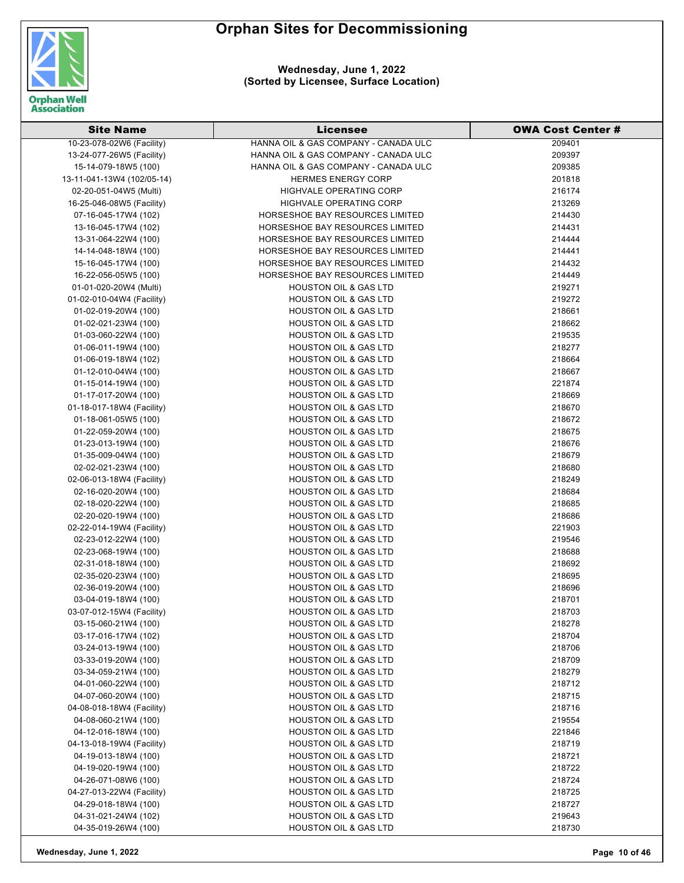

| <b>Site Name</b>           | Licensee                               | <b>OWA Cost Center #</b> |
|----------------------------|----------------------------------------|--------------------------|
| 10-23-078-02W6 (Facility)  | HANNA OIL & GAS COMPANY - CANADA ULC   | 209401                   |
| 13-24-077-26W5 (Facility)  | HANNA OIL & GAS COMPANY - CANADA ULC   | 209397                   |
| 15-14-079-18W5 (100)       | HANNA OIL & GAS COMPANY - CANADA ULC   | 209385                   |
| 13-11-041-13W4 (102/05-14) | <b>HERMES ENERGY CORP</b>              | 201818                   |
| 02-20-051-04W5 (Multi)     | <b>HIGHVALE OPERATING CORP</b>         | 216174                   |
| 16-25-046-08W5 (Facility)  | <b>HIGHVALE OPERATING CORP</b>         | 213269                   |
| 07-16-045-17W4 (102)       | HORSESHOE BAY RESOURCES LIMITED        | 214430                   |
| 13-16-045-17W4 (102)       | HORSESHOE BAY RESOURCES LIMITED        | 214431                   |
| 13-31-064-22W4 (100)       | HORSESHOE BAY RESOURCES LIMITED        | 214444                   |
| 14-14-048-18W4 (100)       | HORSESHOE BAY RESOURCES LIMITED        | 214441                   |
| 15-16-045-17W4 (100)       | HORSESHOE BAY RESOURCES LIMITED        | 214432                   |
| 16-22-056-05W5 (100)       | <b>HORSESHOE BAY RESOURCES LIMITED</b> | 214449                   |
| 01-01-020-20W4 (Multi)     | <b>HOUSTON OIL &amp; GAS LTD</b>       | 219271                   |
| 01-02-010-04W4 (Facility)  | <b>HOUSTON OIL &amp; GAS LTD</b>       | 219272                   |
| 01-02-019-20W4 (100)       | <b>HOUSTON OIL &amp; GAS LTD</b>       | 218661                   |
| 01-02-021-23W4 (100)       | <b>HOUSTON OIL &amp; GAS LTD</b>       | 218662                   |
| 01-03-060-22W4 (100)       | <b>HOUSTON OIL &amp; GAS LTD</b>       | 219535                   |
| 01-06-011-19W4 (100)       | <b>HOUSTON OIL &amp; GAS LTD</b>       | 218277                   |
| 01-06-019-18W4 (102)       | <b>HOUSTON OIL &amp; GAS LTD</b>       | 218664                   |
| 01-12-010-04W4 (100)       | <b>HOUSTON OIL &amp; GAS LTD</b>       | 218667                   |
| 01-15-014-19W4 (100)       | <b>HOUSTON OIL &amp; GAS LTD</b>       | 221874                   |
| 01-17-017-20W4 (100)       | <b>HOUSTON OIL &amp; GAS LTD</b>       | 218669                   |
| 01-18-017-18W4 (Facility)  | <b>HOUSTON OIL &amp; GAS LTD</b>       | 218670                   |
| 01-18-061-05W5 (100)       | <b>HOUSTON OIL &amp; GAS LTD</b>       | 218672                   |
| 01-22-059-20W4 (100)       | <b>HOUSTON OIL &amp; GAS LTD</b>       | 218675                   |
| 01-23-013-19W4 (100)       | <b>HOUSTON OIL &amp; GAS LTD</b>       | 218676                   |
| 01-35-009-04W4 (100)       | <b>HOUSTON OIL &amp; GAS LTD</b>       | 218679                   |
| 02-02-021-23W4 (100)       | <b>HOUSTON OIL &amp; GAS LTD</b>       | 218680                   |
| 02-06-013-18W4 (Facility)  | <b>HOUSTON OIL &amp; GAS LTD</b>       | 218249                   |
| 02-16-020-20W4 (100)       | <b>HOUSTON OIL &amp; GAS LTD</b>       | 218684                   |
| 02-18-020-22W4 (100)       | <b>HOUSTON OIL &amp; GAS LTD</b>       | 218685                   |
| 02-20-020-19W4 (100)       | <b>HOUSTON OIL &amp; GAS LTD</b>       | 218686                   |
| 02-22-014-19W4 (Facility)  | <b>HOUSTON OIL &amp; GAS LTD</b>       | 221903                   |
| 02-23-012-22W4 (100)       | <b>HOUSTON OIL &amp; GAS LTD</b>       | 219546                   |
| 02-23-068-19W4 (100)       | <b>HOUSTON OIL &amp; GAS LTD</b>       | 218688                   |
| 02-31-018-18W4 (100)       | <b>HOUSTON OIL &amp; GAS LTD</b>       | 218692                   |
| 02-35-020-23W4 (100)       | <b>HOUSTON OIL &amp; GAS LTD</b>       | 218695                   |
| 02-36-019-20W4 (100)       | <b>HOUSTON OIL &amp; GAS LTD</b>       | 218696                   |
| 03-04-019-18W4 (100)       | <b>HOUSTON OIL &amp; GAS LTD</b>       | 218701                   |
| 03-07-012-15W4 (Facility)  | <b>HOUSTON OIL &amp; GAS LTD</b>       | 218703                   |
| 03-15-060-21W4 (100)       | <b>HOUSTON OIL &amp; GAS LTD</b>       | 218278                   |
| 03-17-016-17W4 (102)       | <b>HOUSTON OIL &amp; GAS LTD</b>       | 218704                   |
| 03-24-013-19W4 (100)       | <b>HOUSTON OIL &amp; GAS LTD</b>       | 218706                   |
| 03-33-019-20W4 (100)       | <b>HOUSTON OIL &amp; GAS LTD</b>       | 218709                   |
| 03-34-059-21W4 (100)       | <b>HOUSTON OIL &amp; GAS LTD</b>       | 218279                   |
| 04-01-060-22W4 (100)       | <b>HOUSTON OIL &amp; GAS LTD</b>       | 218712                   |
| 04-07-060-20W4 (100)       | <b>HOUSTON OIL &amp; GAS LTD</b>       | 218715                   |
| 04-08-018-18W4 (Facility)  | <b>HOUSTON OIL &amp; GAS LTD</b>       | 218716                   |
| 04-08-060-21W4 (100)       | <b>HOUSTON OIL &amp; GAS LTD</b>       | 219554                   |
| 04-12-016-18W4 (100)       | <b>HOUSTON OIL &amp; GAS LTD</b>       | 221846                   |
| 04-13-018-19W4 (Facility)  | <b>HOUSTON OIL &amp; GAS LTD</b>       | 218719                   |
| 04-19-013-18W4 (100)       | <b>HOUSTON OIL &amp; GAS LTD</b>       | 218721                   |
| 04-19-020-19W4 (100)       | <b>HOUSTON OIL &amp; GAS LTD</b>       | 218722                   |
| 04-26-071-08W6 (100)       | HOUSTON OIL & GAS LTD                  | 218724                   |
| 04-27-013-22W4 (Facility)  | <b>HOUSTON OIL &amp; GAS LTD</b>       | 218725                   |
| 04-29-018-18W4 (100)       | <b>HOUSTON OIL &amp; GAS LTD</b>       | 218727                   |
| 04-31-021-24W4 (102)       | <b>HOUSTON OIL &amp; GAS LTD</b>       | 219643                   |
| 04-35-019-26W4 (100)       | <b>HOUSTON OIL &amp; GAS LTD</b>       | 218730                   |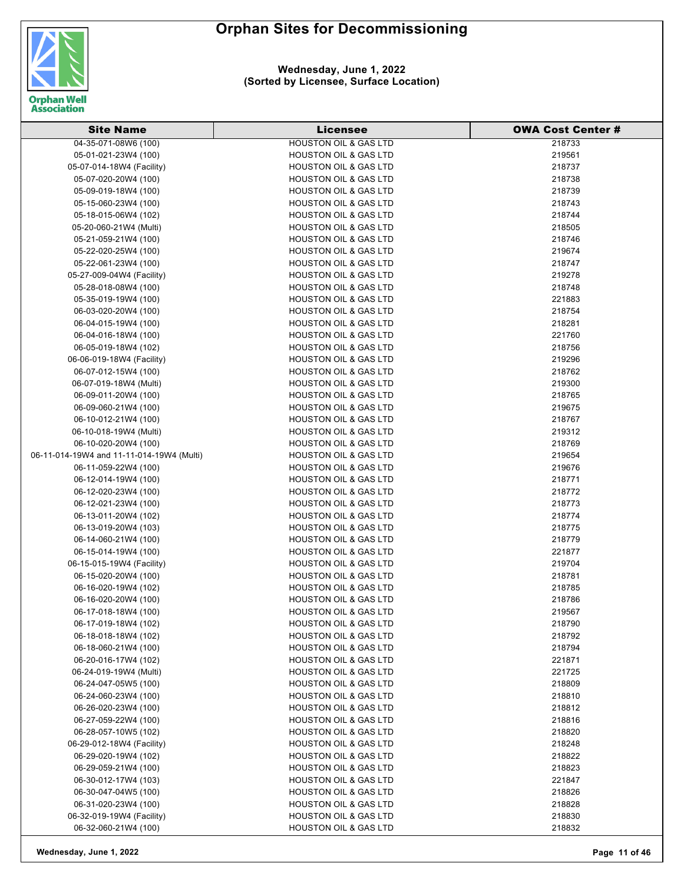

**Wednesday, June 1, 2022 (Sorted by Licensee, Surface Location)**

| <b>Site Name</b>                          | <b>Licensee</b>                  | <b>OWA Cost Center #</b> |
|-------------------------------------------|----------------------------------|--------------------------|
| 04-35-071-08W6 (100)                      | <b>HOUSTON OIL &amp; GAS LTD</b> | 218733                   |
| 05-01-021-23W4 (100)                      | <b>HOUSTON OIL &amp; GAS LTD</b> | 219561                   |
| 05-07-014-18W4 (Facility)                 | <b>HOUSTON OIL &amp; GAS LTD</b> | 218737                   |
| 05-07-020-20W4 (100)                      | <b>HOUSTON OIL &amp; GAS LTD</b> | 218738                   |
| 05-09-019-18W4 (100)                      | <b>HOUSTON OIL &amp; GAS LTD</b> | 218739                   |
| 05-15-060-23W4 (100)                      | <b>HOUSTON OIL &amp; GAS LTD</b> | 218743                   |
| 05-18-015-06W4 (102)                      | <b>HOUSTON OIL &amp; GAS LTD</b> | 218744                   |
| 05-20-060-21W4 (Multi)                    | <b>HOUSTON OIL &amp; GAS LTD</b> | 218505                   |
| 05-21-059-21W4 (100)                      | <b>HOUSTON OIL &amp; GAS LTD</b> | 218746                   |
| 05-22-020-25W4 (100)                      | <b>HOUSTON OIL &amp; GAS LTD</b> | 219674                   |
| 05-22-061-23W4 (100)                      | <b>HOUSTON OIL &amp; GAS LTD</b> | 218747                   |
| 05-27-009-04W4 (Facility)                 | <b>HOUSTON OIL &amp; GAS LTD</b> | 219278                   |
| 05-28-018-08W4 (100)                      | <b>HOUSTON OIL &amp; GAS LTD</b> | 218748                   |
| 05-35-019-19W4 (100)                      | <b>HOUSTON OIL &amp; GAS LTD</b> | 221883                   |
| 06-03-020-20W4 (100)                      | <b>HOUSTON OIL &amp; GAS LTD</b> | 218754                   |
| 06-04-015-19W4 (100)                      | HOUSTON OIL & GAS LTD            | 218281                   |
| 06-04-016-18W4 (100)                      | <b>HOUSTON OIL &amp; GAS LTD</b> | 221760                   |
| 06-05-019-18W4 (102)                      | <b>HOUSTON OIL &amp; GAS LTD</b> | 218756                   |
| 06-06-019-18W4 (Facility)                 | <b>HOUSTON OIL &amp; GAS LTD</b> | 219296                   |
| 06-07-012-15W4 (100)                      | <b>HOUSTON OIL &amp; GAS LTD</b> | 218762                   |
| 06-07-019-18W4 (Multi)                    | <b>HOUSTON OIL &amp; GAS LTD</b> | 219300                   |
| 06-09-011-20W4 (100)                      | <b>HOUSTON OIL &amp; GAS LTD</b> | 218765                   |
| 06-09-060-21W4 (100)                      | <b>HOUSTON OIL &amp; GAS LTD</b> | 219675                   |
| 06-10-012-21W4 (100)                      | <b>HOUSTON OIL &amp; GAS LTD</b> | 218767                   |
| 06-10-018-19W4 (Multi)                    | <b>HOUSTON OIL &amp; GAS LTD</b> | 219312                   |
| 06-10-020-20W4 (100)                      | <b>HOUSTON OIL &amp; GAS LTD</b> | 218769                   |
| 06-11-014-19W4 and 11-11-014-19W4 (Multi) | <b>HOUSTON OIL &amp; GAS LTD</b> | 219654                   |
| 06-11-059-22W4 (100)                      | HOUSTON OIL & GAS LTD            | 219676                   |
| 06-12-014-19W4 (100)                      | <b>HOUSTON OIL &amp; GAS LTD</b> | 218771                   |
| 06-12-020-23W4 (100)                      | HOUSTON OIL & GAS LTD            | 218772                   |
| 06-12-021-23W4 (100)                      | <b>HOUSTON OIL &amp; GAS LTD</b> | 218773                   |
| 06-13-011-20W4 (102)                      | <b>HOUSTON OIL &amp; GAS LTD</b> | 218774                   |
| 06-13-019-20W4 (103)                      | <b>HOUSTON OIL &amp; GAS LTD</b> | 218775                   |
| 06-14-060-21W4 (100)                      | <b>HOUSTON OIL &amp; GAS LTD</b> | 218779                   |
| 06-15-014-19W4 (100)                      | <b>HOUSTON OIL &amp; GAS LTD</b> | 221877                   |
| 06-15-015-19W4 (Facility)                 | <b>HOUSTON OIL &amp; GAS LTD</b> | 219704                   |
| 06-15-020-20W4 (100)                      | <b>HOUSTON OIL &amp; GAS LTD</b> | 218781                   |
| 06-16-020-19W4 (102)                      | HOUSTON OIL & GAS LTD            | 218785                   |
| 06-16-020-20W4 (100)                      | <b>HOUSTON OIL &amp; GAS LTD</b> | 218786                   |
| 06-17-018-18W4 (100)                      | <b>HOUSTON OIL &amp; GAS LTD</b> | 219567                   |
| 06-17-019-18W4 (102)                      | <b>HOUSTON OIL &amp; GAS LTD</b> | 218790                   |
| 06-18-018-18W4 (102)                      | <b>HOUSTON OIL &amp; GAS LTD</b> | 218792                   |
| 06-18-060-21W4 (100)                      | <b>HOUSTON OIL &amp; GAS LTD</b> | 218794                   |
| 06-20-016-17W4 (102)                      | <b>HOUSTON OIL &amp; GAS LTD</b> | 221871                   |
| 06-24-019-19W4 (Multi)                    | HOUSTON OIL & GAS LTD            | 221725                   |
| 06-24-047-05W5 (100)                      | <b>HOUSTON OIL &amp; GAS LTD</b> | 218809                   |
| 06-24-060-23W4 (100)                      | <b>HOUSTON OIL &amp; GAS LTD</b> | 218810                   |
| 06-26-020-23W4 (100)                      | <b>HOUSTON OIL &amp; GAS LTD</b> | 218812                   |
| 06-27-059-22W4 (100)                      | <b>HOUSTON OIL &amp; GAS LTD</b> | 218816                   |
| 06-28-057-10W5 (102)                      | <b>HOUSTON OIL &amp; GAS LTD</b> | 218820                   |
| 06-29-012-18W4 (Facility)                 | <b>HOUSTON OIL &amp; GAS LTD</b> | 218248                   |
| 06-29-020-19W4 (102)                      | <b>HOUSTON OIL &amp; GAS LTD</b> | 218822                   |
| 06-29-059-21W4 (100)                      | <b>HOUSTON OIL &amp; GAS LTD</b> | 218823                   |
| 06-30-012-17W4 (103)                      | <b>HOUSTON OIL &amp; GAS LTD</b> | 221847                   |
| 06-30-047-04W5 (100)                      | <b>HOUSTON OIL &amp; GAS LTD</b> | 218826                   |
| 06-31-020-23W4 (100)                      | <b>HOUSTON OIL &amp; GAS LTD</b> | 218828                   |
| 06-32-019-19W4 (Facility)                 | <b>HOUSTON OIL &amp; GAS LTD</b> | 218830                   |
| 06-32-060-21W4 (100)                      | <b>HOUSTON OIL &amp; GAS LTD</b> | 218832                   |

**Wednesday, June 1, 2022 Page 11 of 46**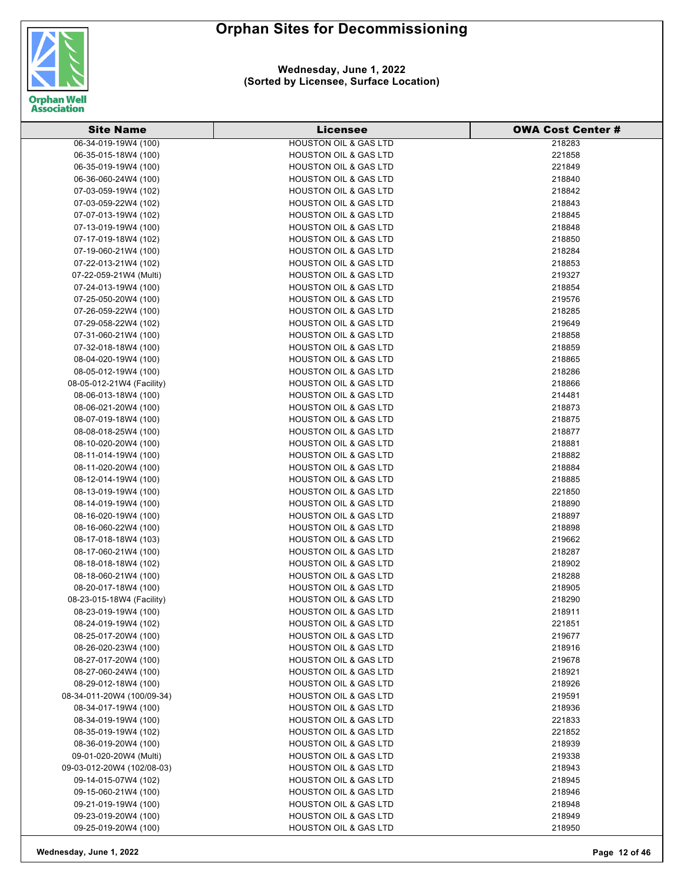

**Wednesday, June 1, 2022 (Sorted by Licensee, Surface Location)**

| <b>Site Name</b>                             | Licensee                                                  | <b>OWA Cost Center #</b> |
|----------------------------------------------|-----------------------------------------------------------|--------------------------|
| 06-34-019-19W4 (100)                         | <b>HOUSTON OIL &amp; GAS LTD</b>                          | 218283                   |
| 06-35-015-18W4 (100)                         | <b>HOUSTON OIL &amp; GAS LTD</b>                          | 221858                   |
| 06-35-019-19W4 (100)                         | <b>HOUSTON OIL &amp; GAS LTD</b>                          | 221849                   |
| 06-36-060-24W4 (100)                         | <b>HOUSTON OIL &amp; GAS LTD</b>                          | 218840                   |
| 07-03-059-19W4 (102)                         | <b>HOUSTON OIL &amp; GAS LTD</b>                          | 218842                   |
| 07-03-059-22W4 (102)                         | <b>HOUSTON OIL &amp; GAS LTD</b>                          | 218843                   |
| 07-07-013-19W4 (102)                         | <b>HOUSTON OIL &amp; GAS LTD</b>                          | 218845                   |
| 07-13-019-19W4 (100)                         | <b>HOUSTON OIL &amp; GAS LTD</b>                          | 218848                   |
| 07-17-019-18W4 (102)                         | <b>HOUSTON OIL &amp; GAS LTD</b>                          | 218850                   |
| 07-19-060-21W4 (100)                         | <b>HOUSTON OIL &amp; GAS LTD</b>                          | 218284                   |
| 07-22-013-21W4 (102)                         | <b>HOUSTON OIL &amp; GAS LTD</b>                          | 218853                   |
| 07-22-059-21W4 (Multi)                       | <b>HOUSTON OIL &amp; GAS LTD</b>                          | 219327                   |
| 07-24-013-19W4 (100)                         | <b>HOUSTON OIL &amp; GAS LTD</b>                          | 218854                   |
| 07-25-050-20W4 (100)                         | <b>HOUSTON OIL &amp; GAS LTD</b>                          | 219576                   |
| 07-26-059-22W4 (100)                         | <b>HOUSTON OIL &amp; GAS LTD</b>                          | 218285                   |
| 07-29-058-22W4 (102)                         | <b>HOUSTON OIL &amp; GAS LTD</b>                          | 219649                   |
| 07-31-060-21W4 (100)                         | <b>HOUSTON OIL &amp; GAS LTD</b>                          | 218858                   |
| 07-32-018-18W4 (100)                         | <b>HOUSTON OIL &amp; GAS LTD</b>                          | 218859                   |
| 08-04-020-19W4 (100)                         | <b>HOUSTON OIL &amp; GAS LTD</b>                          | 218865                   |
| 08-05-012-19W4 (100)                         | <b>HOUSTON OIL &amp; GAS LTD</b>                          | 218286                   |
| 08-05-012-21W4 (Facility)                    | <b>HOUSTON OIL &amp; GAS LTD</b>                          | 218866                   |
| 08-06-013-18W4 (100)                         | <b>HOUSTON OIL &amp; GAS LTD</b>                          | 214481                   |
| 08-06-021-20W4 (100)                         | <b>HOUSTON OIL &amp; GAS LTD</b>                          | 218873                   |
| 08-07-019-18W4 (100)                         | <b>HOUSTON OIL &amp; GAS LTD</b>                          | 218875                   |
| 08-08-018-25W4 (100)                         | <b>HOUSTON OIL &amp; GAS LTD</b>                          | 218877                   |
| 08-10-020-20W4 (100)                         | <b>HOUSTON OIL &amp; GAS LTD</b>                          | 218881                   |
| 08-11-014-19W4 (100)                         | <b>HOUSTON OIL &amp; GAS LTD</b>                          | 218882                   |
| 08-11-020-20W4 (100)                         | <b>HOUSTON OIL &amp; GAS LTD</b>                          | 218884                   |
| 08-12-014-19W4 (100)                         | <b>HOUSTON OIL &amp; GAS LTD</b>                          | 218885                   |
| 08-13-019-19W4 (100)                         | <b>HOUSTON OIL &amp; GAS LTD</b>                          | 221850                   |
| 08-14-019-19W4 (100)                         | <b>HOUSTON OIL &amp; GAS LTD</b>                          | 218890                   |
| 08-16-020-19W4 (100)                         | HOUSTON OIL & GAS LTD                                     | 218897                   |
| 08-16-060-22W4 (100)                         | <b>HOUSTON OIL &amp; GAS LTD</b>                          | 218898                   |
| 08-17-018-18W4 (103)                         | <b>HOUSTON OIL &amp; GAS LTD</b>                          | 219662                   |
| 08-17-060-21W4 (100)                         | <b>HOUSTON OIL &amp; GAS LTD</b>                          | 218287                   |
| 08-18-018-18W4 (102)                         | <b>HOUSTON OIL &amp; GAS LTD</b>                          | 218902                   |
| 08-18-060-21W4 (100)                         | <b>HOUSTON OIL &amp; GAS LTD</b>                          | 218288                   |
| 08-20-017-18W4 (100)                         | <b>HOUSTON OIL &amp; GAS LTD</b>                          | 218905                   |
| 08-23-015-18W4 (Facility)                    | HOUSTON OIL & GAS LTD                                     | 218290                   |
| 08-23-019-19W4 (100)                         | <b>HOUSTON OIL &amp; GAS LTD</b>                          | 218911                   |
| 08-24-019-19W4 (102)                         | <b>HOUSTON OIL &amp; GAS LTD</b>                          | 221851                   |
| 08-25-017-20W4 (100)                         | <b>HOUSTON OIL &amp; GAS LTD</b>                          | 219677                   |
| 08-26-020-23W4 (100)                         | <b>HOUSTON OIL &amp; GAS LTD</b>                          | 218916                   |
| 08-27-017-20W4 (100)                         | <b>HOUSTON OIL &amp; GAS LTD</b>                          | 219678                   |
| 08-27-060-24W4 (100)                         | <b>HOUSTON OIL &amp; GAS LTD</b>                          | 218921                   |
| 08-29-012-18W4 (100)                         | <b>HOUSTON OIL &amp; GAS LTD</b>                          | 218926                   |
| 08-34-011-20W4 (100/09-34)                   | <b>HOUSTON OIL &amp; GAS LTD</b>                          | 219591                   |
| 08-34-017-19W4 (100)                         | <b>HOUSTON OIL &amp; GAS LTD</b>                          | 218936                   |
| 08-34-019-19W4 (100)                         | <b>HOUSTON OIL &amp; GAS LTD</b>                          | 221833                   |
| 08-35-019-19W4 (102)                         | <b>HOUSTON OIL &amp; GAS LTD</b>                          | 221852                   |
| 08-36-019-20W4 (100)                         | <b>HOUSTON OIL &amp; GAS LTD</b>                          | 218939                   |
| 09-01-020-20W4 (Multi)                       | <b>HOUSTON OIL &amp; GAS LTD</b>                          | 219338                   |
| 09-03-012-20W4 (102/08-03)                   | <b>HOUSTON OIL &amp; GAS LTD</b>                          | 218943                   |
| 09-14-015-07W4 (102)                         | <b>HOUSTON OIL &amp; GAS LTD</b>                          | 218945                   |
| 09-15-060-21W4 (100)                         | <b>HOUSTON OIL &amp; GAS LTD</b><br>HOUSTON OIL & GAS LTD | 218946                   |
| 09-21-019-19W4 (100)                         |                                                           | 218948                   |
| 09-23-019-20W4 (100)<br>09-25-019-20W4 (100) | <b>HOUSTON OIL &amp; GAS LTD</b><br>HOUSTON OIL & GAS LTD | 218949<br>218950         |
|                                              |                                                           |                          |

**Wednesday, June 1, 2022 Page 12 of 46**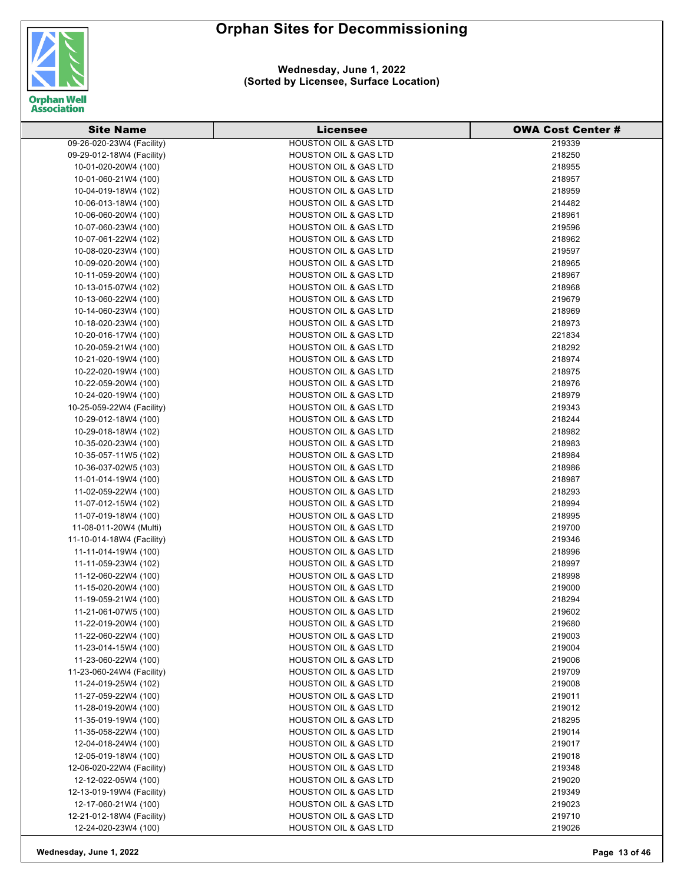

| <b>Site Name</b>          | <b>Licensee</b>                  | <b>OWA Cost Center #</b> |
|---------------------------|----------------------------------|--------------------------|
| 09-26-020-23W4 (Facility) | <b>HOUSTON OIL &amp; GAS LTD</b> | 219339                   |
| 09-29-012-18W4 (Facility) | <b>HOUSTON OIL &amp; GAS LTD</b> | 218250                   |
| 10-01-020-20W4 (100)      | <b>HOUSTON OIL &amp; GAS LTD</b> | 218955                   |
| 10-01-060-21W4 (100)      | <b>HOUSTON OIL &amp; GAS LTD</b> | 218957                   |
| 10-04-019-18W4 (102)      | <b>HOUSTON OIL &amp; GAS LTD</b> | 218959                   |
| 10-06-013-18W4 (100)      | <b>HOUSTON OIL &amp; GAS LTD</b> | 214482                   |
| 10-06-060-20W4 (100)      | <b>HOUSTON OIL &amp; GAS LTD</b> | 218961                   |
| 10-07-060-23W4 (100)      | <b>HOUSTON OIL &amp; GAS LTD</b> | 219596                   |
| 10-07-061-22W4 (102)      | <b>HOUSTON OIL &amp; GAS LTD</b> | 218962                   |
| 10-08-020-23W4 (100)      | HOUSTON OIL & GAS LTD            | 219597                   |
| 10-09-020-20W4 (100)      | <b>HOUSTON OIL &amp; GAS LTD</b> | 218965                   |
| 10-11-059-20W4 (100)      | <b>HOUSTON OIL &amp; GAS LTD</b> | 218967                   |
| 10-13-015-07W4 (102)      | <b>HOUSTON OIL &amp; GAS LTD</b> | 218968                   |
| 10-13-060-22W4 (100)      | <b>HOUSTON OIL &amp; GAS LTD</b> | 219679                   |
| 10-14-060-23W4 (100)      | <b>HOUSTON OIL &amp; GAS LTD</b> | 218969                   |
| 10-18-020-23W4 (100)      | <b>HOUSTON OIL &amp; GAS LTD</b> | 218973                   |
| 10-20-016-17W4 (100)      | <b>HOUSTON OIL &amp; GAS LTD</b> | 221834                   |
| 10-20-059-21W4 (100)      | <b>HOUSTON OIL &amp; GAS LTD</b> | 218292                   |
| 10-21-020-19W4 (100)      | <b>HOUSTON OIL &amp; GAS LTD</b> | 218974                   |
| 10-22-020-19W4 (100)      | <b>HOUSTON OIL &amp; GAS LTD</b> | 218975                   |
| 10-22-059-20W4 (100)      | <b>HOUSTON OIL &amp; GAS LTD</b> | 218976                   |
| 10-24-020-19W4 (100)      | <b>HOUSTON OIL &amp; GAS LTD</b> | 218979                   |
| 10-25-059-22W4 (Facility) | <b>HOUSTON OIL &amp; GAS LTD</b> | 219343                   |
| 10-29-012-18W4 (100)      | <b>HOUSTON OIL &amp; GAS LTD</b> | 218244                   |
| 10-29-018-18W4 (102)      | <b>HOUSTON OIL &amp; GAS LTD</b> | 218982                   |
| 10-35-020-23W4 (100)      | <b>HOUSTON OIL &amp; GAS LTD</b> | 218983                   |
| 10-35-057-11W5 (102)      | <b>HOUSTON OIL &amp; GAS LTD</b> | 218984                   |
| 10-36-037-02W5 (103)      | <b>HOUSTON OIL &amp; GAS LTD</b> | 218986                   |
| 11-01-014-19W4 (100)      | <b>HOUSTON OIL &amp; GAS LTD</b> | 218987                   |
| 11-02-059-22W4 (100)      | <b>HOUSTON OIL &amp; GAS LTD</b> | 218293                   |
| 11-07-012-15W4 (102)      | <b>HOUSTON OIL &amp; GAS LTD</b> | 218994                   |
| 11-07-019-18W4 (100)      | <b>HOUSTON OIL &amp; GAS LTD</b> | 218995                   |
| 11-08-011-20W4 (Multi)    | <b>HOUSTON OIL &amp; GAS LTD</b> | 219700                   |
| 11-10-014-18W4 (Facility) | <b>HOUSTON OIL &amp; GAS LTD</b> | 219346                   |
| 11-11-014-19W4 (100)      | <b>HOUSTON OIL &amp; GAS LTD</b> | 218996                   |
| 11-11-059-23W4 (102)      | <b>HOUSTON OIL &amp; GAS LTD</b> | 218997                   |
| 11-12-060-22W4 (100)      | <b>HOUSTON OIL &amp; GAS LTD</b> | 218998                   |
| 11-15-020-20W4 (100)      | <b>HOUSTON OIL &amp; GAS LTD</b> | 219000                   |
| 11-19-059-21W4 (100)      | <b>HOUSTON OIL &amp; GAS LTD</b> | 218294                   |
| 11-21-061-07W5 (100)      | <b>HOUSTON OIL &amp; GAS LTD</b> | 219602                   |
| 11-22-019-20W4 (100)      | <b>HOUSTON OIL &amp; GAS LTD</b> | 219680                   |
| 11-22-060-22W4 (100)      | <b>HOUSTON OIL &amp; GAS LTD</b> | 219003                   |
| 11-23-014-15W4 (100)      | <b>HOUSTON OIL &amp; GAS LTD</b> | 219004                   |
| 11-23-060-22W4 (100)      | <b>HOUSTON OIL &amp; GAS LTD</b> | 219006                   |
| 11-23-060-24W4 (Facility) | <b>HOUSTON OIL &amp; GAS LTD</b> | 219709                   |
| 11-24-019-25W4 (102)      | <b>HOUSTON OIL &amp; GAS LTD</b> | 219008                   |
| 11-27-059-22W4 (100)      | <b>HOUSTON OIL &amp; GAS LTD</b> | 219011                   |
| 11-28-019-20W4 (100)      | <b>HOUSTON OIL &amp; GAS LTD</b> | 219012                   |
| 11-35-019-19W4 (100)      | <b>HOUSTON OIL &amp; GAS LTD</b> | 218295                   |
| 11-35-058-22W4 (100)      | <b>HOUSTON OIL &amp; GAS LTD</b> | 219014                   |
| 12-04-018-24W4 (100)      | <b>HOUSTON OIL &amp; GAS LTD</b> | 219017                   |
| 12-05-019-18W4 (100)      | <b>HOUSTON OIL &amp; GAS LTD</b> | 219018                   |
| 12-06-020-22W4 (Facility) | <b>HOUSTON OIL &amp; GAS LTD</b> | 219348                   |
| 12-12-022-05W4 (100)      | <b>HOUSTON OIL &amp; GAS LTD</b> | 219020                   |
| 12-13-019-19W4 (Facility) | <b>HOUSTON OIL &amp; GAS LTD</b> | 219349                   |
| 12-17-060-21W4 (100)      | <b>HOUSTON OIL &amp; GAS LTD</b> | 219023                   |
| 12-21-012-18W4 (Facility) | <b>HOUSTON OIL &amp; GAS LTD</b> | 219710                   |
| 12-24-020-23W4 (100)      | <b>HOUSTON OIL &amp; GAS LTD</b> | 219026                   |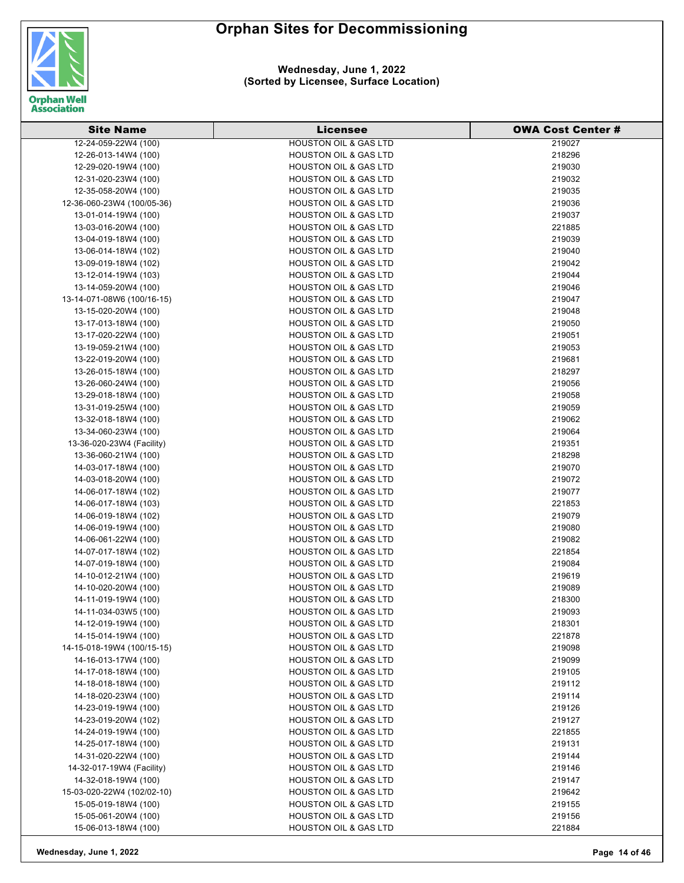

| <b>Site Name</b>           | <b>Licensee</b>                  | <b>OWA Cost Center #</b> |
|----------------------------|----------------------------------|--------------------------|
| 12-24-059-22W4 (100)       | <b>HOUSTON OIL &amp; GAS LTD</b> | 219027                   |
| 12-26-013-14W4 (100)       | <b>HOUSTON OIL &amp; GAS LTD</b> | 218296                   |
| 12-29-020-19W4 (100)       | <b>HOUSTON OIL &amp; GAS LTD</b> | 219030                   |
| 12-31-020-23W4 (100)       | <b>HOUSTON OIL &amp; GAS LTD</b> | 219032                   |
| 12-35-058-20W4 (100)       | <b>HOUSTON OIL &amp; GAS LTD</b> | 219035                   |
| 12-36-060-23W4 (100/05-36) | <b>HOUSTON OIL &amp; GAS LTD</b> | 219036                   |
| 13-01-014-19W4 (100)       | <b>HOUSTON OIL &amp; GAS LTD</b> | 219037                   |
| 13-03-016-20W4 (100)       | <b>HOUSTON OIL &amp; GAS LTD</b> | 221885                   |
| 13-04-019-18W4 (100)       | <b>HOUSTON OIL &amp; GAS LTD</b> | 219039                   |
| 13-06-014-18W4 (102)       | <b>HOUSTON OIL &amp; GAS LTD</b> | 219040                   |
| 13-09-019-18W4 (102)       | <b>HOUSTON OIL &amp; GAS LTD</b> | 219042                   |
| 13-12-014-19W4 (103)       | <b>HOUSTON OIL &amp; GAS LTD</b> | 219044                   |
| 13-14-059-20W4 (100)       | <b>HOUSTON OIL &amp; GAS LTD</b> | 219046                   |
| 13-14-071-08W6 (100/16-15) | <b>HOUSTON OIL &amp; GAS LTD</b> | 219047                   |
| 13-15-020-20W4 (100)       | <b>HOUSTON OIL &amp; GAS LTD</b> | 219048                   |
| 13-17-013-18W4 (100)       | <b>HOUSTON OIL &amp; GAS LTD</b> | 219050                   |
| 13-17-020-22W4 (100)       | <b>HOUSTON OIL &amp; GAS LTD</b> | 219051                   |
| 13-19-059-21W4 (100)       | <b>HOUSTON OIL &amp; GAS LTD</b> | 219053                   |
| 13-22-019-20W4 (100)       | <b>HOUSTON OIL &amp; GAS LTD</b> | 219681                   |
| 13-26-015-18W4 (100)       | <b>HOUSTON OIL &amp; GAS LTD</b> | 218297                   |
| 13-26-060-24W4 (100)       | <b>HOUSTON OIL &amp; GAS LTD</b> | 219056                   |
| 13-29-018-18W4 (100)       | <b>HOUSTON OIL &amp; GAS LTD</b> | 219058                   |
| 13-31-019-25W4 (100)       | <b>HOUSTON OIL &amp; GAS LTD</b> | 219059                   |
| 13-32-018-18W4 (100)       | <b>HOUSTON OIL &amp; GAS LTD</b> | 219062                   |
| 13-34-060-23W4 (100)       | <b>HOUSTON OIL &amp; GAS LTD</b> | 219064                   |
| 13-36-020-23W4 (Facility)  | <b>HOUSTON OIL &amp; GAS LTD</b> | 219351                   |
| 13-36-060-21W4 (100)       | <b>HOUSTON OIL &amp; GAS LTD</b> | 218298                   |
| 14-03-017-18W4 (100)       | <b>HOUSTON OIL &amp; GAS LTD</b> | 219070                   |
| 14-03-018-20W4 (100)       | <b>HOUSTON OIL &amp; GAS LTD</b> | 219072                   |
| 14-06-017-18W4 (102)       | <b>HOUSTON OIL &amp; GAS LTD</b> | 219077                   |
| 14-06-017-18W4 (103)       | <b>HOUSTON OIL &amp; GAS LTD</b> | 221853                   |
| 14-06-019-18W4 (102)       | <b>HOUSTON OIL &amp; GAS LTD</b> | 219079                   |
| 14-06-019-19W4 (100)       | <b>HOUSTON OIL &amp; GAS LTD</b> | 219080                   |
| 14-06-061-22W4 (100)       | <b>HOUSTON OIL &amp; GAS LTD</b> | 219082                   |
| 14-07-017-18W4 (102)       | <b>HOUSTON OIL &amp; GAS LTD</b> | 221854                   |
| 14-07-019-18W4 (100)       | <b>HOUSTON OIL &amp; GAS LTD</b> | 219084                   |
| 14-10-012-21W4 (100)       | <b>HOUSTON OIL &amp; GAS LTD</b> | 219619                   |
| 14-10-020-20W4 (100)       | <b>HOUSTON OIL &amp; GAS LTD</b> | 219089                   |
| 14-11-019-19W4 (100)       | <b>HOUSTON OIL &amp; GAS LTD</b> | 218300                   |
| 14-11-034-03W5 (100)       | <b>HOUSTON OIL &amp; GAS LTD</b> | 219093                   |
| 14-12-019-19W4 (100)       | <b>HOUSTON OIL &amp; GAS LTD</b> | 218301                   |
| 14-15-014-19W4 (100)       | <b>HOUSTON OIL &amp; GAS LTD</b> | 221878                   |
| 14-15-018-19W4 (100/15-15) | <b>HOUSTON OIL &amp; GAS LTD</b> | 219098                   |
| 14-16-013-17W4 (100)       | <b>HOUSTON OIL &amp; GAS LTD</b> | 219099                   |
| 14-17-018-18W4 (100)       | <b>HOUSTON OIL &amp; GAS LTD</b> | 219105                   |
| 14-18-018-18W4 (100)       | <b>HOUSTON OIL &amp; GAS LTD</b> | 219112                   |
| 14-18-020-23W4 (100)       | <b>HOUSTON OIL &amp; GAS LTD</b> | 219114                   |
| 14-23-019-19W4 (100)       | <b>HOUSTON OIL &amp; GAS LTD</b> | 219126                   |
| 14-23-019-20W4 (102)       | <b>HOUSTON OIL &amp; GAS LTD</b> | 219127                   |
| 14-24-019-19W4 (100)       | <b>HOUSTON OIL &amp; GAS LTD</b> | 221855                   |
| 14-25-017-18W4 (100)       | <b>HOUSTON OIL &amp; GAS LTD</b> | 219131                   |
| 14-31-020-22W4 (100)       | <b>HOUSTON OIL &amp; GAS LTD</b> | 219144                   |
| 14-32-017-19W4 (Facility)  | <b>HOUSTON OIL &amp; GAS LTD</b> | 219146                   |
| 14-32-018-19W4 (100)       | <b>HOUSTON OIL &amp; GAS LTD</b> | 219147                   |
| 15-03-020-22W4 (102/02-10) | <b>HOUSTON OIL &amp; GAS LTD</b> | 219642                   |
| 15-05-019-18W4 (100)       | <b>HOUSTON OIL &amp; GAS LTD</b> | 219155                   |
| 15-05-061-20W4 (100)       | <b>HOUSTON OIL &amp; GAS LTD</b> | 219156                   |
| 15-06-013-18W4 (100)       | <b>HOUSTON OIL &amp; GAS LTD</b> | 221884                   |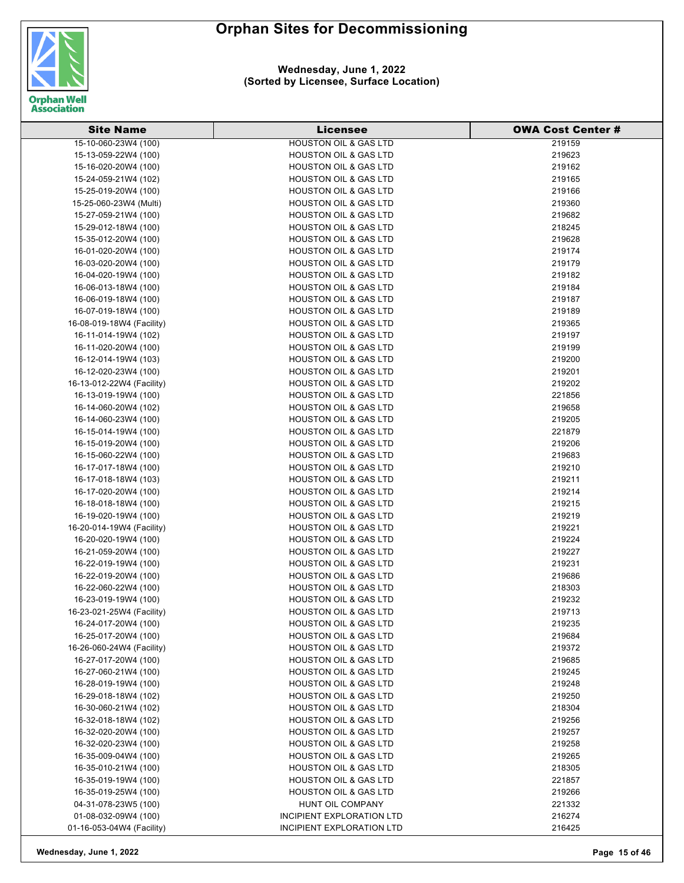

| <b>Site Name</b>          | <b>Licensee</b>                  | <b>OWA Cost Center #</b> |
|---------------------------|----------------------------------|--------------------------|
| 15-10-060-23W4 (100)      | <b>HOUSTON OIL &amp; GAS LTD</b> | 219159                   |
| 15-13-059-22W4 (100)      | <b>HOUSTON OIL &amp; GAS LTD</b> | 219623                   |
| 15-16-020-20W4 (100)      | <b>HOUSTON OIL &amp; GAS LTD</b> | 219162                   |
| 15-24-059-21W4 (102)      | <b>HOUSTON OIL &amp; GAS LTD</b> | 219165                   |
| 15-25-019-20W4 (100)      | <b>HOUSTON OIL &amp; GAS LTD</b> | 219166                   |
| 15-25-060-23W4 (Multi)    | <b>HOUSTON OIL &amp; GAS LTD</b> | 219360                   |
| 15-27-059-21W4 (100)      | <b>HOUSTON OIL &amp; GAS LTD</b> | 219682                   |
| 15-29-012-18W4 (100)      | HOUSTON OIL & GAS LTD            | 218245                   |
| 15-35-012-20W4 (100)      | <b>HOUSTON OIL &amp; GAS LTD</b> | 219628                   |
| 16-01-020-20W4 (100)      | <b>HOUSTON OIL &amp; GAS LTD</b> | 219174                   |
| 16-03-020-20W4 (100)      | <b>HOUSTON OIL &amp; GAS LTD</b> | 219179                   |
| 16-04-020-19W4 (100)      | <b>HOUSTON OIL &amp; GAS LTD</b> | 219182                   |
| 16-06-013-18W4 (100)      | <b>HOUSTON OIL &amp; GAS LTD</b> | 219184                   |
| 16-06-019-18W4 (100)      | <b>HOUSTON OIL &amp; GAS LTD</b> | 219187                   |
| 16-07-019-18W4 (100)      | <b>HOUSTON OIL &amp; GAS LTD</b> | 219189                   |
| 16-08-019-18W4 (Facility) | HOUSTON OIL & GAS LTD            | 219365                   |
| 16-11-014-19W4 (102)      | <b>HOUSTON OIL &amp; GAS LTD</b> | 219197                   |
| 16-11-020-20W4 (100)      | <b>HOUSTON OIL &amp; GAS LTD</b> | 219199                   |
| 16-12-014-19W4 (103)      | <b>HOUSTON OIL &amp; GAS LTD</b> | 219200                   |
| 16-12-020-23W4 (100)      | <b>HOUSTON OIL &amp; GAS LTD</b> | 219201                   |
|                           |                                  |                          |
| 16-13-012-22W4 (Facility) | <b>HOUSTON OIL &amp; GAS LTD</b> | 219202                   |
| 16-13-019-19W4 (100)      | <b>HOUSTON OIL &amp; GAS LTD</b> | 221856                   |
| 16-14-060-20W4 (102)      | <b>HOUSTON OIL &amp; GAS LTD</b> | 219658                   |
| 16-14-060-23W4 (100)      | <b>HOUSTON OIL &amp; GAS LTD</b> | 219205                   |
| 16-15-014-19W4 (100)      | <b>HOUSTON OIL &amp; GAS LTD</b> | 221879                   |
| 16-15-019-20W4 (100)      | <b>HOUSTON OIL &amp; GAS LTD</b> | 219206                   |
| 16-15-060-22W4 (100)      | <b>HOUSTON OIL &amp; GAS LTD</b> | 219683                   |
| 16-17-017-18W4 (100)      | <b>HOUSTON OIL &amp; GAS LTD</b> | 219210                   |
| 16-17-018-18W4 (103)      | <b>HOUSTON OIL &amp; GAS LTD</b> | 219211                   |
| 16-17-020-20W4 (100)      | <b>HOUSTON OIL &amp; GAS LTD</b> | 219214                   |
| 16-18-018-18W4 (100)      | <b>HOUSTON OIL &amp; GAS LTD</b> | 219215                   |
| 16-19-020-19W4 (100)      | <b>HOUSTON OIL &amp; GAS LTD</b> | 219219                   |
| 16-20-014-19W4 (Facility) | <b>HOUSTON OIL &amp; GAS LTD</b> | 219221                   |
| 16-20-020-19W4 (100)      | <b>HOUSTON OIL &amp; GAS LTD</b> | 219224                   |
| 16-21-059-20W4 (100)      | <b>HOUSTON OIL &amp; GAS LTD</b> | 219227                   |
| 16-22-019-19W4 (100)      | <b>HOUSTON OIL &amp; GAS LTD</b> | 219231                   |
| 16-22-019-20W4 (100)      | <b>HOUSTON OIL &amp; GAS LTD</b> | 219686                   |
| 16-22-060-22W4 (100)      | <b>HOUSTON OIL &amp; GAS LTD</b> | 218303                   |
| 16-23-019-19W4 (100)      | <b>HOUSTON OIL &amp; GAS LTD</b> | 219232                   |
| 16-23-021-25W4 (Facility) | <b>HOUSTON OIL &amp; GAS LTD</b> | 219713                   |
| 16-24-017-20W4 (100)      | <b>HOUSTON OIL &amp; GAS LTD</b> | 219235                   |
| 16-25-017-20W4 (100)      | <b>HOUSTON OIL &amp; GAS LTD</b> | 219684                   |
| 16-26-060-24W4 (Facility) | <b>HOUSTON OIL &amp; GAS LTD</b> | 219372                   |
| 16-27-017-20W4 (100)      | <b>HOUSTON OIL &amp; GAS LTD</b> | 219685                   |
| 16-27-060-21W4 (100)      | <b>HOUSTON OIL &amp; GAS LTD</b> | 219245                   |
| 16-28-019-19W4 (100)      | <b>HOUSTON OIL &amp; GAS LTD</b> | 219248                   |
| 16-29-018-18W4 (102)      | <b>HOUSTON OIL &amp; GAS LTD</b> | 219250                   |
| 16-30-060-21W4 (102)      | <b>HOUSTON OIL &amp; GAS LTD</b> | 218304                   |
| 16-32-018-18W4 (102)      | <b>HOUSTON OIL &amp; GAS LTD</b> | 219256                   |
| 16-32-020-20W4 (100)      | <b>HOUSTON OIL &amp; GAS LTD</b> | 219257                   |
| 16-32-020-23W4 (100)      | <b>HOUSTON OIL &amp; GAS LTD</b> | 219258                   |
| 16-35-009-04W4 (100)      | <b>HOUSTON OIL &amp; GAS LTD</b> | 219265                   |
| 16-35-010-21W4 (100)      | <b>HOUSTON OIL &amp; GAS LTD</b> | 218305                   |
| 16-35-019-19W4 (100)      | <b>HOUSTON OIL &amp; GAS LTD</b> | 221857                   |
| 16-35-019-25W4 (100)      | <b>HOUSTON OIL &amp; GAS LTD</b> | 219266                   |
| 04-31-078-23W5 (100)      | HUNT OIL COMPANY                 | 221332                   |
| 01-08-032-09W4 (100)      | INCIPIENT EXPLORATION LTD        | 216274                   |
| 01-16-053-04W4 (Facility) | INCIPIENT EXPLORATION LTD        | 216425                   |
|                           |                                  |                          |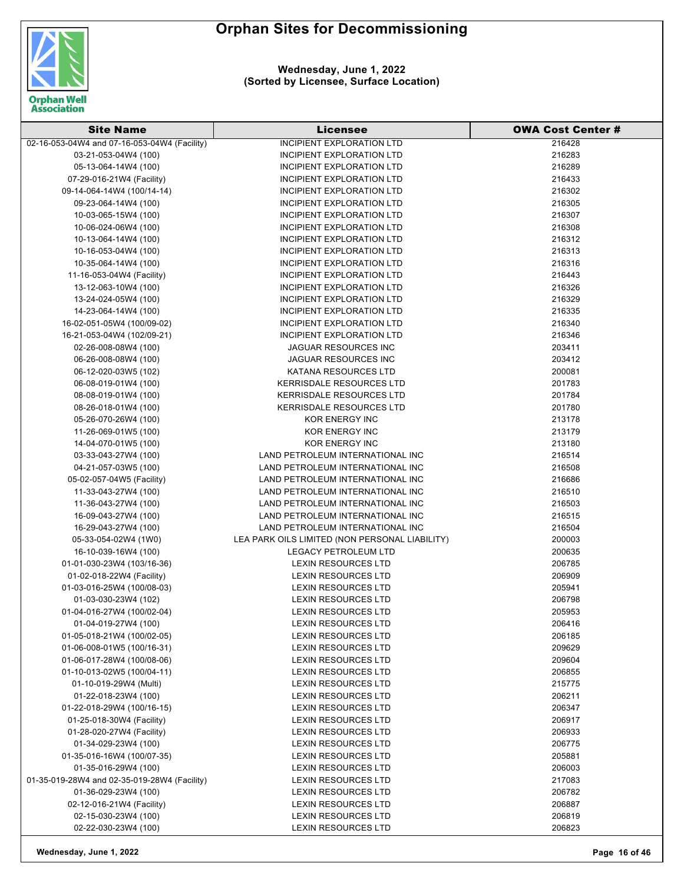

**Wednesday, June 1, 2022 (Sorted by Licensee, Surface Location)**

| <b>Site Name</b>                             | Licensee                                       | <b>OWA Cost Center#</b> |
|----------------------------------------------|------------------------------------------------|-------------------------|
| 02-16-053-04W4 and 07-16-053-04W4 (Facility) | <b>INCIPIENT EXPLORATION LTD</b>               | 216428                  |
| 03-21-053-04W4 (100)                         | INCIPIENT EXPLORATION LTD                      | 216283                  |
| 05-13-064-14W4 (100)                         | INCIPIENT EXPLORATION LTD                      | 216289                  |
| 07-29-016-21W4 (Facility)                    | INCIPIENT EXPLORATION LTD                      | 216433                  |
| 09-14-064-14W4 (100/14-14)                   | INCIPIENT EXPLORATION LTD                      | 216302                  |
| 09-23-064-14W4 (100)                         | INCIPIENT EXPLORATION LTD                      | 216305                  |
| 10-03-065-15W4 (100)                         | INCIPIENT EXPLORATION LTD                      | 216307                  |
| 10-06-024-06W4 (100)                         | INCIPIENT EXPLORATION LTD                      | 216308                  |
| 10-13-064-14W4 (100)                         | INCIPIENT EXPLORATION LTD                      | 216312                  |
| 10-16-053-04W4 (100)                         | INCIPIENT EXPLORATION LTD                      | 216313                  |
| 10-35-064-14W4 (100)                         | INCIPIENT EXPLORATION LTD                      | 216316                  |
| 11-16-053-04W4 (Facility)                    | INCIPIENT EXPLORATION LTD                      | 216443                  |
| 13-12-063-10W4 (100)                         | INCIPIENT EXPLORATION LTD                      | 216326                  |
| 13-24-024-05W4 (100)                         | INCIPIENT EXPLORATION LTD                      | 216329                  |
| 14-23-064-14W4 (100)                         | INCIPIENT EXPLORATION LTD                      | 216335                  |
| 16-02-051-05W4 (100/09-02)                   | INCIPIENT EXPLORATION LTD                      | 216340                  |
| 16-21-053-04W4 (102/09-21)                   | INCIPIENT EXPLORATION LTD                      | 216346                  |
| 02-26-008-08W4 (100)                         | <b>JAGUAR RESOURCES INC</b>                    | 203411                  |
| 06-26-008-08W4 (100)                         | <b>JAGUAR RESOURCES INC</b>                    | 203412                  |
| 06-12-020-03W5 (102)                         | KATANA RESOURCES LTD                           | 200081                  |
| 06-08-019-01W4 (100)                         | <b>KERRISDALE RESOURCES LTD</b>                | 201783                  |
| 08-08-019-01W4 (100)                         | <b>KERRISDALE RESOURCES LTD</b>                | 201784                  |
| 08-26-018-01W4 (100)                         | <b>KERRISDALE RESOURCES LTD</b>                | 201780                  |
| 05-26-070-26W4 (100)                         | KOR ENERGY INC                                 | 213178                  |
| 11-26-069-01W5 (100)                         | <b>KOR ENERGY INC</b>                          | 213179                  |
| 14-04-070-01W5 (100)                         | <b>KOR ENERGY INC</b>                          | 213180                  |
| 03-33-043-27W4 (100)                         | LAND PETROLEUM INTERNATIONAL INC               | 216514                  |
| 04-21-057-03W5 (100)                         | LAND PETROLEUM INTERNATIONAL INC               | 216508                  |
| 05-02-057-04W5 (Facility)                    | LAND PETROLEUM INTERNATIONAL INC               | 216686                  |
| 11-33-043-27W4 (100)                         | LAND PETROLEUM INTERNATIONAL INC               | 216510                  |
| 11-36-043-27W4 (100)                         | LAND PETROLEUM INTERNATIONAL INC               | 216503                  |
| 16-09-043-27W4 (100)                         | LAND PETROLEUM INTERNATIONAL INC               | 216515                  |
| 16-29-043-27W4 (100)                         | LAND PETROLEUM INTERNATIONAL INC               | 216504                  |
| 05-33-054-02W4 (1W0)                         | LEA PARK OILS LIMITED (NON PERSONAL LIABILITY) | 200003                  |
| 16-10-039-16W4 (100)                         | <b>LEGACY PETROLEUM LTD</b>                    | 200635                  |
| 01-01-030-23W4 (103/16-36)                   | <b>LEXIN RESOURCES LTD</b>                     | 206785                  |
| 01-02-018-22W4 (Facility)                    | <b>LEXIN RESOURCES LTD</b>                     | 206909                  |
| 01-03-016-25W4 (100/08-03)                   | <b>LEXIN RESOURCES LTD</b>                     | 205941                  |
| 01-03-030-23W4 (102)                         | <b>LEXIN RESOURCES LTD</b>                     | 206798                  |
| 01-04-016-27W4 (100/02-04)                   | <b>LEXIN RESOURCES LTD</b>                     | 205953                  |
| 01-04-019-27W4 (100)                         | <b>LEXIN RESOURCES LTD</b>                     | 206416                  |
| 01-05-018-21W4 (100/02-05)                   | <b>LEXIN RESOURCES LTD</b>                     | 206185                  |
| 01-06-008-01W5 (100/16-31)                   | <b>LEXIN RESOURCES LTD</b>                     | 209629                  |
| 01-06-017-28W4 (100/08-06)                   | <b>LEXIN RESOURCES LTD</b>                     | 209604                  |
| 01-10-013-02W5 (100/04-11)                   | <b>LEXIN RESOURCES LTD</b>                     | 206855                  |
| 01-10-019-29W4 (Multi)                       | <b>LEXIN RESOURCES LTD</b>                     | 215775                  |
| 01-22-018-23W4 (100)                         | <b>LEXIN RESOURCES LTD</b>                     | 206211                  |
| 01-22-018-29W4 (100/16-15)                   | <b>LEXIN RESOURCES LTD</b>                     | 206347                  |
| 01-25-018-30W4 (Facility)                    | <b>LEXIN RESOURCES LTD</b>                     | 206917                  |
| 01-28-020-27W4 (Facility)                    | <b>LEXIN RESOURCES LTD</b>                     | 206933                  |
| 01-34-029-23W4 (100)                         | LEXIN RESOURCES LTD                            | 206775                  |
| 01-35-016-16W4 (100/07-35)                   | LEXIN RESOURCES LTD                            | 205881                  |
| 01-35-016-29W4 (100)                         | <b>LEXIN RESOURCES LTD</b>                     | 206003                  |
| 01-35-019-28W4 and 02-35-019-28W4 (Facility) | <b>LEXIN RESOURCES LTD</b>                     | 217083                  |
| 01-36-029-23W4 (100)                         | <b>LEXIN RESOURCES LTD</b>                     | 206782                  |
| 02-12-016-21W4 (Facility)                    | <b>LEXIN RESOURCES LTD</b>                     | 206887                  |
| 02-15-030-23W4 (100)                         | <b>LEXIN RESOURCES LTD</b>                     | 206819                  |
| 02-22-030-23W4 (100)                         | LEXIN RESOURCES LTD                            | 206823                  |

**Wednesday, June 1, 2022 Page 16 of 46**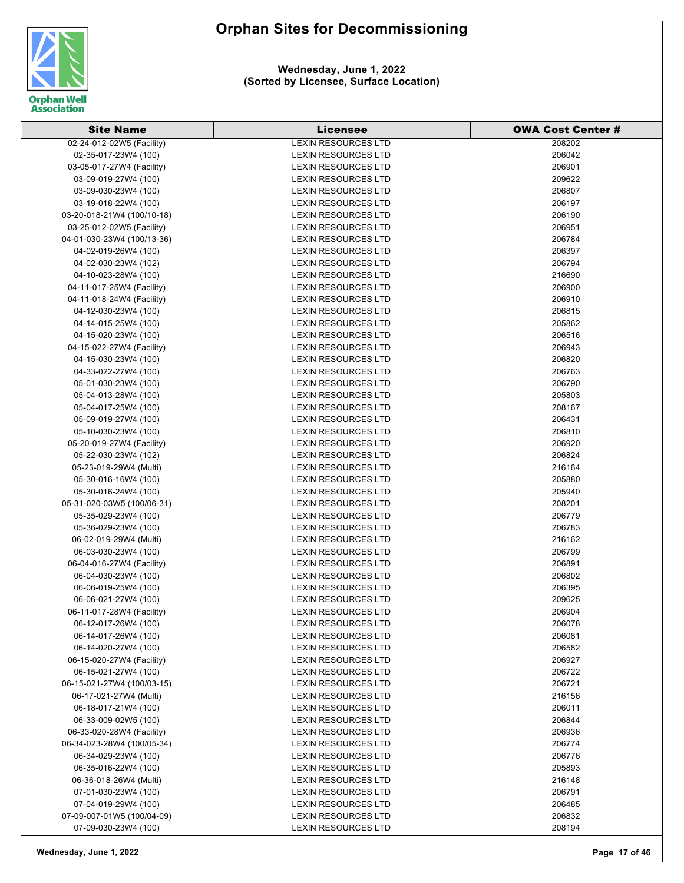

| <b>Site Name</b>           | Licensee                   | <b>OWA Cost Center #</b> |
|----------------------------|----------------------------|--------------------------|
| 02-24-012-02W5 (Facility)  | <b>LEXIN RESOURCES LTD</b> | 208202                   |
| 02-35-017-23W4 (100)       | <b>LEXIN RESOURCES LTD</b> | 206042                   |
| 03-05-017-27W4 (Facility)  | <b>LEXIN RESOURCES LTD</b> | 206901                   |
| 03-09-019-27W4 (100)       | <b>LEXIN RESOURCES LTD</b> | 209622                   |
| 03-09-030-23W4 (100)       | <b>LEXIN RESOURCES LTD</b> | 206807                   |
| 03-19-018-22W4 (100)       | <b>LEXIN RESOURCES LTD</b> | 206197                   |
| 03-20-018-21W4 (100/10-18) | <b>LEXIN RESOURCES LTD</b> | 206190                   |
| 03-25-012-02W5 (Facility)  | <b>LEXIN RESOURCES LTD</b> | 206951                   |
| 04-01-030-23W4 (100/13-36) | <b>LEXIN RESOURCES LTD</b> | 206784                   |
| 04-02-019-26W4 (100)       | <b>LEXIN RESOURCES LTD</b> | 206397                   |
| 04-02-030-23W4 (102)       | <b>LEXIN RESOURCES LTD</b> | 206794                   |
| 04-10-023-28W4 (100)       | <b>LEXIN RESOURCES LTD</b> | 216690                   |
| 04-11-017-25W4 (Facility)  | <b>LEXIN RESOURCES LTD</b> | 206900                   |
| 04-11-018-24W4 (Facility)  | <b>LEXIN RESOURCES LTD</b> | 206910                   |
| 04-12-030-23W4 (100)       | <b>LEXIN RESOURCES LTD</b> | 206815                   |
| 04-14-015-25W4 (100)       | <b>LEXIN RESOURCES LTD</b> | 205862                   |
| 04-15-020-23W4 (100)       | <b>LEXIN RESOURCES LTD</b> | 206516                   |
| 04-15-022-27W4 (Facility)  | <b>LEXIN RESOURCES LTD</b> | 206943                   |
| 04-15-030-23W4 (100)       | <b>LEXIN RESOURCES LTD</b> | 206820                   |
| 04-33-022-27W4 (100)       | <b>LEXIN RESOURCES LTD</b> | 206763                   |
| 05-01-030-23W4 (100)       | <b>LEXIN RESOURCES LTD</b> | 206790                   |
| 05-04-013-28W4 (100)       | <b>LEXIN RESOURCES LTD</b> | 205803                   |
| 05-04-017-25W4 (100)       | <b>LEXIN RESOURCES LTD</b> | 208167                   |
| 05-09-019-27W4 (100)       | <b>LEXIN RESOURCES LTD</b> | 206431                   |
| 05-10-030-23W4 (100)       | <b>LEXIN RESOURCES LTD</b> | 206810                   |
| 05-20-019-27W4 (Facility)  | <b>LEXIN RESOURCES LTD</b> | 206920                   |
| 05-22-030-23W4 (102)       | LEXIN RESOURCES LTD        | 206824                   |
| 05-23-019-29W4 (Multi)     | <b>LEXIN RESOURCES LTD</b> | 216164                   |
| 05-30-016-16W4 (100)       | <b>LEXIN RESOURCES LTD</b> | 205880                   |
| 05-30-016-24W4 (100)       | <b>LEXIN RESOURCES LTD</b> | 205940                   |
| 05-31-020-03W5 (100/06-31) | <b>LEXIN RESOURCES LTD</b> | 208201                   |
| 05-35-029-23W4 (100)       | <b>LEXIN RESOURCES LTD</b> | 206779                   |
| 05-36-029-23W4 (100)       | <b>LEXIN RESOURCES LTD</b> | 206783                   |
| 06-02-019-29W4 (Multi)     | <b>LEXIN RESOURCES LTD</b> | 216162                   |
| 06-03-030-23W4 (100)       | <b>LEXIN RESOURCES LTD</b> | 206799                   |
| 06-04-016-27W4 (Facility)  | <b>LEXIN RESOURCES LTD</b> | 206891                   |
| 06-04-030-23W4 (100)       | <b>LEXIN RESOURCES LTD</b> | 206802                   |
| 06-06-019-25W4 (100)       | <b>LEXIN RESOURCES LTD</b> | 206395                   |
| 06-06-021-27W4 (100)       | <b>LEXIN RESOURCES LTD</b> | 209625                   |
| 06-11-017-28W4 (Facility)  | <b>LEXIN RESOURCES LTD</b> | 206904                   |
| 06-12-017-26W4 (100)       | <b>LEXIN RESOURCES LTD</b> | 206078                   |
| 06-14-017-26W4 (100)       | <b>LEXIN RESOURCES LTD</b> | 206081                   |
| 06-14-020-27W4 (100)       | <b>LEXIN RESOURCES LTD</b> | 206582                   |
| 06-15-020-27W4 (Facility)  | <b>LEXIN RESOURCES LTD</b> | 206927                   |
| 06-15-021-27W4 (100)       | <b>LEXIN RESOURCES LTD</b> | 206722                   |
| 06-15-021-27W4 (100/03-15) | LEXIN RESOURCES LTD        | 206721                   |
| 06-17-021-27W4 (Multi)     | <b>LEXIN RESOURCES LTD</b> | 216156                   |
| 06-18-017-21W4 (100)       | <b>LEXIN RESOURCES LTD</b> | 206011                   |
| 06-33-009-02W5 (100)       | <b>LEXIN RESOURCES LTD</b> | 206844                   |
| 06-33-020-28W4 (Facility)  | LEXIN RESOURCES LTD        | 206936                   |
| 06-34-023-28W4 (100/05-34) | LEXIN RESOURCES LTD        | 206774                   |
| 06-34-029-23W4 (100)       | LEXIN RESOURCES LTD        | 206776                   |
| 06-35-016-22W4 (100)       | <b>LEXIN RESOURCES LTD</b> | 205893                   |
| 06-36-018-26W4 (Multi)     | <b>LEXIN RESOURCES LTD</b> | 216148                   |
| 07-01-030-23W4 (100)       | <b>LEXIN RESOURCES LTD</b> | 206791                   |
| 07-04-019-29W4 (100)       | <b>LEXIN RESOURCES LTD</b> | 206485                   |
| 07-09-007-01W5 (100/04-09) | <b>LEXIN RESOURCES LTD</b> | 206832                   |
| 07-09-030-23W4 (100)       | LEXIN RESOURCES LTD        | 208194                   |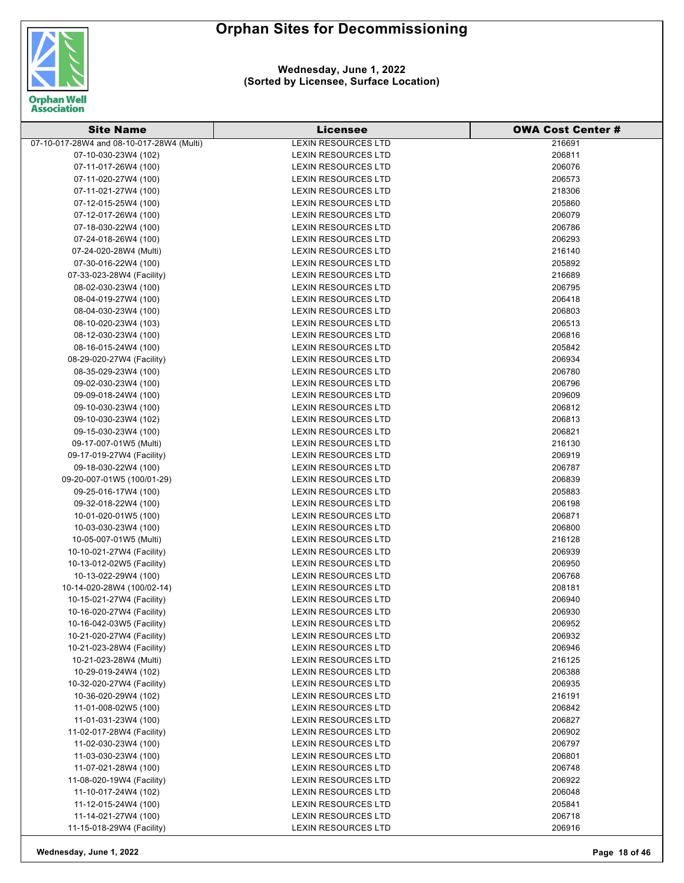

| <b>Site Name</b>                          | Licensee                   | <b>OWA Cost Center #</b> |
|-------------------------------------------|----------------------------|--------------------------|
| 07-10-017-28W4 and 08-10-017-28W4 (Multi) | <b>LEXIN RESOURCES LTD</b> | 216691                   |
| 07-10-030-23W4 (102)                      | <b>LEXIN RESOURCES LTD</b> | 206811                   |
| 07-11-017-26W4 (100)                      | <b>LEXIN RESOURCES LTD</b> | 206076                   |
| 07-11-020-27W4 (100)                      | <b>LEXIN RESOURCES LTD</b> | 206573                   |
| 07-11-021-27W4 (100)                      | <b>LEXIN RESOURCES LTD</b> | 218306                   |
| 07-12-015-25W4 (100)                      | <b>LEXIN RESOURCES LTD</b> | 205860                   |
| 07-12-017-26W4 (100)                      | <b>LEXIN RESOURCES LTD</b> | 206079                   |
| 07-18-030-22W4 (100)                      | LEXIN RESOURCES LTD        | 206786                   |
| 07-24-018-26W4 (100)                      | <b>LEXIN RESOURCES LTD</b> | 206293                   |
| 07-24-020-28W4 (Multi)                    | <b>LEXIN RESOURCES LTD</b> | 216140                   |
| 07-30-016-22W4 (100)                      | <b>LEXIN RESOURCES LTD</b> | 205892                   |
| 07-33-023-28W4 (Facility)                 | <b>LEXIN RESOURCES LTD</b> | 216689                   |
| 08-02-030-23W4 (100)                      | <b>LEXIN RESOURCES LTD</b> | 206795                   |
| 08-04-019-27W4 (100)                      | LEXIN RESOURCES LTD        | 206418                   |
| 08-04-030-23W4 (100)                      | LEXIN RESOURCES LTD        | 206803                   |
| 08-10-020-23W4 (103)                      | <b>LEXIN RESOURCES LTD</b> | 206513                   |
| 08-12-030-23W4 (100)                      | LEXIN RESOURCES LTD        | 206816                   |
| 08-16-015-24W4 (100)                      | <b>LEXIN RESOURCES LTD</b> | 205842                   |
| 08-29-020-27W4 (Facility)                 | <b>LEXIN RESOURCES LTD</b> | 206934                   |
| 08-35-029-23W4 (100)                      | <b>LEXIN RESOURCES LTD</b> | 206780                   |
| 09-02-030-23W4 (100)                      | LEXIN RESOURCES LTD        | 206796                   |
| 09-09-018-24W4 (100)                      | <b>LEXIN RESOURCES LTD</b> | 209609                   |
| 09-10-030-23W4 (100)                      | LEXIN RESOURCES LTD        | 206812                   |
| 09-10-030-23W4 (102)                      | LEXIN RESOURCES LTD        | 206813                   |
| 09-15-030-23W4 (100)                      | LEXIN RESOURCES LTD        | 206821                   |
| 09-17-007-01W5 (Multi)                    | <b>LEXIN RESOURCES LTD</b> | 216130                   |
| 09-17-019-27W4 (Facility)                 | LEXIN RESOURCES LTD        | 206919                   |
| 09-18-030-22W4 (100)                      | LEXIN RESOURCES LTD        | 206787                   |
| 09-20-007-01W5 (100/01-29)                | LEXIN RESOURCES LTD        | 206839                   |
| 09-25-016-17W4 (100)                      | <b>LEXIN RESOURCES LTD</b> | 205883                   |
| 09-32-018-22W4 (100)                      | <b>LEXIN RESOURCES LTD</b> | 206198                   |
| 10-01-020-01W5 (100)                      | <b>LEXIN RESOURCES LTD</b> | 206871                   |
| 10-03-030-23W4 (100)                      | <b>LEXIN RESOURCES LTD</b> | 206800                   |
| 10-05-007-01W5 (Multi)                    | <b>LEXIN RESOURCES LTD</b> | 216128                   |
| 10-10-021-27W4 (Facility)                 | <b>LEXIN RESOURCES LTD</b> | 206939                   |
| 10-13-012-02W5 (Facility)                 | <b>LEXIN RESOURCES LTD</b> | 206950                   |
| 10-13-022-29W4 (100)                      | <b>LEXIN RESOURCES LTD</b> | 206768                   |
| 10-14-020-28W4 (100/02-14)                | <b>LEXIN RESOURCES LTD</b> | 208181                   |
| 10-15-021-27W4 (Facility)                 | <b>LEXIN RESOURCES LTD</b> | 206940                   |
| 10-16-020-27W4 (Facility)                 | <b>LEXIN RESOURCES LTD</b> | 206930                   |
| 10-16-042-03W5 (Facility)                 | LEXIN RESOURCES LTD        | 206952                   |
| 10-21-020-27W4 (Facility)                 | <b>LEXIN RESOURCES LTD</b> | 206932                   |
| 10-21-023-28W4 (Facility)                 | <b>LEXIN RESOURCES LTD</b> | 206946                   |
| 10-21-023-28W4 (Multi)                    | LEXIN RESOURCES LTD        | 216125                   |
| 10-29-019-24W4 (102)                      | LEXIN RESOURCES LTD        | 206388                   |
| 10-32-020-27W4 (Facility)                 | <b>LEXIN RESOURCES LTD</b> | 206935                   |
| 10-36-020-29W4 (102)                      | LEXIN RESOURCES LTD        | 216191                   |
| 11-01-008-02W5 (100)                      | <b>LEXIN RESOURCES LTD</b> | 206842                   |
| 11-01-031-23W4 (100)                      | <b>LEXIN RESOURCES LTD</b> | 206827                   |
| 11-02-017-28W4 (Facility)                 | <b>LEXIN RESOURCES LTD</b> | 206902                   |
| 11-02-030-23W4 (100)                      | LEXIN RESOURCES LTD        | 206797                   |
| 11-03-030-23W4 (100)                      | LEXIN RESOURCES LTD        | 206801                   |
| 11-07-021-28W4 (100)                      | <b>LEXIN RESOURCES LTD</b> | 206748                   |
| 11-08-020-19W4 (Facility)                 | LEXIN RESOURCES LTD        | 206922                   |
| 11-10-017-24W4 (102)                      | <b>LEXIN RESOURCES LTD</b> | 206048                   |
| 11-12-015-24W4 (100)                      | <b>LEXIN RESOURCES LTD</b> | 205841                   |
| 11-14-021-27W4 (100)                      | <b>LEXIN RESOURCES LTD</b> | 206718                   |
| 11-15-018-29W4 (Facility)                 | LEXIN RESOURCES LTD        | 206916                   |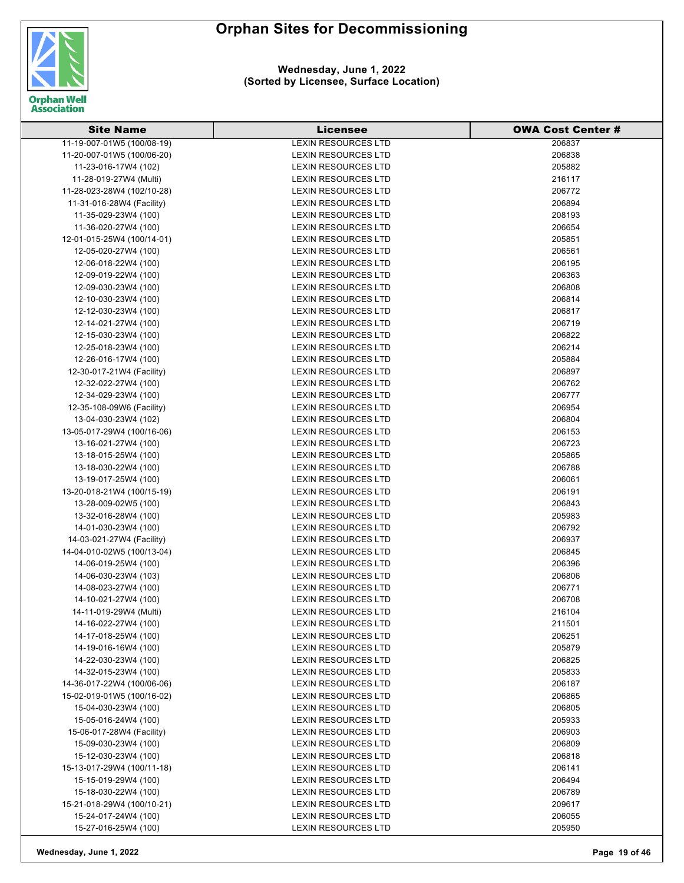

| <b>Site Name</b>                                   | <b>Licensee</b>                                          | <b>OWA Cost Center #</b> |
|----------------------------------------------------|----------------------------------------------------------|--------------------------|
| 11-19-007-01W5 (100/08-19)                         | <b>LEXIN RESOURCES LTD</b>                               | 206837                   |
| 11-20-007-01W5 (100/06-20)                         | <b>LEXIN RESOURCES LTD</b>                               | 206838                   |
| 11-23-016-17W4 (102)                               | <b>LEXIN RESOURCES LTD</b>                               | 205882                   |
| 11-28-019-27W4 (Multi)                             | <b>LEXIN RESOURCES LTD</b>                               | 216117                   |
| 11-28-023-28W4 (102/10-28)                         | <b>LEXIN RESOURCES LTD</b>                               | 206772                   |
| 11-31-016-28W4 (Facility)                          | <b>LEXIN RESOURCES LTD</b>                               | 206894                   |
| 11-35-029-23W4 (100)                               | <b>LEXIN RESOURCES LTD</b>                               | 208193                   |
| 11-36-020-27W4 (100)                               | <b>LEXIN RESOURCES LTD</b>                               | 206654                   |
| 12-01-015-25W4 (100/14-01)                         | <b>LEXIN RESOURCES LTD</b>                               | 205851                   |
| 12-05-020-27W4 (100)                               | <b>LEXIN RESOURCES LTD</b>                               | 206561                   |
| 12-06-018-22W4 (100)                               | <b>LEXIN RESOURCES LTD</b>                               | 206195                   |
| 12-09-019-22W4 (100)                               | <b>LEXIN RESOURCES LTD</b>                               | 206363                   |
| 12-09-030-23W4 (100)                               | <b>LEXIN RESOURCES LTD</b>                               | 206808                   |
| 12-10-030-23W4 (100)                               | <b>LEXIN RESOURCES LTD</b>                               | 206814                   |
| 12-12-030-23W4 (100)                               | <b>LEXIN RESOURCES LTD</b>                               | 206817                   |
| 12-14-021-27W4 (100)                               | <b>LEXIN RESOURCES LTD</b>                               | 206719                   |
| 12-15-030-23W4 (100)                               | <b>LEXIN RESOURCES LTD</b>                               | 206822                   |
| 12-25-018-23W4 (100)                               | <b>LEXIN RESOURCES LTD</b>                               | 206214                   |
| 12-26-016-17W4 (100)                               | <b>LEXIN RESOURCES LTD</b>                               | 205884                   |
| 12-30-017-21W4 (Facility)                          | <b>LEXIN RESOURCES LTD</b>                               | 206897                   |
| 12-32-022-27W4 (100)                               | <b>LEXIN RESOURCES LTD</b>                               | 206762                   |
| 12-34-029-23W4 (100)                               | <b>LEXIN RESOURCES LTD</b>                               | 206777                   |
| 12-35-108-09W6 (Facility)                          | <b>LEXIN RESOURCES LTD</b>                               | 206954                   |
|                                                    |                                                          | 206804                   |
| 13-04-030-23W4 (102)                               | <b>LEXIN RESOURCES LTD</b>                               |                          |
| 13-05-017-29W4 (100/16-06)                         | <b>LEXIN RESOURCES LTD</b>                               | 206153                   |
| 13-16-021-27W4 (100)                               | <b>LEXIN RESOURCES LTD</b>                               | 206723<br>205865         |
| 13-18-015-25W4 (100)                               | <b>LEXIN RESOURCES LTD</b>                               |                          |
| 13-18-030-22W4 (100)                               | <b>LEXIN RESOURCES LTD</b><br><b>LEXIN RESOURCES LTD</b> | 206788                   |
| 13-19-017-25W4 (100)<br>13-20-018-21W4 (100/15-19) | <b>LEXIN RESOURCES LTD</b>                               | 206061<br>206191         |
| 13-28-009-02W5 (100)                               | <b>LEXIN RESOURCES LTD</b>                               | 206843                   |
| 13-32-016-28W4 (100)                               | <b>LEXIN RESOURCES LTD</b>                               | 205983                   |
| 14-01-030-23W4 (100)                               | <b>LEXIN RESOURCES LTD</b>                               | 206792                   |
| 14-03-021-27W4 (Facility)                          | <b>LEXIN RESOURCES LTD</b>                               | 206937                   |
| 14-04-010-02W5 (100/13-04)                         | <b>LEXIN RESOURCES LTD</b>                               | 206845                   |
| 14-06-019-25W4 (100)                               | <b>LEXIN RESOURCES LTD</b>                               | 206396                   |
| 14-06-030-23W4 (103)                               | <b>LEXIN RESOURCES LTD</b>                               | 206806                   |
| 14-08-023-27W4 (100)                               | <b>LEXIN RESOURCES LTD</b>                               | 206771                   |
| 14-10-021-27W4 (100)                               | <b>LEXIN RESOURCES LTD</b>                               | 206708                   |
| 14-11-019-29W4 (Multi)                             | <b>LEXIN RESOURCES LTD</b>                               | 216104                   |
| 14-16-022-27W4 (100)                               | <b>LEXIN RESOURCES LTD</b>                               | 211501                   |
| 14-17-018-25W4 (100)                               | <b>LEXIN RESOURCES LTD</b>                               | 206251                   |
| 14-19-016-16W4 (100)                               | <b>LEXIN RESOURCES LTD</b>                               | 205879                   |
| 14-22-030-23W4 (100)                               | <b>LEXIN RESOURCES LTD</b>                               | 206825                   |
| 14-32-015-23W4 (100)                               | <b>LEXIN RESOURCES LTD</b>                               | 205833                   |
| 14-36-017-22W4 (100/06-06)                         | <b>LEXIN RESOURCES LTD</b>                               | 206187                   |
| 15-02-019-01W5 (100/16-02)                         | <b>LEXIN RESOURCES LTD</b>                               | 206865                   |
| 15-04-030-23W4 (100)                               | <b>LEXIN RESOURCES LTD</b>                               | 206805                   |
| 15-05-016-24W4 (100)                               | <b>LEXIN RESOURCES LTD</b>                               | 205933                   |
| 15-06-017-28W4 (Facility)                          | <b>LEXIN RESOURCES LTD</b>                               | 206903                   |
| 15-09-030-23W4 (100)                               | <b>LEXIN RESOURCES LTD</b>                               | 206809                   |
| 15-12-030-23W4 (100)                               | <b>LEXIN RESOURCES LTD</b>                               | 206818                   |
| 15-13-017-29W4 (100/11-18)                         | <b>LEXIN RESOURCES LTD</b>                               | 206141                   |
| 15-15-019-29W4 (100)                               | <b>LEXIN RESOURCES LTD</b>                               | 206494                   |
| 15-18-030-22W4 (100)                               | <b>LEXIN RESOURCES LTD</b>                               | 206789                   |
| 15-21-018-29W4 (100/10-21)                         | <b>LEXIN RESOURCES LTD</b>                               | 209617                   |
| 15-24-017-24W4 (100)                               | <b>LEXIN RESOURCES LTD</b>                               | 206055                   |
| 15-27-016-25W4 (100)                               | <b>LEXIN RESOURCES LTD</b>                               | 205950                   |
|                                                    |                                                          |                          |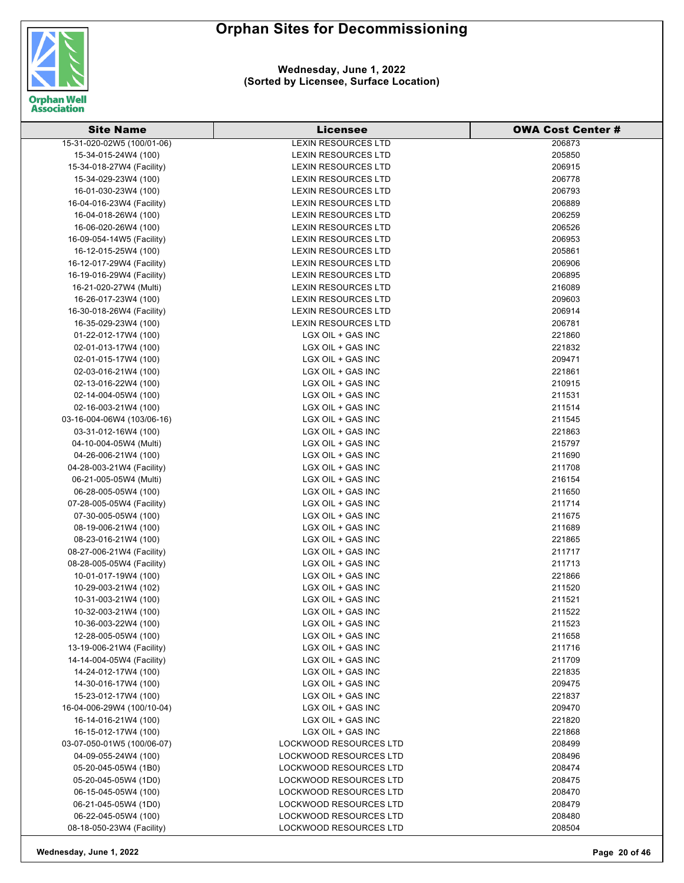

**Wednesday, June 1, 2022 (Sorted by Licensee, Surface Location)**

| 15-31-020-02W5 (100/01-06)<br><b>LEXIN RESOURCES LTD</b><br>206873<br>205850<br>15-34-015-24W4 (100)<br><b>LEXIN RESOURCES LTD</b><br>15-34-018-27W4 (Facility)<br><b>LEXIN RESOURCES LTD</b><br>206915<br>206778<br><b>LEXIN RESOURCES LTD</b><br>15-34-029-23W4 (100)<br><b>LEXIN RESOURCES LTD</b><br>206793<br>16-01-030-23W4 (100)<br>206889<br><b>LEXIN RESOURCES LTD</b><br>16-04-016-23W4 (Facility)<br><b>LEXIN RESOURCES LTD</b><br>206259<br>16-04-018-26W4 (100)<br>206526<br><b>LEXIN RESOURCES LTD</b><br>16-06-020-26W4 (100)<br><b>LEXIN RESOURCES LTD</b><br>206953<br>16-09-054-14W5 (Facility)<br>205861<br><b>LEXIN RESOURCES LTD</b><br>16-12-015-25W4 (100)<br>16-12-017-29W4 (Facility)<br><b>LEXIN RESOURCES LTD</b><br>206906<br>206895<br>16-19-016-29W4 (Facility)<br><b>LEXIN RESOURCES LTD</b><br>16-21-020-27W4 (Multi)<br><b>LEXIN RESOURCES LTD</b><br>216089<br><b>LEXIN RESOURCES LTD</b><br>209603<br>16-26-017-23W4 (100)<br>LEXIN RESOURCES LTD<br>206914<br>16-30-018-26W4 (Facility)<br>206781<br><b>LEXIN RESOURCES LTD</b><br>16-35-029-23W4 (100)<br>LGX OIL + GAS INC<br>221860<br>01-22-012-17W4 (100)<br>LGX OIL + GAS INC<br>221832<br>02-01-013-17W4 (100)<br>209471<br>LGX OIL + GAS INC<br>02-01-015-17W4 (100)<br>221861<br>02-03-016-21W4 (100)<br>LGX OIL + GAS INC<br>LGX OIL + GAS INC<br>210915<br>02-13-016-22W4 (100)<br>02-14-004-05W4 (100)<br>LGX OIL + GAS INC<br>211531<br>02-16-003-21W4 (100)<br>LGX OIL + GAS INC<br>211514<br>03-16-004-06W4 (103/06-16)<br>LGX OIL + GAS INC<br>211545<br>LGX OIL + GAS INC<br>221863<br>03-31-012-16W4 (100)<br>215797<br>04-10-004-05W4 (Multi)<br>LGX OIL + GAS INC<br>211690<br>04-26-006-21W4 (100)<br>LGX OIL + GAS INC<br>LGX OIL + GAS INC<br>211708<br>04-28-003-21W4 (Facility)<br>216154<br>LGX OIL + GAS INC<br>06-21-005-05W4 (Multi)<br>06-28-005-05W4 (100)<br>LGX OIL + GAS INC<br>211650<br>LGX OIL + GAS INC<br>211714<br>07-28-005-05W4 (Facility)<br>LGX OIL + GAS INC<br>211675<br>07-30-005-05W4 (100)<br>LGX OIL + GAS INC<br>211689<br>08-19-006-21W4 (100)<br>LGX OIL + GAS INC<br>221865<br>08-23-016-21W4 (100)<br>211717<br>LGX OIL + GAS INC<br>08-27-006-21W4 (Facility)<br>LGX OIL + GAS INC<br>211713<br>08-28-005-05W4 (Facility)<br>LGX OIL + GAS INC<br>221866<br>10-01-017-19W4 (100)<br>10-29-003-21W4 (102)<br>LGX OIL + GAS INC<br>211520<br>LGX OIL + GAS INC<br>211521<br>10-31-003-21W4 (100)<br>10-32-003-21W4 (100)<br>LGX OIL + GAS INC<br>211522<br>10-36-003-22W4 (100)<br>LGX OIL + GAS INC<br>211523<br>12-28-005-05W4 (100)<br>LGX OIL + GAS INC<br>211658<br>13-19-006-21W4 (Facility)<br>LGX OIL + GAS INC<br>211716<br>14-14-004-05W4 (Facility)<br>LGX OIL + GAS INC<br>211709<br>LGX OIL + GAS INC<br>14-24-012-17W4 (100)<br>221835<br>14-30-016-17W4 (100)<br>LGX OIL + GAS INC<br>209475<br>15-23-012-17W4 (100)<br>LGX OIL + GAS INC<br>221837<br>16-04-006-29W4 (100/10-04)<br>LGX OIL + GAS INC<br>209470<br>LGX OIL + GAS INC<br>16-14-016-21W4 (100)<br>221820<br>16-15-012-17W4 (100)<br>LGX OIL + GAS INC<br>221868<br>03-07-050-01W5 (100/06-07)<br><b>LOCKWOOD RESOURCES LTD</b><br>208499<br>LOCKWOOD RESOURCES LTD<br>208496<br>04-09-055-24W4 (100)<br>05-20-045-05W4 (1B0)<br>LOCKWOOD RESOURCES LTD<br>208474<br>05-20-045-05W4 (1D0)<br>LOCKWOOD RESOURCES LTD<br>208475<br>06-15-045-05W4 (100)<br>LOCKWOOD RESOURCES LTD<br>208470<br>06-21-045-05W4 (1D0)<br>LOCKWOOD RESOURCES LTD<br>208479<br>06-22-045-05W4 (100)<br>LOCKWOOD RESOURCES LTD<br>208480<br>LOCKWOOD RESOURCES LTD<br>208504<br>08-18-050-23W4 (Facility) | <b>Site Name</b> | <b>Licensee</b> | <b>OWA Cost Center #</b> |
|-----------------------------------------------------------------------------------------------------------------------------------------------------------------------------------------------------------------------------------------------------------------------------------------------------------------------------------------------------------------------------------------------------------------------------------------------------------------------------------------------------------------------------------------------------------------------------------------------------------------------------------------------------------------------------------------------------------------------------------------------------------------------------------------------------------------------------------------------------------------------------------------------------------------------------------------------------------------------------------------------------------------------------------------------------------------------------------------------------------------------------------------------------------------------------------------------------------------------------------------------------------------------------------------------------------------------------------------------------------------------------------------------------------------------------------------------------------------------------------------------------------------------------------------------------------------------------------------------------------------------------------------------------------------------------------------------------------------------------------------------------------------------------------------------------------------------------------------------------------------------------------------------------------------------------------------------------------------------------------------------------------------------------------------------------------------------------------------------------------------------------------------------------------------------------------------------------------------------------------------------------------------------------------------------------------------------------------------------------------------------------------------------------------------------------------------------------------------------------------------------------------------------------------------------------------------------------------------------------------------------------------------------------------------------------------------------------------------------------------------------------------------------------------------------------------------------------------------------------------------------------------------------------------------------------------------------------------------------------------------------------------------------------------------------------------------------------------------------------------------------------------------------------------------------------------------------------------------------------------------------------------------------------------------------------------------------------------------------------------------------------------------------------------------------------------------------------------------------------------------------------------------------------------------------------------------------------------------------------------|------------------|-----------------|--------------------------|
|                                                                                                                                                                                                                                                                                                                                                                                                                                                                                                                                                                                                                                                                                                                                                                                                                                                                                                                                                                                                                                                                                                                                                                                                                                                                                                                                                                                                                                                                                                                                                                                                                                                                                                                                                                                                                                                                                                                                                                                                                                                                                                                                                                                                                                                                                                                                                                                                                                                                                                                                                                                                                                                                                                                                                                                                                                                                                                                                                                                                                                                                                                                                                                                                                                                                                                                                                                                                                                                                                                                                                                                                           |                  |                 |                          |
|                                                                                                                                                                                                                                                                                                                                                                                                                                                                                                                                                                                                                                                                                                                                                                                                                                                                                                                                                                                                                                                                                                                                                                                                                                                                                                                                                                                                                                                                                                                                                                                                                                                                                                                                                                                                                                                                                                                                                                                                                                                                                                                                                                                                                                                                                                                                                                                                                                                                                                                                                                                                                                                                                                                                                                                                                                                                                                                                                                                                                                                                                                                                                                                                                                                                                                                                                                                                                                                                                                                                                                                                           |                  |                 |                          |
|                                                                                                                                                                                                                                                                                                                                                                                                                                                                                                                                                                                                                                                                                                                                                                                                                                                                                                                                                                                                                                                                                                                                                                                                                                                                                                                                                                                                                                                                                                                                                                                                                                                                                                                                                                                                                                                                                                                                                                                                                                                                                                                                                                                                                                                                                                                                                                                                                                                                                                                                                                                                                                                                                                                                                                                                                                                                                                                                                                                                                                                                                                                                                                                                                                                                                                                                                                                                                                                                                                                                                                                                           |                  |                 |                          |
|                                                                                                                                                                                                                                                                                                                                                                                                                                                                                                                                                                                                                                                                                                                                                                                                                                                                                                                                                                                                                                                                                                                                                                                                                                                                                                                                                                                                                                                                                                                                                                                                                                                                                                                                                                                                                                                                                                                                                                                                                                                                                                                                                                                                                                                                                                                                                                                                                                                                                                                                                                                                                                                                                                                                                                                                                                                                                                                                                                                                                                                                                                                                                                                                                                                                                                                                                                                                                                                                                                                                                                                                           |                  |                 |                          |
|                                                                                                                                                                                                                                                                                                                                                                                                                                                                                                                                                                                                                                                                                                                                                                                                                                                                                                                                                                                                                                                                                                                                                                                                                                                                                                                                                                                                                                                                                                                                                                                                                                                                                                                                                                                                                                                                                                                                                                                                                                                                                                                                                                                                                                                                                                                                                                                                                                                                                                                                                                                                                                                                                                                                                                                                                                                                                                                                                                                                                                                                                                                                                                                                                                                                                                                                                                                                                                                                                                                                                                                                           |                  |                 |                          |
|                                                                                                                                                                                                                                                                                                                                                                                                                                                                                                                                                                                                                                                                                                                                                                                                                                                                                                                                                                                                                                                                                                                                                                                                                                                                                                                                                                                                                                                                                                                                                                                                                                                                                                                                                                                                                                                                                                                                                                                                                                                                                                                                                                                                                                                                                                                                                                                                                                                                                                                                                                                                                                                                                                                                                                                                                                                                                                                                                                                                                                                                                                                                                                                                                                                                                                                                                                                                                                                                                                                                                                                                           |                  |                 |                          |
|                                                                                                                                                                                                                                                                                                                                                                                                                                                                                                                                                                                                                                                                                                                                                                                                                                                                                                                                                                                                                                                                                                                                                                                                                                                                                                                                                                                                                                                                                                                                                                                                                                                                                                                                                                                                                                                                                                                                                                                                                                                                                                                                                                                                                                                                                                                                                                                                                                                                                                                                                                                                                                                                                                                                                                                                                                                                                                                                                                                                                                                                                                                                                                                                                                                                                                                                                                                                                                                                                                                                                                                                           |                  |                 |                          |
|                                                                                                                                                                                                                                                                                                                                                                                                                                                                                                                                                                                                                                                                                                                                                                                                                                                                                                                                                                                                                                                                                                                                                                                                                                                                                                                                                                                                                                                                                                                                                                                                                                                                                                                                                                                                                                                                                                                                                                                                                                                                                                                                                                                                                                                                                                                                                                                                                                                                                                                                                                                                                                                                                                                                                                                                                                                                                                                                                                                                                                                                                                                                                                                                                                                                                                                                                                                                                                                                                                                                                                                                           |                  |                 |                          |
|                                                                                                                                                                                                                                                                                                                                                                                                                                                                                                                                                                                                                                                                                                                                                                                                                                                                                                                                                                                                                                                                                                                                                                                                                                                                                                                                                                                                                                                                                                                                                                                                                                                                                                                                                                                                                                                                                                                                                                                                                                                                                                                                                                                                                                                                                                                                                                                                                                                                                                                                                                                                                                                                                                                                                                                                                                                                                                                                                                                                                                                                                                                                                                                                                                                                                                                                                                                                                                                                                                                                                                                                           |                  |                 |                          |
|                                                                                                                                                                                                                                                                                                                                                                                                                                                                                                                                                                                                                                                                                                                                                                                                                                                                                                                                                                                                                                                                                                                                                                                                                                                                                                                                                                                                                                                                                                                                                                                                                                                                                                                                                                                                                                                                                                                                                                                                                                                                                                                                                                                                                                                                                                                                                                                                                                                                                                                                                                                                                                                                                                                                                                                                                                                                                                                                                                                                                                                                                                                                                                                                                                                                                                                                                                                                                                                                                                                                                                                                           |                  |                 |                          |
|                                                                                                                                                                                                                                                                                                                                                                                                                                                                                                                                                                                                                                                                                                                                                                                                                                                                                                                                                                                                                                                                                                                                                                                                                                                                                                                                                                                                                                                                                                                                                                                                                                                                                                                                                                                                                                                                                                                                                                                                                                                                                                                                                                                                                                                                                                                                                                                                                                                                                                                                                                                                                                                                                                                                                                                                                                                                                                                                                                                                                                                                                                                                                                                                                                                                                                                                                                                                                                                                                                                                                                                                           |                  |                 |                          |
|                                                                                                                                                                                                                                                                                                                                                                                                                                                                                                                                                                                                                                                                                                                                                                                                                                                                                                                                                                                                                                                                                                                                                                                                                                                                                                                                                                                                                                                                                                                                                                                                                                                                                                                                                                                                                                                                                                                                                                                                                                                                                                                                                                                                                                                                                                                                                                                                                                                                                                                                                                                                                                                                                                                                                                                                                                                                                                                                                                                                                                                                                                                                                                                                                                                                                                                                                                                                                                                                                                                                                                                                           |                  |                 |                          |
|                                                                                                                                                                                                                                                                                                                                                                                                                                                                                                                                                                                                                                                                                                                                                                                                                                                                                                                                                                                                                                                                                                                                                                                                                                                                                                                                                                                                                                                                                                                                                                                                                                                                                                                                                                                                                                                                                                                                                                                                                                                                                                                                                                                                                                                                                                                                                                                                                                                                                                                                                                                                                                                                                                                                                                                                                                                                                                                                                                                                                                                                                                                                                                                                                                                                                                                                                                                                                                                                                                                                                                                                           |                  |                 |                          |
|                                                                                                                                                                                                                                                                                                                                                                                                                                                                                                                                                                                                                                                                                                                                                                                                                                                                                                                                                                                                                                                                                                                                                                                                                                                                                                                                                                                                                                                                                                                                                                                                                                                                                                                                                                                                                                                                                                                                                                                                                                                                                                                                                                                                                                                                                                                                                                                                                                                                                                                                                                                                                                                                                                                                                                                                                                                                                                                                                                                                                                                                                                                                                                                                                                                                                                                                                                                                                                                                                                                                                                                                           |                  |                 |                          |
|                                                                                                                                                                                                                                                                                                                                                                                                                                                                                                                                                                                                                                                                                                                                                                                                                                                                                                                                                                                                                                                                                                                                                                                                                                                                                                                                                                                                                                                                                                                                                                                                                                                                                                                                                                                                                                                                                                                                                                                                                                                                                                                                                                                                                                                                                                                                                                                                                                                                                                                                                                                                                                                                                                                                                                                                                                                                                                                                                                                                                                                                                                                                                                                                                                                                                                                                                                                                                                                                                                                                                                                                           |                  |                 |                          |
|                                                                                                                                                                                                                                                                                                                                                                                                                                                                                                                                                                                                                                                                                                                                                                                                                                                                                                                                                                                                                                                                                                                                                                                                                                                                                                                                                                                                                                                                                                                                                                                                                                                                                                                                                                                                                                                                                                                                                                                                                                                                                                                                                                                                                                                                                                                                                                                                                                                                                                                                                                                                                                                                                                                                                                                                                                                                                                                                                                                                                                                                                                                                                                                                                                                                                                                                                                                                                                                                                                                                                                                                           |                  |                 |                          |
|                                                                                                                                                                                                                                                                                                                                                                                                                                                                                                                                                                                                                                                                                                                                                                                                                                                                                                                                                                                                                                                                                                                                                                                                                                                                                                                                                                                                                                                                                                                                                                                                                                                                                                                                                                                                                                                                                                                                                                                                                                                                                                                                                                                                                                                                                                                                                                                                                                                                                                                                                                                                                                                                                                                                                                                                                                                                                                                                                                                                                                                                                                                                                                                                                                                                                                                                                                                                                                                                                                                                                                                                           |                  |                 |                          |
|                                                                                                                                                                                                                                                                                                                                                                                                                                                                                                                                                                                                                                                                                                                                                                                                                                                                                                                                                                                                                                                                                                                                                                                                                                                                                                                                                                                                                                                                                                                                                                                                                                                                                                                                                                                                                                                                                                                                                                                                                                                                                                                                                                                                                                                                                                                                                                                                                                                                                                                                                                                                                                                                                                                                                                                                                                                                                                                                                                                                                                                                                                                                                                                                                                                                                                                                                                                                                                                                                                                                                                                                           |                  |                 |                          |
|                                                                                                                                                                                                                                                                                                                                                                                                                                                                                                                                                                                                                                                                                                                                                                                                                                                                                                                                                                                                                                                                                                                                                                                                                                                                                                                                                                                                                                                                                                                                                                                                                                                                                                                                                                                                                                                                                                                                                                                                                                                                                                                                                                                                                                                                                                                                                                                                                                                                                                                                                                                                                                                                                                                                                                                                                                                                                                                                                                                                                                                                                                                                                                                                                                                                                                                                                                                                                                                                                                                                                                                                           |                  |                 |                          |
|                                                                                                                                                                                                                                                                                                                                                                                                                                                                                                                                                                                                                                                                                                                                                                                                                                                                                                                                                                                                                                                                                                                                                                                                                                                                                                                                                                                                                                                                                                                                                                                                                                                                                                                                                                                                                                                                                                                                                                                                                                                                                                                                                                                                                                                                                                                                                                                                                                                                                                                                                                                                                                                                                                                                                                                                                                                                                                                                                                                                                                                                                                                                                                                                                                                                                                                                                                                                                                                                                                                                                                                                           |                  |                 |                          |
|                                                                                                                                                                                                                                                                                                                                                                                                                                                                                                                                                                                                                                                                                                                                                                                                                                                                                                                                                                                                                                                                                                                                                                                                                                                                                                                                                                                                                                                                                                                                                                                                                                                                                                                                                                                                                                                                                                                                                                                                                                                                                                                                                                                                                                                                                                                                                                                                                                                                                                                                                                                                                                                                                                                                                                                                                                                                                                                                                                                                                                                                                                                                                                                                                                                                                                                                                                                                                                                                                                                                                                                                           |                  |                 |                          |
|                                                                                                                                                                                                                                                                                                                                                                                                                                                                                                                                                                                                                                                                                                                                                                                                                                                                                                                                                                                                                                                                                                                                                                                                                                                                                                                                                                                                                                                                                                                                                                                                                                                                                                                                                                                                                                                                                                                                                                                                                                                                                                                                                                                                                                                                                                                                                                                                                                                                                                                                                                                                                                                                                                                                                                                                                                                                                                                                                                                                                                                                                                                                                                                                                                                                                                                                                                                                                                                                                                                                                                                                           |                  |                 |                          |
|                                                                                                                                                                                                                                                                                                                                                                                                                                                                                                                                                                                                                                                                                                                                                                                                                                                                                                                                                                                                                                                                                                                                                                                                                                                                                                                                                                                                                                                                                                                                                                                                                                                                                                                                                                                                                                                                                                                                                                                                                                                                                                                                                                                                                                                                                                                                                                                                                                                                                                                                                                                                                                                                                                                                                                                                                                                                                                                                                                                                                                                                                                                                                                                                                                                                                                                                                                                                                                                                                                                                                                                                           |                  |                 |                          |
|                                                                                                                                                                                                                                                                                                                                                                                                                                                                                                                                                                                                                                                                                                                                                                                                                                                                                                                                                                                                                                                                                                                                                                                                                                                                                                                                                                                                                                                                                                                                                                                                                                                                                                                                                                                                                                                                                                                                                                                                                                                                                                                                                                                                                                                                                                                                                                                                                                                                                                                                                                                                                                                                                                                                                                                                                                                                                                                                                                                                                                                                                                                                                                                                                                                                                                                                                                                                                                                                                                                                                                                                           |                  |                 |                          |
|                                                                                                                                                                                                                                                                                                                                                                                                                                                                                                                                                                                                                                                                                                                                                                                                                                                                                                                                                                                                                                                                                                                                                                                                                                                                                                                                                                                                                                                                                                                                                                                                                                                                                                                                                                                                                                                                                                                                                                                                                                                                                                                                                                                                                                                                                                                                                                                                                                                                                                                                                                                                                                                                                                                                                                                                                                                                                                                                                                                                                                                                                                                                                                                                                                                                                                                                                                                                                                                                                                                                                                                                           |                  |                 |                          |
|                                                                                                                                                                                                                                                                                                                                                                                                                                                                                                                                                                                                                                                                                                                                                                                                                                                                                                                                                                                                                                                                                                                                                                                                                                                                                                                                                                                                                                                                                                                                                                                                                                                                                                                                                                                                                                                                                                                                                                                                                                                                                                                                                                                                                                                                                                                                                                                                                                                                                                                                                                                                                                                                                                                                                                                                                                                                                                                                                                                                                                                                                                                                                                                                                                                                                                                                                                                                                                                                                                                                                                                                           |                  |                 |                          |
|                                                                                                                                                                                                                                                                                                                                                                                                                                                                                                                                                                                                                                                                                                                                                                                                                                                                                                                                                                                                                                                                                                                                                                                                                                                                                                                                                                                                                                                                                                                                                                                                                                                                                                                                                                                                                                                                                                                                                                                                                                                                                                                                                                                                                                                                                                                                                                                                                                                                                                                                                                                                                                                                                                                                                                                                                                                                                                                                                                                                                                                                                                                                                                                                                                                                                                                                                                                                                                                                                                                                                                                                           |                  |                 |                          |
|                                                                                                                                                                                                                                                                                                                                                                                                                                                                                                                                                                                                                                                                                                                                                                                                                                                                                                                                                                                                                                                                                                                                                                                                                                                                                                                                                                                                                                                                                                                                                                                                                                                                                                                                                                                                                                                                                                                                                                                                                                                                                                                                                                                                                                                                                                                                                                                                                                                                                                                                                                                                                                                                                                                                                                                                                                                                                                                                                                                                                                                                                                                                                                                                                                                                                                                                                                                                                                                                                                                                                                                                           |                  |                 |                          |
|                                                                                                                                                                                                                                                                                                                                                                                                                                                                                                                                                                                                                                                                                                                                                                                                                                                                                                                                                                                                                                                                                                                                                                                                                                                                                                                                                                                                                                                                                                                                                                                                                                                                                                                                                                                                                                                                                                                                                                                                                                                                                                                                                                                                                                                                                                                                                                                                                                                                                                                                                                                                                                                                                                                                                                                                                                                                                                                                                                                                                                                                                                                                                                                                                                                                                                                                                                                                                                                                                                                                                                                                           |                  |                 |                          |
|                                                                                                                                                                                                                                                                                                                                                                                                                                                                                                                                                                                                                                                                                                                                                                                                                                                                                                                                                                                                                                                                                                                                                                                                                                                                                                                                                                                                                                                                                                                                                                                                                                                                                                                                                                                                                                                                                                                                                                                                                                                                                                                                                                                                                                                                                                                                                                                                                                                                                                                                                                                                                                                                                                                                                                                                                                                                                                                                                                                                                                                                                                                                                                                                                                                                                                                                                                                                                                                                                                                                                                                                           |                  |                 |                          |
|                                                                                                                                                                                                                                                                                                                                                                                                                                                                                                                                                                                                                                                                                                                                                                                                                                                                                                                                                                                                                                                                                                                                                                                                                                                                                                                                                                                                                                                                                                                                                                                                                                                                                                                                                                                                                                                                                                                                                                                                                                                                                                                                                                                                                                                                                                                                                                                                                                                                                                                                                                                                                                                                                                                                                                                                                                                                                                                                                                                                                                                                                                                                                                                                                                                                                                                                                                                                                                                                                                                                                                                                           |                  |                 |                          |
|                                                                                                                                                                                                                                                                                                                                                                                                                                                                                                                                                                                                                                                                                                                                                                                                                                                                                                                                                                                                                                                                                                                                                                                                                                                                                                                                                                                                                                                                                                                                                                                                                                                                                                                                                                                                                                                                                                                                                                                                                                                                                                                                                                                                                                                                                                                                                                                                                                                                                                                                                                                                                                                                                                                                                                                                                                                                                                                                                                                                                                                                                                                                                                                                                                                                                                                                                                                                                                                                                                                                                                                                           |                  |                 |                          |
|                                                                                                                                                                                                                                                                                                                                                                                                                                                                                                                                                                                                                                                                                                                                                                                                                                                                                                                                                                                                                                                                                                                                                                                                                                                                                                                                                                                                                                                                                                                                                                                                                                                                                                                                                                                                                                                                                                                                                                                                                                                                                                                                                                                                                                                                                                                                                                                                                                                                                                                                                                                                                                                                                                                                                                                                                                                                                                                                                                                                                                                                                                                                                                                                                                                                                                                                                                                                                                                                                                                                                                                                           |                  |                 |                          |
|                                                                                                                                                                                                                                                                                                                                                                                                                                                                                                                                                                                                                                                                                                                                                                                                                                                                                                                                                                                                                                                                                                                                                                                                                                                                                                                                                                                                                                                                                                                                                                                                                                                                                                                                                                                                                                                                                                                                                                                                                                                                                                                                                                                                                                                                                                                                                                                                                                                                                                                                                                                                                                                                                                                                                                                                                                                                                                                                                                                                                                                                                                                                                                                                                                                                                                                                                                                                                                                                                                                                                                                                           |                  |                 |                          |
|                                                                                                                                                                                                                                                                                                                                                                                                                                                                                                                                                                                                                                                                                                                                                                                                                                                                                                                                                                                                                                                                                                                                                                                                                                                                                                                                                                                                                                                                                                                                                                                                                                                                                                                                                                                                                                                                                                                                                                                                                                                                                                                                                                                                                                                                                                                                                                                                                                                                                                                                                                                                                                                                                                                                                                                                                                                                                                                                                                                                                                                                                                                                                                                                                                                                                                                                                                                                                                                                                                                                                                                                           |                  |                 |                          |
|                                                                                                                                                                                                                                                                                                                                                                                                                                                                                                                                                                                                                                                                                                                                                                                                                                                                                                                                                                                                                                                                                                                                                                                                                                                                                                                                                                                                                                                                                                                                                                                                                                                                                                                                                                                                                                                                                                                                                                                                                                                                                                                                                                                                                                                                                                                                                                                                                                                                                                                                                                                                                                                                                                                                                                                                                                                                                                                                                                                                                                                                                                                                                                                                                                                                                                                                                                                                                                                                                                                                                                                                           |                  |                 |                          |
|                                                                                                                                                                                                                                                                                                                                                                                                                                                                                                                                                                                                                                                                                                                                                                                                                                                                                                                                                                                                                                                                                                                                                                                                                                                                                                                                                                                                                                                                                                                                                                                                                                                                                                                                                                                                                                                                                                                                                                                                                                                                                                                                                                                                                                                                                                                                                                                                                                                                                                                                                                                                                                                                                                                                                                                                                                                                                                                                                                                                                                                                                                                                                                                                                                                                                                                                                                                                                                                                                                                                                                                                           |                  |                 |                          |
|                                                                                                                                                                                                                                                                                                                                                                                                                                                                                                                                                                                                                                                                                                                                                                                                                                                                                                                                                                                                                                                                                                                                                                                                                                                                                                                                                                                                                                                                                                                                                                                                                                                                                                                                                                                                                                                                                                                                                                                                                                                                                                                                                                                                                                                                                                                                                                                                                                                                                                                                                                                                                                                                                                                                                                                                                                                                                                                                                                                                                                                                                                                                                                                                                                                                                                                                                                                                                                                                                                                                                                                                           |                  |                 |                          |
|                                                                                                                                                                                                                                                                                                                                                                                                                                                                                                                                                                                                                                                                                                                                                                                                                                                                                                                                                                                                                                                                                                                                                                                                                                                                                                                                                                                                                                                                                                                                                                                                                                                                                                                                                                                                                                                                                                                                                                                                                                                                                                                                                                                                                                                                                                                                                                                                                                                                                                                                                                                                                                                                                                                                                                                                                                                                                                                                                                                                                                                                                                                                                                                                                                                                                                                                                                                                                                                                                                                                                                                                           |                  |                 |                          |
|                                                                                                                                                                                                                                                                                                                                                                                                                                                                                                                                                                                                                                                                                                                                                                                                                                                                                                                                                                                                                                                                                                                                                                                                                                                                                                                                                                                                                                                                                                                                                                                                                                                                                                                                                                                                                                                                                                                                                                                                                                                                                                                                                                                                                                                                                                                                                                                                                                                                                                                                                                                                                                                                                                                                                                                                                                                                                                                                                                                                                                                                                                                                                                                                                                                                                                                                                                                                                                                                                                                                                                                                           |                  |                 |                          |
|                                                                                                                                                                                                                                                                                                                                                                                                                                                                                                                                                                                                                                                                                                                                                                                                                                                                                                                                                                                                                                                                                                                                                                                                                                                                                                                                                                                                                                                                                                                                                                                                                                                                                                                                                                                                                                                                                                                                                                                                                                                                                                                                                                                                                                                                                                                                                                                                                                                                                                                                                                                                                                                                                                                                                                                                                                                                                                                                                                                                                                                                                                                                                                                                                                                                                                                                                                                                                                                                                                                                                                                                           |                  |                 |                          |
|                                                                                                                                                                                                                                                                                                                                                                                                                                                                                                                                                                                                                                                                                                                                                                                                                                                                                                                                                                                                                                                                                                                                                                                                                                                                                                                                                                                                                                                                                                                                                                                                                                                                                                                                                                                                                                                                                                                                                                                                                                                                                                                                                                                                                                                                                                                                                                                                                                                                                                                                                                                                                                                                                                                                                                                                                                                                                                                                                                                                                                                                                                                                                                                                                                                                                                                                                                                                                                                                                                                                                                                                           |                  |                 |                          |
|                                                                                                                                                                                                                                                                                                                                                                                                                                                                                                                                                                                                                                                                                                                                                                                                                                                                                                                                                                                                                                                                                                                                                                                                                                                                                                                                                                                                                                                                                                                                                                                                                                                                                                                                                                                                                                                                                                                                                                                                                                                                                                                                                                                                                                                                                                                                                                                                                                                                                                                                                                                                                                                                                                                                                                                                                                                                                                                                                                                                                                                                                                                                                                                                                                                                                                                                                                                                                                                                                                                                                                                                           |                  |                 |                          |
|                                                                                                                                                                                                                                                                                                                                                                                                                                                                                                                                                                                                                                                                                                                                                                                                                                                                                                                                                                                                                                                                                                                                                                                                                                                                                                                                                                                                                                                                                                                                                                                                                                                                                                                                                                                                                                                                                                                                                                                                                                                                                                                                                                                                                                                                                                                                                                                                                                                                                                                                                                                                                                                                                                                                                                                                                                                                                                                                                                                                                                                                                                                                                                                                                                                                                                                                                                                                                                                                                                                                                                                                           |                  |                 |                          |
|                                                                                                                                                                                                                                                                                                                                                                                                                                                                                                                                                                                                                                                                                                                                                                                                                                                                                                                                                                                                                                                                                                                                                                                                                                                                                                                                                                                                                                                                                                                                                                                                                                                                                                                                                                                                                                                                                                                                                                                                                                                                                                                                                                                                                                                                                                                                                                                                                                                                                                                                                                                                                                                                                                                                                                                                                                                                                                                                                                                                                                                                                                                                                                                                                                                                                                                                                                                                                                                                                                                                                                                                           |                  |                 |                          |
|                                                                                                                                                                                                                                                                                                                                                                                                                                                                                                                                                                                                                                                                                                                                                                                                                                                                                                                                                                                                                                                                                                                                                                                                                                                                                                                                                                                                                                                                                                                                                                                                                                                                                                                                                                                                                                                                                                                                                                                                                                                                                                                                                                                                                                                                                                                                                                                                                                                                                                                                                                                                                                                                                                                                                                                                                                                                                                                                                                                                                                                                                                                                                                                                                                                                                                                                                                                                                                                                                                                                                                                                           |                  |                 |                          |
|                                                                                                                                                                                                                                                                                                                                                                                                                                                                                                                                                                                                                                                                                                                                                                                                                                                                                                                                                                                                                                                                                                                                                                                                                                                                                                                                                                                                                                                                                                                                                                                                                                                                                                                                                                                                                                                                                                                                                                                                                                                                                                                                                                                                                                                                                                                                                                                                                                                                                                                                                                                                                                                                                                                                                                                                                                                                                                                                                                                                                                                                                                                                                                                                                                                                                                                                                                                                                                                                                                                                                                                                           |                  |                 |                          |
|                                                                                                                                                                                                                                                                                                                                                                                                                                                                                                                                                                                                                                                                                                                                                                                                                                                                                                                                                                                                                                                                                                                                                                                                                                                                                                                                                                                                                                                                                                                                                                                                                                                                                                                                                                                                                                                                                                                                                                                                                                                                                                                                                                                                                                                                                                                                                                                                                                                                                                                                                                                                                                                                                                                                                                                                                                                                                                                                                                                                                                                                                                                                                                                                                                                                                                                                                                                                                                                                                                                                                                                                           |                  |                 |                          |
|                                                                                                                                                                                                                                                                                                                                                                                                                                                                                                                                                                                                                                                                                                                                                                                                                                                                                                                                                                                                                                                                                                                                                                                                                                                                                                                                                                                                                                                                                                                                                                                                                                                                                                                                                                                                                                                                                                                                                                                                                                                                                                                                                                                                                                                                                                                                                                                                                                                                                                                                                                                                                                                                                                                                                                                                                                                                                                                                                                                                                                                                                                                                                                                                                                                                                                                                                                                                                                                                                                                                                                                                           |                  |                 |                          |
|                                                                                                                                                                                                                                                                                                                                                                                                                                                                                                                                                                                                                                                                                                                                                                                                                                                                                                                                                                                                                                                                                                                                                                                                                                                                                                                                                                                                                                                                                                                                                                                                                                                                                                                                                                                                                                                                                                                                                                                                                                                                                                                                                                                                                                                                                                                                                                                                                                                                                                                                                                                                                                                                                                                                                                                                                                                                                                                                                                                                                                                                                                                                                                                                                                                                                                                                                                                                                                                                                                                                                                                                           |                  |                 |                          |
|                                                                                                                                                                                                                                                                                                                                                                                                                                                                                                                                                                                                                                                                                                                                                                                                                                                                                                                                                                                                                                                                                                                                                                                                                                                                                                                                                                                                                                                                                                                                                                                                                                                                                                                                                                                                                                                                                                                                                                                                                                                                                                                                                                                                                                                                                                                                                                                                                                                                                                                                                                                                                                                                                                                                                                                                                                                                                                                                                                                                                                                                                                                                                                                                                                                                                                                                                                                                                                                                                                                                                                                                           |                  |                 |                          |
|                                                                                                                                                                                                                                                                                                                                                                                                                                                                                                                                                                                                                                                                                                                                                                                                                                                                                                                                                                                                                                                                                                                                                                                                                                                                                                                                                                                                                                                                                                                                                                                                                                                                                                                                                                                                                                                                                                                                                                                                                                                                                                                                                                                                                                                                                                                                                                                                                                                                                                                                                                                                                                                                                                                                                                                                                                                                                                                                                                                                                                                                                                                                                                                                                                                                                                                                                                                                                                                                                                                                                                                                           |                  |                 |                          |
|                                                                                                                                                                                                                                                                                                                                                                                                                                                                                                                                                                                                                                                                                                                                                                                                                                                                                                                                                                                                                                                                                                                                                                                                                                                                                                                                                                                                                                                                                                                                                                                                                                                                                                                                                                                                                                                                                                                                                                                                                                                                                                                                                                                                                                                                                                                                                                                                                                                                                                                                                                                                                                                                                                                                                                                                                                                                                                                                                                                                                                                                                                                                                                                                                                                                                                                                                                                                                                                                                                                                                                                                           |                  |                 |                          |
|                                                                                                                                                                                                                                                                                                                                                                                                                                                                                                                                                                                                                                                                                                                                                                                                                                                                                                                                                                                                                                                                                                                                                                                                                                                                                                                                                                                                                                                                                                                                                                                                                                                                                                                                                                                                                                                                                                                                                                                                                                                                                                                                                                                                                                                                                                                                                                                                                                                                                                                                                                                                                                                                                                                                                                                                                                                                                                                                                                                                                                                                                                                                                                                                                                                                                                                                                                                                                                                                                                                                                                                                           |                  |                 |                          |
|                                                                                                                                                                                                                                                                                                                                                                                                                                                                                                                                                                                                                                                                                                                                                                                                                                                                                                                                                                                                                                                                                                                                                                                                                                                                                                                                                                                                                                                                                                                                                                                                                                                                                                                                                                                                                                                                                                                                                                                                                                                                                                                                                                                                                                                                                                                                                                                                                                                                                                                                                                                                                                                                                                                                                                                                                                                                                                                                                                                                                                                                                                                                                                                                                                                                                                                                                                                                                                                                                                                                                                                                           |                  |                 |                          |
|                                                                                                                                                                                                                                                                                                                                                                                                                                                                                                                                                                                                                                                                                                                                                                                                                                                                                                                                                                                                                                                                                                                                                                                                                                                                                                                                                                                                                                                                                                                                                                                                                                                                                                                                                                                                                                                                                                                                                                                                                                                                                                                                                                                                                                                                                                                                                                                                                                                                                                                                                                                                                                                                                                                                                                                                                                                                                                                                                                                                                                                                                                                                                                                                                                                                                                                                                                                                                                                                                                                                                                                                           |                  |                 |                          |
|                                                                                                                                                                                                                                                                                                                                                                                                                                                                                                                                                                                                                                                                                                                                                                                                                                                                                                                                                                                                                                                                                                                                                                                                                                                                                                                                                                                                                                                                                                                                                                                                                                                                                                                                                                                                                                                                                                                                                                                                                                                                                                                                                                                                                                                                                                                                                                                                                                                                                                                                                                                                                                                                                                                                                                                                                                                                                                                                                                                                                                                                                                                                                                                                                                                                                                                                                                                                                                                                                                                                                                                                           |                  |                 |                          |
|                                                                                                                                                                                                                                                                                                                                                                                                                                                                                                                                                                                                                                                                                                                                                                                                                                                                                                                                                                                                                                                                                                                                                                                                                                                                                                                                                                                                                                                                                                                                                                                                                                                                                                                                                                                                                                                                                                                                                                                                                                                                                                                                                                                                                                                                                                                                                                                                                                                                                                                                                                                                                                                                                                                                                                                                                                                                                                                                                                                                                                                                                                                                                                                                                                                                                                                                                                                                                                                                                                                                                                                                           |                  |                 |                          |

**Wednesday, June 1, 2022 Page 20 of 46**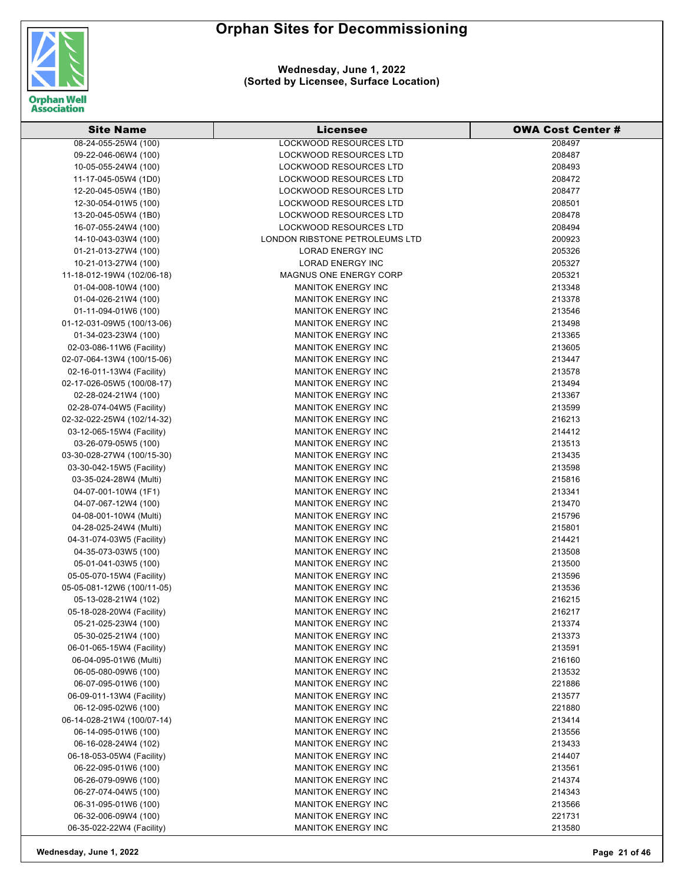

| <b>Site Name</b>           | Licensee                       | <b>OWA Cost Center #</b> |
|----------------------------|--------------------------------|--------------------------|
| 08-24-055-25W4 (100)       | <b>LOCKWOOD RESOURCES LTD</b>  | 208497                   |
| 09-22-046-06W4 (100)       | LOCKWOOD RESOURCES LTD         | 208487                   |
| 10-05-055-24W4 (100)       | LOCKWOOD RESOURCES LTD         | 208493                   |
| 11-17-045-05W4 (1D0)       | <b>LOCKWOOD RESOURCES LTD</b>  | 208472                   |
| 12-20-045-05W4 (1B0)       | <b>LOCKWOOD RESOURCES LTD</b>  | 208477                   |
| 12-30-054-01W5 (100)       | <b>LOCKWOOD RESOURCES LTD</b>  | 208501                   |
| 13-20-045-05W4 (1B0)       | LOCKWOOD RESOURCES LTD         | 208478                   |
| 16-07-055-24W4 (100)       | <b>LOCKWOOD RESOURCES LTD</b>  | 208494                   |
| 14-10-043-03W4 (100)       | LONDON RIBSTONE PETROLEUMS LTD | 200923                   |
| 01-21-013-27W4 (100)       | <b>LORAD ENERGY INC</b>        | 205326                   |
| 10-21-013-27W4 (100)       | <b>LORAD ENERGY INC</b>        | 205327                   |
| 11-18-012-19W4 (102/06-18) | <b>MAGNUS ONE ENERGY CORP</b>  | 205321                   |
| 01-04-008-10W4 (100)       | <b>MANITOK ENERGY INC</b>      | 213348                   |
| 01-04-026-21W4 (100)       | <b>MANITOK ENERGY INC</b>      | 213378                   |
| 01-11-094-01W6 (100)       | <b>MANITOK ENERGY INC</b>      | 213546                   |
| 01-12-031-09W5 (100/13-06) | <b>MANITOK ENERGY INC</b>      | 213498                   |
|                            | <b>MANITOK ENERGY INC</b>      |                          |
| 01-34-023-23W4 (100)       |                                | 213365                   |
| 02-03-086-11W6 (Facility)  | <b>MANITOK ENERGY INC</b>      | 213605                   |
| 02-07-064-13W4 (100/15-06) | <b>MANITOK ENERGY INC</b>      | 213447                   |
| 02-16-011-13W4 (Facility)  | <b>MANITOK ENERGY INC</b>      | 213578                   |
| 02-17-026-05W5 (100/08-17) | <b>MANITOK ENERGY INC</b>      | 213494                   |
| 02-28-024-21W4 (100)       | <b>MANITOK ENERGY INC</b>      | 213367                   |
| 02-28-074-04W5 (Facility)  | <b>MANITOK ENERGY INC</b>      | 213599                   |
| 02-32-022-25W4 (102/14-32) | <b>MANITOK ENERGY INC</b>      | 216213                   |
| 03-12-065-15W4 (Facility)  | <b>MANITOK ENERGY INC</b>      | 214412                   |
| 03-26-079-05W5 (100)       | <b>MANITOK ENERGY INC</b>      | 213513                   |
| 03-30-028-27W4 (100/15-30) | <b>MANITOK ENERGY INC</b>      | 213435                   |
| 03-30-042-15W5 (Facility)  | <b>MANITOK ENERGY INC</b>      | 213598                   |
| 03-35-024-28W4 (Multi)     | <b>MANITOK ENERGY INC</b>      | 215816                   |
| 04-07-001-10W4 (1F1)       | <b>MANITOK ENERGY INC</b>      | 213341                   |
| 04-07-067-12W4 (100)       | <b>MANITOK ENERGY INC</b>      | 213470                   |
| 04-08-001-10W4 (Multi)     | <b>MANITOK ENERGY INC</b>      | 215796                   |
| 04-28-025-24W4 (Multi)     | <b>MANITOK ENERGY INC</b>      | 215801                   |
| 04-31-074-03W5 (Facility)  | <b>MANITOK ENERGY INC</b>      | 214421                   |
| 04-35-073-03W5 (100)       | <b>MANITOK ENERGY INC</b>      | 213508                   |
| 05-01-041-03W5 (100)       | <b>MANITOK ENERGY INC</b>      | 213500                   |
| 05-05-070-15W4 (Facility)  | <b>MANITOK ENERGY INC</b>      | 213596                   |
| 05-05-081-12W6 (100/11-05) | <b>MANITOK ENERGY INC</b>      | 213536                   |
| 05-13-028-21W4 (102)       | <b>MANITOK ENERGY INC</b>      | 216215                   |
| 05-18-028-20W4 (Facility)  | <b>MANITOK ENERGY INC</b>      | 216217                   |
| 05-21-025-23W4 (100)       | <b>MANITOK ENERGY INC</b>      | 213374                   |
| 05-30-025-21W4 (100)       | <b>MANITOK ENERGY INC</b>      | 213373                   |
| 06-01-065-15W4 (Facility)  | <b>MANITOK ENERGY INC</b>      | 213591                   |
| 06-04-095-01W6 (Multi)     | <b>MANITOK ENERGY INC</b>      | 216160                   |
| 06-05-080-09W6 (100)       | <b>MANITOK ENERGY INC</b>      | 213532                   |
| 06-07-095-01W6 (100)       | <b>MANITOK ENERGY INC</b>      | 221886                   |
| 06-09-011-13W4 (Facility)  | <b>MANITOK ENERGY INC</b>      | 213577                   |
| 06-12-095-02W6 (100)       | <b>MANITOK ENERGY INC</b>      | 221880                   |
| 06-14-028-21W4 (100/07-14) | <b>MANITOK ENERGY INC</b>      | 213414                   |
| 06-14-095-01W6 (100)       | <b>MANITOK ENERGY INC</b>      | 213556                   |
| 06-16-028-24W4 (102)       | <b>MANITOK ENERGY INC</b>      | 213433                   |
| 06-18-053-05W4 (Facility)  | <b>MANITOK ENERGY INC</b>      | 214407                   |
| 06-22-095-01W6 (100)       | <b>MANITOK ENERGY INC</b>      | 213561                   |
| 06-26-079-09W6 (100)       | <b>MANITOK ENERGY INC</b>      | 214374                   |
| 06-27-074-04W5 (100)       | <b>MANITOK ENERGY INC</b>      | 214343                   |
| 06-31-095-01W6 (100)       | <b>MANITOK ENERGY INC</b>      | 213566                   |
| 06-32-006-09W4 (100)       | <b>MANITOK ENERGY INC</b>      | 221731                   |
| 06-35-022-22W4 (Facility)  | <b>MANITOK ENERGY INC</b>      | 213580                   |
|                            |                                |                          |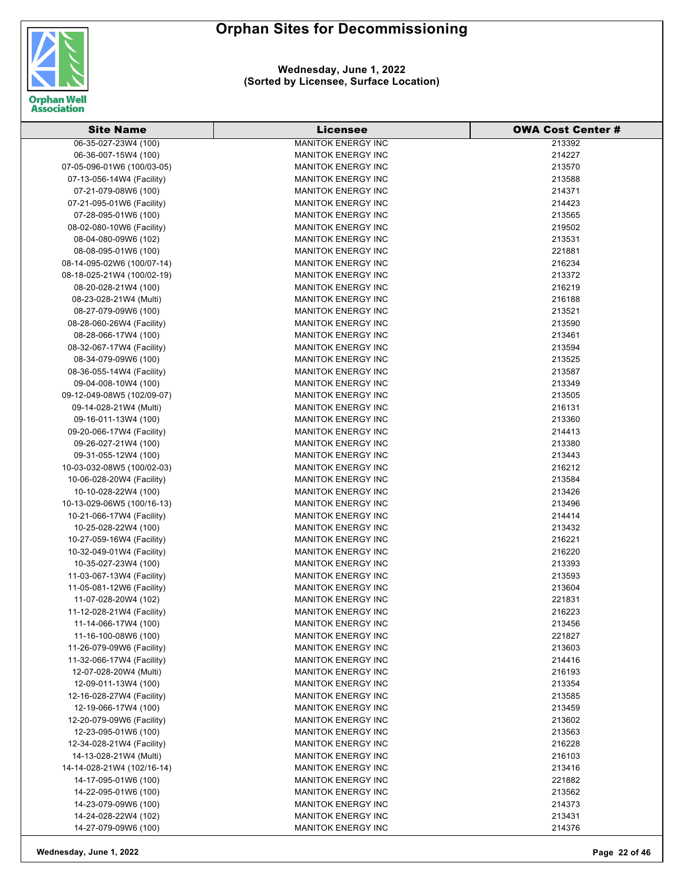

| <b>Site Name</b>                                  | Licensee                  | <b>OWA Cost Center #</b> |
|---------------------------------------------------|---------------------------|--------------------------|
| 06-35-027-23W4 (100)                              | <b>MANITOK ENERGY INC</b> | 213392                   |
| 06-36-007-15W4 (100)                              | <b>MANITOK ENERGY INC</b> | 214227                   |
| 07-05-096-01W6 (100/03-05)                        | <b>MANITOK ENERGY INC</b> | 213570                   |
| 07-13-056-14W4 (Facility)                         | <b>MANITOK ENERGY INC</b> | 213588                   |
| 07-21-079-08W6 (100)                              | <b>MANITOK ENERGY INC</b> | 214371                   |
| 07-21-095-01W6 (Facility)                         | <b>MANITOK ENERGY INC</b> | 214423                   |
| 07-28-095-01W6 (100)                              | <b>MANITOK ENERGY INC</b> | 213565                   |
| 08-02-080-10W6 (Facility)                         | <b>MANITOK ENERGY INC</b> | 219502                   |
| 08-04-080-09W6 (102)                              | <b>MANITOK ENERGY INC</b> | 213531                   |
| 08-08-095-01W6 (100)                              | <b>MANITOK ENERGY INC</b> | 221881                   |
| 08-14-095-02W6 (100/07-14)                        | <b>MANITOK ENERGY INC</b> | 216234                   |
| 08-18-025-21W4 (100/02-19)                        | <b>MANITOK ENERGY INC</b> | 213372                   |
| 08-20-028-21W4 (100)                              | <b>MANITOK ENERGY INC</b> | 216219                   |
| 08-23-028-21W4 (Multi)                            | <b>MANITOK ENERGY INC</b> | 216188                   |
| 08-27-079-09W6 (100)                              | <b>MANITOK ENERGY INC</b> | 213521                   |
| 08-28-060-26W4 (Facility)                         | <b>MANITOK ENERGY INC</b> | 213590                   |
| 08-28-066-17W4 (100)                              | <b>MANITOK ENERGY INC</b> | 213461                   |
|                                                   | <b>MANITOK ENERGY INC</b> | 213594                   |
| 08-32-067-17W4 (Facility)<br>08-34-079-09W6 (100) | <b>MANITOK ENERGY INC</b> |                          |
|                                                   | <b>MANITOK ENERGY INC</b> | 213525                   |
| 08-36-055-14W4 (Facility)                         |                           | 213587                   |
| 09-04-008-10W4 (100)                              | <b>MANITOK ENERGY INC</b> | 213349                   |
| 09-12-049-08W5 (102/09-07)                        | <b>MANITOK ENERGY INC</b> | 213505                   |
| 09-14-028-21W4 (Multi)                            | <b>MANITOK ENERGY INC</b> | 216131                   |
| 09-16-011-13W4 (100)                              | <b>MANITOK ENERGY INC</b> | 213360                   |
| 09-20-066-17W4 (Facility)                         | <b>MANITOK ENERGY INC</b> | 214413                   |
| 09-26-027-21W4 (100)                              | <b>MANITOK ENERGY INC</b> | 213380                   |
| 09-31-055-12W4 (100)                              | <b>MANITOK ENERGY INC</b> | 213443                   |
| 10-03-032-08W5 (100/02-03)                        | <b>MANITOK ENERGY INC</b> | 216212                   |
| 10-06-028-20W4 (Facility)                         | <b>MANITOK ENERGY INC</b> | 213584                   |
| 10-10-028-22W4 (100)                              | <b>MANITOK ENERGY INC</b> | 213426                   |
| 10-13-029-06W5 (100/16-13)                        | <b>MANITOK ENERGY INC</b> | 213496                   |
| 10-21-066-17W4 (Facility)                         | <b>MANITOK ENERGY INC</b> | 214414                   |
| 10-25-028-22W4 (100)                              | <b>MANITOK ENERGY INC</b> | 213432                   |
| 10-27-059-16W4 (Facility)                         | <b>MANITOK ENERGY INC</b> | 216221                   |
| 10-32-049-01W4 (Facility)                         | <b>MANITOK ENERGY INC</b> | 216220                   |
| 10-35-027-23W4 (100)                              | <b>MANITOK ENERGY INC</b> | 213393                   |
| 11-03-067-13W4 (Facility)                         | <b>MANITOK ENERGY INC</b> | 213593                   |
| 11-05-081-12W6 (Facility)                         | <b>MANITOK ENERGY INC</b> | 213604                   |
| 11-07-028-20W4 (102)                              | <b>MANITOK ENERGY INC</b> | 221831                   |
| 11-12-028-21W4 (Facility)                         | <b>MANITOK ENERGY INC</b> | 216223                   |
| 11-14-066-17W4 (100)                              | <b>MANITOK ENERGY INC</b> | 213456                   |
| 11-16-100-08W6 (100)                              | <b>MANITOK ENERGY INC</b> | 221827                   |
| 11-26-079-09W6 (Facility)                         | <b>MANITOK ENERGY INC</b> | 213603                   |
| 11-32-066-17W4 (Facility)                         | <b>MANITOK ENERGY INC</b> | 214416                   |
| 12-07-028-20W4 (Multi)                            | <b>MANITOK ENERGY INC</b> | 216193                   |
| 12-09-011-13W4 (100)                              | <b>MANITOK ENERGY INC</b> | 213354                   |
| 12-16-028-27W4 (Facility)                         | <b>MANITOK ENERGY INC</b> | 213585                   |
| 12-19-066-17W4 (100)                              | <b>MANITOK ENERGY INC</b> | 213459                   |
| 12-20-079-09W6 (Facility)                         | <b>MANITOK ENERGY INC</b> | 213602                   |
| 12-23-095-01W6 (100)                              | <b>MANITOK ENERGY INC</b> | 213563                   |
| 12-34-028-21W4 (Facility)                         | <b>MANITOK ENERGY INC</b> | 216228                   |
| 14-13-028-21W4 (Multi)                            | <b>MANITOK ENERGY INC</b> | 216103                   |
| 14-14-028-21W4 (102/16-14)                        | <b>MANITOK ENERGY INC</b> | 213416                   |
| 14-17-095-01W6 (100)                              | <b>MANITOK ENERGY INC</b> | 221882                   |
| 14-22-095-01W6 (100)                              | <b>MANITOK ENERGY INC</b> | 213562                   |
| 14-23-079-09W6 (100)                              | <b>MANITOK ENERGY INC</b> | 214373                   |
| 14-24-028-22W4 (102)                              | <b>MANITOK ENERGY INC</b> | 213431                   |
| 14-27-079-09W6 (100)                              | MANITOK ENERGY INC        | 214376                   |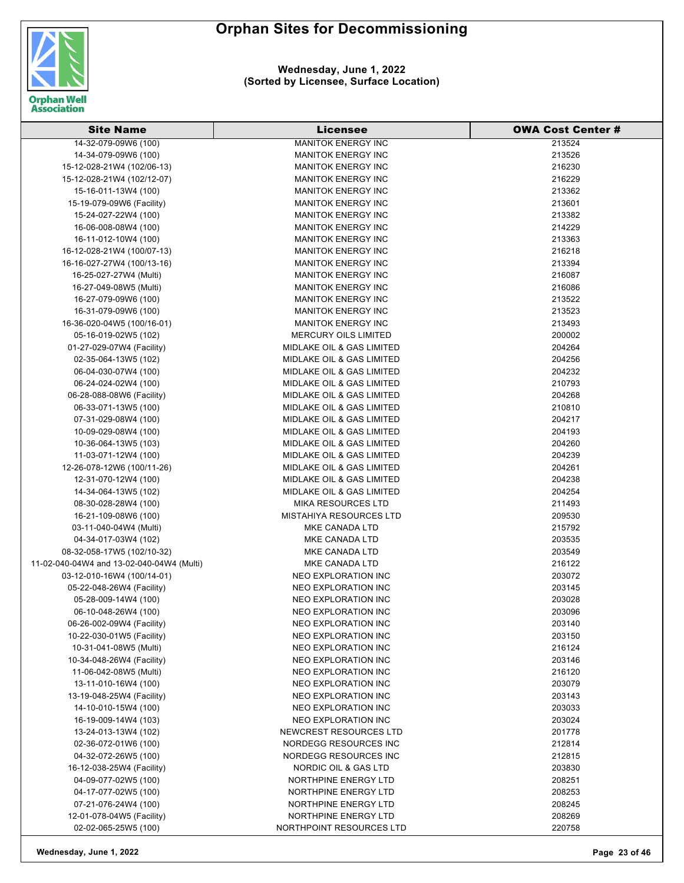

**Wednesday, June 1, 2022 (Sorted by Licensee, Surface Location)**

| <b>Site Name</b>                          | Licensee                             | OWA Cost Center # |
|-------------------------------------------|--------------------------------------|-------------------|
| 14-32-079-09W6 (100)                      | <b>MANITOK ENERGY INC</b>            | 213524            |
| 14-34-079-09W6 (100)                      | <b>MANITOK ENERGY INC</b>            | 213526            |
| 15-12-028-21W4 (102/06-13)                | <b>MANITOK ENERGY INC</b>            | 216230            |
| 15-12-028-21W4 (102/12-07)                | <b>MANITOK ENERGY INC</b>            | 216229            |
| 15-16-011-13W4 (100)                      | <b>MANITOK ENERGY INC</b>            | 213362            |
| 15-19-079-09W6 (Facility)                 | <b>MANITOK ENERGY INC</b>            | 213601            |
| 15-24-027-22W4 (100)                      | <b>MANITOK ENERGY INC</b>            | 213382            |
| 16-06-008-08W4 (100)                      | <b>MANITOK ENERGY INC</b>            | 214229            |
| 16-11-012-10W4 (100)                      | <b>MANITOK ENERGY INC</b>            | 213363            |
| 16-12-028-21W4 (100/07-13)                | <b>MANITOK ENERGY INC</b>            | 216218            |
| 16-16-027-27W4 (100/13-16)                | <b>MANITOK ENERGY INC</b>            | 213394            |
| 16-25-027-27W4 (Multi)                    | <b>MANITOK ENERGY INC</b>            | 216087            |
| 16-27-049-08W5 (Multi)                    | <b>MANITOK ENERGY INC</b>            | 216086            |
| 16-27-079-09W6 (100)                      | <b>MANITOK ENERGY INC</b>            | 213522            |
| 16-31-079-09W6 (100)                      | <b>MANITOK ENERGY INC</b>            | 213523            |
| 16-36-020-04W5 (100/16-01)                | <b>MANITOK ENERGY INC</b>            | 213493            |
| 05-16-019-02W5 (102)                      | <b>MERCURY OILS LIMITED</b>          | 200002            |
| 01-27-029-07W4 (Facility)                 | <b>MIDLAKE OIL &amp; GAS LIMITED</b> | 204264            |
| 02-35-064-13W5 (102)                      | <b>MIDLAKE OIL &amp; GAS LIMITED</b> | 204256            |
| 06-04-030-07W4 (100)                      | <b>MIDLAKE OIL &amp; GAS LIMITED</b> | 204232            |
| 06-24-024-02W4 (100)                      | MIDLAKE OIL & GAS LIMITED            | 210793            |
| 06-28-088-08W6 (Facility)                 | <b>MIDLAKE OIL &amp; GAS LIMITED</b> | 204268            |
| 06-33-071-13W5 (100)                      | <b>MIDLAKE OIL &amp; GAS LIMITED</b> | 210810            |
| 07-31-029-08W4 (100)                      | MIDLAKE OIL & GAS LIMITED            | 204217            |
| 10-09-029-08W4 (100)                      | MIDLAKE OIL & GAS LIMITED            | 204193            |
| 10-36-064-13W5 (103)                      | <b>MIDLAKE OIL &amp; GAS LIMITED</b> | 204260            |
| 11-03-071-12W4 (100)                      | MIDLAKE OIL & GAS LIMITED            | 204239            |
| 12-26-078-12W6 (100/11-26)                | MIDLAKE OIL & GAS LIMITED            | 204261            |
| 12-31-070-12W4 (100)                      | MIDLAKE OIL & GAS LIMITED            | 204238            |
| 14-34-064-13W5 (102)                      | MIDLAKE OIL & GAS LIMITED            | 204254            |
| 08-30-028-28W4 (100)                      | <b>MIKA RESOURCES LTD</b>            | 211493            |
| 16-21-109-08W6 (100)                      | <b>MISTAHIYA RESOURCES LTD</b>       | 209530            |
| 03-11-040-04W4 (Multi)                    | MKE CANADA LTD                       | 215792            |
| 04-34-017-03W4 (102)                      | MKE CANADA LTD                       | 203535            |
| 08-32-058-17W5 (102/10-32)                | MKE CANADA LTD                       | 203549            |
| 11-02-040-04W4 and 13-02-040-04W4 (Multi) | MKE CANADA LTD                       | 216122            |
| 03-12-010-16W4 (100/14-01)                | <b>NEO EXPLORATION INC</b>           | 203072            |
| 05-22-048-26W4 (Facility)                 | <b>NEO EXPLORATION INC</b>           | 203145            |
| 05-28-009-14W4 (100)                      | NEO EXPLORATION INC                  | 203028            |
| 06-10-048-26W4 (100)                      | <b>NEO EXPLORATION INC</b>           | 203096            |
| 06-26-002-09W4 (Facility)                 | <b>NEO EXPLORATION INC</b>           | 203140            |
| 10-22-030-01W5 (Facility)                 | <b>NEO EXPLORATION INC</b>           | 203150            |
| 10-31-041-08W5 (Multi)                    | NEO EXPLORATION INC                  | 216124            |
| 10-34-048-26W4 (Facility)                 | <b>NEO EXPLORATION INC</b>           | 203146            |
| 11-06-042-08W5 (Multi)                    | <b>NEO EXPLORATION INC</b>           | 216120            |
| 13-11-010-16W4 (100)                      | NEO EXPLORATION INC                  | 203079            |
| 13-19-048-25W4 (Facility)                 | <b>NEO EXPLORATION INC</b>           | 203143            |
| 14-10-010-15W4 (100)                      | <b>NEO EXPLORATION INC</b>           | 203033            |
| 16-19-009-14W4 (103)                      | NEO EXPLORATION INC                  | 203024            |
| 13-24-013-13W4 (102)                      | <b>NEWCREST RESOURCES LTD</b>        | 201778            |
| 02-36-072-01W6 (100)                      | NORDEGG RESOURCES INC                | 212814            |
| 04-32-072-26W5 (100)                      | NORDEGG RESOURCES INC                | 212815            |
| 16-12-038-25W4 (Facility)                 | NORDIC OIL & GAS LTD                 | 203830            |
| 04-09-077-02W5 (100)                      | NORTHPINE ENERGY LTD                 | 208251            |
| 04-17-077-02W5 (100)                      | NORTHPINE ENERGY LTD                 | 208253            |
| 07-21-076-24W4 (100)                      | NORTHPINE ENERGY LTD                 | 208245            |
| 12-01-078-04W5 (Facility)                 | NORTHPINE ENERGY LTD                 | 208269            |
| 02-02-065-25W5 (100)                      | NORTHPOINT RESOURCES LTD             | 220758            |

**Wednesday, June 1, 2022 Page 23 of 46**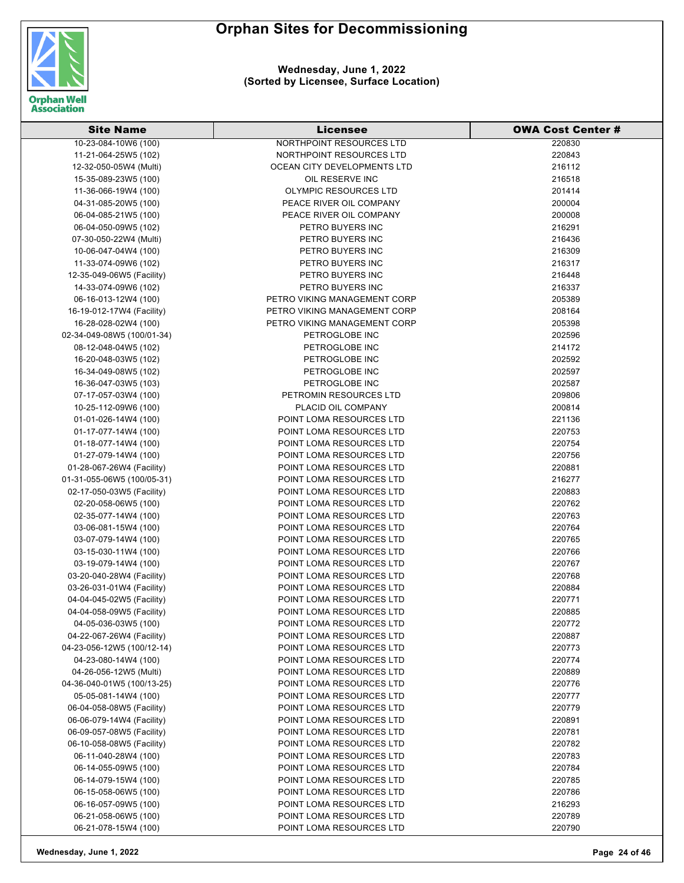

| <b>Site Name</b>           | <b>Licensee</b>              | <b>OWA Cost Center #</b> |
|----------------------------|------------------------------|--------------------------|
| 10-23-084-10W6 (100)       | NORTHPOINT RESOURCES LTD     | 220830                   |
| 11-21-064-25W5 (102)       | NORTHPOINT RESOURCES LTD     | 220843                   |
| 12-32-050-05W4 (Multi)     | OCEAN CITY DEVELOPMENTS LTD  | 216112                   |
| 15-35-089-23W5 (100)       | OIL RESERVE INC              | 216518                   |
| 11-36-066-19W4 (100)       | <b>OLYMPIC RESOURCES LTD</b> | 201414                   |
| 04-31-085-20W5 (100)       | PEACE RIVER OIL COMPANY      | 200004                   |
| 06-04-085-21W5 (100)       | PEACE RIVER OIL COMPANY      | 200008                   |
| 06-04-050-09W5 (102)       | PETRO BUYERS INC             | 216291                   |
| 07-30-050-22W4 (Multi)     | PETRO BUYERS INC             | 216436                   |
| 10-06-047-04W4 (100)       | PETRO BUYERS INC             | 216309                   |
| 11-33-074-09W6 (102)       | PETRO BUYERS INC             | 216317                   |
| 12-35-049-06W5 (Facility)  | PETRO BUYERS INC             | 216448                   |
| 14-33-074-09W6 (102)       | PETRO BUYERS INC             | 216337                   |
| 06-16-013-12W4 (100)       | PETRO VIKING MANAGEMENT CORP | 205389                   |
| 16-19-012-17W4 (Facility)  | PETRO VIKING MANAGEMENT CORP | 208164                   |
| 16-28-028-02W4 (100)       | PETRO VIKING MANAGEMENT CORP | 205398                   |
| 02-34-049-08W5 (100/01-34) | PETROGLOBE INC               | 202596                   |
| 08-12-048-04W5 (102)       | PETROGLOBE INC               | 214172                   |
| 16-20-048-03W5 (102)       | PETROGLOBE INC               | 202592                   |
| 16-34-049-08W5 (102)       | PETROGLOBE INC               | 202597                   |
| 16-36-047-03W5 (103)       | PETROGLOBE INC               | 202587                   |
| 07-17-057-03W4 (100)       | PETROMIN RESOURCES LTD       | 209806                   |
| 10-25-112-09W6 (100)       | PLACID OIL COMPANY           | 200814                   |
| 01-01-026-14W4 (100)       | POINT LOMA RESOURCES LTD     | 221136                   |
| 01-17-077-14W4 (100)       | POINT LOMA RESOURCES LTD     | 220753                   |
| 01-18-077-14W4 (100)       | POINT LOMA RESOURCES LTD     | 220754                   |
| 01-27-079-14W4 (100)       | POINT LOMA RESOURCES LTD     | 220756                   |
| 01-28-067-26W4 (Facility)  | POINT LOMA RESOURCES LTD     | 220881                   |
| 01-31-055-06W5 (100/05-31) | POINT LOMA RESOURCES LTD     | 216277                   |
| 02-17-050-03W5 (Facility)  | POINT LOMA RESOURCES LTD     | 220883                   |
| 02-20-058-06W5 (100)       | POINT LOMA RESOURCES LTD     | 220762                   |
| 02-35-077-14W4 (100)       | POINT LOMA RESOURCES LTD     | 220763                   |
| 03-06-081-15W4 (100)       | POINT LOMA RESOURCES LTD     | 220764                   |
| 03-07-079-14W4 (100)       | POINT LOMA RESOURCES LTD     | 220765                   |
| 03-15-030-11W4 (100)       | POINT LOMA RESOURCES LTD     | 220766                   |
| 03-19-079-14W4 (100)       | POINT LOMA RESOURCES LTD     | 220767                   |
| 03-20-040-28W4 (Facility)  | POINT LOMA RESOURCES LTD     | 220768                   |
| 03-26-031-01W4 (Facility)  | POINT LOMA RESOURCES LTD     | 220884                   |
| 04-04-045-02W5 (Facility)  | POINT LOMA RESOURCES LTD     | 220771                   |
| 04-04-058-09W5 (Facility)  | POINT LOMA RESOURCES LTD     | 220885                   |
| 04-05-036-03W5 (100)       | POINT LOMA RESOURCES LTD     | 220772                   |
| 04-22-067-26W4 (Facility)  | POINT LOMA RESOURCES LTD     | 220887                   |
| 04-23-056-12W5 (100/12-14) | POINT LOMA RESOURCES LTD     | 220773                   |
| 04-23-080-14W4 (100)       | POINT LOMA RESOURCES LTD     | 220774                   |
| 04-26-056-12W5 (Multi)     | POINT LOMA RESOURCES LTD     | 220889                   |
| 04-36-040-01W5 (100/13-25) | POINT LOMA RESOURCES LTD     | 220776                   |
| 05-05-081-14W4 (100)       | POINT LOMA RESOURCES LTD     | 220777                   |
| 06-04-058-08W5 (Facility)  | POINT LOMA RESOURCES LTD     | 220779                   |
| 06-06-079-14W4 (Facility)  | POINT LOMA RESOURCES LTD     | 220891                   |
| 06-09-057-08W5 (Facility)  | POINT LOMA RESOURCES LTD     | 220781                   |
| 06-10-058-08W5 (Facility)  | POINT LOMA RESOURCES LTD     | 220782                   |
| 06-11-040-28W4 (100)       | POINT LOMA RESOURCES LTD     | 220783                   |
| 06-14-055-09W5 (100)       | POINT LOMA RESOURCES LTD     | 220784                   |
| 06-14-079-15W4 (100)       | POINT LOMA RESOURCES LTD     | 220785                   |
| 06-15-058-06W5 (100)       | POINT LOMA RESOURCES LTD     | 220786                   |
| 06-16-057-09W5 (100)       | POINT LOMA RESOURCES LTD     | 216293                   |
| 06-21-058-06W5 (100)       | POINT LOMA RESOURCES LTD     | 220789                   |
| 06-21-078-15W4 (100)       | POINT LOMA RESOURCES LTD     | 220790                   |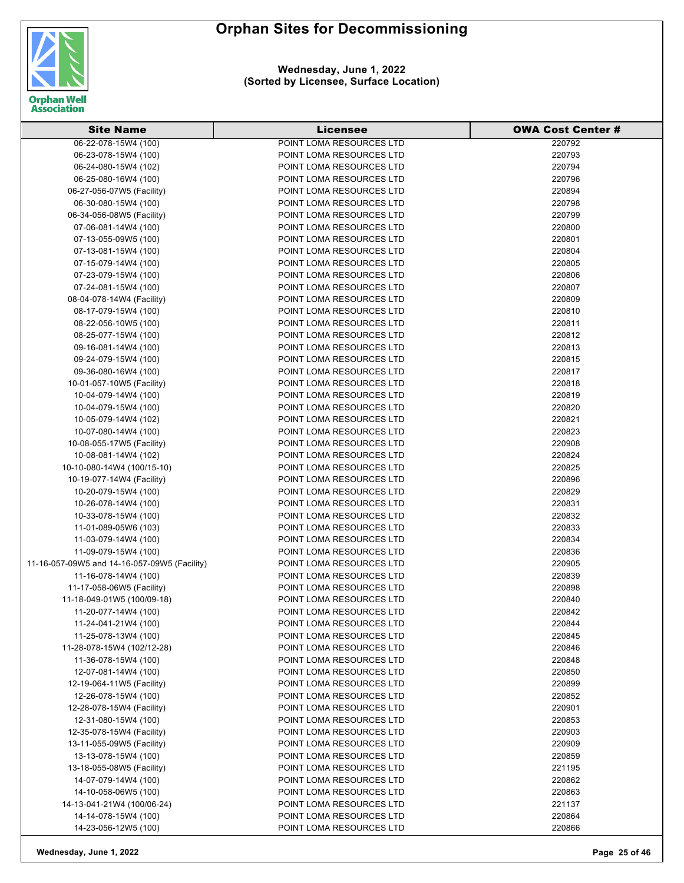

**Wednesday, June 1, 2022 (Sorted by Licensee, Surface Location)**

| <b>Site Name</b>                             | Licensee                 | <b>OWA Cost Center #</b> |
|----------------------------------------------|--------------------------|--------------------------|
| 06-22-078-15W4 (100)                         | POINT LOMA RESOURCES LTD | 220792                   |
| 06-23-078-15W4 (100)                         | POINT LOMA RESOURCES LTD | 220793                   |
| 06-24-080-15W4 (102)                         | POINT LOMA RESOURCES LTD | 220794                   |
| 06-25-080-16W4 (100)                         | POINT LOMA RESOURCES LTD | 220796                   |
| 06-27-056-07W5 (Facility)                    | POINT LOMA RESOURCES LTD | 220894                   |
| 06-30-080-15W4 (100)                         | POINT LOMA RESOURCES LTD | 220798                   |
| 06-34-056-08W5 (Facility)                    | POINT LOMA RESOURCES LTD | 220799                   |
| 07-06-081-14W4 (100)                         | POINT LOMA RESOURCES LTD | 220800                   |
| 07-13-055-09W5 (100)                         | POINT LOMA RESOURCES LTD | 220801                   |
| 07-13-081-15W4 (100)                         | POINT LOMA RESOURCES LTD | 220804                   |
| 07-15-079-14W4 (100)                         | POINT LOMA RESOURCES LTD | 220805                   |
| 07-23-079-15W4 (100)                         | POINT LOMA RESOURCES LTD | 220806                   |
| 07-24-081-15W4 (100)                         | POINT LOMA RESOURCES LTD | 220807                   |
| 08-04-078-14W4 (Facility)                    | POINT LOMA RESOURCES LTD | 220809                   |
| 08-17-079-15W4 (100)                         | POINT LOMA RESOURCES LTD | 220810                   |
| 08-22-056-10W5 (100)                         | POINT LOMA RESOURCES LTD | 220811                   |
| 08-25-077-15W4 (100)                         | POINT LOMA RESOURCES LTD | 220812                   |
| 09-16-081-14W4 (100)                         | POINT LOMA RESOURCES LTD | 220813                   |
| 09-24-079-15W4 (100)                         | POINT LOMA RESOURCES LTD | 220815                   |
| 09-36-080-16W4 (100)                         | POINT LOMA RESOURCES LTD | 220817                   |
| 10-01-057-10W5 (Facility)                    | POINT LOMA RESOURCES LTD | 220818                   |
| 10-04-079-14W4 (100)                         | POINT LOMA RESOURCES LTD | 220819                   |
| 10-04-079-15W4 (100)                         | POINT LOMA RESOURCES LTD | 220820                   |
|                                              | POINT LOMA RESOURCES LTD | 220821                   |
| 10-05-079-14W4 (102)<br>10-07-080-14W4 (100) | POINT LOMA RESOURCES LTD |                          |
|                                              |                          | 220823                   |
| 10-08-055-17W5 (Facility)                    | POINT LOMA RESOURCES LTD | 220908                   |
| 10-08-081-14W4 (102)                         | POINT LOMA RESOURCES LTD | 220824                   |
| 10-10-080-14W4 (100/15-10)                   | POINT LOMA RESOURCES LTD | 220825                   |
| 10-19-077-14W4 (Facility)                    | POINT LOMA RESOURCES LTD | 220896                   |
| 10-20-079-15W4 (100)                         | POINT LOMA RESOURCES LTD | 220829                   |
| 10-26-078-14W4 (100)                         | POINT LOMA RESOURCES LTD | 220831                   |
| 10-33-078-15W4 (100)                         | POINT LOMA RESOURCES LTD | 220832                   |
| 11-01-089-05W6 (103)                         | POINT LOMA RESOURCES LTD | 220833                   |
| 11-03-079-14W4 (100)                         | POINT LOMA RESOURCES LTD | 220834                   |
| 11-09-079-15W4 (100)                         | POINT LOMA RESOURCES LTD | 220836                   |
| 11-16-057-09W5 and 14-16-057-09W5 (Facility) | POINT LOMA RESOURCES LTD | 220905                   |
| 11-16-078-14W4 (100)                         | POINT LOMA RESOURCES LTD | 220839                   |
| 11-17-058-06W5 (Facility)                    | POINT LOMA RESOURCES LTD | 220898                   |
| 11-18-049-01W5 (100/09-18)                   | POINT LOMA RESOURCES LTD | 220840                   |
| 11-20-077-14W4 (100)                         | POINT LOMA RESOURCES LTD | 220842                   |
| 11-24-041-21W4 (100)                         | POINT LOMA RESOURCES LTD | 220844                   |
| 11-25-078-13W4 (100)                         | POINT LOMA RESOURCES LTD | 220845                   |
| 11-28-078-15W4 (102/12-28)                   | POINT LOMA RESOURCES LTD | 220846                   |
| 11-36-078-15W4 (100)                         | POINT LOMA RESOURCES LTD | 220848                   |
| 12-07-081-14W4 (100)                         | POINT LOMA RESOURCES LTD | 220850                   |
| 12-19-064-11W5 (Facility)                    | POINT LOMA RESOURCES LTD | 220899                   |
| 12-26-078-15W4 (100)                         | POINT LOMA RESOURCES LTD | 220852                   |
| 12-28-078-15W4 (Facility)                    | POINT LOMA RESOURCES LTD | 220901                   |
| 12-31-080-15W4 (100)                         | POINT LOMA RESOURCES LTD | 220853                   |
| 12-35-078-15W4 (Facility)                    | POINT LOMA RESOURCES LTD | 220903                   |
| 13-11-055-09W5 (Facility)                    | POINT LOMA RESOURCES LTD | 220909                   |
| 13-13-078-15W4 (100)                         | POINT LOMA RESOURCES LTD | 220859                   |
| 13-18-055-08W5 (Facility)                    | POINT LOMA RESOURCES LTD | 221195                   |
| 14-07-079-14W4 (100)                         | POINT LOMA RESOURCES LTD | 220862                   |
| 14-10-058-06W5 (100)                         | POINT LOMA RESOURCES LTD | 220863                   |
| 14-13-041-21W4 (100/06-24)                   | POINT LOMA RESOURCES LTD | 221137                   |
| 14-14-078-15W4 (100)                         | POINT LOMA RESOURCES LTD | 220864                   |
| 14-23-056-12W5 (100)                         | POINT LOMA RESOURCES LTD | 220866                   |

**Wednesday, June 1, 2022 Page 25 of 46**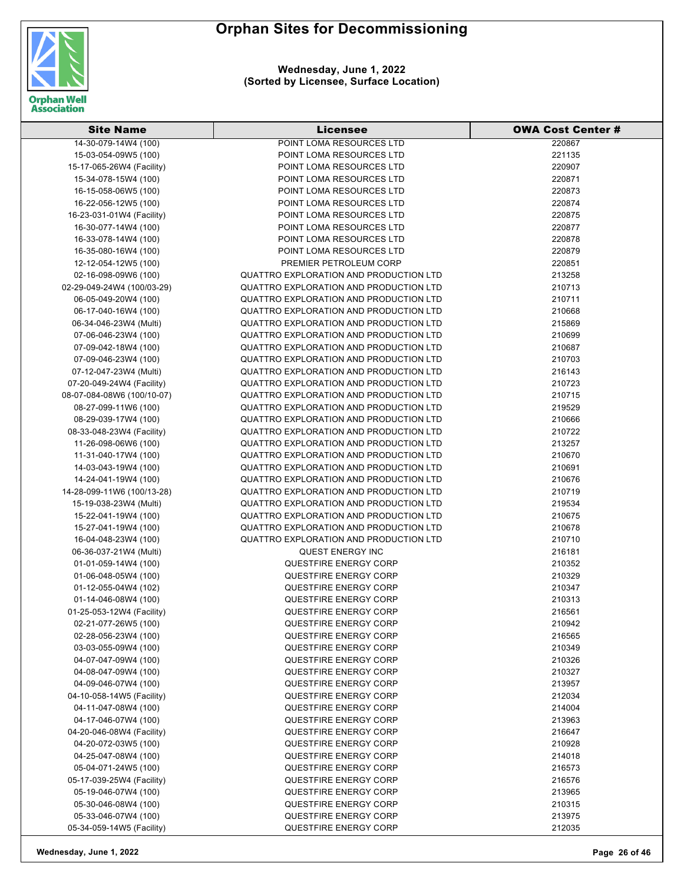



| <b>Site Name</b>           | <b>Licensee</b>                        | <b>OWA Cost Center #</b> |
|----------------------------|----------------------------------------|--------------------------|
| 14-30-079-14W4 (100)       | POINT LOMA RESOURCES LTD               | 220867                   |
| 15-03-054-09W5 (100)       | POINT LOMA RESOURCES LTD               | 221135                   |
| 15-17-065-26W4 (Facility)  | POINT LOMA RESOURCES LTD               | 220907                   |
| 15-34-078-15W4 (100)       | POINT LOMA RESOURCES LTD               | 220871                   |
| 16-15-058-06W5 (100)       | POINT LOMA RESOURCES LTD               | 220873                   |
| 16-22-056-12W5 (100)       | POINT LOMA RESOURCES LTD               | 220874                   |
| 16-23-031-01W4 (Facility)  | POINT LOMA RESOURCES LTD               | 220875                   |
| 16-30-077-14W4 (100)       | POINT LOMA RESOURCES LTD               | 220877                   |
| 16-33-078-14W4 (100)       | POINT LOMA RESOURCES LTD               | 220878                   |
| 16-35-080-16W4 (100)       | POINT LOMA RESOURCES LTD               | 220879                   |
| 12-12-054-12W5 (100)       | PREMIER PETROLEUM CORP                 | 220851                   |
| 02-16-098-09W6 (100)       | QUATTRO EXPLORATION AND PRODUCTION LTD | 213258                   |
| 02-29-049-24W4 (100/03-29) | QUATTRO EXPLORATION AND PRODUCTION LTD | 210713                   |
| 06-05-049-20W4 (100)       | QUATTRO EXPLORATION AND PRODUCTION LTD | 210711                   |
| 06-17-040-16W4 (100)       | QUATTRO EXPLORATION AND PRODUCTION LTD | 210668                   |
| 06-34-046-23W4 (Multi)     | QUATTRO EXPLORATION AND PRODUCTION LTD | 215869                   |
| 07-06-046-23W4 (100)       | QUATTRO EXPLORATION AND PRODUCTION LTD | 210699                   |
| 07-09-042-18W4 (100)       | QUATTRO EXPLORATION AND PRODUCTION LTD | 210687                   |
| 07-09-046-23W4 (100)       | QUATTRO EXPLORATION AND PRODUCTION LTD | 210703                   |
| 07-12-047-23W4 (Multi)     | QUATTRO EXPLORATION AND PRODUCTION LTD | 216143                   |
| 07-20-049-24W4 (Facility)  | QUATTRO EXPLORATION AND PRODUCTION LTD | 210723                   |
| 08-07-084-08W6 (100/10-07) | QUATTRO EXPLORATION AND PRODUCTION LTD | 210715                   |
| 08-27-099-11W6 (100)       | QUATTRO EXPLORATION AND PRODUCTION LTD | 219529                   |
| 08-29-039-17W4 (100)       | QUATTRO EXPLORATION AND PRODUCTION LTD | 210666                   |
| 08-33-048-23W4 (Facility)  | QUATTRO EXPLORATION AND PRODUCTION LTD | 210722                   |
| 11-26-098-06W6 (100)       | QUATTRO EXPLORATION AND PRODUCTION LTD | 213257                   |
| 11-31-040-17W4 (100)       | QUATTRO EXPLORATION AND PRODUCTION LTD | 210670                   |
| 14-03-043-19W4 (100)       | QUATTRO EXPLORATION AND PRODUCTION LTD | 210691                   |
| 14-24-041-19W4 (100)       | QUATTRO EXPLORATION AND PRODUCTION LTD | 210676                   |
| 14-28-099-11W6 (100/13-28) | QUATTRO EXPLORATION AND PRODUCTION LTD | 210719                   |
| 15-19-038-23W4 (Multi)     | QUATTRO EXPLORATION AND PRODUCTION LTD | 219534                   |
| 15-22-041-19W4 (100)       | QUATTRO EXPLORATION AND PRODUCTION LTD | 210675                   |
| 15-27-041-19W4 (100)       | QUATTRO EXPLORATION AND PRODUCTION LTD | 210678                   |
| 16-04-048-23W4 (100)       | QUATTRO EXPLORATION AND PRODUCTION LTD | 210710                   |
| 06-36-037-21W4 (Multi)     | QUEST ENERGY INC                       | 216181                   |
| 01-01-059-14W4 (100)       | <b>QUESTFIRE ENERGY CORP</b>           | 210352                   |
| 01-06-048-05W4 (100)       | QUESTFIRE ENERGY CORP                  | 210329                   |
| 01-12-055-04W4 (102)       | QUESTFIRE ENERGY CORP                  | 210347                   |
| 01-14-046-08W4 (100)       | QUESTFIRE ENERGY CORP                  | 210313                   |
| 01-25-053-12W4 (Facility)  | <b>QUESTFIRE ENERGY CORP</b>           | 216561                   |
| 02-21-077-26W5 (100)       | QUESTFIRE ENERGY CORP                  | 210942                   |
| 02-28-056-23W4 (100)       | <b>QUESTFIRE ENERGY CORP</b>           | 216565                   |
| 03-03-055-09W4 (100)       | <b>QUESTFIRE ENERGY CORP</b>           | 210349                   |
| 04-07-047-09W4 (100)       | QUESTFIRE ENERGY CORP                  | 210326                   |
| 04-08-047-09W4 (100)       | QUESTFIRE ENERGY CORP                  | 210327                   |
| 04-09-046-07W4 (100)       | QUESTFIRE ENERGY CORP                  | 213957                   |
| 04-10-058-14W5 (Facility)  | <b>QUESTFIRE ENERGY CORP</b>           | 212034                   |
| 04-11-047-08W4 (100)       | <b>QUESTFIRE ENERGY CORP</b>           | 214004                   |
| 04-17-046-07W4 (100)       | <b>QUESTFIRE ENERGY CORP</b>           | 213963                   |
| 04-20-046-08W4 (Facility)  | <b>QUESTFIRE ENERGY CORP</b>           | 216647                   |
| 04-20-072-03W5 (100)       | QUESTFIRE ENERGY CORP                  | 210928                   |
| 04-25-047-08W4 (100)       | QUESTFIRE ENERGY CORP                  | 214018                   |
| 05-04-071-24W5 (100)       | QUESTFIRE ENERGY CORP                  | 216573                   |
| 05-17-039-25W4 (Facility)  | QUESTFIRE ENERGY CORP                  | 216576                   |
| 05-19-046-07W4 (100)       | <b>QUESTFIRE ENERGY CORP</b>           | 213965                   |
| 05-30-046-08W4 (100)       | <b>QUESTFIRE ENERGY CORP</b>           | 210315                   |
| 05-33-046-07W4 (100)       | <b>QUESTFIRE ENERGY CORP</b>           | 213975                   |
| 05-34-059-14W5 (Facility)  | QUESTFIRE ENERGY CORP                  | 212035                   |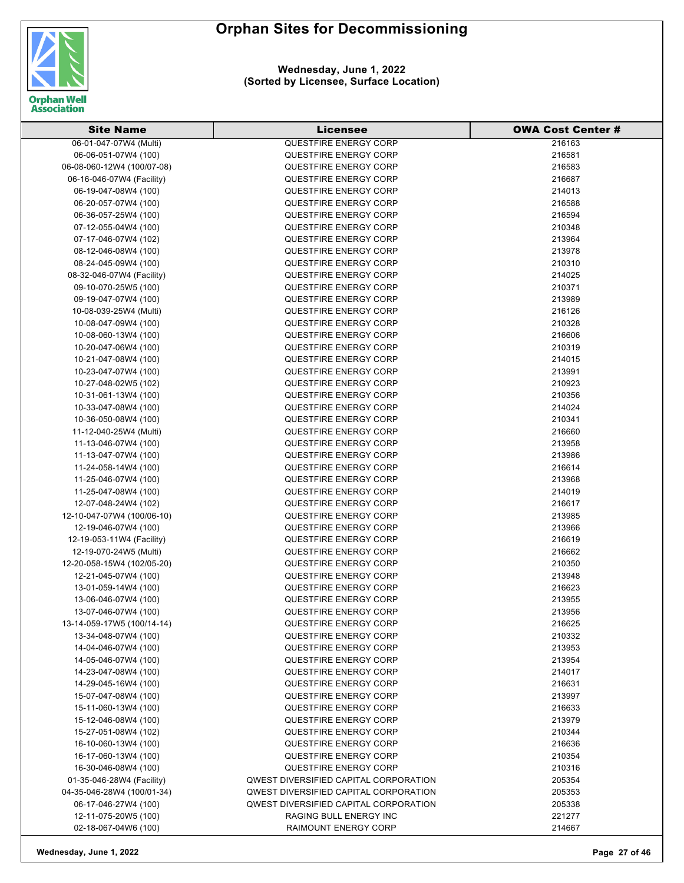

| <b>Site Name</b>                             | <b>Licensee</b>                                              | <b>OWA Cost Center #</b> |
|----------------------------------------------|--------------------------------------------------------------|--------------------------|
| 06-01-047-07W4 (Multi)                       | <b>QUESTFIRE ENERGY CORP</b>                                 | 216163                   |
| 06-06-051-07W4 (100)                         | <b>QUESTFIRE ENERGY CORP</b>                                 | 216581                   |
| 06-08-060-12W4 (100/07-08)                   | <b>QUESTFIRE ENERGY CORP</b>                                 | 216583                   |
| 06-16-046-07W4 (Facility)                    | <b>QUESTFIRE ENERGY CORP</b>                                 | 216687                   |
| 06-19-047-08W4 (100)                         | <b>QUESTFIRE ENERGY CORP</b>                                 | 214013                   |
| 06-20-057-07W4 (100)                         | <b>QUESTFIRE ENERGY CORP</b>                                 | 216588                   |
| 06-36-057-25W4 (100)                         | <b>QUESTFIRE ENERGY CORP</b>                                 | 216594                   |
| 07-12-055-04W4 (100)                         | <b>QUESTFIRE ENERGY CORP</b>                                 | 210348                   |
| 07-17-046-07W4 (102)                         | <b>QUESTFIRE ENERGY CORP</b>                                 | 213964                   |
| 08-12-046-08W4 (100)                         | <b>QUESTFIRE ENERGY CORP</b>                                 | 213978                   |
| 08-24-045-09W4 (100)                         | <b>QUESTFIRE ENERGY CORP</b>                                 | 210310                   |
| 08-32-046-07W4 (Facility)                    | <b>QUESTFIRE ENERGY CORP</b>                                 | 214025                   |
| 09-10-070-25W5 (100)                         | <b>QUESTFIRE ENERGY CORP</b>                                 | 210371                   |
| 09-19-047-07W4 (100)                         | <b>QUESTFIRE ENERGY CORP</b>                                 | 213989                   |
| 10-08-039-25W4 (Multi)                       | <b>QUESTFIRE ENERGY CORP</b>                                 | 216126                   |
| 10-08-047-09W4 (100)                         | <b>QUESTFIRE ENERGY CORP</b>                                 | 210328                   |
| 10-08-060-13W4 (100)                         | <b>QUESTFIRE ENERGY CORP</b>                                 | 216606                   |
| 10-20-047-06W4 (100)                         | <b>QUESTFIRE ENERGY CORP</b>                                 | 210319                   |
| 10-21-047-08W4 (100)                         | <b>QUESTFIRE ENERGY CORP</b>                                 | 214015                   |
| 10-23-047-07W4 (100)                         | <b>QUESTFIRE ENERGY CORP</b>                                 | 213991                   |
| 10-27-048-02W5 (102)                         | <b>QUESTFIRE ENERGY CORP</b>                                 | 210923                   |
| 10-31-061-13W4 (100)                         | <b>QUESTFIRE ENERGY CORP</b>                                 | 210356                   |
| 10-33-047-08W4 (100)                         | <b>QUESTFIRE ENERGY CORP</b>                                 | 214024                   |
| 10-36-050-08W4 (100)                         | <b>QUESTFIRE ENERGY CORP</b>                                 | 210341                   |
| 11-12-040-25W4 (Multi)                       | <b>QUESTFIRE ENERGY CORP</b>                                 | 216660                   |
| 11-13-046-07W4 (100)                         | <b>QUESTFIRE ENERGY CORP</b>                                 | 213958                   |
| 11-13-047-07W4 (100)                         | <b>QUESTFIRE ENERGY CORP</b>                                 | 213986                   |
|                                              | <b>QUESTFIRE ENERGY CORP</b>                                 | 216614                   |
| 11-24-058-14W4 (100)<br>11-25-046-07W4 (100) | <b>QUESTFIRE ENERGY CORP</b>                                 | 213968                   |
|                                              | <b>QUESTFIRE ENERGY CORP</b>                                 | 214019                   |
| 11-25-047-08W4 (100)<br>12-07-048-24W4 (102) | <b>QUESTFIRE ENERGY CORP</b>                                 | 216617                   |
|                                              | <b>QUESTFIRE ENERGY CORP</b>                                 | 213985                   |
| 12-10-047-07W4 (100/06-10)                   |                                                              |                          |
| 12-19-046-07W4 (100)                         | <b>QUESTFIRE ENERGY CORP</b><br><b>QUESTFIRE ENERGY CORP</b> | 213966                   |
| 12-19-053-11W4 (Facility)                    |                                                              | 216619                   |
| 12-19-070-24W5 (Multi)                       | <b>QUESTFIRE ENERGY CORP</b>                                 | 216662                   |
| 12-20-058-15W4 (102/05-20)                   | <b>QUESTFIRE ENERGY CORP</b>                                 | 210350                   |
| 12-21-045-07W4 (100)                         | <b>QUESTFIRE ENERGY CORP</b>                                 | 213948                   |
| 13-01-059-14W4 (100)                         | QUESTFIRE ENERGY CORP                                        | 216623                   |
| 13-06-046-07W4 (100)                         | QUESTFIRE ENERGY CORP                                        | 213955                   |
| 13-07-046-07W4 (100)                         | <b>QUESTFIRE ENERGY CORP</b>                                 | 213956                   |
| 13-14-059-17W5 (100/14-14)                   | QUESTFIRE ENERGY CORP                                        | 216625                   |
| 13-34-048-07W4 (100)                         | QUESTFIRE ENERGY CORP                                        | 210332                   |
| 14-04-046-07W4 (100)                         | <b>QUESTFIRE ENERGY CORP</b>                                 | 213953                   |
| 14-05-046-07W4 (100)                         | QUESTFIRE ENERGY CORP                                        | 213954                   |
| 14-23-047-08W4 (100)                         | <b>QUESTFIRE ENERGY CORP</b>                                 | 214017                   |
| 14-29-045-16W4 (100)                         | <b>QUESTFIRE ENERGY CORP</b>                                 | 216631                   |
| 15-07-047-08W4 (100)                         | <b>QUESTFIRE ENERGY CORP</b>                                 | 213997                   |
| 15-11-060-13W4 (100)                         | <b>QUESTFIRE ENERGY CORP</b>                                 | 216633                   |
| 15-12-046-08W4 (100)                         | <b>QUESTFIRE ENERGY CORP</b>                                 | 213979                   |
| 15-27-051-08W4 (102)                         | QUESTFIRE ENERGY CORP                                        | 210344                   |
| 16-10-060-13W4 (100)                         | QUESTFIRE ENERGY CORP                                        | 216636                   |
| 16-17-060-13W4 (100)                         | <b>QUESTFIRE ENERGY CORP</b>                                 | 210354                   |
| 16-30-046-08W4 (100)                         | <b>QUESTFIRE ENERGY CORP</b>                                 | 210316                   |
| 01-35-046-28W4 (Facility)                    | <b>QWEST DIVERSIFIED CAPITAL CORPORATION</b>                 | 205354                   |
| 04-35-046-28W4 (100/01-34)                   | <b>QWEST DIVERSIFIED CAPITAL CORPORATION</b>                 | 205353                   |
| 06-17-046-27W4 (100)                         | <b>QWEST DIVERSIFIED CAPITAL CORPORATION</b>                 | 205338                   |
| 12-11-075-20W5 (100)                         | RAGING BULL ENERGY INC                                       | 221277                   |
| 02-18-067-04W6 (100)                         | RAIMOUNT ENERGY CORP                                         | 214667                   |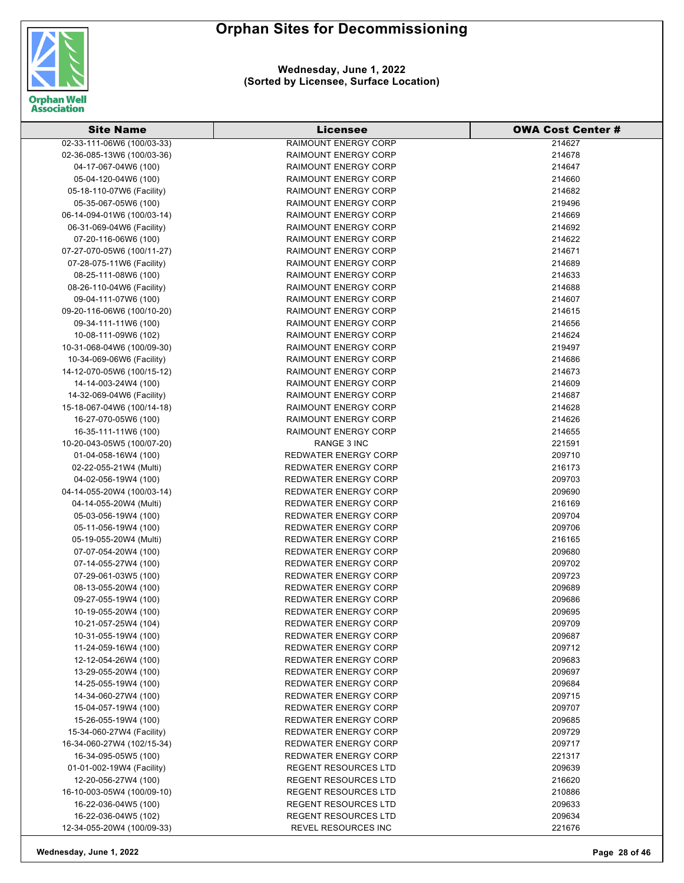

| <b>Site Name</b>                             | <b>Licensee</b>                                            | <b>OWA Cost Center#</b> |
|----------------------------------------------|------------------------------------------------------------|-------------------------|
| 02-33-111-06W6 (100/03-33)                   | <b>RAIMOUNT ENERGY CORP</b>                                | 214627                  |
| 02-36-085-13W6 (100/03-36)                   | <b>RAIMOUNT ENERGY CORP</b>                                | 214678                  |
| 04-17-067-04W6 (100)                         | <b>RAIMOUNT ENERGY CORP</b>                                | 214647                  |
| 05-04-120-04W6 (100)                         | <b>RAIMOUNT ENERGY CORP</b>                                | 214660                  |
| 05-18-110-07W6 (Facility)                    | <b>RAIMOUNT ENERGY CORP</b>                                | 214682                  |
| 05-35-067-05W6 (100)                         | <b>RAIMOUNT ENERGY CORP</b>                                | 219496                  |
| 06-14-094-01W6 (100/03-14)                   | <b>RAIMOUNT ENERGY CORP</b>                                | 214669                  |
| 06-31-069-04W6 (Facility)                    | <b>RAIMOUNT ENERGY CORP</b>                                | 214692                  |
| 07-20-116-06W6 (100)                         | <b>RAIMOUNT ENERGY CORP</b>                                | 214622                  |
| 07-27-070-05W6 (100/11-27)                   | <b>RAIMOUNT ENERGY CORP</b>                                | 214671                  |
| 07-28-075-11W6 (Facility)                    | <b>RAIMOUNT ENERGY CORP</b>                                | 214689                  |
| 08-25-111-08W6 (100)                         | <b>RAIMOUNT ENERGY CORP</b>                                | 214633                  |
| 08-26-110-04W6 (Facility)                    | <b>RAIMOUNT ENERGY CORP</b>                                | 214688                  |
| 09-04-111-07W6 (100)                         | <b>RAIMOUNT ENERGY CORP</b>                                | 214607                  |
| 09-20-116-06W6 (100/10-20)                   | <b>RAIMOUNT ENERGY CORP</b>                                | 214615                  |
| 09-34-111-11W6 (100)                         | <b>RAIMOUNT ENERGY CORP</b>                                | 214656                  |
| 10-08-111-09W6 (102)                         | <b>RAIMOUNT ENERGY CORP</b>                                | 214624                  |
| 10-31-068-04W6 (100/09-30)                   | <b>RAIMOUNT ENERGY CORP</b>                                | 219497                  |
| 10-34-069-06W6 (Facility)                    | <b>RAIMOUNT ENERGY CORP</b>                                | 214686                  |
| 14-12-070-05W6 (100/15-12)                   | <b>RAIMOUNT ENERGY CORP</b>                                | 214673                  |
| 14-14-003-24W4 (100)                         | <b>RAIMOUNT ENERGY CORP</b>                                | 214609                  |
| 14-32-069-04W6 (Facility)                    | <b>RAIMOUNT ENERGY CORP</b>                                | 214687                  |
|                                              |                                                            |                         |
| 15-18-067-04W6 (100/14-18)                   | <b>RAIMOUNT ENERGY CORP</b>                                | 214628                  |
| 16-27-070-05W6 (100)                         | <b>RAIMOUNT ENERGY CORP</b>                                | 214626                  |
| 16-35-111-11W6 (100)                         | <b>RAIMOUNT ENERGY CORP</b>                                | 214655                  |
| 10-20-043-05W5 (100/07-20)                   | RANGE 3 INC                                                | 221591                  |
| 01-04-058-16W4 (100)                         | <b>REDWATER ENERGY CORP</b>                                | 209710                  |
| 02-22-055-21W4 (Multi)                       | <b>REDWATER ENERGY CORP</b>                                | 216173                  |
| 04-02-056-19W4 (100)                         | <b>REDWATER ENERGY CORP</b>                                | 209703                  |
| 04-14-055-20W4 (100/03-14)                   | <b>REDWATER ENERGY CORP</b>                                | 209690<br>216169        |
| 04-14-055-20W4 (Multi)                       | <b>REDWATER ENERGY CORP</b><br><b>REDWATER ENERGY CORP</b> | 209704                  |
| 05-03-056-19W4 (100)<br>05-11-056-19W4 (100) | <b>REDWATER ENERGY CORP</b>                                | 209706                  |
| 05-19-055-20W4 (Multi)                       | <b>REDWATER ENERGY CORP</b>                                | 216165                  |
| 07-07-054-20W4 (100)                         | <b>REDWATER ENERGY CORP</b>                                | 209680                  |
| 07-14-055-27W4 (100)                         | <b>REDWATER ENERGY CORP</b>                                | 209702                  |
| 07-29-061-03W5 (100)                         | <b>REDWATER ENERGY CORP</b>                                | 209723                  |
| 08-13-055-20W4 (100)                         | <b>REDWATER ENERGY CORP</b>                                | 209689                  |
| 09-27-055-19W4 (100)                         | REDWATER ENERGY CORP                                       | 209686                  |
| 10-19-055-20W4 (100)                         | <b>REDWATER ENERGY CORP</b>                                | 209695                  |
| 10-21-057-25W4 (104)                         | <b>REDWATER ENERGY CORP</b>                                | 209709                  |
| 10-31-055-19W4 (100)                         | <b>REDWATER ENERGY CORP</b>                                | 209687                  |
| 11-24-059-16W4 (100)                         | <b>REDWATER ENERGY CORP</b>                                | 209712                  |
| 12-12-054-26W4 (100)                         | <b>REDWATER ENERGY CORP</b>                                | 209683                  |
| 13-29-055-20W4 (100)                         | <b>REDWATER ENERGY CORP</b>                                | 209697                  |
| 14-25-055-19W4 (100)                         | <b>REDWATER ENERGY CORP</b>                                | 209684                  |
| 14-34-060-27W4 (100)                         | <b>REDWATER ENERGY CORP</b>                                | 209715                  |
| 15-04-057-19W4 (100)                         | <b>REDWATER ENERGY CORP</b>                                | 209707                  |
| 15-26-055-19W4 (100)                         | <b>REDWATER ENERGY CORP</b>                                | 209685                  |
| 15-34-060-27W4 (Facility)                    | <b>REDWATER ENERGY CORP</b>                                |                         |
| 16-34-060-27W4 (102/15-34)                   | <b>REDWATER ENERGY CORP</b>                                | 209729<br>209717        |
| 16-34-095-05W5 (100)                         | REDWATER ENERGY CORP                                       | 221317                  |
| 01-01-002-19W4 (Facility)                    | <b>REGENT RESOURCES LTD</b>                                | 209639                  |
| 12-20-056-27W4 (100)                         | <b>REGENT RESOURCES LTD</b>                                | 216620                  |
| 16-10-003-05W4 (100/09-10)                   | <b>REGENT RESOURCES LTD</b>                                | 210886                  |
| 16-22-036-04W5 (100)                         | <b>REGENT RESOURCES LTD</b>                                | 209633                  |
| 16-22-036-04W5 (102)                         | <b>REGENT RESOURCES LTD</b>                                | 209634                  |
| 12-34-055-20W4 (100/09-33)                   | REVEL RESOURCES INC                                        | 221676                  |
|                                              |                                                            |                         |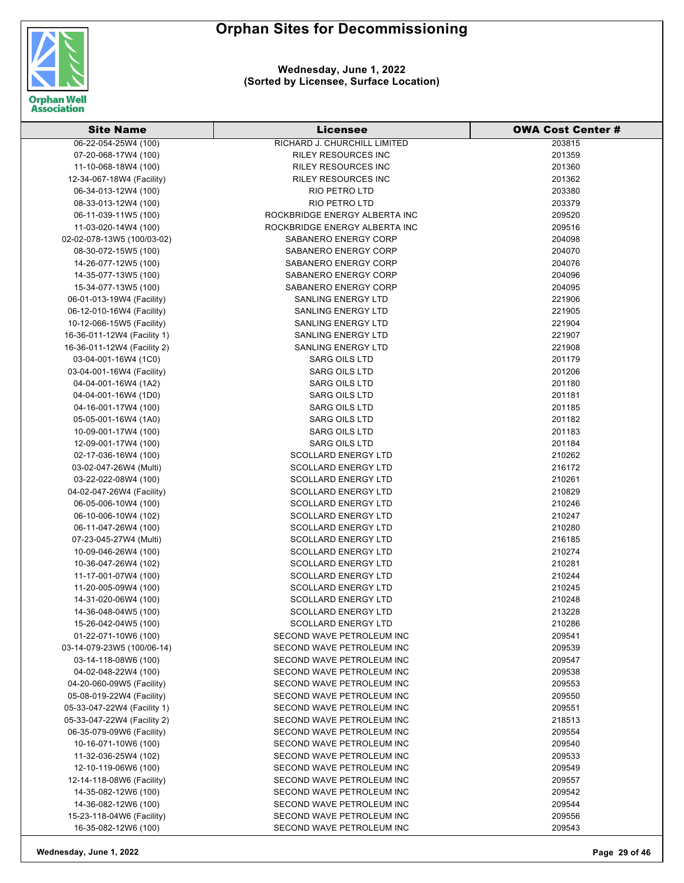

| <b>Site Name</b>            | <b>Licensee</b>               | <b>OWA Cost Center #</b> |
|-----------------------------|-------------------------------|--------------------------|
| 06-22-054-25W4 (100)        | RICHARD J. CHURCHILL LIMITED  | 203815                   |
| 07-20-068-17W4 (100)        | <b>RILEY RESOURCES INC</b>    | 201359                   |
| 11-10-068-18W4 (100)        | <b>RILEY RESOURCES INC</b>    | 201360                   |
| 12-34-067-18W4 (Facility)   | <b>RILEY RESOURCES INC</b>    | 201362                   |
| 06-34-013-12W4 (100)        | RIO PETRO LTD                 | 203380                   |
| 08-33-013-12W4 (100)        | RIO PETRO LTD                 | 203379                   |
| 06-11-039-11W5 (100)        | ROCKBRIDGE ENERGY ALBERTA INC | 209520                   |
| 11-03-020-14W4 (100)        | ROCKBRIDGE ENERGY ALBERTA INC | 209516                   |
| 02-02-078-13W5 (100/03-02)  | SABANERO ENERGY CORP          | 204098                   |
| 08-30-072-15W5 (100)        | SABANERO ENERGY CORP          | 204070                   |
| 14-26-077-12W5 (100)        | SABANERO ENERGY CORP          | 204076                   |
| 14-35-077-13W5 (100)        | <b>SABANERO ENERGY CORP</b>   | 204096                   |
| 15-34-077-13W5 (100)        | SABANERO ENERGY CORP          | 204095                   |
| 06-01-013-19W4 (Facility)   | <b>SANLING ENERGY LTD</b>     | 221906                   |
| 06-12-010-16W4 (Facility)   | <b>SANLING ENERGY LTD</b>     | 221905                   |
| 10-12-066-15W5 (Facility)   | SANLING ENERGY LTD            | 221904                   |
| 16-36-011-12W4 (Facility 1) | <b>SANLING ENERGY LTD</b>     | 221907                   |
| 16-36-011-12W4 (Facility 2) | <b>SANLING ENERGY LTD</b>     | 221908                   |
| 03-04-001-16W4 (1C0)        | <b>SARG OILS LTD</b>          | 201179                   |
| 03-04-001-16W4 (Facility)   | <b>SARG OILS LTD</b>          | 201206                   |
| 04-04-001-16W4 (1A2)        | <b>SARG OILS LTD</b>          | 201180                   |
| 04-04-001-16W4 (1D0)        | <b>SARG OILS LTD</b>          | 201181                   |
| 04-16-001-17W4 (100)        | <b>SARG OILS LTD</b>          | 201185                   |
| 05-05-001-16W4 (1A0)        | <b>SARG OILS LTD</b>          | 201182                   |
| 10-09-001-17W4 (100)        | <b>SARG OILS LTD</b>          | 201183                   |
| 12-09-001-17W4 (100)        | <b>SARG OILS LTD</b>          | 201184                   |
| 02-17-036-16W4 (100)        | <b>SCOLLARD ENERGY LTD</b>    | 210262                   |
| 03-02-047-26W4 (Multi)      | <b>SCOLLARD ENERGY LTD</b>    | 216172                   |
| 03-22-022-08W4 (100)        | <b>SCOLLARD ENERGY LTD</b>    | 210261                   |
| 04-02-047-26W4 (Facility)   | <b>SCOLLARD ENERGY LTD</b>    | 210829                   |
| 06-05-006-10W4 (100)        | <b>SCOLLARD ENERGY LTD</b>    | 210246                   |
| 06-10-006-10W4 (102)        | <b>SCOLLARD ENERGY LTD</b>    | 210247                   |
| 06-11-047-26W4 (100)        | <b>SCOLLARD ENERGY LTD</b>    | 210280                   |
| 07-23-045-27W4 (Multi)      | <b>SCOLLARD ENERGY LTD</b>    | 216185                   |
| 10-09-046-26W4 (100)        | <b>SCOLLARD ENERGY LTD</b>    | 210274                   |
| 10-36-047-26W4 (102)        | <b>SCOLLARD ENERGY LTD</b>    | 210281                   |
| 11-17-001-07W4 (100)        | <b>SCOLLARD ENERGY LTD</b>    | 210244                   |
| 11-20-005-09W4 (100)        | <b>SCOLLARD ENERGY LTD</b>    | 210245                   |
| 14-31-020-06W4 (100)        | <b>SCOLLARD ENERGY LTD</b>    | 210248                   |
| 14-36-048-04W5 (100)        | <b>SCOLLARD ENERGY LTD</b>    | 213228                   |
| 15-26-042-04W5 (100)        | <b>SCOLLARD ENERGY LTD</b>    | 210286                   |
| 01-22-071-10W6 (100)        | SECOND WAVE PETROLEUM INC     | 209541                   |
| 03-14-079-23W5 (100/06-14)  | SECOND WAVE PETROLEUM INC     | 209539                   |
| 03-14-118-08W6 (100)        | SECOND WAVE PETROLEUM INC     | 209547                   |
| 04-02-048-22W4 (100)        | SECOND WAVE PETROLEUM INC     | 209538                   |
| 04-20-060-09W5 (Facility)   | SECOND WAVE PETROLEUM INC     | 209553                   |
| 05-08-019-22W4 (Facility)   | SECOND WAVE PETROLEUM INC     | 209550                   |
| 05-33-047-22W4 (Facility 1) | SECOND WAVE PETROLEUM INC     | 209551                   |
| 05-33-047-22W4 (Facility 2) | SECOND WAVE PETROLEUM INC     | 218513                   |
| 06-35-079-09W6 (Facility)   | SECOND WAVE PETROLEUM INC     | 209554                   |
| 10-16-071-10W6 (100)        | SECOND WAVE PETROLEUM INC     | 209540                   |
| 11-32-036-25W4 (102)        | SECOND WAVE PETROLEUM INC     | 209533                   |
| 12-10-119-06W6 (100)        | SECOND WAVE PETROLEUM INC     | 209549                   |
| 12-14-118-08W6 (Facility)   | SECOND WAVE PETROLEUM INC     | 209557                   |
| 14-35-082-12W6 (100)        | SECOND WAVE PETROLEUM INC     | 209542                   |
| 14-36-082-12W6 (100)        | SECOND WAVE PETROLEUM INC     | 209544                   |
| 15-23-118-04W6 (Facility)   | SECOND WAVE PETROLEUM INC     | 209556                   |
| 16-35-082-12W6 (100)        | SECOND WAVE PETROLEUM INC     | 209543                   |
|                             |                               |                          |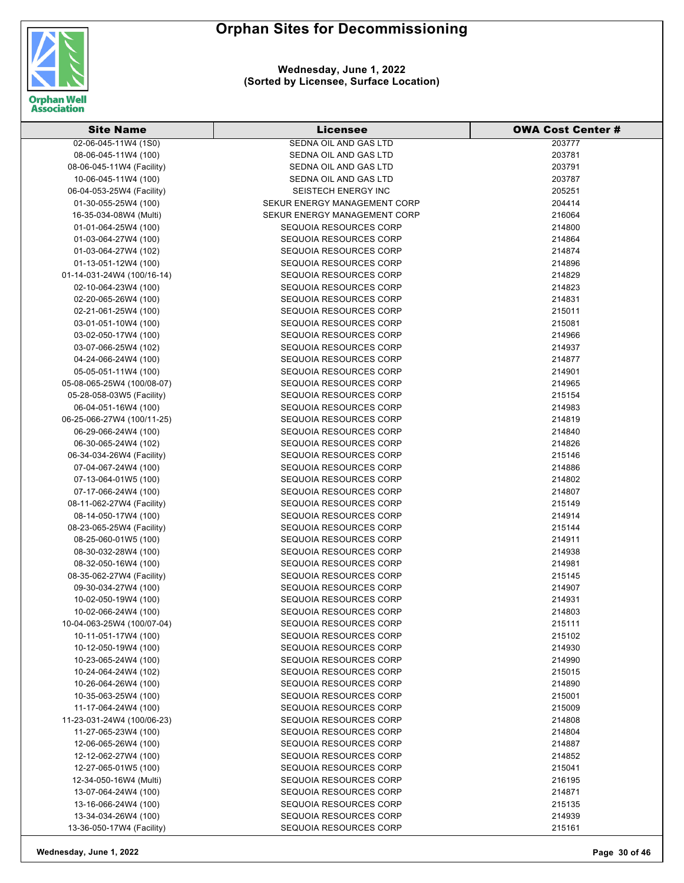

#### **Wednesday, June 1, 2022 (Sorted by Licensee, Surface Location)**

| <b>Site Name</b>           | Licensee                      | <b>OWA Cost Center #</b> |
|----------------------------|-------------------------------|--------------------------|
| 02-06-045-11W4 (1S0)       | SEDNA OIL AND GAS LTD         | 203777                   |
| 08-06-045-11W4 (100)       | SEDNA OIL AND GAS LTD         | 203781                   |
| 08-06-045-11W4 (Facility)  | SEDNA OIL AND GAS LTD         | 203791                   |
| 10-06-045-11W4 (100)       | SEDNA OIL AND GAS LTD         | 203787                   |
| 06-04-053-25W4 (Facility)  | <b>SEISTECH ENERGY INC</b>    | 205251                   |
| 01-30-055-25W4 (100)       | SEKUR ENERGY MANAGEMENT CORP  | 204414                   |
| 16-35-034-08W4 (Multi)     | SEKUR ENERGY MANAGEMENT CORP  | 216064                   |
| 01-01-064-25W4 (100)       | SEQUOIA RESOURCES CORP        | 214800                   |
| 01-03-064-27W4 (100)       | SEQUOIA RESOURCES CORP        | 214864                   |
| 01-03-064-27W4 (102)       | SEQUOIA RESOURCES CORP        | 214874                   |
| 01-13-051-12W4 (100)       | SEQUOIA RESOURCES CORP        | 214896                   |
| 01-14-031-24W4 (100/16-14) | SEQUOIA RESOURCES CORP        | 214829                   |
| 02-10-064-23W4 (100)       | SEQUOIA RESOURCES CORP        | 214823                   |
| 02-20-065-26W4 (100)       | SEQUOIA RESOURCES CORP        | 214831                   |
| 02-21-061-25W4 (100)       | SEQUOIA RESOURCES CORP        | 215011                   |
| 03-01-051-10W4 (100)       | SEQUOIA RESOURCES CORP        | 215081                   |
| 03-02-050-17W4 (100)       | SEQUOIA RESOURCES CORP        | 214966                   |
| 03-07-066-25W4 (102)       | SEQUOIA RESOURCES CORP        | 214937                   |
| 04-24-066-24W4 (100)       | SEQUOIA RESOURCES CORP        | 214877                   |
| 05-05-051-11W4 (100)       | SEQUOIA RESOURCES CORP        | 214901                   |
| 05-08-065-25W4 (100/08-07) | SEQUOIA RESOURCES CORP        | 214965                   |
| 05-28-058-03W5 (Facility)  | SEQUOIA RESOURCES CORP        | 215154                   |
| 06-04-051-16W4 (100)       | SEQUOIA RESOURCES CORP        | 214983                   |
| 06-25-066-27W4 (100/11-25) | SEQUOIA RESOURCES CORP        | 214819                   |
| 06-29-066-24W4 (100)       | SEQUOIA RESOURCES CORP        | 214840                   |
| 06-30-065-24W4 (102)       | SEQUOIA RESOURCES CORP        | 214826                   |
| 06-34-034-26W4 (Facility)  | <b>SEQUOIA RESOURCES CORP</b> | 215146                   |
| 07-04-067-24W4 (100)       | <b>SEQUOIA RESOURCES CORP</b> | 214886                   |
| 07-13-064-01W5 (100)       | SEQUOIA RESOURCES CORP        | 214802                   |
| 07-17-066-24W4 (100)       | SEQUOIA RESOURCES CORP        | 214807                   |
| 08-11-062-27W4 (Facility)  | SEQUOIA RESOURCES CORP        | 215149                   |
| 08-14-050-17W4 (100)       | SEQUOIA RESOURCES CORP        | 214914                   |
| 08-23-065-25W4 (Facility)  | SEQUOIA RESOURCES CORP        | 215144                   |
| 08-25-060-01W5 (100)       | SEQUOIA RESOURCES CORP        | 214911                   |
| 08-30-032-28W4 (100)       | SEQUOIA RESOURCES CORP        | 214938                   |
| 08-32-050-16W4 (100)       | SEQUOIA RESOURCES CORP        | 214981                   |
| 08-35-062-27W4 (Facility)  | SEQUOIA RESOURCES CORP        | 215145                   |
| 09-30-034-27W4 (100)       | SEQUOIA RESOURCES CORP        | 214907                   |
| 10-02-050-19W4 (100)       | SEQUOIA RESOURCES CORP        | 214931                   |
| 10-02-066-24W4 (100)       | <b>SEQUOIA RESOURCES CORP</b> | 214803                   |
| 10-04-063-25W4 (100/07-04) | SEQUOIA RESOURCES CORP        | 215111                   |
| 10-11-051-17W4 (100)       | SEQUOIA RESOURCES CORP        | 215102                   |
| 10-12-050-19W4 (100)       | SEQUOIA RESOURCES CORP        | 214930                   |
| 10-23-065-24W4 (100)       | SEQUOIA RESOURCES CORP        | 214990                   |
| 10-24-064-24W4 (102)       | SEQUOIA RESOURCES CORP        | 215015                   |
| 10-26-064-26W4 (100)       | SEQUOIA RESOURCES CORP        | 214890                   |
| 10-35-063-25W4 (100)       | SEQUOIA RESOURCES CORP        | 215001                   |
| 11-17-064-24W4 (100)       | SEQUOIA RESOURCES CORP        | 215009                   |
| 11-23-031-24W4 (100/06-23) | SEQUOIA RESOURCES CORP        | 214808                   |
| 11-27-065-23W4 (100)       | SEQUOIA RESOURCES CORP        | 214804                   |
| 12-06-065-26W4 (100)       | SEQUOIA RESOURCES CORP        | 214887                   |
| 12-12-062-27W4 (100)       | SEQUOIA RESOURCES CORP        | 214852                   |
| 12-27-065-01W5 (100)       | SEQUOIA RESOURCES CORP        | 215041                   |
| 12-34-050-16W4 (Multi)     | SEQUOIA RESOURCES CORP        | 216195                   |
| 13-07-064-24W4 (100)       | SEQUOIA RESOURCES CORP        | 214871                   |
| 13-16-066-24W4 (100)       | SEQUOIA RESOURCES CORP        | 215135                   |
| 13-34-034-26W4 (100)       | SEQUOIA RESOURCES CORP        | 214939                   |
| 13-36-050-17W4 (Facility)  | SEQUOIA RESOURCES CORP        | 215161                   |

**Wednesday, June 1, 2022 Page 30 of 46**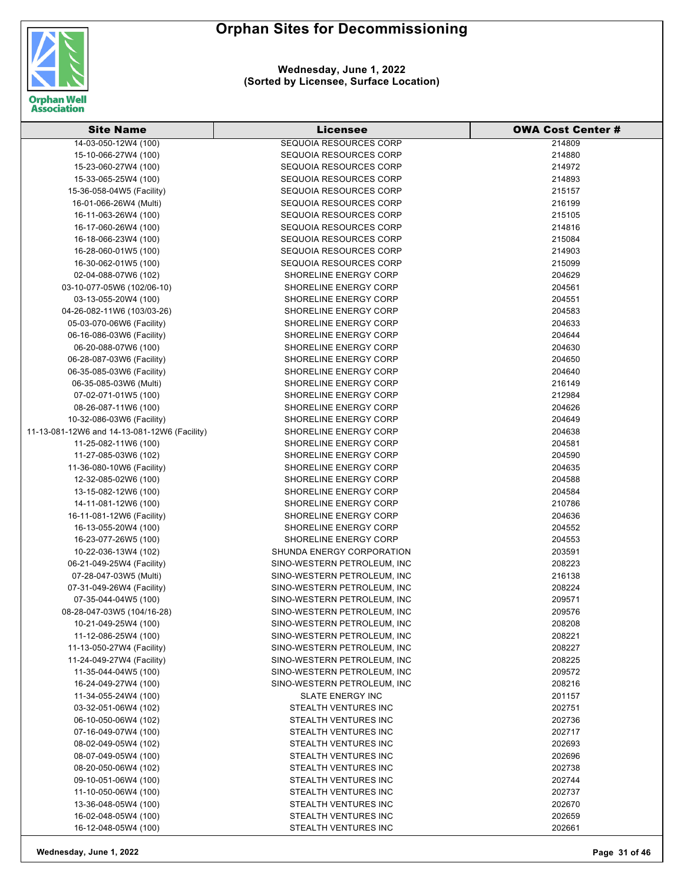

**Wednesday, June 1, 2022 (Sorted by Licensee, Surface Location)**

| <b>Site Name</b>                             | <b>Licensee</b>                                        | <b>OWA Cost Center #</b> |
|----------------------------------------------|--------------------------------------------------------|--------------------------|
| 14-03-050-12W4 (100)                         | <b>SEQUOIA RESOURCES CORP</b>                          | 214809                   |
| 15-10-066-27W4 (100)                         | <b>SEQUOIA RESOURCES CORP</b>                          | 214880                   |
| 15-23-060-27W4 (100)                         | SEQUOIA RESOURCES CORP                                 | 214972                   |
| 15-33-065-25W4 (100)                         | <b>SEQUOIA RESOURCES CORP</b>                          | 214893                   |
| 15-36-058-04W5 (Facility)                    | <b>SEQUOIA RESOURCES CORP</b>                          | 215157                   |
| 16-01-066-26W4 (Multi)                       | <b>SEQUOIA RESOURCES CORP</b>                          | 216199                   |
| 16-11-063-26W4 (100)                         | SEQUOIA RESOURCES CORP                                 | 215105                   |
| 16-17-060-26W4 (100)                         | <b>SEQUOIA RESOURCES CORP</b>                          | 214816                   |
| 16-18-066-23W4 (100)                         | <b>SEQUOIA RESOURCES CORP</b>                          | 215084                   |
| 16-28-060-01W5 (100)                         | <b>SEQUOIA RESOURCES CORP</b>                          | 214903                   |
| 16-30-062-01W5 (100)                         | <b>SEQUOIA RESOURCES CORP</b>                          | 215099                   |
| 02-04-088-07W6 (102)                         | <b>SHORELINE ENERGY CORP</b>                           | 204629                   |
| 03-10-077-05W6 (102/06-10)                   | SHORELINE ENERGY CORP                                  | 204561                   |
| 03-13-055-20W4 (100)                         | SHORELINE ENERGY CORP                                  | 204551                   |
| 04-26-082-11W6 (103/03-26)                   | SHORELINE ENERGY CORP                                  | 204583                   |
| 05-03-070-06W6 (Facility)                    | SHORELINE ENERGY CORP                                  | 204633                   |
| 06-16-086-03W6 (Facility)                    | <b>SHORELINE ENERGY CORP</b>                           | 204644                   |
| 06-20-088-07W6 (100)                         | <b>SHORELINE ENERGY CORP</b>                           | 204630                   |
| 06-28-087-03W6 (Facility)                    | <b>SHORELINE ENERGY CORP</b>                           | 204650                   |
| 06-35-085-03W6 (Facility)                    | SHORELINE ENERGY CORP                                  | 204640                   |
| 06-35-085-03W6 (Multi)                       | SHORELINE ENERGY CORP                                  | 216149                   |
| 07-02-071-01W5 (100)                         | SHORELINE ENERGY CORP                                  | 212984                   |
| 08-26-087-11W6 (100)                         | SHORELINE ENERGY CORP                                  | 204626                   |
| 10-32-086-03W6 (Facility)                    | <b>SHORELINE ENERGY CORP</b>                           | 204649                   |
| 11-13-081-12W6 and 14-13-081-12W6 (Facility) | <b>SHORELINE ENERGY CORP</b>                           | 204638                   |
| 11-25-082-11W6 (100)                         | SHORELINE ENERGY CORP                                  | 204581                   |
| 11-27-085-03W6 (102)                         | SHORELINE ENERGY CORP                                  | 204590                   |
| 11-36-080-10W6 (Facility)                    | <b>SHORELINE ENERGY CORP</b>                           | 204635                   |
| 12-32-085-02W6 (100)                         | <b>SHORELINE ENERGY CORP</b>                           | 204588                   |
| 13-15-082-12W6 (100)                         | SHORELINE ENERGY CORP                                  | 204584                   |
| 14-11-081-12W6 (100)                         | <b>SHORELINE ENERGY CORP</b>                           | 210786                   |
| 16-11-081-12W6 (Facility)                    | SHORELINE ENERGY CORP                                  | 204636                   |
| 16-13-055-20W4 (100)                         | <b>SHORELINE ENERGY CORP</b>                           | 204552                   |
| 16-23-077-26W5 (100)                         | SHORELINE ENERGY CORP                                  | 204553                   |
| 10-22-036-13W4 (102)                         | SHUNDA ENERGY CORPORATION                              | 203591                   |
| 06-21-049-25W4 (Facility)                    | SINO-WESTERN PETROLEUM, INC                            | 208223                   |
| 07-28-047-03W5 (Multi)                       | SINO-WESTERN PETROLEUM, INC                            | 216138                   |
| 07-31-049-26W4 (Facility)                    | SINO-WESTERN PETROLEUM. INC                            | 208224                   |
| 07-35-044-04W5 (100)                         | SINO-WESTERN PETROLEUM, INC                            | 209571                   |
| 08-28-047-03W5 (104/16-28)                   | SINO-WESTERN PETROLEUM, INC                            | 209576                   |
| 10-21-049-25W4 (100)                         | SINO-WESTERN PETROLEUM, INC                            | 208208                   |
| 11-12-086-25W4 (100)                         | SINO-WESTERN PETROLEUM, INC                            | 208221                   |
| 11-13-050-27W4 (Facility)                    | SINO-WESTERN PETROLEUM, INC                            | 208227                   |
| 11-24-049-27W4 (Facility)                    | SINO-WESTERN PETROLEUM, INC                            | 208225                   |
| 11-35-044-04W5 (100)                         | SINO-WESTERN PETROLEUM, INC                            | 209572                   |
| 16-24-049-27W4 (100)                         | SINO-WESTERN PETROLEUM, INC                            | 208216                   |
| 11-34-055-24W4 (100)<br>03-32-051-06W4 (102) | <b>SLATE ENERGY INC</b><br><b>STEALTH VENTURES INC</b> | 201157                   |
| 06-10-050-06W4 (102)                         | STEALTH VENTURES INC                                   | 202751                   |
| 07-16-049-07W4 (100)                         |                                                        | 202736                   |
| 08-02-049-05W4 (102)                         | STEALTH VENTURES INC<br>STEALTH VENTURES INC           | 202717<br>202693         |
| 08-07-049-05W4 (100)                         | STEALTH VENTURES INC                                   | 202696                   |
| 08-20-050-06W4 (102)                         | STEALTH VENTURES INC                                   | 202738                   |
| 09-10-051-06W4 (100)                         | STEALTH VENTURES INC                                   | 202744                   |
| 11-10-050-06W4 (100)                         | STEALTH VENTURES INC                                   | 202737                   |
| 13-36-048-05W4 (100)                         | STEALTH VENTURES INC                                   | 202670                   |
| 16-02-048-05W4 (100)                         | STEALTH VENTURES INC                                   | 202659                   |
| 16-12-048-05W4 (100)                         | STEALTH VENTURES INC                                   | 202661                   |
|                                              |                                                        |                          |

**Wednesday, June 1, 2022 Page 31 of 46**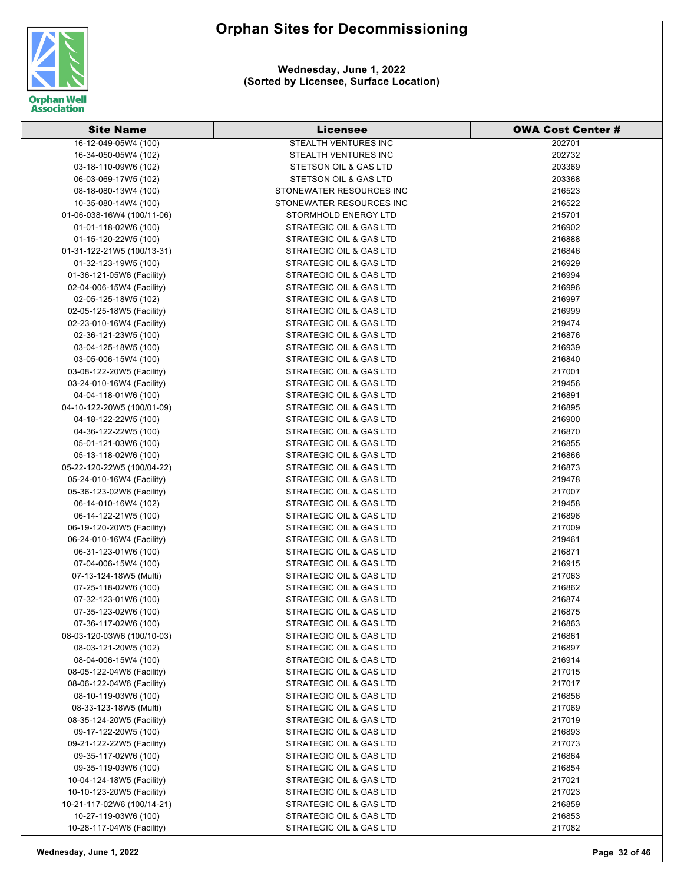

**Wednesday, June 1, 2022 (Sorted by Licensee, Surface Location)**

| <b>Site Name</b>           | <b>Licensee</b>                    | <b>OWA Cost Center #</b> |
|----------------------------|------------------------------------|--------------------------|
| 16-12-049-05W4 (100)       | STEALTH VENTURES INC               | 202701                   |
| 16-34-050-05W4 (102)       | STEALTH VENTURES INC               | 202732                   |
| 03-18-110-09W6 (102)       | STETSON OIL & GAS LTD              | 203369                   |
| 06-03-069-17W5 (102)       | STETSON OIL & GAS LTD              | 203368                   |
| 08-18-080-13W4 (100)       | STONEWATER RESOURCES INC           | 216523                   |
| 10-35-080-14W4 (100)       | STONEWATER RESOURCES INC           | 216522                   |
| 01-06-038-16W4 (100/11-06) | STORMHOLD ENERGY LTD               | 215701                   |
| 01-01-118-02W6 (100)       | STRATEGIC OIL & GAS LTD            | 216902                   |
| 01-15-120-22W5 (100)       | STRATEGIC OIL & GAS LTD            | 216888                   |
| 01-31-122-21W5 (100/13-31) | STRATEGIC OIL & GAS LTD            | 216846                   |
| 01-32-123-19W5 (100)       | STRATEGIC OIL & GAS LTD            | 216929                   |
| 01-36-121-05W6 (Facility)  | <b>STRATEGIC OIL &amp; GAS LTD</b> | 216994                   |
| 02-04-006-15W4 (Facility)  | STRATEGIC OIL & GAS LTD            | 216996                   |
| 02-05-125-18W5 (102)       | STRATEGIC OIL & GAS LTD            | 216997                   |
| 02-05-125-18W5 (Facility)  | STRATEGIC OIL & GAS LTD            | 216999                   |
| 02-23-010-16W4 (Facility)  | STRATEGIC OIL & GAS LTD            | 219474                   |
| 02-36-121-23W5 (100)       | STRATEGIC OIL & GAS LTD            | 216876                   |
| 03-04-125-18W5 (100)       | STRATEGIC OIL & GAS LTD            | 216939                   |
| 03-05-006-15W4 (100)       | STRATEGIC OIL & GAS LTD            | 216840                   |
| 03-08-122-20W5 (Facility)  | STRATEGIC OIL & GAS LTD            | 217001                   |
| 03-24-010-16W4 (Facility)  | STRATEGIC OIL & GAS LTD            | 219456                   |
| 04-04-118-01W6 (100)       | STRATEGIC OIL & GAS LTD            | 216891                   |
| 04-10-122-20W5 (100/01-09) | STRATEGIC OIL & GAS LTD            | 216895                   |
| 04-18-122-22W5 (100)       | STRATEGIC OIL & GAS LTD            | 216900                   |
| 04-36-122-22W5 (100)       | STRATEGIC OIL & GAS LTD            | 216870                   |
| 05-01-121-03W6 (100)       | STRATEGIC OIL & GAS LTD            | 216855                   |
| 05-13-118-02W6 (100)       | STRATEGIC OIL & GAS LTD            | 216866                   |
| 05-22-120-22W5 (100/04-22) | STRATEGIC OIL & GAS LTD            | 216873                   |
| 05-24-010-16W4 (Facility)  | STRATEGIC OIL & GAS LTD            | 219478                   |
| 05-36-123-02W6 (Facility)  | STRATEGIC OIL & GAS LTD            | 217007                   |
| 06-14-010-16W4 (102)       | STRATEGIC OIL & GAS LTD            | 219458                   |
| 06-14-122-21W5 (100)       | STRATEGIC OIL & GAS LTD            | 216896                   |
| 06-19-120-20W5 (Facility)  | STRATEGIC OIL & GAS LTD            | 217009                   |
| 06-24-010-16W4 (Facility)  | STRATEGIC OIL & GAS LTD            | 219461                   |
| 06-31-123-01W6 (100)       | STRATEGIC OIL & GAS LTD            | 216871                   |
| 07-04-006-15W4 (100)       | STRATEGIC OIL & GAS LTD            | 216915                   |
| 07-13-124-18W5 (Multi)     | <b>STRATEGIC OIL &amp; GAS LTD</b> | 217063                   |
| 07-25-118-02W6 (100)       | STRATEGIC OIL & GAS LTD            | 216862                   |
| 07-32-123-01W6 (100)       | STRATEGIC OIL & GAS LTD            | 216874                   |
| 07-35-123-02W6 (100)       | STRATEGIC OIL & GAS LTD            | 216875                   |
| 07-36-117-02W6 (100)       | STRATEGIC OIL & GAS LTD            | 216863                   |
| 08-03-120-03W6 (100/10-03) | STRATEGIC OIL & GAS LTD            | 216861                   |
| 08-03-121-20W5 (102)       | STRATEGIC OIL & GAS LTD            | 216897                   |
| 08-04-006-15W4 (100)       | STRATEGIC OIL & GAS LTD            | 216914                   |
| 08-05-122-04W6 (Facility)  | STRATEGIC OIL & GAS LTD            | 217015                   |
| 08-06-122-04W6 (Facility)  | STRATEGIC OIL & GAS LTD            | 217017                   |
| 08-10-119-03W6 (100)       | STRATEGIC OIL & GAS LTD            | 216856                   |
| 08-33-123-18W5 (Multi)     | STRATEGIC OIL & GAS LTD            | 217069                   |
| 08-35-124-20W5 (Facility)  | STRATEGIC OIL & GAS LTD            | 217019                   |
| 09-17-122-20W5 (100)       | STRATEGIC OIL & GAS LTD            | 216893                   |
| 09-21-122-22W5 (Facility)  | STRATEGIC OIL & GAS LTD            | 217073                   |
| 09-35-117-02W6 (100)       | STRATEGIC OIL & GAS LTD            | 216864                   |
| 09-35-119-03W6 (100)       | STRATEGIC OIL & GAS LTD            | 216854                   |
| 10-04-124-18W5 (Facility)  | STRATEGIC OIL & GAS LTD            | 217021                   |
| 10-10-123-20W5 (Facility)  | STRATEGIC OIL & GAS LTD            | 217023                   |
| 10-21-117-02W6 (100/14-21) | STRATEGIC OIL & GAS LTD            | 216859                   |
| 10-27-119-03W6 (100)       | STRATEGIC OIL & GAS LTD            | 216853                   |
| 10-28-117-04W6 (Facility)  | STRATEGIC OIL & GAS LTD            | 217082                   |

**Wednesday, June 1, 2022 Page 32 of 46**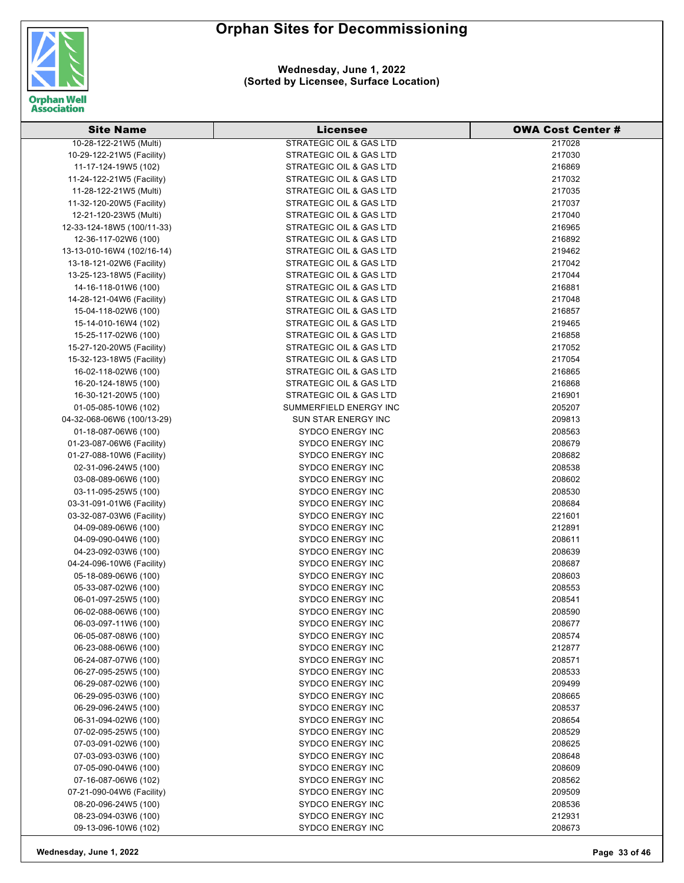

| 10-28-122-21W5 (Multi)<br><b>STRATEGIC OIL &amp; GAS LTD</b><br>217028<br>STRATEGIC OIL & GAS LTD<br>217030<br>10-29-122-21W5 (Facility)<br>11-17-124-19W5 (102)<br>STRATEGIC OIL & GAS LTD<br>216869<br>STRATEGIC OIL & GAS LTD<br>217032<br>11-24-122-21W5 (Facility)<br>11-28-122-21W5 (Multi)<br>STRATEGIC OIL & GAS LTD<br>217035<br>STRATEGIC OIL & GAS LTD<br>217037<br>11-32-120-20W5 (Facility)<br>STRATEGIC OIL & GAS LTD<br>217040<br>12-21-120-23W5 (Multi)<br>STRATEGIC OIL & GAS LTD<br>216965<br>12-33-124-18W5 (100/11-33)<br>STRATEGIC OIL & GAS LTD<br>12-36-117-02W6 (100)<br>216892<br>STRATEGIC OIL & GAS LTD<br>13-13-010-16W4 (102/16-14)<br>219462<br>217042<br>13-18-121-02W6 (Facility)<br>STRATEGIC OIL & GAS LTD<br>STRATEGIC OIL & GAS LTD<br>217044<br>13-25-123-18W5 (Facility)<br>14-16-118-01W6 (100)<br>STRATEGIC OIL & GAS LTD<br>216881<br>217048<br>STRATEGIC OIL & GAS LTD<br>14-28-121-04W6 (Facility)<br>216857<br>STRATEGIC OIL & GAS LTD<br>15-04-118-02W6 (100)<br>STRATEGIC OIL & GAS LTD<br>15-14-010-16W4 (102)<br>219465<br>15-25-117-02W6 (100)<br>STRATEGIC OIL & GAS LTD<br>216858<br>STRATEGIC OIL & GAS LTD<br>217052<br>15-27-120-20W5 (Facility)<br>STRATEGIC OIL & GAS LTD<br>15-32-123-18W5 (Facility)<br>217054<br><b>STRATEGIC OIL &amp; GAS LTD</b><br>216865<br>16-02-118-02W6 (100)<br>216868<br>16-20-124-18W5 (100)<br>STRATEGIC OIL & GAS LTD<br>STRATEGIC OIL & GAS LTD<br>216901<br>16-30-121-20W5 (100)<br>SUMMERFIELD ENERGY INC<br>205207<br>01-05-085-10W6 (102)<br>SUN STAR ENERGY INC<br>209813<br>04-32-068-06W6 (100/13-29)<br><b>SYDCO ENERGY INC</b><br>208563<br>01-18-087-06W6 (100)<br><b>SYDCO ENERGY INC</b><br>208679<br>01-23-087-06W6 (Facility)<br>208682<br><b>SYDCO ENERGY INC</b><br>01-27-088-10W6 (Facility)<br><b>SYDCO ENERGY INC</b><br>208538<br>02-31-096-24W5 (100)<br>208602<br>03-08-089-06W6 (100)<br><b>SYDCO ENERGY INC</b><br>208530<br>03-11-095-25W5 (100)<br><b>SYDCO ENERGY INC</b><br><b>SYDCO ENERGY INC</b><br>208684<br>03-31-091-01W6 (Facility)<br>03-32-087-03W6 (Facility)<br><b>SYDCO ENERGY INC</b><br>221601<br><b>SYDCO ENERGY INC</b><br>212891<br>04-09-089-06W6 (100)<br><b>SYDCO ENERGY INC</b><br>04-09-090-04W6 (100)<br>208611<br><b>SYDCO ENERGY INC</b><br>208639<br>04-23-092-03W6 (100)<br>04-24-096-10W6 (Facility)<br><b>SYDCO ENERGY INC</b><br>208687<br>208603<br>05-18-089-06W6 (100)<br><b>SYDCO ENERGY INC</b><br>208553<br>05-33-087-02W6 (100)<br><b>SYDCO ENERGY INC</b><br><b>SYDCO ENERGY INC</b><br>208541<br>06-01-097-25W5 (100)<br>06-02-088-06W6 (100)<br><b>SYDCO ENERGY INC</b><br>208590<br><b>SYDCO ENERGY INC</b><br>06-03-097-11W6 (100)<br>208677<br>06-05-087-08W6 (100)<br><b>SYDCO ENERGY INC</b><br>208574<br><b>SYDCO ENERGY INC</b><br>06-23-088-06W6 (100)<br>212877<br>06-24-087-07W6 (100)<br><b>SYDCO ENERGY INC</b><br>208571<br>208533<br>06-27-095-25W5 (100)<br><b>SYDCO ENERGY INC</b><br>06-29-087-02W6 (100)<br><b>SYDCO ENERGY INC</b><br>209499<br><b>SYDCO ENERGY INC</b><br>06-29-095-03W6 (100)<br>208665<br>06-29-096-24W5 (100)<br><b>SYDCO ENERGY INC</b><br>208537<br>06-31-094-02W6 (100)<br><b>SYDCO ENERGY INC</b><br>208654<br><b>SYDCO ENERGY INC</b><br>208529<br>07-02-095-25W5 (100)<br>07-03-091-02W6 (100)<br><b>SYDCO ENERGY INC</b><br>208625<br>208648<br>07-03-093-03W6 (100)<br><b>SYDCO ENERGY INC</b><br>07-05-090-04W6 (100)<br><b>SYDCO ENERGY INC</b><br>208609<br>07-16-087-06W6 (102)<br><b>SYDCO ENERGY INC</b><br>208562<br>07-21-090-04W6 (Facility)<br><b>SYDCO ENERGY INC</b><br>209509<br>SYDCO ENERGY INC<br>08-20-096-24W5 (100)<br>208536<br>08-23-094-03W6 (100)<br><b>SYDCO ENERGY INC</b><br>212931<br>SYDCO ENERGY INC<br>208673<br>09-13-096-10W6 (102) | <b>Site Name</b> | Licensee | <b>OWA Cost Center #</b> |
|---------------------------------------------------------------------------------------------------------------------------------------------------------------------------------------------------------------------------------------------------------------------------------------------------------------------------------------------------------------------------------------------------------------------------------------------------------------------------------------------------------------------------------------------------------------------------------------------------------------------------------------------------------------------------------------------------------------------------------------------------------------------------------------------------------------------------------------------------------------------------------------------------------------------------------------------------------------------------------------------------------------------------------------------------------------------------------------------------------------------------------------------------------------------------------------------------------------------------------------------------------------------------------------------------------------------------------------------------------------------------------------------------------------------------------------------------------------------------------------------------------------------------------------------------------------------------------------------------------------------------------------------------------------------------------------------------------------------------------------------------------------------------------------------------------------------------------------------------------------------------------------------------------------------------------------------------------------------------------------------------------------------------------------------------------------------------------------------------------------------------------------------------------------------------------------------------------------------------------------------------------------------------------------------------------------------------------------------------------------------------------------------------------------------------------------------------------------------------------------------------------------------------------------------------------------------------------------------------------------------------------------------------------------------------------------------------------------------------------------------------------------------------------------------------------------------------------------------------------------------------------------------------------------------------------------------------------------------------------------------------------------------------------------------------------------------------------------------------------------------------------------------------------------------------------------------------------------------------------------------------------------------------------------------------------------------------------------------------------------------------------------------------------------------------------------------------------------------------------------------------------------------------------------------------------------------------------------------------------------------------------------------------------------------------------------------------------------------------------------------------------------------------------|------------------|----------|--------------------------|
|                                                                                                                                                                                                                                                                                                                                                                                                                                                                                                                                                                                                                                                                                                                                                                                                                                                                                                                                                                                                                                                                                                                                                                                                                                                                                                                                                                                                                                                                                                                                                                                                                                                                                                                                                                                                                                                                                                                                                                                                                                                                                                                                                                                                                                                                                                                                                                                                                                                                                                                                                                                                                                                                                                                                                                                                                                                                                                                                                                                                                                                                                                                                                                                                                                                                                                                                                                                                                                                                                                                                                                                                                                                                                                                                                                                 |                  |          |                          |
|                                                                                                                                                                                                                                                                                                                                                                                                                                                                                                                                                                                                                                                                                                                                                                                                                                                                                                                                                                                                                                                                                                                                                                                                                                                                                                                                                                                                                                                                                                                                                                                                                                                                                                                                                                                                                                                                                                                                                                                                                                                                                                                                                                                                                                                                                                                                                                                                                                                                                                                                                                                                                                                                                                                                                                                                                                                                                                                                                                                                                                                                                                                                                                                                                                                                                                                                                                                                                                                                                                                                                                                                                                                                                                                                                                                 |                  |          |                          |
|                                                                                                                                                                                                                                                                                                                                                                                                                                                                                                                                                                                                                                                                                                                                                                                                                                                                                                                                                                                                                                                                                                                                                                                                                                                                                                                                                                                                                                                                                                                                                                                                                                                                                                                                                                                                                                                                                                                                                                                                                                                                                                                                                                                                                                                                                                                                                                                                                                                                                                                                                                                                                                                                                                                                                                                                                                                                                                                                                                                                                                                                                                                                                                                                                                                                                                                                                                                                                                                                                                                                                                                                                                                                                                                                                                                 |                  |          |                          |
|                                                                                                                                                                                                                                                                                                                                                                                                                                                                                                                                                                                                                                                                                                                                                                                                                                                                                                                                                                                                                                                                                                                                                                                                                                                                                                                                                                                                                                                                                                                                                                                                                                                                                                                                                                                                                                                                                                                                                                                                                                                                                                                                                                                                                                                                                                                                                                                                                                                                                                                                                                                                                                                                                                                                                                                                                                                                                                                                                                                                                                                                                                                                                                                                                                                                                                                                                                                                                                                                                                                                                                                                                                                                                                                                                                                 |                  |          |                          |
|                                                                                                                                                                                                                                                                                                                                                                                                                                                                                                                                                                                                                                                                                                                                                                                                                                                                                                                                                                                                                                                                                                                                                                                                                                                                                                                                                                                                                                                                                                                                                                                                                                                                                                                                                                                                                                                                                                                                                                                                                                                                                                                                                                                                                                                                                                                                                                                                                                                                                                                                                                                                                                                                                                                                                                                                                                                                                                                                                                                                                                                                                                                                                                                                                                                                                                                                                                                                                                                                                                                                                                                                                                                                                                                                                                                 |                  |          |                          |
|                                                                                                                                                                                                                                                                                                                                                                                                                                                                                                                                                                                                                                                                                                                                                                                                                                                                                                                                                                                                                                                                                                                                                                                                                                                                                                                                                                                                                                                                                                                                                                                                                                                                                                                                                                                                                                                                                                                                                                                                                                                                                                                                                                                                                                                                                                                                                                                                                                                                                                                                                                                                                                                                                                                                                                                                                                                                                                                                                                                                                                                                                                                                                                                                                                                                                                                                                                                                                                                                                                                                                                                                                                                                                                                                                                                 |                  |          |                          |
|                                                                                                                                                                                                                                                                                                                                                                                                                                                                                                                                                                                                                                                                                                                                                                                                                                                                                                                                                                                                                                                                                                                                                                                                                                                                                                                                                                                                                                                                                                                                                                                                                                                                                                                                                                                                                                                                                                                                                                                                                                                                                                                                                                                                                                                                                                                                                                                                                                                                                                                                                                                                                                                                                                                                                                                                                                                                                                                                                                                                                                                                                                                                                                                                                                                                                                                                                                                                                                                                                                                                                                                                                                                                                                                                                                                 |                  |          |                          |
|                                                                                                                                                                                                                                                                                                                                                                                                                                                                                                                                                                                                                                                                                                                                                                                                                                                                                                                                                                                                                                                                                                                                                                                                                                                                                                                                                                                                                                                                                                                                                                                                                                                                                                                                                                                                                                                                                                                                                                                                                                                                                                                                                                                                                                                                                                                                                                                                                                                                                                                                                                                                                                                                                                                                                                                                                                                                                                                                                                                                                                                                                                                                                                                                                                                                                                                                                                                                                                                                                                                                                                                                                                                                                                                                                                                 |                  |          |                          |
|                                                                                                                                                                                                                                                                                                                                                                                                                                                                                                                                                                                                                                                                                                                                                                                                                                                                                                                                                                                                                                                                                                                                                                                                                                                                                                                                                                                                                                                                                                                                                                                                                                                                                                                                                                                                                                                                                                                                                                                                                                                                                                                                                                                                                                                                                                                                                                                                                                                                                                                                                                                                                                                                                                                                                                                                                                                                                                                                                                                                                                                                                                                                                                                                                                                                                                                                                                                                                                                                                                                                                                                                                                                                                                                                                                                 |                  |          |                          |
|                                                                                                                                                                                                                                                                                                                                                                                                                                                                                                                                                                                                                                                                                                                                                                                                                                                                                                                                                                                                                                                                                                                                                                                                                                                                                                                                                                                                                                                                                                                                                                                                                                                                                                                                                                                                                                                                                                                                                                                                                                                                                                                                                                                                                                                                                                                                                                                                                                                                                                                                                                                                                                                                                                                                                                                                                                                                                                                                                                                                                                                                                                                                                                                                                                                                                                                                                                                                                                                                                                                                                                                                                                                                                                                                                                                 |                  |          |                          |
|                                                                                                                                                                                                                                                                                                                                                                                                                                                                                                                                                                                                                                                                                                                                                                                                                                                                                                                                                                                                                                                                                                                                                                                                                                                                                                                                                                                                                                                                                                                                                                                                                                                                                                                                                                                                                                                                                                                                                                                                                                                                                                                                                                                                                                                                                                                                                                                                                                                                                                                                                                                                                                                                                                                                                                                                                                                                                                                                                                                                                                                                                                                                                                                                                                                                                                                                                                                                                                                                                                                                                                                                                                                                                                                                                                                 |                  |          |                          |
|                                                                                                                                                                                                                                                                                                                                                                                                                                                                                                                                                                                                                                                                                                                                                                                                                                                                                                                                                                                                                                                                                                                                                                                                                                                                                                                                                                                                                                                                                                                                                                                                                                                                                                                                                                                                                                                                                                                                                                                                                                                                                                                                                                                                                                                                                                                                                                                                                                                                                                                                                                                                                                                                                                                                                                                                                                                                                                                                                                                                                                                                                                                                                                                                                                                                                                                                                                                                                                                                                                                                                                                                                                                                                                                                                                                 |                  |          |                          |
|                                                                                                                                                                                                                                                                                                                                                                                                                                                                                                                                                                                                                                                                                                                                                                                                                                                                                                                                                                                                                                                                                                                                                                                                                                                                                                                                                                                                                                                                                                                                                                                                                                                                                                                                                                                                                                                                                                                                                                                                                                                                                                                                                                                                                                                                                                                                                                                                                                                                                                                                                                                                                                                                                                                                                                                                                                                                                                                                                                                                                                                                                                                                                                                                                                                                                                                                                                                                                                                                                                                                                                                                                                                                                                                                                                                 |                  |          |                          |
|                                                                                                                                                                                                                                                                                                                                                                                                                                                                                                                                                                                                                                                                                                                                                                                                                                                                                                                                                                                                                                                                                                                                                                                                                                                                                                                                                                                                                                                                                                                                                                                                                                                                                                                                                                                                                                                                                                                                                                                                                                                                                                                                                                                                                                                                                                                                                                                                                                                                                                                                                                                                                                                                                                                                                                                                                                                                                                                                                                                                                                                                                                                                                                                                                                                                                                                                                                                                                                                                                                                                                                                                                                                                                                                                                                                 |                  |          |                          |
|                                                                                                                                                                                                                                                                                                                                                                                                                                                                                                                                                                                                                                                                                                                                                                                                                                                                                                                                                                                                                                                                                                                                                                                                                                                                                                                                                                                                                                                                                                                                                                                                                                                                                                                                                                                                                                                                                                                                                                                                                                                                                                                                                                                                                                                                                                                                                                                                                                                                                                                                                                                                                                                                                                                                                                                                                                                                                                                                                                                                                                                                                                                                                                                                                                                                                                                                                                                                                                                                                                                                                                                                                                                                                                                                                                                 |                  |          |                          |
|                                                                                                                                                                                                                                                                                                                                                                                                                                                                                                                                                                                                                                                                                                                                                                                                                                                                                                                                                                                                                                                                                                                                                                                                                                                                                                                                                                                                                                                                                                                                                                                                                                                                                                                                                                                                                                                                                                                                                                                                                                                                                                                                                                                                                                                                                                                                                                                                                                                                                                                                                                                                                                                                                                                                                                                                                                                                                                                                                                                                                                                                                                                                                                                                                                                                                                                                                                                                                                                                                                                                                                                                                                                                                                                                                                                 |                  |          |                          |
|                                                                                                                                                                                                                                                                                                                                                                                                                                                                                                                                                                                                                                                                                                                                                                                                                                                                                                                                                                                                                                                                                                                                                                                                                                                                                                                                                                                                                                                                                                                                                                                                                                                                                                                                                                                                                                                                                                                                                                                                                                                                                                                                                                                                                                                                                                                                                                                                                                                                                                                                                                                                                                                                                                                                                                                                                                                                                                                                                                                                                                                                                                                                                                                                                                                                                                                                                                                                                                                                                                                                                                                                                                                                                                                                                                                 |                  |          |                          |
|                                                                                                                                                                                                                                                                                                                                                                                                                                                                                                                                                                                                                                                                                                                                                                                                                                                                                                                                                                                                                                                                                                                                                                                                                                                                                                                                                                                                                                                                                                                                                                                                                                                                                                                                                                                                                                                                                                                                                                                                                                                                                                                                                                                                                                                                                                                                                                                                                                                                                                                                                                                                                                                                                                                                                                                                                                                                                                                                                                                                                                                                                                                                                                                                                                                                                                                                                                                                                                                                                                                                                                                                                                                                                                                                                                                 |                  |          |                          |
|                                                                                                                                                                                                                                                                                                                                                                                                                                                                                                                                                                                                                                                                                                                                                                                                                                                                                                                                                                                                                                                                                                                                                                                                                                                                                                                                                                                                                                                                                                                                                                                                                                                                                                                                                                                                                                                                                                                                                                                                                                                                                                                                                                                                                                                                                                                                                                                                                                                                                                                                                                                                                                                                                                                                                                                                                                                                                                                                                                                                                                                                                                                                                                                                                                                                                                                                                                                                                                                                                                                                                                                                                                                                                                                                                                                 |                  |          |                          |
|                                                                                                                                                                                                                                                                                                                                                                                                                                                                                                                                                                                                                                                                                                                                                                                                                                                                                                                                                                                                                                                                                                                                                                                                                                                                                                                                                                                                                                                                                                                                                                                                                                                                                                                                                                                                                                                                                                                                                                                                                                                                                                                                                                                                                                                                                                                                                                                                                                                                                                                                                                                                                                                                                                                                                                                                                                                                                                                                                                                                                                                                                                                                                                                                                                                                                                                                                                                                                                                                                                                                                                                                                                                                                                                                                                                 |                  |          |                          |
|                                                                                                                                                                                                                                                                                                                                                                                                                                                                                                                                                                                                                                                                                                                                                                                                                                                                                                                                                                                                                                                                                                                                                                                                                                                                                                                                                                                                                                                                                                                                                                                                                                                                                                                                                                                                                                                                                                                                                                                                                                                                                                                                                                                                                                                                                                                                                                                                                                                                                                                                                                                                                                                                                                                                                                                                                                                                                                                                                                                                                                                                                                                                                                                                                                                                                                                                                                                                                                                                                                                                                                                                                                                                                                                                                                                 |                  |          |                          |
|                                                                                                                                                                                                                                                                                                                                                                                                                                                                                                                                                                                                                                                                                                                                                                                                                                                                                                                                                                                                                                                                                                                                                                                                                                                                                                                                                                                                                                                                                                                                                                                                                                                                                                                                                                                                                                                                                                                                                                                                                                                                                                                                                                                                                                                                                                                                                                                                                                                                                                                                                                                                                                                                                                                                                                                                                                                                                                                                                                                                                                                                                                                                                                                                                                                                                                                                                                                                                                                                                                                                                                                                                                                                                                                                                                                 |                  |          |                          |
|                                                                                                                                                                                                                                                                                                                                                                                                                                                                                                                                                                                                                                                                                                                                                                                                                                                                                                                                                                                                                                                                                                                                                                                                                                                                                                                                                                                                                                                                                                                                                                                                                                                                                                                                                                                                                                                                                                                                                                                                                                                                                                                                                                                                                                                                                                                                                                                                                                                                                                                                                                                                                                                                                                                                                                                                                                                                                                                                                                                                                                                                                                                                                                                                                                                                                                                                                                                                                                                                                                                                                                                                                                                                                                                                                                                 |                  |          |                          |
|                                                                                                                                                                                                                                                                                                                                                                                                                                                                                                                                                                                                                                                                                                                                                                                                                                                                                                                                                                                                                                                                                                                                                                                                                                                                                                                                                                                                                                                                                                                                                                                                                                                                                                                                                                                                                                                                                                                                                                                                                                                                                                                                                                                                                                                                                                                                                                                                                                                                                                                                                                                                                                                                                                                                                                                                                                                                                                                                                                                                                                                                                                                                                                                                                                                                                                                                                                                                                                                                                                                                                                                                                                                                                                                                                                                 |                  |          |                          |
|                                                                                                                                                                                                                                                                                                                                                                                                                                                                                                                                                                                                                                                                                                                                                                                                                                                                                                                                                                                                                                                                                                                                                                                                                                                                                                                                                                                                                                                                                                                                                                                                                                                                                                                                                                                                                                                                                                                                                                                                                                                                                                                                                                                                                                                                                                                                                                                                                                                                                                                                                                                                                                                                                                                                                                                                                                                                                                                                                                                                                                                                                                                                                                                                                                                                                                                                                                                                                                                                                                                                                                                                                                                                                                                                                                                 |                  |          |                          |
|                                                                                                                                                                                                                                                                                                                                                                                                                                                                                                                                                                                                                                                                                                                                                                                                                                                                                                                                                                                                                                                                                                                                                                                                                                                                                                                                                                                                                                                                                                                                                                                                                                                                                                                                                                                                                                                                                                                                                                                                                                                                                                                                                                                                                                                                                                                                                                                                                                                                                                                                                                                                                                                                                                                                                                                                                                                                                                                                                                                                                                                                                                                                                                                                                                                                                                                                                                                                                                                                                                                                                                                                                                                                                                                                                                                 |                  |          |                          |
|                                                                                                                                                                                                                                                                                                                                                                                                                                                                                                                                                                                                                                                                                                                                                                                                                                                                                                                                                                                                                                                                                                                                                                                                                                                                                                                                                                                                                                                                                                                                                                                                                                                                                                                                                                                                                                                                                                                                                                                                                                                                                                                                                                                                                                                                                                                                                                                                                                                                                                                                                                                                                                                                                                                                                                                                                                                                                                                                                                                                                                                                                                                                                                                                                                                                                                                                                                                                                                                                                                                                                                                                                                                                                                                                                                                 |                  |          |                          |
|                                                                                                                                                                                                                                                                                                                                                                                                                                                                                                                                                                                                                                                                                                                                                                                                                                                                                                                                                                                                                                                                                                                                                                                                                                                                                                                                                                                                                                                                                                                                                                                                                                                                                                                                                                                                                                                                                                                                                                                                                                                                                                                                                                                                                                                                                                                                                                                                                                                                                                                                                                                                                                                                                                                                                                                                                                                                                                                                                                                                                                                                                                                                                                                                                                                                                                                                                                                                                                                                                                                                                                                                                                                                                                                                                                                 |                  |          |                          |
|                                                                                                                                                                                                                                                                                                                                                                                                                                                                                                                                                                                                                                                                                                                                                                                                                                                                                                                                                                                                                                                                                                                                                                                                                                                                                                                                                                                                                                                                                                                                                                                                                                                                                                                                                                                                                                                                                                                                                                                                                                                                                                                                                                                                                                                                                                                                                                                                                                                                                                                                                                                                                                                                                                                                                                                                                                                                                                                                                                                                                                                                                                                                                                                                                                                                                                                                                                                                                                                                                                                                                                                                                                                                                                                                                                                 |                  |          |                          |
|                                                                                                                                                                                                                                                                                                                                                                                                                                                                                                                                                                                                                                                                                                                                                                                                                                                                                                                                                                                                                                                                                                                                                                                                                                                                                                                                                                                                                                                                                                                                                                                                                                                                                                                                                                                                                                                                                                                                                                                                                                                                                                                                                                                                                                                                                                                                                                                                                                                                                                                                                                                                                                                                                                                                                                                                                                                                                                                                                                                                                                                                                                                                                                                                                                                                                                                                                                                                                                                                                                                                                                                                                                                                                                                                                                                 |                  |          |                          |
|                                                                                                                                                                                                                                                                                                                                                                                                                                                                                                                                                                                                                                                                                                                                                                                                                                                                                                                                                                                                                                                                                                                                                                                                                                                                                                                                                                                                                                                                                                                                                                                                                                                                                                                                                                                                                                                                                                                                                                                                                                                                                                                                                                                                                                                                                                                                                                                                                                                                                                                                                                                                                                                                                                                                                                                                                                                                                                                                                                                                                                                                                                                                                                                                                                                                                                                                                                                                                                                                                                                                                                                                                                                                                                                                                                                 |                  |          |                          |
|                                                                                                                                                                                                                                                                                                                                                                                                                                                                                                                                                                                                                                                                                                                                                                                                                                                                                                                                                                                                                                                                                                                                                                                                                                                                                                                                                                                                                                                                                                                                                                                                                                                                                                                                                                                                                                                                                                                                                                                                                                                                                                                                                                                                                                                                                                                                                                                                                                                                                                                                                                                                                                                                                                                                                                                                                                                                                                                                                                                                                                                                                                                                                                                                                                                                                                                                                                                                                                                                                                                                                                                                                                                                                                                                                                                 |                  |          |                          |
|                                                                                                                                                                                                                                                                                                                                                                                                                                                                                                                                                                                                                                                                                                                                                                                                                                                                                                                                                                                                                                                                                                                                                                                                                                                                                                                                                                                                                                                                                                                                                                                                                                                                                                                                                                                                                                                                                                                                                                                                                                                                                                                                                                                                                                                                                                                                                                                                                                                                                                                                                                                                                                                                                                                                                                                                                                                                                                                                                                                                                                                                                                                                                                                                                                                                                                                                                                                                                                                                                                                                                                                                                                                                                                                                                                                 |                  |          |                          |
|                                                                                                                                                                                                                                                                                                                                                                                                                                                                                                                                                                                                                                                                                                                                                                                                                                                                                                                                                                                                                                                                                                                                                                                                                                                                                                                                                                                                                                                                                                                                                                                                                                                                                                                                                                                                                                                                                                                                                                                                                                                                                                                                                                                                                                                                                                                                                                                                                                                                                                                                                                                                                                                                                                                                                                                                                                                                                                                                                                                                                                                                                                                                                                                                                                                                                                                                                                                                                                                                                                                                                                                                                                                                                                                                                                                 |                  |          |                          |
|                                                                                                                                                                                                                                                                                                                                                                                                                                                                                                                                                                                                                                                                                                                                                                                                                                                                                                                                                                                                                                                                                                                                                                                                                                                                                                                                                                                                                                                                                                                                                                                                                                                                                                                                                                                                                                                                                                                                                                                                                                                                                                                                                                                                                                                                                                                                                                                                                                                                                                                                                                                                                                                                                                                                                                                                                                                                                                                                                                                                                                                                                                                                                                                                                                                                                                                                                                                                                                                                                                                                                                                                                                                                                                                                                                                 |                  |          |                          |
|                                                                                                                                                                                                                                                                                                                                                                                                                                                                                                                                                                                                                                                                                                                                                                                                                                                                                                                                                                                                                                                                                                                                                                                                                                                                                                                                                                                                                                                                                                                                                                                                                                                                                                                                                                                                                                                                                                                                                                                                                                                                                                                                                                                                                                                                                                                                                                                                                                                                                                                                                                                                                                                                                                                                                                                                                                                                                                                                                                                                                                                                                                                                                                                                                                                                                                                                                                                                                                                                                                                                                                                                                                                                                                                                                                                 |                  |          |                          |
|                                                                                                                                                                                                                                                                                                                                                                                                                                                                                                                                                                                                                                                                                                                                                                                                                                                                                                                                                                                                                                                                                                                                                                                                                                                                                                                                                                                                                                                                                                                                                                                                                                                                                                                                                                                                                                                                                                                                                                                                                                                                                                                                                                                                                                                                                                                                                                                                                                                                                                                                                                                                                                                                                                                                                                                                                                                                                                                                                                                                                                                                                                                                                                                                                                                                                                                                                                                                                                                                                                                                                                                                                                                                                                                                                                                 |                  |          |                          |
|                                                                                                                                                                                                                                                                                                                                                                                                                                                                                                                                                                                                                                                                                                                                                                                                                                                                                                                                                                                                                                                                                                                                                                                                                                                                                                                                                                                                                                                                                                                                                                                                                                                                                                                                                                                                                                                                                                                                                                                                                                                                                                                                                                                                                                                                                                                                                                                                                                                                                                                                                                                                                                                                                                                                                                                                                                                                                                                                                                                                                                                                                                                                                                                                                                                                                                                                                                                                                                                                                                                                                                                                                                                                                                                                                                                 |                  |          |                          |
|                                                                                                                                                                                                                                                                                                                                                                                                                                                                                                                                                                                                                                                                                                                                                                                                                                                                                                                                                                                                                                                                                                                                                                                                                                                                                                                                                                                                                                                                                                                                                                                                                                                                                                                                                                                                                                                                                                                                                                                                                                                                                                                                                                                                                                                                                                                                                                                                                                                                                                                                                                                                                                                                                                                                                                                                                                                                                                                                                                                                                                                                                                                                                                                                                                                                                                                                                                                                                                                                                                                                                                                                                                                                                                                                                                                 |                  |          |                          |
|                                                                                                                                                                                                                                                                                                                                                                                                                                                                                                                                                                                                                                                                                                                                                                                                                                                                                                                                                                                                                                                                                                                                                                                                                                                                                                                                                                                                                                                                                                                                                                                                                                                                                                                                                                                                                                                                                                                                                                                                                                                                                                                                                                                                                                                                                                                                                                                                                                                                                                                                                                                                                                                                                                                                                                                                                                                                                                                                                                                                                                                                                                                                                                                                                                                                                                                                                                                                                                                                                                                                                                                                                                                                                                                                                                                 |                  |          |                          |
|                                                                                                                                                                                                                                                                                                                                                                                                                                                                                                                                                                                                                                                                                                                                                                                                                                                                                                                                                                                                                                                                                                                                                                                                                                                                                                                                                                                                                                                                                                                                                                                                                                                                                                                                                                                                                                                                                                                                                                                                                                                                                                                                                                                                                                                                                                                                                                                                                                                                                                                                                                                                                                                                                                                                                                                                                                                                                                                                                                                                                                                                                                                                                                                                                                                                                                                                                                                                                                                                                                                                                                                                                                                                                                                                                                                 |                  |          |                          |
|                                                                                                                                                                                                                                                                                                                                                                                                                                                                                                                                                                                                                                                                                                                                                                                                                                                                                                                                                                                                                                                                                                                                                                                                                                                                                                                                                                                                                                                                                                                                                                                                                                                                                                                                                                                                                                                                                                                                                                                                                                                                                                                                                                                                                                                                                                                                                                                                                                                                                                                                                                                                                                                                                                                                                                                                                                                                                                                                                                                                                                                                                                                                                                                                                                                                                                                                                                                                                                                                                                                                                                                                                                                                                                                                                                                 |                  |          |                          |
|                                                                                                                                                                                                                                                                                                                                                                                                                                                                                                                                                                                                                                                                                                                                                                                                                                                                                                                                                                                                                                                                                                                                                                                                                                                                                                                                                                                                                                                                                                                                                                                                                                                                                                                                                                                                                                                                                                                                                                                                                                                                                                                                                                                                                                                                                                                                                                                                                                                                                                                                                                                                                                                                                                                                                                                                                                                                                                                                                                                                                                                                                                                                                                                                                                                                                                                                                                                                                                                                                                                                                                                                                                                                                                                                                                                 |                  |          |                          |
|                                                                                                                                                                                                                                                                                                                                                                                                                                                                                                                                                                                                                                                                                                                                                                                                                                                                                                                                                                                                                                                                                                                                                                                                                                                                                                                                                                                                                                                                                                                                                                                                                                                                                                                                                                                                                                                                                                                                                                                                                                                                                                                                                                                                                                                                                                                                                                                                                                                                                                                                                                                                                                                                                                                                                                                                                                                                                                                                                                                                                                                                                                                                                                                                                                                                                                                                                                                                                                                                                                                                                                                                                                                                                                                                                                                 |                  |          |                          |
|                                                                                                                                                                                                                                                                                                                                                                                                                                                                                                                                                                                                                                                                                                                                                                                                                                                                                                                                                                                                                                                                                                                                                                                                                                                                                                                                                                                                                                                                                                                                                                                                                                                                                                                                                                                                                                                                                                                                                                                                                                                                                                                                                                                                                                                                                                                                                                                                                                                                                                                                                                                                                                                                                                                                                                                                                                                                                                                                                                                                                                                                                                                                                                                                                                                                                                                                                                                                                                                                                                                                                                                                                                                                                                                                                                                 |                  |          |                          |
|                                                                                                                                                                                                                                                                                                                                                                                                                                                                                                                                                                                                                                                                                                                                                                                                                                                                                                                                                                                                                                                                                                                                                                                                                                                                                                                                                                                                                                                                                                                                                                                                                                                                                                                                                                                                                                                                                                                                                                                                                                                                                                                                                                                                                                                                                                                                                                                                                                                                                                                                                                                                                                                                                                                                                                                                                                                                                                                                                                                                                                                                                                                                                                                                                                                                                                                                                                                                                                                                                                                                                                                                                                                                                                                                                                                 |                  |          |                          |
|                                                                                                                                                                                                                                                                                                                                                                                                                                                                                                                                                                                                                                                                                                                                                                                                                                                                                                                                                                                                                                                                                                                                                                                                                                                                                                                                                                                                                                                                                                                                                                                                                                                                                                                                                                                                                                                                                                                                                                                                                                                                                                                                                                                                                                                                                                                                                                                                                                                                                                                                                                                                                                                                                                                                                                                                                                                                                                                                                                                                                                                                                                                                                                                                                                                                                                                                                                                                                                                                                                                                                                                                                                                                                                                                                                                 |                  |          |                          |
|                                                                                                                                                                                                                                                                                                                                                                                                                                                                                                                                                                                                                                                                                                                                                                                                                                                                                                                                                                                                                                                                                                                                                                                                                                                                                                                                                                                                                                                                                                                                                                                                                                                                                                                                                                                                                                                                                                                                                                                                                                                                                                                                                                                                                                                                                                                                                                                                                                                                                                                                                                                                                                                                                                                                                                                                                                                                                                                                                                                                                                                                                                                                                                                                                                                                                                                                                                                                                                                                                                                                                                                                                                                                                                                                                                                 |                  |          |                          |
|                                                                                                                                                                                                                                                                                                                                                                                                                                                                                                                                                                                                                                                                                                                                                                                                                                                                                                                                                                                                                                                                                                                                                                                                                                                                                                                                                                                                                                                                                                                                                                                                                                                                                                                                                                                                                                                                                                                                                                                                                                                                                                                                                                                                                                                                                                                                                                                                                                                                                                                                                                                                                                                                                                                                                                                                                                                                                                                                                                                                                                                                                                                                                                                                                                                                                                                                                                                                                                                                                                                                                                                                                                                                                                                                                                                 |                  |          |                          |
|                                                                                                                                                                                                                                                                                                                                                                                                                                                                                                                                                                                                                                                                                                                                                                                                                                                                                                                                                                                                                                                                                                                                                                                                                                                                                                                                                                                                                                                                                                                                                                                                                                                                                                                                                                                                                                                                                                                                                                                                                                                                                                                                                                                                                                                                                                                                                                                                                                                                                                                                                                                                                                                                                                                                                                                                                                                                                                                                                                                                                                                                                                                                                                                                                                                                                                                                                                                                                                                                                                                                                                                                                                                                                                                                                                                 |                  |          |                          |
|                                                                                                                                                                                                                                                                                                                                                                                                                                                                                                                                                                                                                                                                                                                                                                                                                                                                                                                                                                                                                                                                                                                                                                                                                                                                                                                                                                                                                                                                                                                                                                                                                                                                                                                                                                                                                                                                                                                                                                                                                                                                                                                                                                                                                                                                                                                                                                                                                                                                                                                                                                                                                                                                                                                                                                                                                                                                                                                                                                                                                                                                                                                                                                                                                                                                                                                                                                                                                                                                                                                                                                                                                                                                                                                                                                                 |                  |          |                          |
|                                                                                                                                                                                                                                                                                                                                                                                                                                                                                                                                                                                                                                                                                                                                                                                                                                                                                                                                                                                                                                                                                                                                                                                                                                                                                                                                                                                                                                                                                                                                                                                                                                                                                                                                                                                                                                                                                                                                                                                                                                                                                                                                                                                                                                                                                                                                                                                                                                                                                                                                                                                                                                                                                                                                                                                                                                                                                                                                                                                                                                                                                                                                                                                                                                                                                                                                                                                                                                                                                                                                                                                                                                                                                                                                                                                 |                  |          |                          |
|                                                                                                                                                                                                                                                                                                                                                                                                                                                                                                                                                                                                                                                                                                                                                                                                                                                                                                                                                                                                                                                                                                                                                                                                                                                                                                                                                                                                                                                                                                                                                                                                                                                                                                                                                                                                                                                                                                                                                                                                                                                                                                                                                                                                                                                                                                                                                                                                                                                                                                                                                                                                                                                                                                                                                                                                                                                                                                                                                                                                                                                                                                                                                                                                                                                                                                                                                                                                                                                                                                                                                                                                                                                                                                                                                                                 |                  |          |                          |
|                                                                                                                                                                                                                                                                                                                                                                                                                                                                                                                                                                                                                                                                                                                                                                                                                                                                                                                                                                                                                                                                                                                                                                                                                                                                                                                                                                                                                                                                                                                                                                                                                                                                                                                                                                                                                                                                                                                                                                                                                                                                                                                                                                                                                                                                                                                                                                                                                                                                                                                                                                                                                                                                                                                                                                                                                                                                                                                                                                                                                                                                                                                                                                                                                                                                                                                                                                                                                                                                                                                                                                                                                                                                                                                                                                                 |                  |          |                          |
|                                                                                                                                                                                                                                                                                                                                                                                                                                                                                                                                                                                                                                                                                                                                                                                                                                                                                                                                                                                                                                                                                                                                                                                                                                                                                                                                                                                                                                                                                                                                                                                                                                                                                                                                                                                                                                                                                                                                                                                                                                                                                                                                                                                                                                                                                                                                                                                                                                                                                                                                                                                                                                                                                                                                                                                                                                                                                                                                                                                                                                                                                                                                                                                                                                                                                                                                                                                                                                                                                                                                                                                                                                                                                                                                                                                 |                  |          |                          |
|                                                                                                                                                                                                                                                                                                                                                                                                                                                                                                                                                                                                                                                                                                                                                                                                                                                                                                                                                                                                                                                                                                                                                                                                                                                                                                                                                                                                                                                                                                                                                                                                                                                                                                                                                                                                                                                                                                                                                                                                                                                                                                                                                                                                                                                                                                                                                                                                                                                                                                                                                                                                                                                                                                                                                                                                                                                                                                                                                                                                                                                                                                                                                                                                                                                                                                                                                                                                                                                                                                                                                                                                                                                                                                                                                                                 |                  |          |                          |
|                                                                                                                                                                                                                                                                                                                                                                                                                                                                                                                                                                                                                                                                                                                                                                                                                                                                                                                                                                                                                                                                                                                                                                                                                                                                                                                                                                                                                                                                                                                                                                                                                                                                                                                                                                                                                                                                                                                                                                                                                                                                                                                                                                                                                                                                                                                                                                                                                                                                                                                                                                                                                                                                                                                                                                                                                                                                                                                                                                                                                                                                                                                                                                                                                                                                                                                                                                                                                                                                                                                                                                                                                                                                                                                                                                                 |                  |          |                          |
|                                                                                                                                                                                                                                                                                                                                                                                                                                                                                                                                                                                                                                                                                                                                                                                                                                                                                                                                                                                                                                                                                                                                                                                                                                                                                                                                                                                                                                                                                                                                                                                                                                                                                                                                                                                                                                                                                                                                                                                                                                                                                                                                                                                                                                                                                                                                                                                                                                                                                                                                                                                                                                                                                                                                                                                                                                                                                                                                                                                                                                                                                                                                                                                                                                                                                                                                                                                                                                                                                                                                                                                                                                                                                                                                                                                 |                  |          |                          |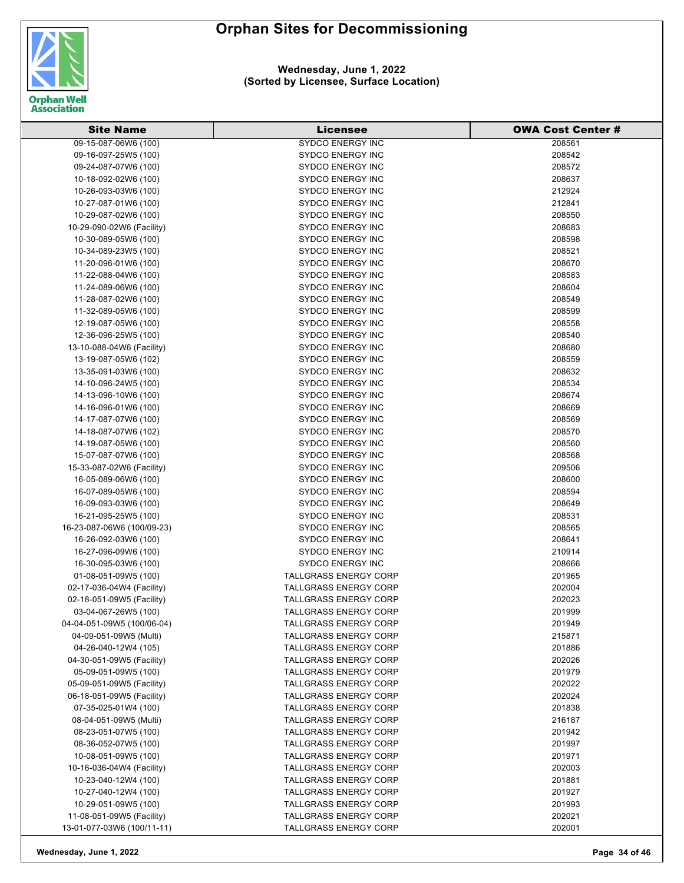

#### **Wednesday, June 1, 2022 (Sorted by Licensee, Surface Location)**

| <b>Site Name</b>                             | <b>Licensee</b>                                              | <b>OWA Cost Center #</b> |
|----------------------------------------------|--------------------------------------------------------------|--------------------------|
| 09-15-087-06W6 (100)                         | <b>SYDCO ENERGY INC</b>                                      | 208561                   |
| 09-16-097-25W5 (100)                         | <b>SYDCO ENERGY INC</b>                                      | 208542                   |
| 09-24-087-07W6 (100)                         | <b>SYDCO ENERGY INC</b>                                      | 208572                   |
| 10-18-092-02W6 (100)                         | <b>SYDCO ENERGY INC</b>                                      | 208637                   |
| 10-26-093-03W6 (100)                         | <b>SYDCO ENERGY INC</b>                                      | 212924                   |
| 10-27-087-01W6 (100)                         | <b>SYDCO ENERGY INC</b>                                      | 212841                   |
| 10-29-087-02W6 (100)                         | <b>SYDCO ENERGY INC</b>                                      | 208550                   |
| 10-29-090-02W6 (Facility)                    | <b>SYDCO ENERGY INC</b>                                      | 208683                   |
| 10-30-089-05W6 (100)                         | <b>SYDCO ENERGY INC</b>                                      | 208598                   |
| 10-34-089-23W5 (100)                         | <b>SYDCO ENERGY INC</b>                                      | 208521                   |
| 11-20-096-01W6 (100)                         | <b>SYDCO ENERGY INC</b>                                      | 208670                   |
| 11-22-088-04W6 (100)                         | <b>SYDCO ENERGY INC</b>                                      | 208583                   |
| 11-24-089-06W6 (100)                         | <b>SYDCO ENERGY INC</b>                                      | 208604                   |
| 11-28-087-02W6 (100)                         | <b>SYDCO ENERGY INC</b>                                      | 208549                   |
| 11-32-089-05W6 (100)                         | <b>SYDCO ENERGY INC</b>                                      | 208599                   |
| 12-19-087-05W6 (100)                         | <b>SYDCO ENERGY INC</b>                                      | 208558                   |
| 12-36-096-25W5 (100)                         | <b>SYDCO ENERGY INC</b>                                      | 208540                   |
| 13-10-088-04W6 (Facility)                    | <b>SYDCO ENERGY INC</b>                                      | 208680                   |
| 13-19-087-05W6 (102)                         | <b>SYDCO ENERGY INC</b>                                      | 208559                   |
| 13-35-091-03W6 (100)                         | <b>SYDCO ENERGY INC</b>                                      | 208632                   |
| 14-10-096-24W5 (100)                         | <b>SYDCO ENERGY INC</b>                                      | 208534                   |
| 14-13-096-10W6 (100)                         | <b>SYDCO ENERGY INC</b>                                      | 208674                   |
|                                              |                                                              | 208669                   |
| 14-16-096-01W6 (100)                         | <b>SYDCO ENERGY INC</b>                                      |                          |
| 14-17-087-07W6 (100)                         | <b>SYDCO ENERGY INC</b>                                      | 208569                   |
| 14-18-087-07W6 (102)                         | <b>SYDCO ENERGY INC</b>                                      | 208570                   |
| 14-19-087-05W6 (100)                         | <b>SYDCO ENERGY INC</b>                                      | 208560                   |
| 15-07-087-07W6 (100)                         | <b>SYDCO ENERGY INC</b>                                      | 208568                   |
| 15-33-087-02W6 (Facility)                    | <b>SYDCO ENERGY INC</b>                                      | 209506                   |
| 16-05-089-06W6 (100)                         | <b>SYDCO ENERGY INC</b>                                      | 208600                   |
| 16-07-089-05W6 (100)                         | <b>SYDCO ENERGY INC</b>                                      | 208594                   |
| 16-09-093-03W6 (100)                         | <b>SYDCO ENERGY INC</b>                                      | 208649                   |
| 16-21-095-25W5 (100)                         | <b>SYDCO ENERGY INC</b>                                      | 208531                   |
| 16-23-087-06W6 (100/09-23)                   | <b>SYDCO ENERGY INC</b>                                      | 208565                   |
| 16-26-092-03W6 (100)<br>16-27-096-09W6 (100) | <b>SYDCO ENERGY INC</b><br><b>SYDCO ENERGY INC</b>           | 208641<br>210914         |
|                                              |                                                              |                          |
| 16-30-095-03W6 (100)                         | <b>SYDCO ENERGY INC</b>                                      | 208666                   |
| 01-08-051-09W5 (100)                         | <b>TALLGRASS ENERGY CORP</b>                                 | 201965                   |
| 02-17-036-04W4 (Facility)                    | <b>TALLGRASS ENERGY CORP</b><br><b>TALLGRASS ENERGY CORP</b> | 202004                   |
| 02-18-051-09W5 (Facility)                    |                                                              | 202023                   |
| 03-04-067-26W5 (100)                         | <b>TALLGRASS ENERGY CORP</b>                                 | 201999                   |
| 04-04-051-09W5 (100/06-04)                   | <b>TALLGRASS ENERGY CORP</b>                                 | 201949                   |
| 04-09-051-09W5 (Multi)                       | TALLGRASS ENERGY CORP                                        | 215871                   |
| 04-26-040-12W4 (105)                         | <b>TALLGRASS ENERGY CORP</b>                                 | 201886                   |
| 04-30-051-09W5 (Facility)                    | <b>TALLGRASS ENERGY CORP</b>                                 | 202026                   |
| 05-09-051-09W5 (100)                         | <b>TALLGRASS ENERGY CORP</b>                                 | 201979                   |
| 05-09-051-09W5 (Facility)                    | TALLGRASS ENERGY CORP                                        | 202022                   |
| 06-18-051-09W5 (Facility)                    | <b>TALLGRASS ENERGY CORP</b>                                 | 202024                   |
| 07-35-025-01W4 (100)                         | TALLGRASS ENERGY CORP                                        | 201838                   |
| 08-04-051-09W5 (Multi)                       | <b>TALLGRASS ENERGY CORP</b>                                 | 216187                   |
| 08-23-051-07W5 (100)                         | <b>TALLGRASS ENERGY CORP</b>                                 | 201942                   |
| 08-36-052-07W5 (100)                         | <b>TALLGRASS ENERGY CORP</b>                                 | 201997                   |
| 10-08-051-09W5 (100)                         | <b>TALLGRASS ENERGY CORP</b>                                 | 201971                   |
| 10-16-036-04W4 (Facility)                    | <b>TALLGRASS ENERGY CORP</b>                                 | 202003                   |
| 10-23-040-12W4 (100)                         | <b>TALLGRASS ENERGY CORP</b>                                 | 201881                   |
| 10-27-040-12W4 (100)                         | <b>TALLGRASS ENERGY CORP</b>                                 | 201927                   |
| 10-29-051-09W5 (100)                         | <b>TALLGRASS ENERGY CORP</b>                                 | 201993                   |
| 11-08-051-09W5 (Facility)                    | <b>TALLGRASS ENERGY CORP</b>                                 | 202021                   |
| 13-01-077-03W6 (100/11-11)                   | <b>TALLGRASS ENERGY CORP</b>                                 | 202001                   |

**Wednesday, June 1, 2022 Page 34 of 46**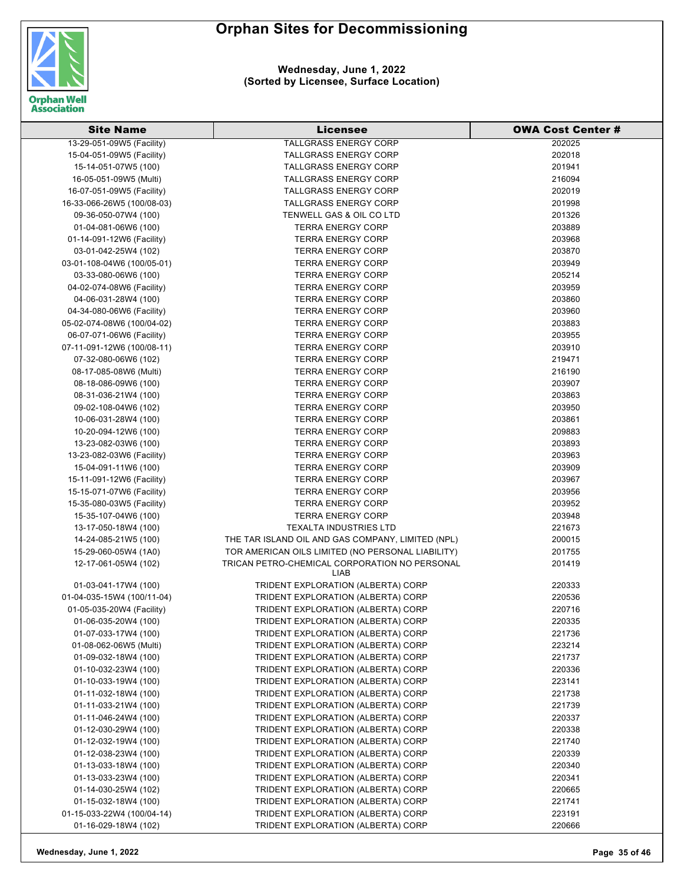

**Wednesday, June 1, 2022 (Sorted by Licensee, Surface Location)**

| <b>Site Name</b>           | Licensee                                              | <b>OWA Cost Center #</b> |
|----------------------------|-------------------------------------------------------|--------------------------|
| 13-29-051-09W5 (Facility)  | TALLGRASS ENERGY CORP                                 | 202025                   |
| 15-04-051-09W5 (Facility)  | <b>TALLGRASS ENERGY CORP</b>                          | 202018                   |
| 15-14-051-07W5 (100)       | <b>TALLGRASS ENERGY CORP</b>                          | 201941                   |
| 16-05-051-09W5 (Multi)     | <b>TALLGRASS ENERGY CORP</b>                          | 216094                   |
| 16-07-051-09W5 (Facility)  | <b>TALLGRASS ENERGY CORP</b>                          | 202019                   |
| 16-33-066-26W5 (100/08-03) | <b>TALLGRASS ENERGY CORP</b>                          | 201998                   |
| 09-36-050-07W4 (100)       | TENWELL GAS & OIL CO LTD                              | 201326                   |
| 01-04-081-06W6 (100)       | <b>TERRA ENERGY CORP</b>                              | 203889                   |
| 01-14-091-12W6 (Facility)  | <b>TERRA ENERGY CORP</b>                              | 203968                   |
| 03-01-042-25W4 (102)       | <b>TERRA ENERGY CORP</b>                              | 203870                   |
| 03-01-108-04W6 (100/05-01) | <b>TERRA ENERGY CORP</b>                              | 203949                   |
| 03-33-080-06W6 (100)       | <b>TERRA ENERGY CORP</b>                              | 205214                   |
| 04-02-074-08W6 (Facility)  | <b>TERRA ENERGY CORP</b>                              | 203959                   |
| 04-06-031-28W4 (100)       | <b>TERRA ENERGY CORP</b>                              | 203860                   |
| 04-34-080-06W6 (Facility)  | <b>TERRA ENERGY CORP</b>                              | 203960                   |
| 05-02-074-08W6 (100/04-02) | <b>TERRA ENERGY CORP</b>                              | 203883                   |
| 06-07-071-06W6 (Facility)  | <b>TERRA ENERGY CORP</b>                              | 203955                   |
| 07-11-091-12W6 (100/08-11) | <b>TERRA ENERGY CORP</b>                              | 203910                   |
| 07-32-080-06W6 (102)       | <b>TERRA ENERGY CORP</b>                              | 219471                   |
| 08-17-085-08W6 (Multi)     | <b>TERRA ENERGY CORP</b>                              | 216190                   |
| 08-18-086-09W6 (100)       | <b>TERRA ENERGY CORP</b>                              | 203907                   |
| 08-31-036-21W4 (100)       | <b>TERRA ENERGY CORP</b>                              | 203863                   |
| 09-02-108-04W6 (102)       | <b>TERRA ENERGY CORP</b>                              | 203950                   |
| 10-06-031-28W4 (100)       | <b>TERRA ENERGY CORP</b>                              | 203861                   |
| 10-20-094-12W6 (100)       | <b>TERRA ENERGY CORP</b>                              | 209883                   |
| 13-23-082-03W6 (100)       | <b>TERRA ENERGY CORP</b>                              | 203893                   |
| 13-23-082-03W6 (Facility)  | <b>TERRA ENERGY CORP</b>                              | 203963                   |
| 15-04-091-11W6 (100)       | <b>TERRA ENERGY CORP</b>                              | 203909                   |
| 15-11-091-12W6 (Facility)  | <b>TERRA ENERGY CORP</b>                              | 203967                   |
| 15-15-071-07W6 (Facility)  | <b>TERRA ENERGY CORP</b>                              | 203956                   |
| 15-35-080-03W5 (Facility)  | <b>TERRA ENERGY CORP</b>                              | 203952                   |
| 15-35-107-04W6 (100)       | <b>TERRA ENERGY CORP</b>                              | 203948                   |
| 13-17-050-18W4 (100)       | <b>TEXALTA INDUSTRIES LTD</b>                         | 221673                   |
| 14-24-085-21W5 (100)       | THE TAR ISLAND OIL AND GAS COMPANY, LIMITED (NPL)     | 200015                   |
| 15-29-060-05W4 (1A0)       | TOR AMERICAN OILS LIMITED (NO PERSONAL LIABILITY)     | 201755                   |
| 12-17-061-05W4 (102)       | TRICAN PETRO-CHEMICAL CORPORATION NO PERSONAL<br>LIAB | 201419                   |
| 01-03-041-17W4 (100)       | TRIDENT EXPLORATION (ALBERTA) CORP                    | 220333                   |
| 01-04-035-15W4 (100/11-04) | TRIDENT EXPLORATION (ALBERTA) CORP                    | 220536                   |
| 01-05-035-20W4 (Facility)  | TRIDENT EXPLORATION (ALBERTA) CORP                    | 220716                   |
| 01-06-035-20W4 (100)       | TRIDENT EXPLORATION (ALBERTA) CORP                    | 220335                   |
| 01-07-033-17W4 (100)       | TRIDENT EXPLORATION (ALBERTA) CORP                    | 221736                   |
| 01-08-062-06W5 (Multi)     | TRIDENT EXPLORATION (ALBERTA) CORP                    | 223214                   |
| 01-09-032-18W4 (100)       | TRIDENT EXPLORATION (ALBERTA) CORP                    | 221737                   |
| 01-10-032-23W4 (100)       | TRIDENT EXPLORATION (ALBERTA) CORP                    | 220336                   |
| 01-10-033-19W4 (100)       | TRIDENT EXPLORATION (ALBERTA) CORP                    | 223141                   |
| 01-11-032-18W4 (100)       | TRIDENT EXPLORATION (ALBERTA) CORP                    | 221738                   |
| 01-11-033-21W4 (100)       | TRIDENT EXPLORATION (ALBERTA) CORP                    | 221739                   |
| 01-11-046-24W4 (100)       | TRIDENT EXPLORATION (ALBERTA) CORP                    | 220337                   |
| 01-12-030-29W4 (100)       | TRIDENT EXPLORATION (ALBERTA) CORP                    | 220338                   |
| 01-12-032-19W4 (100)       | TRIDENT EXPLORATION (ALBERTA) CORP                    | 221740                   |
| 01-12-038-23W4 (100)       | TRIDENT EXPLORATION (ALBERTA) CORP                    | 220339                   |
| 01-13-033-18W4 (100)       | TRIDENT EXPLORATION (ALBERTA) CORP                    | 220340                   |
| 01-13-033-23W4 (100)       | TRIDENT EXPLORATION (ALBERTA) CORP                    | 220341                   |
| 01-14-030-25W4 (102)       | TRIDENT EXPLORATION (ALBERTA) CORP                    | 220665                   |
| 01-15-032-18W4 (100)       | TRIDENT EXPLORATION (ALBERTA) CORP                    | 221741                   |
| 01-15-033-22W4 (100/04-14) | TRIDENT EXPLORATION (ALBERTA) CORP                    | 223191                   |
| 01-16-029-18W4 (102)       | TRIDENT EXPLORATION (ALBERTA) CORP                    | 220666                   |

**Wednesday, June 1, 2022 Page 35 of 46**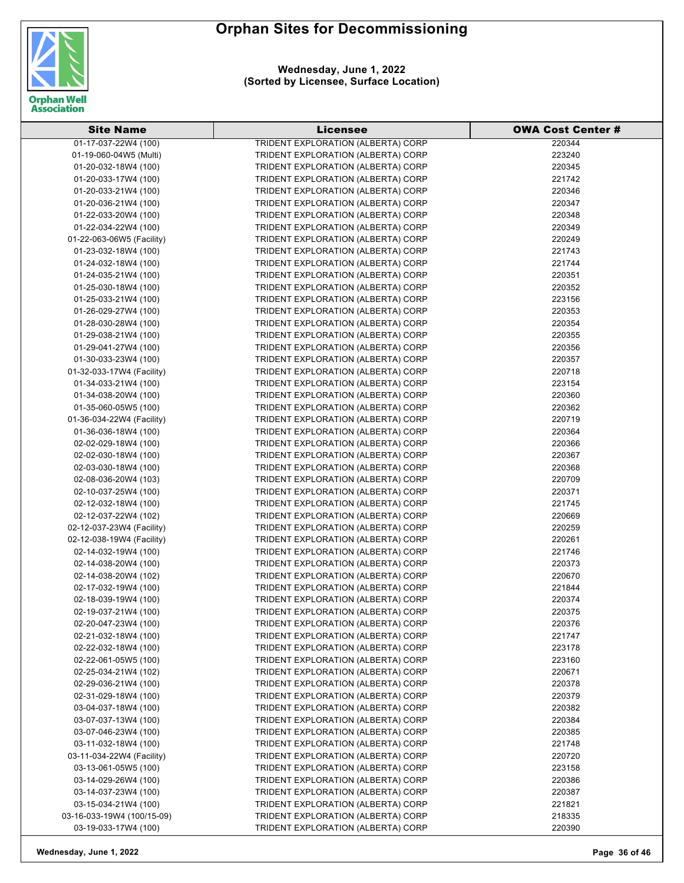

**Wednesday, June 1, 2022 (Sorted by Licensee, Surface Location)**

| <b>Site Name</b>           | <b>Licensee</b>                    | <b>OWA Cost Center #</b> |
|----------------------------|------------------------------------|--------------------------|
| 01-17-037-22W4 (100)       | TRIDENT EXPLORATION (ALBERTA) CORP | 220344                   |
| 01-19-060-04W5 (Multi)     | TRIDENT EXPLORATION (ALBERTA) CORP | 223240                   |
| 01-20-032-18W4 (100)       | TRIDENT EXPLORATION (ALBERTA) CORP | 220345                   |
| 01-20-033-17W4 (100)       | TRIDENT EXPLORATION (ALBERTA) CORP | 221742                   |
| 01-20-033-21W4 (100)       | TRIDENT EXPLORATION (ALBERTA) CORP | 220346                   |
| 01-20-036-21W4 (100)       | TRIDENT EXPLORATION (ALBERTA) CORP | 220347                   |
| 01-22-033-20W4 (100)       | TRIDENT EXPLORATION (ALBERTA) CORP | 220348                   |
| 01-22-034-22W4 (100)       | TRIDENT EXPLORATION (ALBERTA) CORP | 220349                   |
| 01-22-063-06W5 (Facility)  | TRIDENT EXPLORATION (ALBERTA) CORP | 220249                   |
| 01-23-032-18W4 (100)       | TRIDENT EXPLORATION (ALBERTA) CORP | 221743                   |
| 01-24-032-18W4 (100)       | TRIDENT EXPLORATION (ALBERTA) CORP | 221744                   |
| 01-24-035-21W4 (100)       | TRIDENT EXPLORATION (ALBERTA) CORP | 220351                   |
| 01-25-030-18W4 (100)       | TRIDENT EXPLORATION (ALBERTA) CORP | 220352                   |
| 01-25-033-21W4 (100)       | TRIDENT EXPLORATION (ALBERTA) CORP | 223156                   |
| 01-26-029-27W4 (100)       | TRIDENT EXPLORATION (ALBERTA) CORP | 220353                   |
| 01-28-030-28W4 (100)       | TRIDENT EXPLORATION (ALBERTA) CORP | 220354                   |
| 01-29-038-21W4 (100)       | TRIDENT EXPLORATION (ALBERTA) CORP | 220355                   |
| 01-29-041-27W4 (100)       | TRIDENT EXPLORATION (ALBERTA) CORP | 220356                   |
| 01-30-033-23W4 (100)       | TRIDENT EXPLORATION (ALBERTA) CORP | 220357                   |
| 01-32-033-17W4 (Facility)  | TRIDENT EXPLORATION (ALBERTA) CORP | 220718                   |
| 01-34-033-21W4 (100)       | TRIDENT EXPLORATION (ALBERTA) CORP | 223154                   |
| 01-34-038-20W4 (100)       | TRIDENT EXPLORATION (ALBERTA) CORP | 220360                   |
| 01-35-060-05W5 (100)       | TRIDENT EXPLORATION (ALBERTA) CORP | 220362                   |
| 01-36-034-22W4 (Facility)  | TRIDENT EXPLORATION (ALBERTA) CORP | 220719                   |
| 01-36-036-18W4 (100)       | TRIDENT EXPLORATION (ALBERTA) CORP | 220364                   |
| 02-02-029-18W4 (100)       | TRIDENT EXPLORATION (ALBERTA) CORP | 220366                   |
| 02-02-030-18W4 (100)       | TRIDENT EXPLORATION (ALBERTA) CORP | 220367                   |
| 02-03-030-18W4 (100)       | TRIDENT EXPLORATION (ALBERTA) CORP | 220368                   |
| 02-08-036-20W4 (103)       | TRIDENT EXPLORATION (ALBERTA) CORP | 220709                   |
| 02-10-037-25W4 (100)       | TRIDENT EXPLORATION (ALBERTA) CORP | 220371                   |
| 02-12-032-18W4 (100)       | TRIDENT EXPLORATION (ALBERTA) CORP | 221745                   |
| 02-12-037-22W4 (102)       | TRIDENT EXPLORATION (ALBERTA) CORP | 220669                   |
| 02-12-037-23W4 (Facility)  | TRIDENT EXPLORATION (ALBERTA) CORP | 220259                   |
| 02-12-038-19W4 (Facility)  | TRIDENT EXPLORATION (ALBERTA) CORP | 220261                   |
| 02-14-032-19W4 (100)       | TRIDENT EXPLORATION (ALBERTA) CORP | 221746                   |
| 02-14-038-20W4 (100)       | TRIDENT EXPLORATION (ALBERTA) CORP | 220373                   |
| 02-14-038-20W4 (102)       | TRIDENT EXPLORATION (ALBERTA) CORP | 220670                   |
| 02-17-032-19W4 (100)       | TRIDENT EXPLORATION (ALBERTA) CORP | 221844                   |
| 02-18-039-19W4 (100)       | TRIDENT EXPLORATION (ALBERTA) CORP | 220374                   |
| 02-19-037-21W4 (100)       | TRIDENT EXPLORATION (ALBERTA) CORP | 220375                   |
| 02-20-047-23W4 (100)       | TRIDENT EXPLORATION (ALBERTA) CORP | 220376                   |
| 02-21-032-18W4 (100)       | TRIDENT EXPLORATION (ALBERTA) CORP | 221747                   |
| 02-22-032-18W4 (100)       | TRIDENT EXPLORATION (ALBERTA) CORP | 223178                   |
| 02-22-061-05W5 (100)       | TRIDENT EXPLORATION (ALBERTA) CORP | 223160                   |
| 02-25-034-21W4 (102)       | TRIDENT EXPLORATION (ALBERTA) CORP | 220671                   |
| 02-29-036-21W4 (100)       | TRIDENT EXPLORATION (ALBERTA) CORP | 220378                   |
| 02-31-029-18W4 (100)       | TRIDENT EXPLORATION (ALBERTA) CORP | 220379                   |
| 03-04-037-18W4 (100)       | TRIDENT EXPLORATION (ALBERTA) CORP | 220382                   |
| 03-07-037-13W4 (100)       | TRIDENT EXPLORATION (ALBERTA) CORP | 220384                   |
| 03-07-046-23W4 (100)       | TRIDENT EXPLORATION (ALBERTA) CORP | 220385                   |
| 03-11-032-18W4 (100)       | TRIDENT EXPLORATION (ALBERTA) CORP | 221748                   |
| 03-11-034-22W4 (Facility)  | TRIDENT EXPLORATION (ALBERTA) CORP | 220720                   |
| 03-13-061-05W5 (100)       | TRIDENT EXPLORATION (ALBERTA) CORP | 223158                   |
| 03-14-029-26W4 (100)       | TRIDENT EXPLORATION (ALBERTA) CORP | 220386                   |
| 03-14-037-23W4 (100)       | TRIDENT EXPLORATION (ALBERTA) CORP | 220387                   |
| 03-15-034-21W4 (100)       | TRIDENT EXPLORATION (ALBERTA) CORP | 221821                   |
| 03-16-033-19W4 (100/15-09) | TRIDENT EXPLORATION (ALBERTA) CORP | 218335                   |
| 03-19-033-17W4 (100)       | TRIDENT EXPLORATION (ALBERTA) CORP | 220390                   |

**Wednesday, June 1, 2022 Page 36 of 46**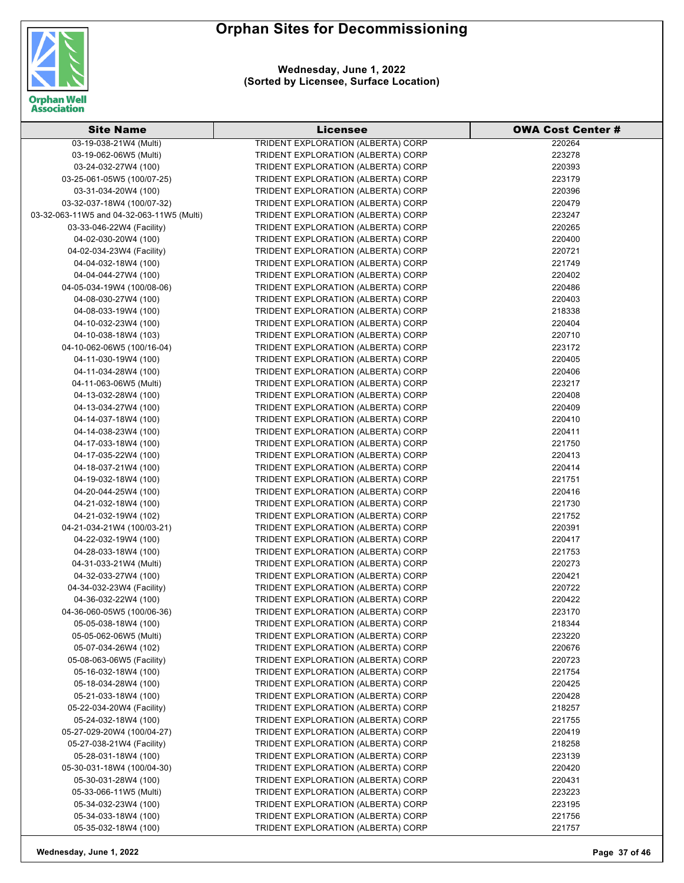



**Wednesday, June 1, 2022 (Sorted by Licensee, Surface Location)**

| <b>Site Name</b>                          | <b>Licensee</b>                                                          | <b>OWA Cost Center #</b> |
|-------------------------------------------|--------------------------------------------------------------------------|--------------------------|
| 03-19-038-21W4 (Multi)                    | <b>TRIDENT EXPLORATION (ALBERTA) CORP</b>                                | 220264                   |
| 03-19-062-06W5 (Multi)                    | TRIDENT EXPLORATION (ALBERTA) CORP                                       | 223278                   |
| 03-24-032-27W4 (100)                      | TRIDENT EXPLORATION (ALBERTA) CORP                                       | 220393                   |
| 03-25-061-05W5 (100/07-25)                | TRIDENT EXPLORATION (ALBERTA) CORP                                       | 223179                   |
| 03-31-034-20W4 (100)                      | TRIDENT EXPLORATION (ALBERTA) CORP                                       | 220396                   |
| 03-32-037-18W4 (100/07-32)                | TRIDENT EXPLORATION (ALBERTA) CORP                                       | 220479                   |
| 03-32-063-11W5 and 04-32-063-11W5 (Multi) | TRIDENT EXPLORATION (ALBERTA) CORP                                       | 223247                   |
| 03-33-046-22W4 (Facility)                 | TRIDENT EXPLORATION (ALBERTA) CORP                                       | 220265                   |
| 04-02-030-20W4 (100)                      | TRIDENT EXPLORATION (ALBERTA) CORP                                       | 220400                   |
| 04-02-034-23W4 (Facility)                 | TRIDENT EXPLORATION (ALBERTA) CORP                                       | 220721                   |
| 04-04-032-18W4 (100)                      | TRIDENT EXPLORATION (ALBERTA) CORP                                       | 221749                   |
| 04-04-044-27W4 (100)                      | TRIDENT EXPLORATION (ALBERTA) CORP                                       | 220402                   |
| 04-05-034-19W4 (100/08-06)                | TRIDENT EXPLORATION (ALBERTA) CORP                                       | 220486                   |
| 04-08-030-27W4 (100)                      | TRIDENT EXPLORATION (ALBERTA) CORP                                       | 220403                   |
| 04-08-033-19W4 (100)                      | TRIDENT EXPLORATION (ALBERTA) CORP                                       | 218338                   |
| 04-10-032-23W4 (100)                      | TRIDENT EXPLORATION (ALBERTA) CORP                                       | 220404                   |
| 04-10-038-18W4 (103)                      | TRIDENT EXPLORATION (ALBERTA) CORP                                       | 220710                   |
| 04-10-062-06W5 (100/16-04)                | TRIDENT EXPLORATION (ALBERTA) CORP                                       | 223172                   |
| 04-11-030-19W4 (100)                      | TRIDENT EXPLORATION (ALBERTA) CORP                                       | 220405                   |
| 04-11-034-28W4 (100)                      | TRIDENT EXPLORATION (ALBERTA) CORP                                       | 220406                   |
| 04-11-063-06W5 (Multi)                    | TRIDENT EXPLORATION (ALBERTA) CORP                                       | 223217                   |
| 04-13-032-28W4 (100)                      | TRIDENT EXPLORATION (ALBERTA) CORP                                       | 220408                   |
| 04-13-034-27W4 (100)                      | TRIDENT EXPLORATION (ALBERTA) CORP                                       | 220409                   |
| 04-14-037-18W4 (100)                      | TRIDENT EXPLORATION (ALBERTA) CORP                                       | 220410                   |
| 04-14-038-23W4 (100)                      | TRIDENT EXPLORATION (ALBERTA) CORP                                       | 220411                   |
| 04-17-033-18W4 (100)                      | TRIDENT EXPLORATION (ALBERTA) CORP                                       | 221750                   |
| 04-17-035-22W4 (100)                      | TRIDENT EXPLORATION (ALBERTA) CORP                                       | 220413                   |
| 04-18-037-21W4 (100)                      | TRIDENT EXPLORATION (ALBERTA) CORP                                       | 220414                   |
| 04-19-032-18W4 (100)                      | TRIDENT EXPLORATION (ALBERTA) CORP                                       | 221751                   |
| 04-20-044-25W4 (100)                      | TRIDENT EXPLORATION (ALBERTA) CORP                                       | 220416                   |
| 04-21-032-18W4 (100)                      | TRIDENT EXPLORATION (ALBERTA) CORP                                       | 221730                   |
| 04-21-032-19W4 (102)                      | TRIDENT EXPLORATION (ALBERTA) CORP                                       | 221752                   |
| 04-21-034-21W4 (100/03-21)                | TRIDENT EXPLORATION (ALBERTA) CORP                                       | 220391                   |
| 04-22-032-19W4 (100)                      | TRIDENT EXPLORATION (ALBERTA) CORP                                       | 220417                   |
| 04-28-033-18W4 (100)                      | TRIDENT EXPLORATION (ALBERTA) CORP                                       | 221753                   |
| 04-31-033-21W4 (Multi)                    | TRIDENT EXPLORATION (ALBERTA) CORP                                       | 220273                   |
| 04-32-033-27W4 (100)                      | TRIDENT EXPLORATION (ALBERTA) CORP                                       | 220421                   |
| 04-34-032-23W4 (Facility)                 | TRIDENT EXPLORATION (ALBERTA) CORP                                       | 220722                   |
| 04-36-032-22W4 (100)                      | TRIDENT EXPLORATION (ALBERTA) CORP                                       | 220422                   |
| 04-36-060-05W5 (100/06-36)                | <b>TRIDENT EXPLORATION (ALBERTA) CORP</b>                                | 223170                   |
| 05-05-038-18W4 (100)                      | TRIDENT EXPLORATION (ALBERTA) CORP                                       | 218344                   |
| 05-05-062-06W5 (Multi)                    | TRIDENT EXPLORATION (ALBERTA) CORP                                       | 223220                   |
| 05-07-034-26W4 (102)                      | TRIDENT EXPLORATION (ALBERTA) CORP                                       | 220676                   |
| 05-08-063-06W5 (Facility)                 | TRIDENT EXPLORATION (ALBERTA) CORP                                       |                          |
| 05-16-032-18W4 (100)                      | TRIDENT EXPLORATION (ALBERTA) CORP                                       | 220723                   |
| 05-18-034-28W4 (100)                      |                                                                          | 221754                   |
|                                           | TRIDENT EXPLORATION (ALBERTA) CORP                                       | 220425                   |
| 05-21-033-18W4 (100)                      | TRIDENT EXPLORATION (ALBERTA) CORP                                       | 220428                   |
| 05-22-034-20W4 (Facility)                 | TRIDENT EXPLORATION (ALBERTA) CORP<br>TRIDENT EXPLORATION (ALBERTA) CORP | 218257                   |
| 05-24-032-18W4 (100)                      |                                                                          | 221755                   |
| 05-27-029-20W4 (100/04-27)                | TRIDENT EXPLORATION (ALBERTA) CORP                                       | 220419                   |
| 05-27-038-21W4 (Facility)                 | TRIDENT EXPLORATION (ALBERTA) CORP                                       | 218258                   |
| 05-28-031-18W4 (100)                      | TRIDENT EXPLORATION (ALBERTA) CORP                                       | 223139                   |
| 05-30-031-18W4 (100/04-30)                | TRIDENT EXPLORATION (ALBERTA) CORP                                       | 220420                   |
| 05-30-031-28W4 (100)                      | TRIDENT EXPLORATION (ALBERTA) CORP                                       | 220431                   |
| 05-33-066-11W5 (Multi)                    | TRIDENT EXPLORATION (ALBERTA) CORP                                       | 223223                   |
| 05-34-032-23W4 (100)                      | TRIDENT EXPLORATION (ALBERTA) CORP                                       | 223195                   |
| 05-34-033-18W4 (100)                      | TRIDENT EXPLORATION (ALBERTA) CORP                                       | 221756                   |
| 05-35-032-18W4 (100)                      | TRIDENT EXPLORATION (ALBERTA) CORP                                       | 221757                   |

**Wednesday, June 1, 2022 Page 37 of 46**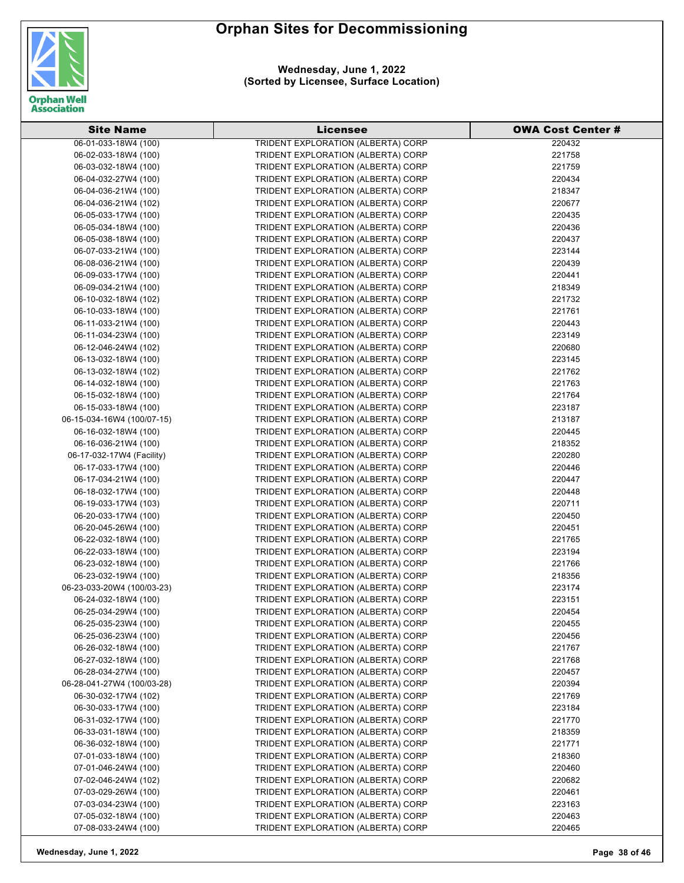

**Wednesday, June 1, 2022 (Sorted by Licensee, Surface Location)**

| <b>Site Name</b>                             | Licensee                                                                 | <b>OWA Cost Center #</b> |
|----------------------------------------------|--------------------------------------------------------------------------|--------------------------|
| 06-01-033-18W4 (100)                         | TRIDENT EXPLORATION (ALBERTA) CORP                                       | 220432                   |
| 06-02-033-18W4 (100)                         | TRIDENT EXPLORATION (ALBERTA) CORP                                       | 221758                   |
| 06-03-032-18W4 (100)                         | TRIDENT EXPLORATION (ALBERTA) CORP                                       | 221759                   |
| 06-04-032-27W4 (100)                         | TRIDENT EXPLORATION (ALBERTA) CORP                                       | 220434                   |
| 06-04-036-21W4 (100)                         | TRIDENT EXPLORATION (ALBERTA) CORP                                       | 218347                   |
| 06-04-036-21W4 (102)                         | TRIDENT EXPLORATION (ALBERTA) CORP                                       | 220677                   |
| 06-05-033-17W4 (100)                         | TRIDENT EXPLORATION (ALBERTA) CORP                                       | 220435                   |
| 06-05-034-18W4 (100)                         | TRIDENT EXPLORATION (ALBERTA) CORP                                       | 220436                   |
| 06-05-038-18W4 (100)                         | TRIDENT EXPLORATION (ALBERTA) CORP                                       | 220437                   |
| 06-07-033-21W4 (100)                         | TRIDENT EXPLORATION (ALBERTA) CORP                                       | 223144                   |
| 06-08-036-21W4 (100)                         | TRIDENT EXPLORATION (ALBERTA) CORP                                       | 220439                   |
| 06-09-033-17W4 (100)                         | TRIDENT EXPLORATION (ALBERTA) CORP                                       | 220441                   |
| 06-09-034-21W4 (100)                         | TRIDENT EXPLORATION (ALBERTA) CORP                                       | 218349                   |
| 06-10-032-18W4 (102)                         | TRIDENT EXPLORATION (ALBERTA) CORP                                       | 221732                   |
| 06-10-033-18W4 (100)                         | TRIDENT EXPLORATION (ALBERTA) CORP                                       | 221761                   |
| 06-11-033-21W4 (100)                         | TRIDENT EXPLORATION (ALBERTA) CORP                                       | 220443                   |
| 06-11-034-23W4 (100)                         | TRIDENT EXPLORATION (ALBERTA) CORP                                       | 223149                   |
| 06-12-046-24W4 (102)                         | TRIDENT EXPLORATION (ALBERTA) CORP                                       | 220680                   |
| 06-13-032-18W4 (100)                         | TRIDENT EXPLORATION (ALBERTA) CORP                                       | 223145                   |
| 06-13-032-18W4 (102)                         | TRIDENT EXPLORATION (ALBERTA) CORP                                       | 221762                   |
| 06-14-032-18W4 (100)                         |                                                                          | 221763                   |
| 06-15-032-18W4 (100)                         | TRIDENT EXPLORATION (ALBERTA) CORP                                       | 221764                   |
| 06-15-033-18W4 (100)                         | TRIDENT EXPLORATION (ALBERTA) CORP                                       | 223187                   |
|                                              | TRIDENT EXPLORATION (ALBERTA) CORP                                       |                          |
| 06-15-034-16W4 (100/07-15)                   | TRIDENT EXPLORATION (ALBERTA) CORP                                       | 213187                   |
| 06-16-032-18W4 (100)<br>06-16-036-21W4 (100) | TRIDENT EXPLORATION (ALBERTA) CORP                                       | 220445                   |
| 06-17-032-17W4 (Facility)                    | TRIDENT EXPLORATION (ALBERTA) CORP<br>TRIDENT EXPLORATION (ALBERTA) CORP | 218352<br>220280         |
| 06-17-033-17W4 (100)                         | TRIDENT EXPLORATION (ALBERTA) CORP                                       | 220446                   |
| 06-17-034-21W4 (100)                         | TRIDENT EXPLORATION (ALBERTA) CORP                                       | 220447                   |
| 06-18-032-17W4 (100)                         | TRIDENT EXPLORATION (ALBERTA) CORP                                       | 220448                   |
| 06-19-033-17W4 (103)                         | TRIDENT EXPLORATION (ALBERTA) CORP                                       | 220711                   |
| 06-20-033-17W4 (100)                         | TRIDENT EXPLORATION (ALBERTA) CORP                                       | 220450                   |
| 06-20-045-26W4 (100)                         | TRIDENT EXPLORATION (ALBERTA) CORP                                       | 220451                   |
| 06-22-032-18W4 (100)                         | TRIDENT EXPLORATION (ALBERTA) CORP                                       | 221765                   |
| 06-22-033-18W4 (100)                         | TRIDENT EXPLORATION (ALBERTA) CORP                                       | 223194                   |
| 06-23-032-18W4 (100)                         | TRIDENT EXPLORATION (ALBERTA) CORP                                       | 221766                   |
| 06-23-032-19W4 (100)                         | TRIDENT EXPLORATION (ALBERTA) CORP                                       | 218356                   |
| 06-23-033-20W4 (100/03-23)                   | TRIDENT EXPLORATION (ALBERTA) CORP                                       | 223174                   |
| 06-24-032-18W4 (100)                         | TRIDENT EXPLORATION (ALBERTA) CORP                                       | 223151                   |
| 06-25-034-29W4 (100)                         | TRIDENT EXPLORATION (ALBERTA) CORP                                       | 220454                   |
| 06-25-035-23W4 (100)                         | TRIDENT EXPLORATION (ALBERTA) CORP                                       | 220455                   |
| 06-25-036-23W4 (100)                         | TRIDENT EXPLORATION (ALBERTA) CORP                                       | 220456                   |
| 06-26-032-18W4 (100)                         | TRIDENT EXPLORATION (ALBERTA) CORP                                       | 221767                   |
| 06-27-032-18W4 (100)                         | TRIDENT EXPLORATION (ALBERTA) CORP                                       | 221768                   |
| 06-28-034-27W4 (100)                         | TRIDENT EXPLORATION (ALBERTA) CORP                                       | 220457                   |
| 06-28-041-27W4 (100/03-28)                   | TRIDENT EXPLORATION (ALBERTA) CORP                                       | 220394                   |
| 06-30-032-17W4 (102)                         | TRIDENT EXPLORATION (ALBERTA) CORP                                       | 221769                   |
| 06-30-033-17W4 (100)                         | TRIDENT EXPLORATION (ALBERTA) CORP                                       | 223184                   |
| 06-31-032-17W4 (100)                         | TRIDENT EXPLORATION (ALBERTA) CORP                                       | 221770                   |
| 06-33-031-18W4 (100)                         | TRIDENT EXPLORATION (ALBERTA) CORP                                       | 218359                   |
| 06-36-032-18W4 (100)                         | TRIDENT EXPLORATION (ALBERTA) CORP                                       | 221771                   |
| 07-01-033-18W4 (100)                         | TRIDENT EXPLORATION (ALBERTA) CORP                                       | 218360                   |
| 07-01-046-24W4 (100)                         | TRIDENT EXPLORATION (ALBERTA) CORP                                       | 220460                   |
| 07-02-046-24W4 (102)                         | TRIDENT EXPLORATION (ALBERTA) CORP                                       | 220682                   |
| 07-03-029-26W4 (100)                         | TRIDENT EXPLORATION (ALBERTA) CORP                                       | 220461                   |
| 07-03-034-23W4 (100)                         | TRIDENT EXPLORATION (ALBERTA) CORP                                       | 223163                   |
| 07-05-032-18W4 (100)                         | TRIDENT EXPLORATION (ALBERTA) CORP                                       | 220463                   |
| 07-08-033-24W4 (100)                         | TRIDENT EXPLORATION (ALBERTA) CORP                                       | 220465                   |

**Wednesday, June 1, 2022 Page 38 of 46**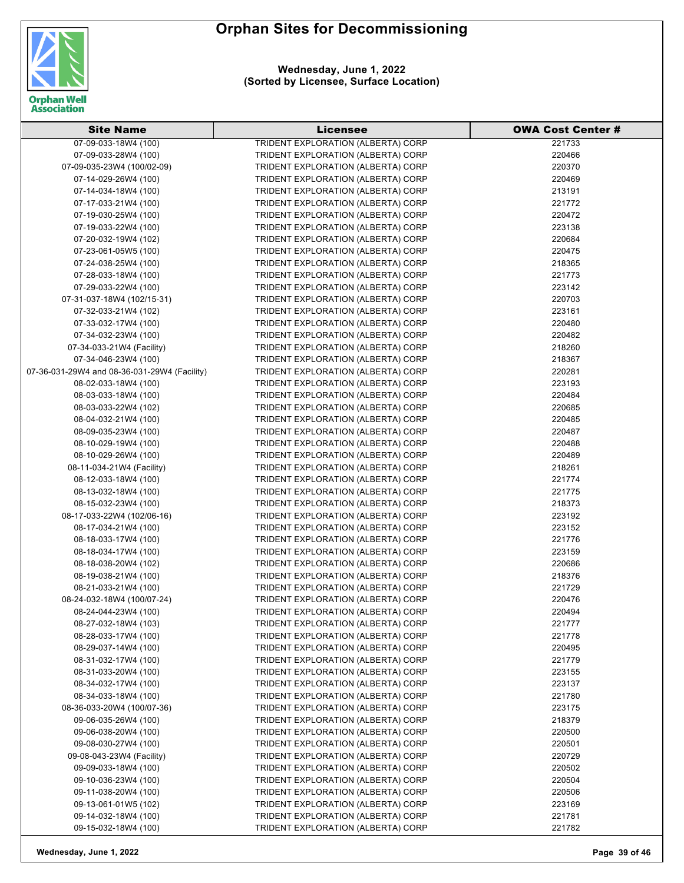



**Wednesday, June 1, 2022 (Sorted by Licensee, Surface Location)**

| <b>Site Name</b>                                  | <b>Licensee</b>                                                          | <b>OWA Cost Center #</b> |
|---------------------------------------------------|--------------------------------------------------------------------------|--------------------------|
| 07-09-033-18W4 (100)                              | <b>TRIDENT EXPLORATION (ALBERTA) CORP</b>                                | 221733                   |
| 07-09-033-28W4 (100)                              | TRIDENT EXPLORATION (ALBERTA) CORP                                       | 220466                   |
| 07-09-035-23W4 (100/02-09)                        | TRIDENT EXPLORATION (ALBERTA) CORP                                       | 220370                   |
| 07-14-029-26W4 (100)                              | TRIDENT EXPLORATION (ALBERTA) CORP                                       | 220469                   |
| 07-14-034-18W4 (100)                              | TRIDENT EXPLORATION (ALBERTA) CORP                                       | 213191                   |
| 07-17-033-21W4 (100)                              | TRIDENT EXPLORATION (ALBERTA) CORP                                       | 221772                   |
| 07-19-030-25W4 (100)                              | TRIDENT EXPLORATION (ALBERTA) CORP                                       | 220472                   |
| 07-19-033-22W4 (100)                              | TRIDENT EXPLORATION (ALBERTA) CORP                                       | 223138                   |
| 07-20-032-19W4 (102)                              | TRIDENT EXPLORATION (ALBERTA) CORP                                       | 220684                   |
| 07-23-061-05W5 (100)                              | TRIDENT EXPLORATION (ALBERTA) CORP                                       | 220475                   |
| 07-24-038-25W4 (100)                              | TRIDENT EXPLORATION (ALBERTA) CORP                                       | 218365                   |
| 07-28-033-18W4 (100)                              | TRIDENT EXPLORATION (ALBERTA) CORP                                       | 221773                   |
| 07-29-033-22W4 (100)                              | TRIDENT EXPLORATION (ALBERTA) CORP                                       | 223142                   |
| 07-31-037-18W4 (102/15-31)                        | TRIDENT EXPLORATION (ALBERTA) CORP                                       | 220703                   |
| 07-32-033-21W4 (102)                              | TRIDENT EXPLORATION (ALBERTA) CORP                                       | 223161                   |
| 07-33-032-17W4 (100)                              | TRIDENT EXPLORATION (ALBERTA) CORP                                       | 220480                   |
| 07-34-032-23W4 (100)                              | TRIDENT EXPLORATION (ALBERTA) CORP                                       | 220482                   |
| 07-34-033-21W4 (Facility)                         | TRIDENT EXPLORATION (ALBERTA) CORP                                       | 218260                   |
| 07-34-046-23W4 (100)                              | TRIDENT EXPLORATION (ALBERTA) CORP                                       | 218367                   |
| 07-36-031-29W4 and 08-36-031-29W4 (Facility)      | TRIDENT EXPLORATION (ALBERTA) CORP                                       | 220281                   |
| 08-02-033-18W4 (100)                              | TRIDENT EXPLORATION (ALBERTA) CORP                                       | 223193                   |
| 08-03-033-18W4 (100)                              | TRIDENT EXPLORATION (ALBERTA) CORP                                       | 220484                   |
| 08-03-033-22W4 (102)                              | TRIDENT EXPLORATION (ALBERTA) CORP                                       | 220685                   |
| 08-04-032-21W4 (100)                              | TRIDENT EXPLORATION (ALBERTA) CORP                                       | 220485                   |
| 08-09-035-23W4 (100)                              | TRIDENT EXPLORATION (ALBERTA) CORP                                       | 220487                   |
| 08-10-029-19W4 (100)                              | TRIDENT EXPLORATION (ALBERTA) CORP                                       | 220488                   |
| 08-10-029-26W4 (100)                              | TRIDENT EXPLORATION (ALBERTA) CORP                                       | 220489                   |
| 08-11-034-21W4 (Facility)                         | TRIDENT EXPLORATION (ALBERTA) CORP                                       | 218261                   |
| 08-12-033-18W4 (100)                              | TRIDENT EXPLORATION (ALBERTA) CORP                                       | 221774                   |
| 08-13-032-18W4 (100)                              | TRIDENT EXPLORATION (ALBERTA) CORP                                       | 221775                   |
| 08-15-032-23W4 (100)                              | TRIDENT EXPLORATION (ALBERTA) CORP                                       | 218373                   |
| 08-17-033-22W4 (102/06-16)                        | TRIDENT EXPLORATION (ALBERTA) CORP                                       | 223192                   |
| 08-17-034-21W4 (100)                              | TRIDENT EXPLORATION (ALBERTA) CORP                                       | 223152                   |
| 08-18-033-17W4 (100)                              | TRIDENT EXPLORATION (ALBERTA) CORP                                       | 221776                   |
| 08-18-034-17W4 (100)                              | TRIDENT EXPLORATION (ALBERTA) CORP                                       | 223159                   |
| 08-18-038-20W4 (102)                              | TRIDENT EXPLORATION (ALBERTA) CORP                                       | 220686                   |
| 08-19-038-21W4 (100)                              | TRIDENT EXPLORATION (ALBERTA) CORP                                       | 218376                   |
| 08-21-033-21W4 (100)                              | TRIDENT EXPLORATION (ALBERTA) CORP                                       | 221729                   |
| 08-24-032-18W4 (100/07-24)                        | TRIDENT EXPLORATION (ALBERTA) CORP                                       | 220476                   |
| 08-24-044-23W4 (100)                              | TRIDENT EXPLORATION (ALBERTA) CORP                                       | 220494                   |
| 08-27-032-18W4 (103)                              | TRIDENT EXPLORATION (ALBERTA) CORP                                       | 221777                   |
| 08-28-033-17W4 (100)                              | TRIDENT EXPLORATION (ALBERTA) CORP                                       | 221778                   |
| 08-29-037-14W4 (100)                              | TRIDENT EXPLORATION (ALBERTA) CORP                                       | 220495                   |
| 08-31-032-17W4 (100)                              | TRIDENT EXPLORATION (ALBERTA) CORP                                       | 221779                   |
| 08-31-033-20W4 (100)                              | TRIDENT EXPLORATION (ALBERTA) CORP                                       | 223155                   |
| 08-34-032-17W4 (100)                              | TRIDENT EXPLORATION (ALBERTA) CORP                                       | 223137                   |
| 08-34-033-18W4 (100)                              | TRIDENT EXPLORATION (ALBERTA) CORP                                       | 221780                   |
| 08-36-033-20W4 (100/07-36)                        | TRIDENT EXPLORATION (ALBERTA) CORP                                       | 223175                   |
| 09-06-035-26W4 (100)                              | TRIDENT EXPLORATION (ALBERTA) CORP                                       | 218379                   |
| 09-06-038-20W4 (100)                              | TRIDENT EXPLORATION (ALBERTA) CORP                                       | 220500                   |
| 09-08-030-27W4 (100)<br>09-08-043-23W4 (Facility) | TRIDENT EXPLORATION (ALBERTA) CORP                                       | 220501                   |
|                                                   | TRIDENT EXPLORATION (ALBERTA) CORP                                       | 220729                   |
| 09-09-033-18W4 (100)                              | TRIDENT EXPLORATION (ALBERTA) CORP<br>TRIDENT EXPLORATION (ALBERTA) CORP | 220502<br>220504         |
| 09-10-036-23W4 (100)<br>09-11-038-20W4 (100)      | TRIDENT EXPLORATION (ALBERTA) CORP                                       | 220506                   |
| 09-13-061-01W5 (102)                              | TRIDENT EXPLORATION (ALBERTA) CORP                                       | 223169                   |
| 09-14-032-18W4 (100)                              | TRIDENT EXPLORATION (ALBERTA) CORP                                       | 221781                   |
| 09-15-032-18W4 (100)                              | TRIDENT EXPLORATION (ALBERTA) CORP                                       | 221782                   |
|                                                   |                                                                          |                          |

**Wednesday, June 1, 2022 Page 39 of 46**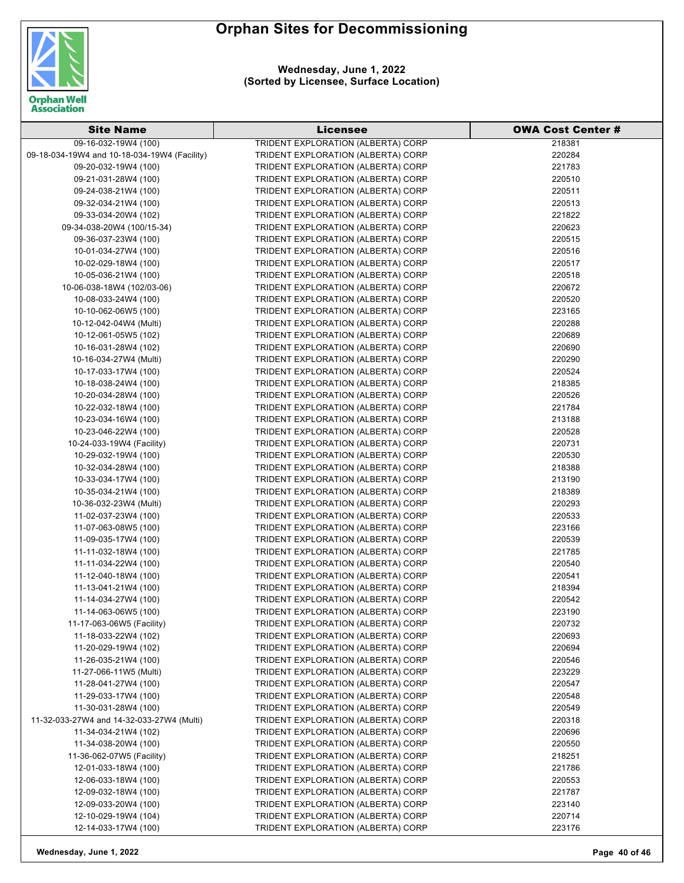



**Wednesday, June 1, 2022 (Sorted by Licensee, Surface Location)**

| <b>Site Name</b>                               | <b>Licensee</b>                                                          | <b>OWA Cost Center #</b> |
|------------------------------------------------|--------------------------------------------------------------------------|--------------------------|
| 09-16-032-19W4 (100)                           | <b>TRIDENT EXPLORATION (ALBERTA) CORP</b>                                | 218381                   |
| 09-18-034-19W4 and 10-18-034-19W4 (Facility)   | TRIDENT EXPLORATION (ALBERTA) CORP                                       | 220284                   |
| 09-20-032-19W4 (100)                           | TRIDENT EXPLORATION (ALBERTA) CORP                                       | 221783                   |
| 09-21-031-28W4 (100)                           | TRIDENT EXPLORATION (ALBERTA) CORP                                       | 220510                   |
| 09-24-038-21W4 (100)                           | TRIDENT EXPLORATION (ALBERTA) CORP                                       | 220511                   |
| 09-32-034-21W4 (100)                           | TRIDENT EXPLORATION (ALBERTA) CORP                                       | 220513                   |
| 09-33-034-20W4 (102)                           | TRIDENT EXPLORATION (ALBERTA) CORP                                       | 221822                   |
| 09-34-038-20W4 (100/15-34)                     | TRIDENT EXPLORATION (ALBERTA) CORP                                       | 220623                   |
| 09-36-037-23W4 (100)                           | TRIDENT EXPLORATION (ALBERTA) CORP                                       | 220515                   |
| 10-01-034-27W4 (100)                           | TRIDENT EXPLORATION (ALBERTA) CORP                                       | 220516                   |
| 10-02-029-18W4 (100)                           | TRIDENT EXPLORATION (ALBERTA) CORP                                       | 220517                   |
| 10-05-036-21W4 (100)                           | TRIDENT EXPLORATION (ALBERTA) CORP                                       | 220518                   |
| 10-06-038-18W4 (102/03-06)                     | TRIDENT EXPLORATION (ALBERTA) CORP                                       | 220672                   |
| 10-08-033-24W4 (100)                           | TRIDENT EXPLORATION (ALBERTA) CORP                                       | 220520                   |
| 10-10-062-06W5 (100)                           | TRIDENT EXPLORATION (ALBERTA) CORP                                       | 223165                   |
| 10-12-042-04W4 (Multi)                         | TRIDENT EXPLORATION (ALBERTA) CORP                                       | 220288                   |
| 10-12-061-05W5 (102)                           | TRIDENT EXPLORATION (ALBERTA) CORP                                       | 220689                   |
| 10-16-031-28W4 (102)                           | TRIDENT EXPLORATION (ALBERTA) CORP                                       | 220690                   |
| 10-16-034-27W4 (Multi)                         | TRIDENT EXPLORATION (ALBERTA) CORP                                       | 220290                   |
| 10-17-033-17W4 (100)                           | TRIDENT EXPLORATION (ALBERTA) CORP                                       | 220524                   |
| 10-18-038-24W4 (100)                           | TRIDENT EXPLORATION (ALBERTA) CORP                                       | 218385                   |
| 10-20-034-28W4 (100)                           | TRIDENT EXPLORATION (ALBERTA) CORP                                       | 220526                   |
|                                                | TRIDENT EXPLORATION (ALBERTA) CORP                                       | 221784                   |
| 10-22-032-18W4 (100)                           | TRIDENT EXPLORATION (ALBERTA) CORP                                       |                          |
| 10-23-034-16W4 (100)                           | TRIDENT EXPLORATION (ALBERTA) CORP                                       | 213188                   |
| 10-23-046-22W4 (100)                           |                                                                          | 220528                   |
| 10-24-033-19W4 (Facility)                      | TRIDENT EXPLORATION (ALBERTA) CORP                                       | 220731<br>220530         |
| 10-29-032-19W4 (100)                           | TRIDENT EXPLORATION (ALBERTA) CORP                                       | 218388                   |
| 10-32-034-28W4 (100)                           | TRIDENT EXPLORATION (ALBERTA) CORP                                       | 213190                   |
| 10-33-034-17W4 (100)                           | TRIDENT EXPLORATION (ALBERTA) CORP                                       | 218389                   |
| 10-35-034-21W4 (100)                           | TRIDENT EXPLORATION (ALBERTA) CORP                                       | 220293                   |
| 10-36-032-23W4 (Multi)<br>11-02-037-23W4 (100) | TRIDENT EXPLORATION (ALBERTA) CORP                                       |                          |
| 11-07-063-08W5 (100)                           | TRIDENT EXPLORATION (ALBERTA) CORP<br>TRIDENT EXPLORATION (ALBERTA) CORP | 220533<br>223166         |
| 11-09-035-17W4 (100)                           | TRIDENT EXPLORATION (ALBERTA) CORP                                       | 220539                   |
| 11-11-032-18W4 (100)                           | TRIDENT EXPLORATION (ALBERTA) CORP                                       | 221785                   |
| 11-11-034-22W4 (100)                           | TRIDENT EXPLORATION (ALBERTA) CORP                                       | 220540                   |
| 11-12-040-18W4 (100)                           | TRIDENT EXPLORATION (ALBERTA) CORP                                       | 220541                   |
| 11-13-041-21W4 (100)                           | TRIDENT EXPLORATION (ALBERTA) CORP                                       | 218394                   |
| 11-14-034-27W4 (100)                           | TRIDENT EXPLORATION (ALBERTA) CORP                                       | 220542                   |
| 11-14-063-06W5 (100)                           | TRIDENT EXPLORATION (ALBERTA) CORP                                       | 223190                   |
| 11-17-063-06W5 (Facility)                      | TRIDENT EXPLORATION (ALBERTA) CORP                                       | 220732                   |
| 11-18-033-22W4 (102)                           | TRIDENT EXPLORATION (ALBERTA) CORP                                       | 220693                   |
| 11-20-029-19W4 (102)                           | TRIDENT EXPLORATION (ALBERTA) CORP                                       | 220694                   |
| 11-26-035-21W4 (100)                           | TRIDENT EXPLORATION (ALBERTA) CORP                                       | 220546                   |
| 11-27-066-11W5 (Multi)                         | TRIDENT EXPLORATION (ALBERTA) CORP                                       | 223229                   |
| 11-28-041-27W4 (100)                           | TRIDENT EXPLORATION (ALBERTA) CORP                                       | 220547                   |
| 11-29-033-17W4 (100)                           | TRIDENT EXPLORATION (ALBERTA) CORP                                       | 220548                   |
| 11-30-031-28W4 (100)                           | TRIDENT EXPLORATION (ALBERTA) CORP                                       | 220549                   |
| 11-32-033-27W4 and 14-32-033-27W4 (Multi)      | TRIDENT EXPLORATION (ALBERTA) CORP                                       | 220318                   |
| 11-34-034-21W4 (102)                           | TRIDENT EXPLORATION (ALBERTA) CORP                                       | 220696                   |
| 11-34-038-20W4 (100)                           | TRIDENT EXPLORATION (ALBERTA) CORP                                       | 220550                   |
| 11-36-062-07W5 (Facility)                      | TRIDENT EXPLORATION (ALBERTA) CORP                                       | 218251                   |
| 12-01-033-18W4 (100)                           | TRIDENT EXPLORATION (ALBERTA) CORP                                       | 221786                   |
| 12-06-033-18W4 (100)                           | TRIDENT EXPLORATION (ALBERTA) CORP                                       | 220553                   |
| 12-09-032-18W4 (100)                           | TRIDENT EXPLORATION (ALBERTA) CORP                                       | 221787                   |
| 12-09-033-20W4 (100)                           | TRIDENT EXPLORATION (ALBERTA) CORP                                       | 223140                   |
| 12-10-029-19W4 (104)                           | TRIDENT EXPLORATION (ALBERTA) CORP                                       | 220714                   |
| 12-14-033-17W4 (100)                           | TRIDENT EXPLORATION (ALBERTA) CORP                                       | 223176                   |

**Wednesday, June 1, 2022 Page 40 of 46**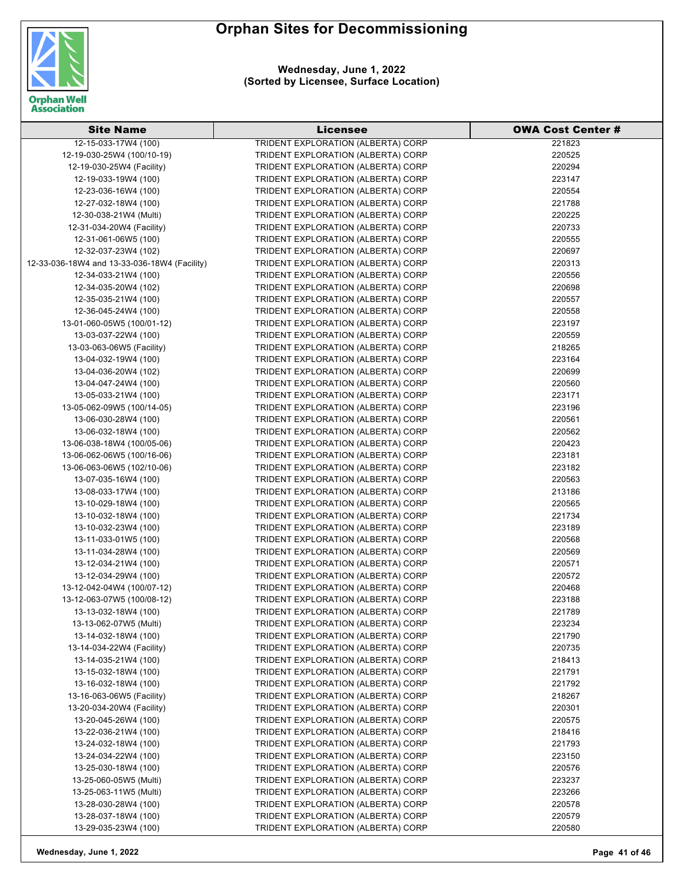

**Wednesday, June 1, 2022 (Sorted by Licensee, Surface Location)**

| <b>Site Name</b>                             | <b>Licensee</b>                           | <b>OWA Cost Center #</b> |
|----------------------------------------------|-------------------------------------------|--------------------------|
| 12-15-033-17W4 (100)                         | <b>TRIDENT EXPLORATION (ALBERTA) CORP</b> | 221823                   |
| 12-19-030-25W4 (100/10-19)                   | TRIDENT EXPLORATION (ALBERTA) CORP        | 220525                   |
| 12-19-030-25W4 (Facility)                    | TRIDENT EXPLORATION (ALBERTA) CORP        | 220294                   |
| 12-19-033-19W4 (100)                         | TRIDENT EXPLORATION (ALBERTA) CORP        | 223147                   |
| 12-23-036-16W4 (100)                         | TRIDENT EXPLORATION (ALBERTA) CORP        | 220554                   |
| 12-27-032-18W4 (100)                         | TRIDENT EXPLORATION (ALBERTA) CORP        | 221788                   |
| 12-30-038-21W4 (Multi)                       | TRIDENT EXPLORATION (ALBERTA) CORP        | 220225                   |
| 12-31-034-20W4 (Facility)                    | TRIDENT EXPLORATION (ALBERTA) CORP        | 220733                   |
| 12-31-061-06W5 (100)                         | TRIDENT EXPLORATION (ALBERTA) CORP        | 220555                   |
| 12-32-037-23W4 (102)                         | TRIDENT EXPLORATION (ALBERTA) CORP        | 220697                   |
| 12-33-036-18W4 and 13-33-036-18W4 (Facility) | TRIDENT EXPLORATION (ALBERTA) CORP        | 220313                   |
| 12-34-033-21W4 (100)                         | TRIDENT EXPLORATION (ALBERTA) CORP        | 220556                   |
| 12-34-035-20W4 (102)                         | TRIDENT EXPLORATION (ALBERTA) CORP        | 220698                   |
| 12-35-035-21W4 (100)                         | TRIDENT EXPLORATION (ALBERTA) CORP        | 220557                   |
| 12-36-045-24W4 (100)                         | TRIDENT EXPLORATION (ALBERTA) CORP        | 220558                   |
| 13-01-060-05W5 (100/01-12)                   | TRIDENT EXPLORATION (ALBERTA) CORP        | 223197                   |
| 13-03-037-22W4 (100)                         | TRIDENT EXPLORATION (ALBERTA) CORP        | 220559                   |
| 13-03-063-06W5 (Facility)                    | TRIDENT EXPLORATION (ALBERTA) CORP        | 218265                   |
| 13-04-032-19W4 (100)                         | TRIDENT EXPLORATION (ALBERTA) CORP        | 223164                   |
| 13-04-036-20W4 (102)                         | TRIDENT EXPLORATION (ALBERTA) CORP        | 220699                   |
| 13-04-047-24W4 (100)                         | TRIDENT EXPLORATION (ALBERTA) CORP        | 220560                   |
| 13-05-033-21W4 (100)                         | TRIDENT EXPLORATION (ALBERTA) CORP        | 223171                   |
| 13-05-062-09W5 (100/14-05)                   | TRIDENT EXPLORATION (ALBERTA) CORP        | 223196                   |
| 13-06-030-28W4 (100)                         | TRIDENT EXPLORATION (ALBERTA) CORP        | 220561                   |
| 13-06-032-18W4 (100)                         | TRIDENT EXPLORATION (ALBERTA) CORP        | 220562                   |
| 13-06-038-18W4 (100/05-06)                   | TRIDENT EXPLORATION (ALBERTA) CORP        | 220423                   |
| 13-06-062-06W5 (100/16-06)                   | TRIDENT EXPLORATION (ALBERTA) CORP        | 223181                   |
| 13-06-063-06W5 (102/10-06)                   | TRIDENT EXPLORATION (ALBERTA) CORP        | 223182                   |
| 13-07-035-16W4 (100)                         | TRIDENT EXPLORATION (ALBERTA) CORP        | 220563                   |
| 13-08-033-17W4 (100)                         | TRIDENT EXPLORATION (ALBERTA) CORP        | 213186                   |
| 13-10-029-18W4 (100)                         | TRIDENT EXPLORATION (ALBERTA) CORP        | 220565                   |
| 13-10-032-18W4 (100)                         | TRIDENT EXPLORATION (ALBERTA) CORP        | 221734                   |
| 13-10-032-23W4 (100)                         | TRIDENT EXPLORATION (ALBERTA) CORP        | 223189                   |
| 13-11-033-01W5 (100)                         | TRIDENT EXPLORATION (ALBERTA) CORP        | 220568                   |
| 13-11-034-28W4 (100)                         | TRIDENT EXPLORATION (ALBERTA) CORP        | 220569                   |
| 13-12-034-21W4 (100)                         | TRIDENT EXPLORATION (ALBERTA) CORP        | 220571                   |
| 13-12-034-29W4 (100)                         | TRIDENT EXPLORATION (ALBERTA) CORP        | 220572                   |
| 13-12-042-04W4 (100/07-12)                   | TRIDENT EXPLORATION (ALBERTA) CORP        | 220468                   |
| 13-12-063-07W5 (100/08-12)                   | TRIDENT EXPLORATION (ALBERTA) CORP        | 223188                   |
| 13-13-032-18W4 (100)                         | TRIDENT EXPLORATION (ALBERTA) CORP        | 221789                   |
| 13-13-062-07W5 (Multi)                       | TRIDENT EXPLORATION (ALBERTA) CORP        | 223234                   |
| 13-14-032-18W4 (100)                         | TRIDENT EXPLORATION (ALBERTA) CORP        | 221790                   |
| 13-14-034-22W4 (Facility)                    | TRIDENT EXPLORATION (ALBERTA) CORP        | 220735                   |
| 13-14-035-21W4 (100)                         | TRIDENT EXPLORATION (ALBERTA) CORP        | 218413                   |
| 13-15-032-18W4 (100)                         | TRIDENT EXPLORATION (ALBERTA) CORP        | 221791                   |
| 13-16-032-18W4 (100)                         | TRIDENT EXPLORATION (ALBERTA) CORP        | 221792                   |
| 13-16-063-06W5 (Facility)                    | TRIDENT EXPLORATION (ALBERTA) CORP        | 218267                   |
| 13-20-034-20W4 (Facility)                    | TRIDENT EXPLORATION (ALBERTA) CORP        | 220301                   |
| 13-20-045-26W4 (100)                         | TRIDENT EXPLORATION (ALBERTA) CORP        | 220575                   |
| 13-22-036-21W4 (100)                         | TRIDENT EXPLORATION (ALBERTA) CORP        |                          |
| 13-24-032-18W4 (100)                         | TRIDENT EXPLORATION (ALBERTA) CORP        | 218416<br>221793         |
| 13-24-034-22W4 (100)                         | TRIDENT EXPLORATION (ALBERTA) CORP        | 223150                   |
| 13-25-030-18W4 (100)                         | TRIDENT EXPLORATION (ALBERTA) CORP        | 220576                   |
| 13-25-060-05W5 (Multi)                       | TRIDENT EXPLORATION (ALBERTA) CORP        | 223237                   |
| 13-25-063-11W5 (Multi)                       | TRIDENT EXPLORATION (ALBERTA) CORP        |                          |
| 13-28-030-28W4 (100)                         | TRIDENT EXPLORATION (ALBERTA) CORP        | 223266                   |
| 13-28-037-18W4 (100)                         | TRIDENT EXPLORATION (ALBERTA) CORP        | 220578<br>220579         |
| 13-29-035-23W4 (100)                         | TRIDENT EXPLORATION (ALBERTA) CORP        | 220580                   |
|                                              |                                           |                          |

**Wednesday, June 1, 2022 Page 41 of 46**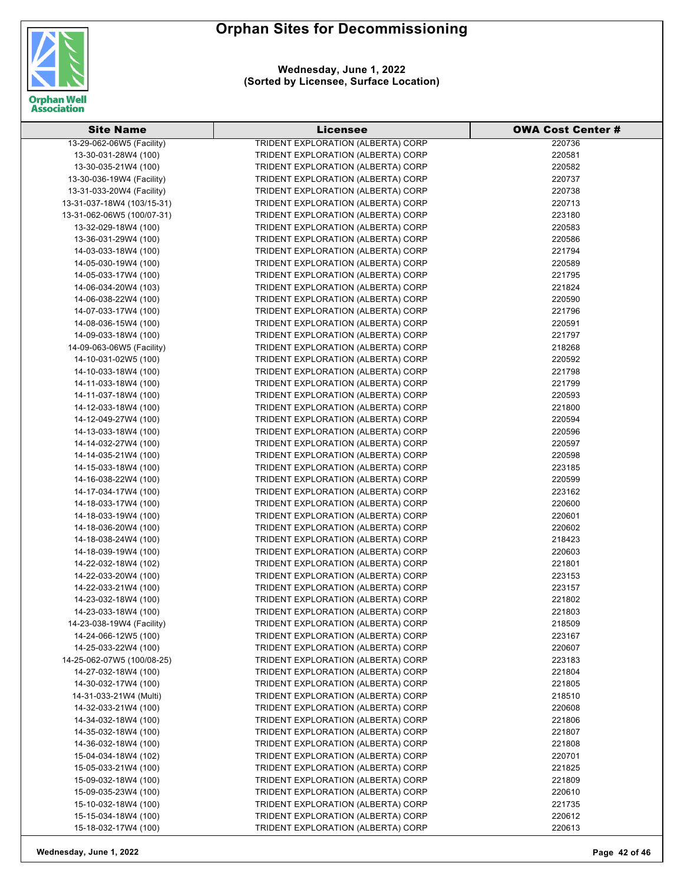

**Wednesday, June 1, 2022 (Sorted by Licensee, Surface Location)**

| <b>Site Name</b>           | Licensee                           | <b>OWA Cost Center #</b> |
|----------------------------|------------------------------------|--------------------------|
| 13-29-062-06W5 (Facility)  | TRIDENT EXPLORATION (ALBERTA) CORP | 220736                   |
| 13-30-031-28W4 (100)       | TRIDENT EXPLORATION (ALBERTA) CORP | 220581                   |
| 13-30-035-21W4 (100)       | TRIDENT EXPLORATION (ALBERTA) CORP | 220582                   |
| 13-30-036-19W4 (Facility)  | TRIDENT EXPLORATION (ALBERTA) CORP | 220737                   |
| 13-31-033-20W4 (Facility)  | TRIDENT EXPLORATION (ALBERTA) CORP | 220738                   |
| 13-31-037-18W4 (103/15-31) | TRIDENT EXPLORATION (ALBERTA) CORP | 220713                   |
| 13-31-062-06W5 (100/07-31) | TRIDENT EXPLORATION (ALBERTA) CORP | 223180                   |
| 13-32-029-18W4 (100)       | TRIDENT EXPLORATION (ALBERTA) CORP | 220583                   |
| 13-36-031-29W4 (100)       | TRIDENT EXPLORATION (ALBERTA) CORP | 220586                   |
| 14-03-033-18W4 (100)       | TRIDENT EXPLORATION (ALBERTA) CORP | 221794                   |
| 14-05-030-19W4 (100)       | TRIDENT EXPLORATION (ALBERTA) CORP | 220589                   |
| 14-05-033-17W4 (100)       | TRIDENT EXPLORATION (ALBERTA) CORP | 221795                   |
| 14-06-034-20W4 (103)       | TRIDENT EXPLORATION (ALBERTA) CORP | 221824                   |
| 14-06-038-22W4 (100)       | TRIDENT EXPLORATION (ALBERTA) CORP | 220590                   |
| 14-07-033-17W4 (100)       | TRIDENT EXPLORATION (ALBERTA) CORP | 221796                   |
| 14-08-036-15W4 (100)       | TRIDENT EXPLORATION (ALBERTA) CORP | 220591                   |
| 14-09-033-18W4 (100)       | TRIDENT EXPLORATION (ALBERTA) CORP | 221797                   |
| 14-09-063-06W5 (Facility)  | TRIDENT EXPLORATION (ALBERTA) CORP | 218268                   |
| 14-10-031-02W5 (100)       | TRIDENT EXPLORATION (ALBERTA) CORP | 220592                   |
| 14-10-033-18W4 (100)       | TRIDENT EXPLORATION (ALBERTA) CORP | 221798                   |
|                            |                                    | 221799                   |
| 14-11-033-18W4 (100)       | TRIDENT EXPLORATION (ALBERTA) CORP |                          |
| 14-11-037-18W4 (100)       | TRIDENT EXPLORATION (ALBERTA) CORP | 220593                   |
| 14-12-033-18W4 (100)       | TRIDENT EXPLORATION (ALBERTA) CORP | 221800                   |
| 14-12-049-27W4 (100)       | TRIDENT EXPLORATION (ALBERTA) CORP | 220594                   |
| 14-13-033-18W4 (100)       | TRIDENT EXPLORATION (ALBERTA) CORP | 220596                   |
| 14-14-032-27W4 (100)       | TRIDENT EXPLORATION (ALBERTA) CORP | 220597                   |
| 14-14-035-21W4 (100)       | TRIDENT EXPLORATION (ALBERTA) CORP | 220598                   |
| 14-15-033-18W4 (100)       | TRIDENT EXPLORATION (ALBERTA) CORP | 223185                   |
| 14-16-038-22W4 (100)       | TRIDENT EXPLORATION (ALBERTA) CORP | 220599                   |
| 14-17-034-17W4 (100)       | TRIDENT EXPLORATION (ALBERTA) CORP | 223162                   |
| 14-18-033-17W4 (100)       | TRIDENT EXPLORATION (ALBERTA) CORP | 220600                   |
| 14-18-033-19W4 (100)       | TRIDENT EXPLORATION (ALBERTA) CORP | 220601                   |
| 14-18-036-20W4 (100)       | TRIDENT EXPLORATION (ALBERTA) CORP | 220602                   |
| 14-18-038-24W4 (100)       | TRIDENT EXPLORATION (ALBERTA) CORP | 218423                   |
| 14-18-039-19W4 (100)       | TRIDENT EXPLORATION (ALBERTA) CORP | 220603                   |
| 14-22-032-18W4 (102)       | TRIDENT EXPLORATION (ALBERTA) CORP | 221801                   |
| 14-22-033-20W4 (100)       | TRIDENT EXPLORATION (ALBERTA) CORP | 223153                   |
| 14-22-033-21W4 (100)       | TRIDENT EXPLORATION (ALBERTA) CORP | 223157                   |
| 14-23-032-18W4 (100)       | TRIDENT EXPLORATION (ALBERTA) CORP | 221802                   |
| 14-23-033-18W4 (100)       | TRIDENT EXPLORATION (ALBERTA) CORP | 221803                   |
| 14-23-038-19W4 (Facility)  | TRIDENT EXPLORATION (ALBERTA) CORP | 218509                   |
| 14-24-066-12W5 (100)       | TRIDENT EXPLORATION (ALBERTA) CORP | 223167                   |
| 14-25-033-22W4 (100)       | TRIDENT EXPLORATION (ALBERTA) CORP | 220607                   |
| 14-25-062-07W5 (100/08-25) | TRIDENT EXPLORATION (ALBERTA) CORP | 223183                   |
| 14-27-032-18W4 (100)       | TRIDENT EXPLORATION (ALBERTA) CORP | 221804                   |
| 14-30-032-17W4 (100)       | TRIDENT EXPLORATION (ALBERTA) CORP | 221805                   |
| 14-31-033-21W4 (Multi)     | TRIDENT EXPLORATION (ALBERTA) CORP | 218510                   |
| 14-32-033-21W4 (100)       | TRIDENT EXPLORATION (ALBERTA) CORP | 220608                   |
| 14-34-032-18W4 (100)       | TRIDENT EXPLORATION (ALBERTA) CORP | 221806                   |
| 14-35-032-18W4 (100)       | TRIDENT EXPLORATION (ALBERTA) CORP | 221807                   |
| 14-36-032-18W4 (100)       | TRIDENT EXPLORATION (ALBERTA) CORP | 221808                   |
| 15-04-034-18W4 (102)       | TRIDENT EXPLORATION (ALBERTA) CORP | 220701                   |
| 15-05-033-21W4 (100)       | TRIDENT EXPLORATION (ALBERTA) CORP | 221825                   |
| 15-09-032-18W4 (100)       | TRIDENT EXPLORATION (ALBERTA) CORP | 221809                   |
| 15-09-035-23W4 (100)       | TRIDENT EXPLORATION (ALBERTA) CORP | 220610                   |
| 15-10-032-18W4 (100)       | TRIDENT EXPLORATION (ALBERTA) CORP | 221735                   |
| 15-15-034-18W4 (100)       | TRIDENT EXPLORATION (ALBERTA) CORP | 220612                   |
| 15-18-032-17W4 (100)       | TRIDENT EXPLORATION (ALBERTA) CORP | 220613                   |
|                            |                                    |                          |

**Wednesday, June 1, 2022 Page 42 of 46**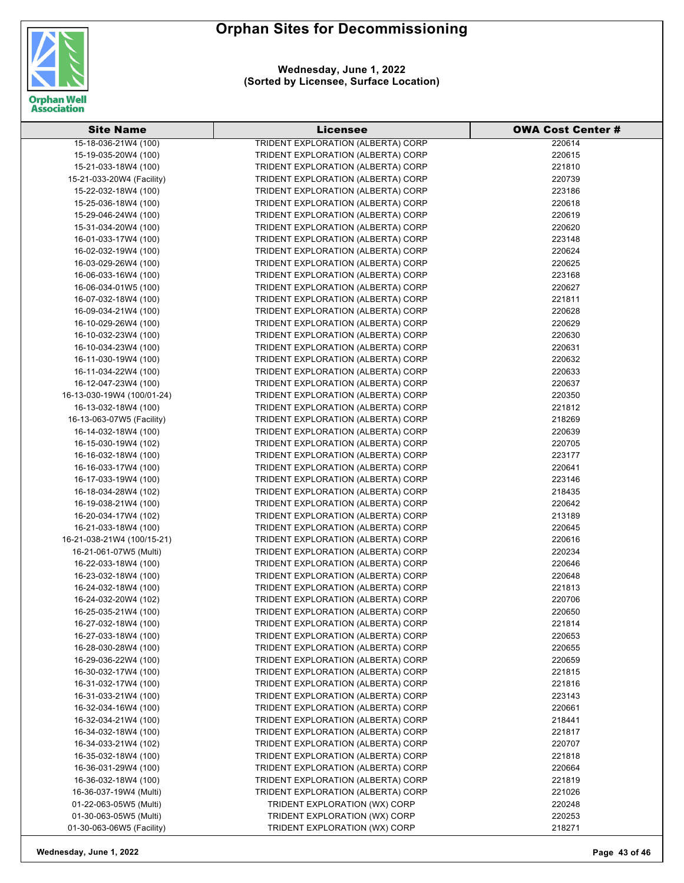

**Wednesday, June 1, 2022 (Sorted by Licensee, Surface Location)**

| <b>Site Name</b>           | <b>Licensee</b>                    | <b>OWA Cost Center #</b> |
|----------------------------|------------------------------------|--------------------------|
| 15-18-036-21W4 (100)       | TRIDENT EXPLORATION (ALBERTA) CORP | 220614                   |
| 15-19-035-20W4 (100)       | TRIDENT EXPLORATION (ALBERTA) CORP | 220615                   |
| 15-21-033-18W4 (100)       | TRIDENT EXPLORATION (ALBERTA) CORP | 221810                   |
| 15-21-033-20W4 (Facility)  | TRIDENT EXPLORATION (ALBERTA) CORP | 220739                   |
| 15-22-032-18W4 (100)       | TRIDENT EXPLORATION (ALBERTA) CORP | 223186                   |
| 15-25-036-18W4 (100)       | TRIDENT EXPLORATION (ALBERTA) CORP | 220618                   |
| 15-29-046-24W4 (100)       | TRIDENT EXPLORATION (ALBERTA) CORP | 220619                   |
| 15-31-034-20W4 (100)       | TRIDENT EXPLORATION (ALBERTA) CORP | 220620                   |
| 16-01-033-17W4 (100)       | TRIDENT EXPLORATION (ALBERTA) CORP | 223148                   |
| 16-02-032-19W4 (100)       | TRIDENT EXPLORATION (ALBERTA) CORP | 220624                   |
| 16-03-029-26W4 (100)       | TRIDENT EXPLORATION (ALBERTA) CORP | 220625                   |
| 16-06-033-16W4 (100)       | TRIDENT EXPLORATION (ALBERTA) CORP | 223168                   |
| 16-06-034-01W5 (100)       | TRIDENT EXPLORATION (ALBERTA) CORP | 220627                   |
| 16-07-032-18W4 (100)       | TRIDENT EXPLORATION (ALBERTA) CORP | 221811                   |
| 16-09-034-21W4 (100)       | TRIDENT EXPLORATION (ALBERTA) CORP | 220628                   |
| 16-10-029-26W4 (100)       | TRIDENT EXPLORATION (ALBERTA) CORP | 220629                   |
| 16-10-032-23W4 (100)       | TRIDENT EXPLORATION (ALBERTA) CORP | 220630                   |
| 16-10-034-23W4 (100)       | TRIDENT EXPLORATION (ALBERTA) CORP | 220631                   |
| 16-11-030-19W4 (100)       | TRIDENT EXPLORATION (ALBERTA) CORP | 220632                   |
| 16-11-034-22W4 (100)       | TRIDENT EXPLORATION (ALBERTA) CORP | 220633                   |
| 16-12-047-23W4 (100)       | TRIDENT EXPLORATION (ALBERTA) CORP | 220637                   |
| 16-13-030-19W4 (100/01-24) | TRIDENT EXPLORATION (ALBERTA) CORP | 220350                   |
| 16-13-032-18W4 (100)       | TRIDENT EXPLORATION (ALBERTA) CORP | 221812                   |
| 16-13-063-07W5 (Facility)  | TRIDENT EXPLORATION (ALBERTA) CORP | 218269                   |
| 16-14-032-18W4 (100)       | TRIDENT EXPLORATION (ALBERTA) CORP | 220639                   |
| 16-15-030-19W4 (102)       | TRIDENT EXPLORATION (ALBERTA) CORP | 220705                   |
| 16-16-032-18W4 (100)       | TRIDENT EXPLORATION (ALBERTA) CORP | 223177                   |
| 16-16-033-17W4 (100)       | TRIDENT EXPLORATION (ALBERTA) CORP | 220641                   |
| 16-17-033-19W4 (100)       | TRIDENT EXPLORATION (ALBERTA) CORP | 223146                   |
| 16-18-034-28W4 (102)       | TRIDENT EXPLORATION (ALBERTA) CORP | 218435                   |
| 16-19-038-21W4 (100)       | TRIDENT EXPLORATION (ALBERTA) CORP | 220642                   |
| 16-20-034-17W4 (102)       | TRIDENT EXPLORATION (ALBERTA) CORP | 213189                   |
| 16-21-033-18W4 (100)       | TRIDENT EXPLORATION (ALBERTA) CORP | 220645                   |
| 16-21-038-21W4 (100/15-21) | TRIDENT EXPLORATION (ALBERTA) CORP | 220616                   |
| 16-21-061-07W5 (Multi)     | TRIDENT EXPLORATION (ALBERTA) CORP | 220234                   |
| 16-22-033-18W4 (100)       | TRIDENT EXPLORATION (ALBERTA) CORP | 220646                   |
| 16-23-032-18W4 (100)       | TRIDENT EXPLORATION (ALBERTA) CORP | 220648                   |
| 16-24-032-18W4 (100)       | TRIDENT EXPLORATION (ALBERTA) CORP | 221813                   |
| 16-24-032-20W4 (102)       | TRIDENT EXPLORATION (ALBERTA) CORP | 220706                   |
| 16-25-035-21W4 (100)       | TRIDENT EXPLORATION (ALBERTA) CORP | 220650                   |
| 16-27-032-18W4 (100)       | TRIDENT EXPLORATION (ALBERTA) CORP | 221814                   |
| 16-27-033-18W4 (100)       | TRIDENT EXPLORATION (ALBERTA) CORP | 220653                   |
| 16-28-030-28W4 (100)       | TRIDENT EXPLORATION (ALBERTA) CORP | 220655                   |
| 16-29-036-22W4 (100)       | TRIDENT EXPLORATION (ALBERTA) CORP | 220659                   |
| 16-30-032-17W4 (100)       | TRIDENT EXPLORATION (ALBERTA) CORP | 221815                   |
| 16-31-032-17W4 (100)       | TRIDENT EXPLORATION (ALBERTA) CORP | 221816                   |
| 16-31-033-21W4 (100)       | TRIDENT EXPLORATION (ALBERTA) CORP | 223143                   |
| 16-32-034-16W4 (100)       | TRIDENT EXPLORATION (ALBERTA) CORP | 220661                   |
| 16-32-034-21W4 (100)       | TRIDENT EXPLORATION (ALBERTA) CORP | 218441                   |
| 16-34-032-18W4 (100)       | TRIDENT EXPLORATION (ALBERTA) CORP | 221817                   |
| 16-34-033-21W4 (102)       | TRIDENT EXPLORATION (ALBERTA) CORP | 220707                   |
| 16-35-032-18W4 (100)       | TRIDENT EXPLORATION (ALBERTA) CORP | 221818                   |
| 16-36-031-29W4 (100)       | TRIDENT EXPLORATION (ALBERTA) CORP | 220664                   |
| 16-36-032-18W4 (100)       | TRIDENT EXPLORATION (ALBERTA) CORP | 221819                   |
| 16-36-037-19W4 (Multi)     | TRIDENT EXPLORATION (ALBERTA) CORP | 221026                   |
| 01-22-063-05W5 (Multi)     | TRIDENT EXPLORATION (WX) CORP      | 220248                   |
| 01-30-063-05W5 (Multi)     | TRIDENT EXPLORATION (WX) CORP      | 220253                   |
| 01-30-063-06W5 (Facility)  | TRIDENT EXPLORATION (WX) CORP      | 218271                   |

**Wednesday, June 1, 2022 Page 43 of 46**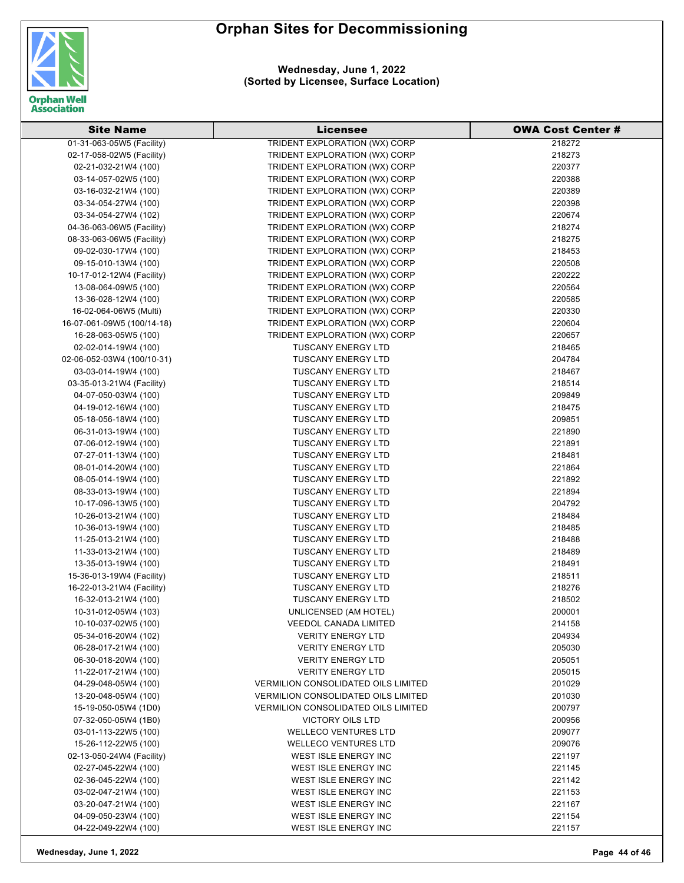

| <b>Site Name</b>           | Licensee                                   | <b>OWA Cost Center #</b> |
|----------------------------|--------------------------------------------|--------------------------|
| 01-31-063-05W5 (Facility)  | TRIDENT EXPLORATION (WX) CORP              | 218272                   |
| 02-17-058-02W5 (Facility)  | TRIDENT EXPLORATION (WX) CORP              | 218273                   |
| 02-21-032-21W4 (100)       | TRIDENT EXPLORATION (WX) CORP              | 220377                   |
| 03-14-057-02W5 (100)       | TRIDENT EXPLORATION (WX) CORP              | 220388                   |
| 03-16-032-21W4 (100)       | TRIDENT EXPLORATION (WX) CORP              | 220389                   |
| 03-34-054-27W4 (100)       | TRIDENT EXPLORATION (WX) CORP              | 220398                   |
| 03-34-054-27W4 (102)       | TRIDENT EXPLORATION (WX) CORP              | 220674                   |
| 04-36-063-06W5 (Facility)  | TRIDENT EXPLORATION (WX) CORP              | 218274                   |
| 08-33-063-06W5 (Facility)  | TRIDENT EXPLORATION (WX) CORP              | 218275                   |
| 09-02-030-17W4 (100)       | TRIDENT EXPLORATION (WX) CORP              | 218453                   |
| 09-15-010-13W4 (100)       | TRIDENT EXPLORATION (WX) CORP              | 220508                   |
| 10-17-012-12W4 (Facility)  | TRIDENT EXPLORATION (WX) CORP              | 220222                   |
| 13-08-064-09W5 (100)       | TRIDENT EXPLORATION (WX) CORP              | 220564                   |
| 13-36-028-12W4 (100)       | TRIDENT EXPLORATION (WX) CORP              | 220585                   |
| 16-02-064-06W5 (Multi)     | TRIDENT EXPLORATION (WX) CORP              | 220330                   |
| 16-07-061-09W5 (100/14-18) | TRIDENT EXPLORATION (WX) CORP              | 220604                   |
| 16-28-063-05W5 (100)       | TRIDENT EXPLORATION (WX) CORP              | 220657                   |
| 02-02-014-19W4 (100)       | <b>TUSCANY ENERGY LTD</b>                  | 218465                   |
| 02-06-052-03W4 (100/10-31) | <b>TUSCANY ENERGY LTD</b>                  | 204784                   |
| 03-03-014-19W4 (100)       | <b>TUSCANY ENERGY LTD</b>                  | 218467                   |
| 03-35-013-21W4 (Facility)  | <b>TUSCANY ENERGY LTD</b>                  | 218514                   |
| 04-07-050-03W4 (100)       | <b>TUSCANY ENERGY LTD</b>                  | 209849                   |
| 04-19-012-16W4 (100)       | <b>TUSCANY ENERGY LTD</b>                  | 218475                   |
| 05-18-056-18W4 (100)       | <b>TUSCANY ENERGY LTD</b>                  | 209851                   |
| 06-31-013-19W4 (100)       | <b>TUSCANY ENERGY LTD</b>                  | 221890                   |
| 07-06-012-19W4 (100)       | <b>TUSCANY ENERGY LTD</b>                  | 221891                   |
| 07-27-011-13W4 (100)       | <b>TUSCANY ENERGY LTD</b>                  | 218481                   |
| 08-01-014-20W4 (100)       | <b>TUSCANY ENERGY LTD</b>                  | 221864                   |
| 08-05-014-19W4 (100)       | <b>TUSCANY ENERGY LTD</b>                  | 221892                   |
| 08-33-013-19W4 (100)       | <b>TUSCANY ENERGY LTD</b>                  | 221894                   |
| 10-17-096-13W5 (100)       | <b>TUSCANY ENERGY LTD</b>                  | 204792                   |
| 10-26-013-21W4 (100)       | <b>TUSCANY ENERGY LTD</b>                  | 218484                   |
| 10-36-013-19W4 (100)       | <b>TUSCANY ENERGY LTD</b>                  | 218485                   |
| 11-25-013-21W4 (100)       | <b>TUSCANY ENERGY LTD</b>                  | 218488                   |
| 11-33-013-21W4 (100)       | <b>TUSCANY ENERGY LTD</b>                  | 218489                   |
| 13-35-013-19W4 (100)       | <b>TUSCANY ENERGY LTD</b>                  | 218491                   |
| 15-36-013-19W4 (Facility)  | <b>TUSCANY ENERGY LTD</b>                  | 218511                   |
| 16-22-013-21W4 (Facility)  | <b>TUSCANY ENERGY LTD</b>                  | 218276                   |
| 16-32-013-21W4 (100)       | <b>TUSCANY ENERGY LTD</b>                  | 218502                   |
| 10-31-012-05W4 (103)       | <b>UNLICENSED (AM HOTEL)</b>               | 200001                   |
| 10-10-037-02W5 (100)       | <b>VEEDOL CANADA LIMITED</b>               | 214158                   |
| 05-34-016-20W4 (102)       | <b>VERITY ENERGY LTD</b>                   | 204934                   |
| 06-28-017-21W4 (100)       | <b>VERITY ENERGY LTD</b>                   | 205030                   |
| 06-30-018-20W4 (100)       | <b>VERITY ENERGY LTD</b>                   | 205051                   |
| 11-22-017-21W4 (100)       | <b>VERITY ENERGY LTD</b>                   | 205015                   |
| 04-29-048-05W4 (100)       | <b>VERMILION CONSOLIDATED OILS LIMITED</b> | 201029                   |
| 13-20-048-05W4 (100)       | <b>VERMILION CONSOLIDATED OILS LIMITED</b> | 201030                   |
| 15-19-050-05W4 (1D0)       | <b>VERMILION CONSOLIDATED OILS LIMITED</b> | 200797                   |
| 07-32-050-05W4 (1B0)       | VICTORY OILS LTD                           | 200956                   |
| 03-01-113-22W5 (100)       | <b>WELLECO VENTURES LTD</b>                | 209077                   |
| 15-26-112-22W5 (100)       | <b>WELLECO VENTURES LTD</b>                | 209076                   |
| 02-13-050-24W4 (Facility)  | WEST ISLE ENERGY INC                       | 221197                   |
| 02-27-045-22W4 (100)       | WEST ISLE ENERGY INC                       | 221145                   |
| 02-36-045-22W4 (100)       | WEST ISLE ENERGY INC                       | 221142                   |
| 03-02-047-21W4 (100)       | WEST ISLE ENERGY INC                       | 221153                   |
| 03-20-047-21W4 (100)       | WEST ISLE ENERGY INC                       | 221167                   |
| 04-09-050-23W4 (100)       | WEST ISLE ENERGY INC                       | 221154                   |
| 04-22-049-22W4 (100)       | WEST ISLE ENERGY INC                       | 221157                   |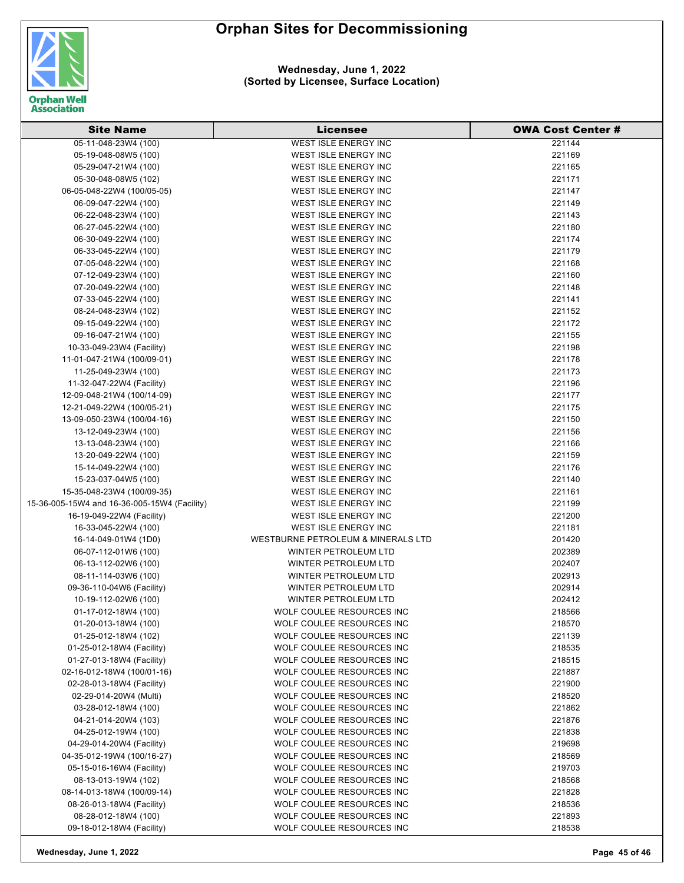

**Wednesday, June 1, 2022 (Sorted by Licensee, Surface Location)**

| <b>Site Name</b>                                  | <b>Licensee</b>                                     | <b>OWA Cost Center #</b> |
|---------------------------------------------------|-----------------------------------------------------|--------------------------|
| 05-11-048-23W4 (100)                              | <b>WEST ISLE ENERGY INC</b>                         | 221144                   |
| 05-19-048-08W5 (100)                              | WEST ISLE ENERGY INC                                | 221169                   |
| 05-29-047-21W4 (100)                              | WEST ISLE ENERGY INC                                | 221165                   |
| 05-30-048-08W5 (102)                              | WEST ISLE ENERGY INC                                | 221171                   |
| 06-05-048-22W4 (100/05-05)                        | WEST ISLE ENERGY INC                                | 221147                   |
| 06-09-047-22W4 (100)                              | WEST ISLE ENERGY INC                                | 221149                   |
| 06-22-048-23W4 (100)                              | WEST ISLE ENERGY INC                                | 221143                   |
| 06-27-045-22W4 (100)                              | WEST ISLE ENERGY INC                                | 221180                   |
| 06-30-049-22W4 (100)                              | <b>WEST ISLE ENERGY INC</b>                         | 221174                   |
| 06-33-045-22W4 (100)                              | WEST ISLE ENERGY INC                                | 221179                   |
| 07-05-048-22W4 (100)                              | WEST ISLE ENERGY INC                                | 221168                   |
| 07-12-049-23W4 (100)                              | WEST ISLE ENERGY INC                                | 221160                   |
| 07-20-049-22W4 (100)                              | WEST ISLE ENERGY INC                                | 221148                   |
| 07-33-045-22W4 (100)                              | WEST ISLE ENERGY INC                                | 221141                   |
| 08-24-048-23W4 (102)                              | WEST ISLE ENERGY INC                                | 221152                   |
| 09-15-049-22W4 (100)                              | WEST ISLE ENERGY INC                                | 221172                   |
| 09-16-047-21W4 (100)                              | <b>WEST ISLE ENERGY INC</b>                         | 221155                   |
| 10-33-049-23W4 (Facility)                         | WEST ISLE ENERGY INC                                | 221198                   |
| 11-01-047-21W4 (100/09-01)                        | WEST ISLE ENERGY INC                                | 221178                   |
| 11-25-049-23W4 (100)                              | <b>WEST ISLE ENERGY INC</b>                         | 221173                   |
| 11-32-047-22W4 (Facility)                         | WEST ISLE ENERGY INC                                | 221196                   |
| 12-09-048-21W4 (100/14-09)                        | WEST ISLE ENERGY INC                                | 221177                   |
| 12-21-049-22W4 (100/05-21)                        | <b>WEST ISLE ENERGY INC</b>                         | 221175                   |
| 13-09-050-23W4 (100/04-16)                        | <b>WEST ISLE ENERGY INC</b>                         | 221150                   |
| 13-12-049-23W4 (100)                              | WEST ISLE ENERGY INC                                | 221156                   |
| 13-13-048-23W4 (100)                              | WEST ISLE ENERGY INC                                | 221166                   |
| 13-20-049-22W4 (100)                              | WEST ISLE ENERGY INC                                | 221159                   |
| 15-14-049-22W4 (100)                              | WEST ISLE ENERGY INC                                | 221176                   |
| 15-23-037-04W5 (100)                              | WEST ISLE ENERGY INC                                | 221140                   |
| 15-35-048-23W4 (100/09-35)                        | WEST ISLE ENERGY INC                                | 221161                   |
| 15-36-005-15W4 and 16-36-005-15W4 (Facility)      | WEST ISLE ENERGY INC                                | 221199                   |
| 16-19-049-22W4 (Facility)                         | WEST ISLE ENERGY INC                                | 221200                   |
| 16-33-045-22W4 (100)                              | WEST ISLE ENERGY INC                                | 221181                   |
| 16-14-049-01W4 (1D0)                              | WESTBURNE PETROLEUM & MINERALS LTD                  | 201420                   |
| 06-07-112-01W6 (100)                              | WINTER PETROLEUM LTD                                | 202389                   |
| 06-13-112-02W6 (100)                              | WINTER PETROLEUM LTD                                | 202407                   |
|                                                   |                                                     | 202913                   |
| 08-11-114-03W6 (100)<br>09-36-110-04W6 (Facility) | WINTER PETROLEUM LTD<br><b>WINTER PETROLEUM LTD</b> | 202914                   |
|                                                   | <b>WINTER PETROLEUM LTD</b>                         | 202412                   |
| 10-19-112-02W6 (100)                              |                                                     |                          |
| 01-17-012-18W4 (100)                              | WOLF COULEE RESOURCES INC                           | 218566                   |
| 01-20-013-18W4 (100)                              | WOLF COULEE RESOURCES INC                           | 218570                   |
| 01-25-012-18W4 (102)                              | WOLF COULEE RESOURCES INC                           | 221139                   |
| 01-25-012-18W4 (Facility)                         | WOLF COULEE RESOURCES INC                           | 218535                   |
| 01-27-013-18W4 (Facility)                         | WOLF COULEE RESOURCES INC                           | 218515                   |
| 02-16-012-18W4 (100/01-16)                        | WOLF COULEE RESOURCES INC                           | 221887                   |
| 02-28-013-18W4 (Facility)                         | WOLF COULEE RESOURCES INC                           | 221900                   |
| 02-29-014-20W4 (Multi)                            | WOLF COULEE RESOURCES INC                           | 218520                   |
| 03-28-012-18W4 (100)                              | WOLF COULEE RESOURCES INC                           | 221862                   |
| 04-21-014-20W4 (103)                              | WOLF COULEE RESOURCES INC                           | 221876                   |
| 04-25-012-19W4 (100)                              | WOLF COULEE RESOURCES INC                           | 221838                   |
| 04-29-014-20W4 (Facility)                         | WOLF COULEE RESOURCES INC                           | 219698                   |
| 04-35-012-19W4 (100/16-27)                        | WOLF COULEE RESOURCES INC                           | 218569                   |
| 05-15-016-16W4 (Facility)                         | WOLF COULEE RESOURCES INC                           | 219703                   |
| 08-13-013-19W4 (102)                              | WOLF COULEE RESOURCES INC                           | 218568                   |
| 08-14-013-18W4 (100/09-14)                        | WOLF COULEE RESOURCES INC                           | 221828                   |
| 08-26-013-18W4 (Facility)                         | WOLF COULEE RESOURCES INC                           | 218536                   |
| 08-28-012-18W4 (100)                              | WOLF COULEE RESOURCES INC                           | 221893                   |
| 09-18-012-18W4 (Facility)                         | WOLF COULEE RESOURCES INC                           | 218538                   |

**Wednesday, June 1, 2022 Page 45 of 46**